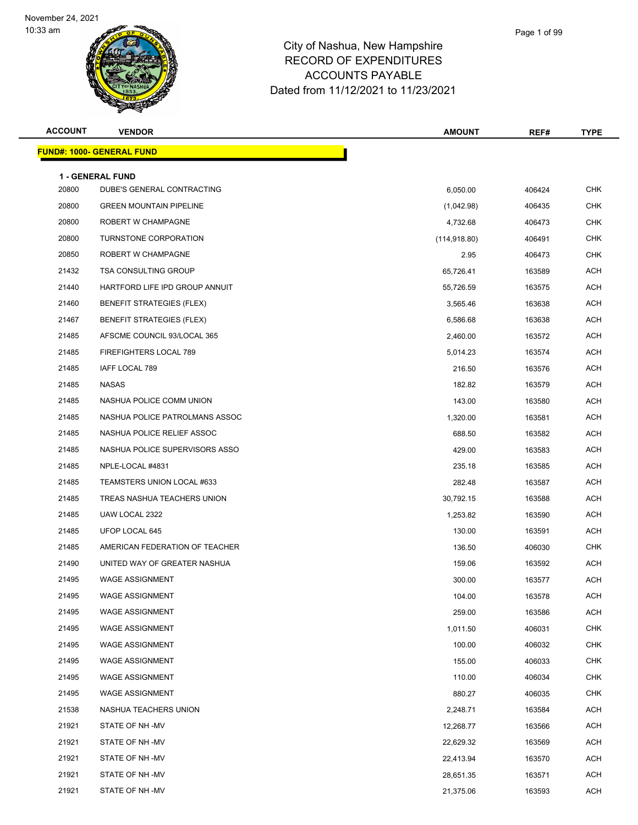

| <b>ACCOUNT</b> | <b>VENDOR</b>                    | <b>AMOUNT</b> | REF#   | <b>TYPE</b>    |
|----------------|----------------------------------|---------------|--------|----------------|
|                | <b>FUND#: 1000- GENERAL FUND</b> |               |        |                |
|                | <b>1 - GENERAL FUND</b>          |               |        |                |
| 20800          | DUBE'S GENERAL CONTRACTING       | 6,050.00      | 406424 | <b>CHK</b>     |
| 20800          | <b>GREEN MOUNTAIN PIPELINE</b>   | (1,042.98)    | 406435 | <b>CHK</b>     |
| 20800          | ROBERT W CHAMPAGNE               | 4,732.68      | 406473 | <b>CHK</b>     |
| 20800          | TURNSTONE CORPORATION            | (114, 918.80) | 406491 | <b>CHK</b>     |
| 20850          | ROBERT W CHAMPAGNE               | 2.95          | 406473 | <b>CHK</b>     |
| 21432          | <b>TSA CONSULTING GROUP</b>      | 65,726.41     | 163589 | <b>ACH</b>     |
| 21440          | HARTFORD LIFE IPD GROUP ANNUIT   | 55,726.59     | 163575 | <b>ACH</b>     |
| 21460          | <b>BENEFIT STRATEGIES (FLEX)</b> | 3,565.46      | 163638 | <b>ACH</b>     |
| 21467          | <b>BENEFIT STRATEGIES (FLEX)</b> | 6,586.68      | 163638 | ACH            |
| 21485          | AFSCME COUNCIL 93/LOCAL 365      | 2,460.00      | 163572 | <b>ACH</b>     |
| 21485          | FIREFIGHTERS LOCAL 789           | 5,014.23      | 163574 | <b>ACH</b>     |
| 21485          | IAFF LOCAL 789                   | 216.50        | 163576 | <b>ACH</b>     |
| 21485          | <b>NASAS</b>                     | 182.82        | 163579 | <b>ACH</b>     |
| 21485          | NASHUA POLICE COMM UNION         | 143.00        | 163580 | ACH            |
| 21485          | NASHUA POLICE PATROLMANS ASSOC   | 1,320.00      | 163581 | <b>ACH</b>     |
| 21485          | NASHUA POLICE RELIEF ASSOC       | 688.50        | 163582 | <b>ACH</b>     |
| 21485          | NASHUA POLICE SUPERVISORS ASSO   | 429.00        | 163583 | <b>ACH</b>     |
| 21485          | NPLE-LOCAL #4831                 | 235.18        | 163585 | <b>ACH</b>     |
| 21485          | TEAMSTERS UNION LOCAL #633       | 282.48        | 163587 | ACH            |
| 21485          | TREAS NASHUA TEACHERS UNION      | 30,792.15     | 163588 | ACH            |
| 21485          | UAW LOCAL 2322                   | 1,253.82      | 163590 | <b>ACH</b>     |
| 21485          | UFOP LOCAL 645                   | 130.00        | 163591 | <b>ACH</b>     |
| 21485          | AMERICAN FEDERATION OF TEACHER   | 136.50        | 406030 | <b>CHK</b>     |
| 21490          | UNITED WAY OF GREATER NASHUA     | 159.06        | 163592 | <b>ACH</b>     |
| 21495          | <b>WAGE ASSIGNMENT</b>           | 300.00        | 163577 | <b>ACH</b>     |
| 21495          | WAGE ASSIGNMENT                  | 104.00        | 163578 | $\mathsf{ACH}$ |
| 21495          | <b>WAGE ASSIGNMENT</b>           | 259.00        | 163586 | <b>ACH</b>     |
| 21495          | <b>WAGE ASSIGNMENT</b>           | 1,011.50      | 406031 | <b>CHK</b>     |
| 21495          | <b>WAGE ASSIGNMENT</b>           | 100.00        | 406032 | <b>CHK</b>     |
| 21495          | <b>WAGE ASSIGNMENT</b>           | 155.00        | 406033 | <b>CHK</b>     |
| 21495          | <b>WAGE ASSIGNMENT</b>           | 110.00        | 406034 | <b>CHK</b>     |
| 21495          | <b>WAGE ASSIGNMENT</b>           | 880.27        | 406035 | <b>CHK</b>     |
| 21538          | NASHUA TEACHERS UNION            | 2,248.71      | 163584 | <b>ACH</b>     |
| 21921          | STATE OF NH-MV                   | 12,268.77     | 163566 | <b>ACH</b>     |
| 21921          | STATE OF NH-MV                   | 22,629.32     | 163569 | <b>ACH</b>     |
| 21921          | STATE OF NH-MV                   | 22,413.94     | 163570 | <b>ACH</b>     |
| 21921          | STATE OF NH-MV                   | 28,651.35     | 163571 | <b>ACH</b>     |
| 21921          | STATE OF NH-MV                   | 21,375.06     | 163593 | <b>ACH</b>     |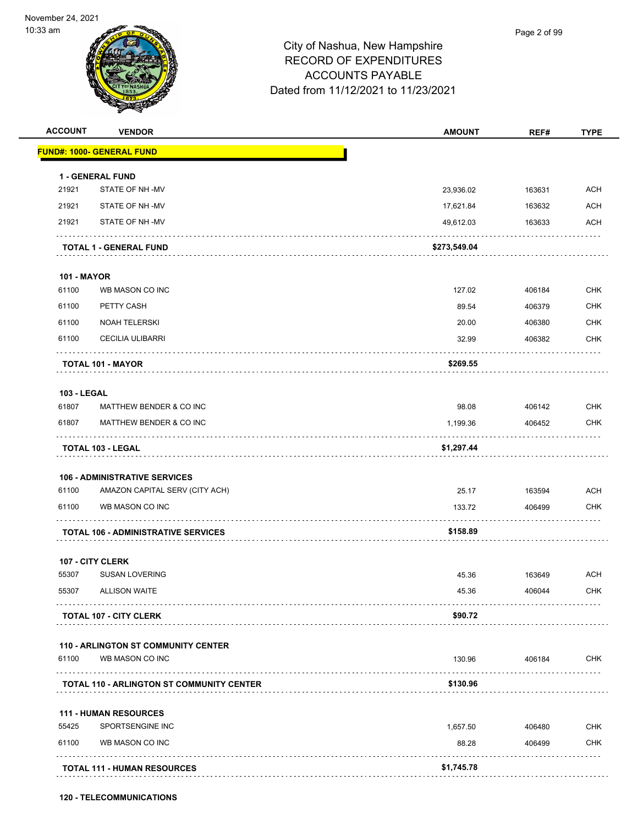

|                    | <b>VENDOR</b>                                    | <b>AMOUNT</b> | REF#   | <b>TYPE</b> |
|--------------------|--------------------------------------------------|---------------|--------|-------------|
|                    | <b>FUND#: 1000- GENERAL FUND</b>                 |               |        |             |
|                    | 1 - GENERAL FUND                                 |               |        |             |
| 21921              | STATE OF NH-MV                                   | 23,936.02     | 163631 | <b>ACH</b>  |
| 21921              | STATE OF NH-MV                                   | 17,621.84     | 163632 | <b>ACH</b>  |
| 21921              | STATE OF NH-MV                                   | 49,612.03     | 163633 | <b>ACH</b>  |
|                    | <b>TOTAL 1 - GENERAL FUND</b>                    | \$273,549.04  |        |             |
| <b>101 - MAYOR</b> |                                                  |               |        |             |
| 61100              | WB MASON CO INC                                  | 127.02        | 406184 | <b>CHK</b>  |
| 61100              | PETTY CASH                                       | 89.54         | 406379 | <b>CHK</b>  |
| 61100              | <b>NOAH TELERSKI</b>                             | 20.00         | 406380 | <b>CHK</b>  |
| 61100              | <b>CECILIA ULIBARRI</b>                          | 32.99         | 406382 | <b>CHK</b>  |
|                    | TOTAL 101 - MAYOR                                | \$269.55      |        |             |
| <b>103 - LEGAL</b> |                                                  |               |        |             |
| 61807              | MATTHEW BENDER & CO INC                          | 98.08         | 406142 | <b>CHK</b>  |
| 61807              | MATTHEW BENDER & CO INC                          | 1,199.36      | 406452 | <b>CHK</b>  |
|                    | TOTAL 103 - LEGAL                                | \$1,297.44    |        |             |
|                    | <b>106 - ADMINISTRATIVE SERVICES</b>             |               |        |             |
| 61100              | AMAZON CAPITAL SERV (CITY ACH)                   | 25.17         | 163594 | <b>ACH</b>  |
|                    |                                                  |               |        |             |
| 61100              | WB MASON CO INC                                  | 133.72        | 406499 | CHK         |
|                    | <b>TOTAL 106 - ADMINISTRATIVE SERVICES</b>       | \$158.89      |        |             |
|                    | 107 - CITY CLERK                                 |               |        |             |
| 55307              | <b>SUSAN LOVERING</b>                            | 45.36         | 163649 | <b>ACH</b>  |
| 55307              | <b>ALLISON WAITE</b><br>.                        | 45.36         | 406044 | <b>CHK</b>  |
|                    | <b>TOTAL 107 - CITY CLERK</b>                    | \$90.72       |        |             |
|                    | <b>110 - ARLINGTON ST COMMUNITY CENTER</b>       |               |        |             |
| 61100              | WB MASON CO INC                                  | 130.96        | 406184 | <b>CHK</b>  |
|                    | <b>TOTAL 110 - ARLINGTON ST COMMUNITY CENTER</b> | \$130.96      | .      |             |
|                    | <b>111 - HUMAN RESOURCES</b>                     |               |        |             |
| 55425              | SPORTSENGINE INC                                 | 1,657.50      | 406480 | <b>CHK</b>  |
| 61100              | WB MASON CO INC                                  | 88.28         | 406499 | <b>CHK</b>  |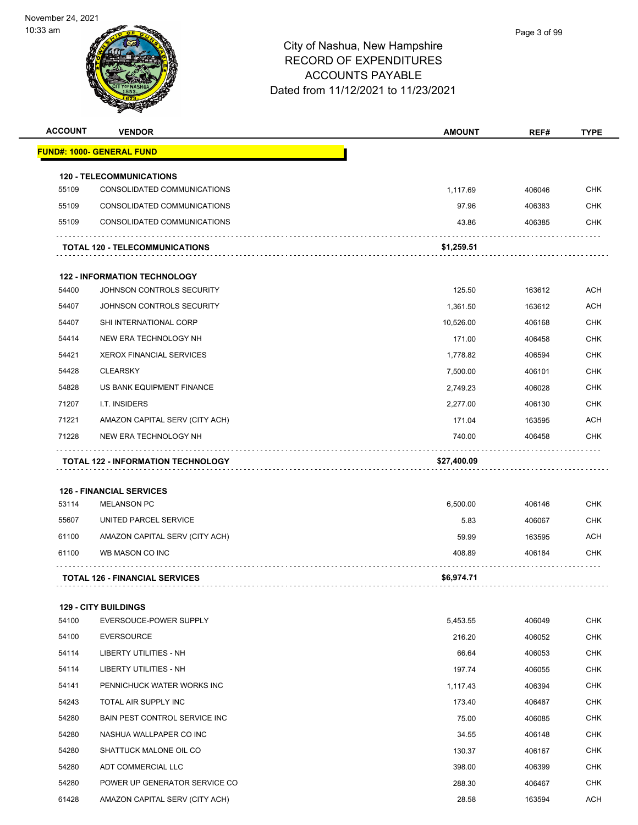| <b>ACCOUNT</b> | <b>VENDOR</b>                                                      | <b>AMOUNT</b>         | REF#   | <b>TYPE</b> |
|----------------|--------------------------------------------------------------------|-----------------------|--------|-------------|
|                | <u> FUND#: 1000- GENERAL FUND</u>                                  |                       |        |             |
|                | <b>120 - TELECOMMUNICATIONS</b>                                    |                       |        |             |
| 55109          | CONSOLIDATED COMMUNICATIONS                                        | 1,117.69              | 406046 | <b>CHK</b>  |
| 55109          | CONSOLIDATED COMMUNICATIONS                                        | 97.96                 | 406383 | CHK         |
| 55109          | CONSOLIDATED COMMUNICATIONS                                        | 43.86                 | 406385 | <b>CHK</b>  |
|                | <b>TOTAL 120 - TELECOMMUNICATIONS</b>                              | \$1,259.51            |        |             |
|                | <b>122 - INFORMATION TECHNOLOGY</b>                                |                       |        |             |
| 54400          | JOHNSON CONTROLS SECURITY                                          | 125.50                | 163612 | ACH         |
| 54407          | JOHNSON CONTROLS SECURITY                                          | 1,361.50              | 163612 | <b>ACH</b>  |
| 54407          | SHI INTERNATIONAL CORP                                             | 10,526.00             | 406168 | CHK         |
| 54414          | NEW ERA TECHNOLOGY NH                                              | 171.00                | 406458 | CHK         |
| 54421          | <b>XEROX FINANCIAL SERVICES</b>                                    | 1,778.82              | 406594 | <b>CHK</b>  |
| 54428          | <b>CLEARSKY</b>                                                    | 7,500.00              | 406101 | CHK         |
| 54828          | US BANK EQUIPMENT FINANCE                                          | 2,749.23              | 406028 | CHK         |
| 71207          | I.T. INSIDERS                                                      | 2,277.00              | 406130 | CHK         |
| 71221          | AMAZON CAPITAL SERV (CITY ACH)                                     | 171.04                | 163595 | ACH         |
|                |                                                                    |                       | 406458 | CHK         |
| 71228          | NEW ERA TECHNOLOGY NH<br><b>TOTAL 122 - INFORMATION TECHNOLOGY</b> | 740.00<br>\$27,400.09 |        |             |
|                | <b>126 - FINANCIAL SERVICES</b>                                    |                       |        |             |
| 53114          | <b>MELANSON PC</b>                                                 | 6,500.00              | 406146 | <b>CHK</b>  |
| 55607          | UNITED PARCEL SERVICE                                              | 5.83                  | 406067 | <b>CHK</b>  |
| 61100<br>61100 | AMAZON CAPITAL SERV (CITY ACH)<br>WB MASON CO INC                  | 59.99                 | 163595 | ACH<br>CHK  |
|                |                                                                    | 408.89<br>\$6,974.71  | 406184 |             |
|                | <b>TOTAL 126 - FINANCIAL SERVICES</b>                              |                       |        |             |
|                | <b>129 - CITY BUILDINGS</b>                                        |                       |        |             |
| 54100          | EVERSOUCE-POWER SUPPLY                                             | 5,453.55              | 406049 | <b>CHK</b>  |
| 54100          | <b>EVERSOURCE</b>                                                  | 216.20                | 406052 | <b>CHK</b>  |
| 54114          | LIBERTY UTILITIES - NH                                             | 66.64                 | 406053 | <b>CHK</b>  |
| 54114          | LIBERTY UTILITIES - NH                                             | 197.74                | 406055 | CHK         |
| 54141          | PENNICHUCK WATER WORKS INC                                         | 1,117.43              | 406394 | <b>CHK</b>  |
| 54243          | TOTAL AIR SUPPLY INC                                               | 173.40                | 406487 | <b>CHK</b>  |
| 54280          | BAIN PEST CONTROL SERVICE INC                                      | 75.00                 | 406085 | CHK         |
| 54280          | NASHUA WALLPAPER CO INC                                            | 34.55                 | 406148 | <b>CHK</b>  |
| 54280          | SHATTUCK MALONE OIL CO                                             | 130.37                | 406167 | <b>CHK</b>  |
| 54280          | ADT COMMERCIAL LLC                                                 | 398.00                | 406399 | CHK         |
| 54280          | POWER UP GENERATOR SERVICE CO                                      | 288.30                | 406467 | <b>CHK</b>  |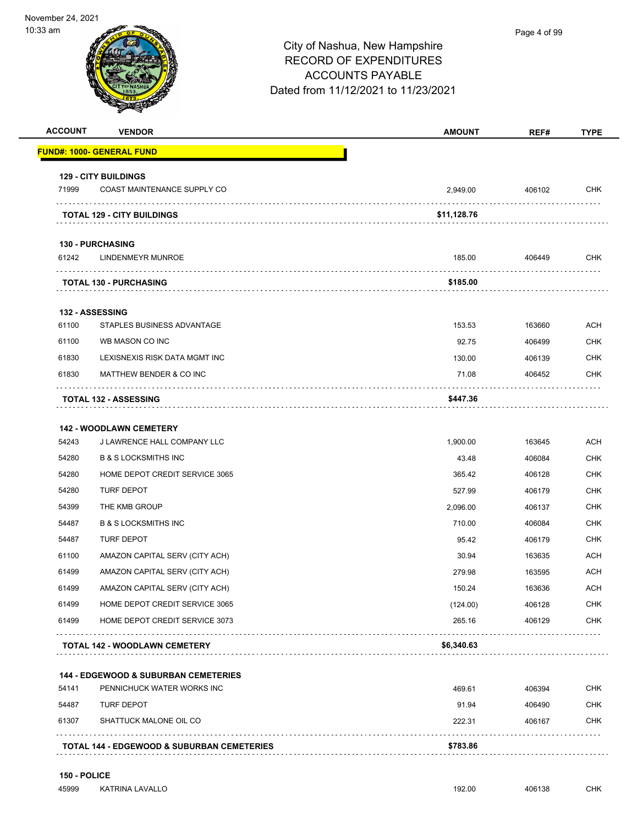

### Page 4 of 99

## City of Nashua, New Hampshire RECORD OF EXPENDITURES ACCOUNTS PAYABLE Dated from 11/12/2021 to 11/23/2021

| <b>ACCOUNT</b> | <b>VENDOR</b>                                   | <b>AMOUNT</b> | REF#   | TYPE       |
|----------------|-------------------------------------------------|---------------|--------|------------|
|                | FUND#: 1000- GENERAL FUND                       |               |        |            |
|                | <b>129 - CITY BUILDINGS</b>                     |               |        |            |
| 71999          | COAST MAINTENANCE SUPPLY CO                     | 2,949.00      | 406102 | <b>CHK</b> |
|                | <b>TOTAL 129 - CITY BUILDINGS</b>               | \$11,128.76   |        |            |
|                | <b>130 - PURCHASING</b>                         |               |        |            |
| 61242          | <b>LINDENMEYR MUNROE</b>                        | 185.00        | 406449 | <b>CHK</b> |
|                | <b>TOTAL 130 - PURCHASING</b>                   | \$185.00      |        |            |
|                | <b>132 - ASSESSING</b>                          |               |        |            |
| 61100          | STAPLES BUSINESS ADVANTAGE                      | 153.53        | 163660 | <b>ACH</b> |
| 61100          | WB MASON CO INC                                 | 92.75         | 406499 | <b>CHK</b> |
| 61830          | LEXISNEXIS RISK DATA MGMT INC                   | 130.00        | 406139 | <b>CHK</b> |
| 61830          | MATTHEW BENDER & CO INC                         | 71.08         | 406452 | <b>CHK</b> |
|                | <b>TOTAL 132 - ASSESSING</b>                    | \$447.36      |        |            |
|                | <b>142 - WOODLAWN CEMETERY</b>                  |               |        |            |
| 54243          | J LAWRENCE HALL COMPANY LLC                     | 1,900.00      | 163645 | <b>ACH</b> |
| 54280          | <b>B &amp; S LOCKSMITHS INC</b>                 | 43.48         | 406084 | <b>CHK</b> |
| 54280          | HOME DEPOT CREDIT SERVICE 3065                  | 365.42        | 406128 | <b>CHK</b> |
| 54280          | <b>TURF DEPOT</b>                               | 527.99        | 406179 | <b>CHK</b> |
| 54399          | THE KMB GROUP                                   | 2,096.00      | 406137 | <b>CHK</b> |
| 54487          | <b>B &amp; S LOCKSMITHS INC</b>                 | 710.00        | 406084 | <b>CHK</b> |
| 54487          | <b>TURF DEPOT</b>                               | 95.42         | 406179 | <b>CHK</b> |
| 61100          | AMAZON CAPITAL SERV (CITY ACH)                  | 30.94         | 163635 | <b>ACH</b> |
| 61499          | AMAZON CAPITAL SERV (CITY ACH)                  | 279.98        | 163595 | <b>ACH</b> |
| 61499          | AMAZON CAPITAL SERV (CITY ACH)                  | 150.24        | 163636 | <b>ACH</b> |
| 61499          | HOME DEPOT CREDIT SERVICE 3065                  | (124.00)      | 406128 | <b>CHK</b> |
| 61499          | HOME DEPOT CREDIT SERVICE 3073                  | 265.16        | 406129 | <b>CHK</b> |
|                | TOTAL 142 - WOODLAWN CEMETERY                   | \$6,340.63    |        |            |
|                | <b>144 - EDGEWOOD &amp; SUBURBAN CEMETERIES</b> |               |        |            |
| 54141          | PENNICHUCK WATER WORKS INC                      | 469.61        | 406394 | <b>CHK</b> |
| 54487          | TURF DEPOT                                      | 91.94         | 406490 | CHK        |

| 61307 | SHATTUCK MALONE OIL CO                                | 222.31   | 406167 | CHK |
|-------|-------------------------------------------------------|----------|--------|-----|
|       | <b>TOTAL 144 - EDGEWOOD &amp; SUBURBAN CEMETERIES</b> | \$783.86 |        |     |

**150 - POLICE** 45999 KATRINA LAVALLO 192.00 406138 CHK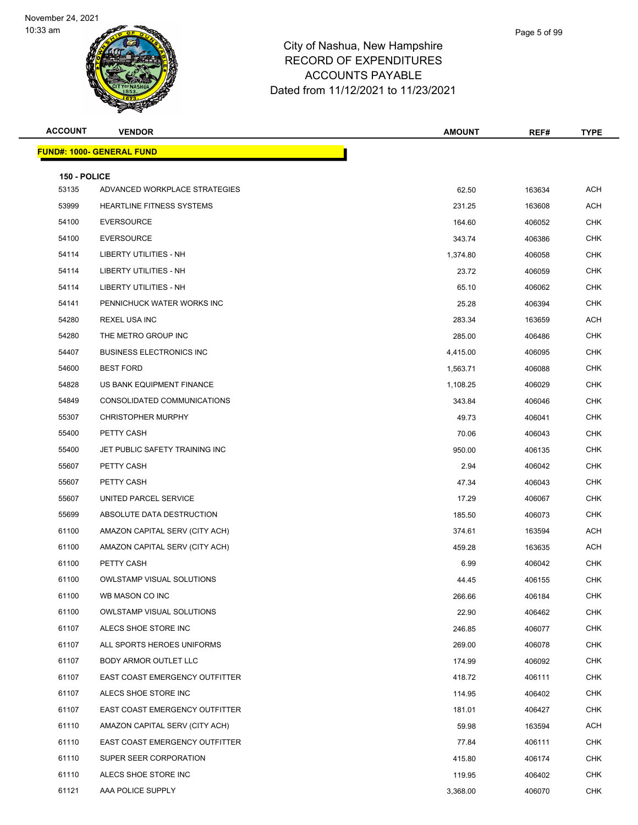

| <b>ACCOUNT</b> | <b>VENDOR</b>                    | <b>AMOUNT</b> | REF#   | <b>TYPE</b> |
|----------------|----------------------------------|---------------|--------|-------------|
|                | <b>FUND#: 1000- GENERAL FUND</b> |               |        |             |
| 150 - POLICE   |                                  |               |        |             |
| 53135          | ADVANCED WORKPLACE STRATEGIES    | 62.50         | 163634 | <b>ACH</b>  |
| 53999          | <b>HEARTLINE FITNESS SYSTEMS</b> | 231.25        | 163608 | <b>ACH</b>  |
| 54100          | <b>EVERSOURCE</b>                | 164.60        | 406052 | <b>CHK</b>  |
| 54100          | <b>EVERSOURCE</b>                | 343.74        | 406386 | <b>CHK</b>  |
| 54114          | LIBERTY UTILITIES - NH           | 1,374.80      | 406058 | <b>CHK</b>  |
| 54114          | LIBERTY UTILITIES - NH           | 23.72         | 406059 | <b>CHK</b>  |
| 54114          | LIBERTY UTILITIES - NH           | 65.10         | 406062 | <b>CHK</b>  |
| 54141          | PENNICHUCK WATER WORKS INC       | 25.28         | 406394 | <b>CHK</b>  |
| 54280          | REXEL USA INC                    | 283.34        | 163659 | ACH         |
| 54280          | THE METRO GROUP INC              | 285.00        | 406486 | <b>CHK</b>  |
| 54407          | <b>BUSINESS ELECTRONICS INC</b>  | 4,415.00      | 406095 | <b>CHK</b>  |
| 54600          | <b>BEST FORD</b>                 | 1,563.71      | 406088 | <b>CHK</b>  |
| 54828          | US BANK EQUIPMENT FINANCE        | 1,108.25      | 406029 | <b>CHK</b>  |
| 54849          | CONSOLIDATED COMMUNICATIONS      | 343.84        | 406046 | <b>CHK</b>  |
| 55307          | <b>CHRISTOPHER MURPHY</b>        | 49.73         | 406041 | <b>CHK</b>  |
| 55400          | PETTY CASH                       | 70.06         | 406043 | <b>CHK</b>  |
| 55400          | JET PUBLIC SAFETY TRAINING INC   | 950.00        | 406135 | CHK         |
| 55607          | PETTY CASH                       | 2.94          | 406042 | <b>CHK</b>  |
| 55607          | PETTY CASH                       | 47.34         | 406043 | <b>CHK</b>  |
| 55607          | UNITED PARCEL SERVICE            | 17.29         | 406067 | <b>CHK</b>  |
| 55699          | ABSOLUTE DATA DESTRUCTION        | 185.50        | 406073 | <b>CHK</b>  |
| 61100          | AMAZON CAPITAL SERV (CITY ACH)   | 374.61        | 163594 | ACH         |
| 61100          | AMAZON CAPITAL SERV (CITY ACH)   | 459.28        | 163635 | <b>ACH</b>  |
| 61100          | PETTY CASH                       | 6.99          | 406042 | CHK         |
| 61100          | <b>OWLSTAMP VISUAL SOLUTIONS</b> | 44.45         | 406155 | <b>CHK</b>  |
| 61100          | WB MASON CO INC                  | 266.66        | 406184 | <b>CHK</b>  |
| 61100          | <b>OWLSTAMP VISUAL SOLUTIONS</b> | 22.90         | 406462 | <b>CHK</b>  |
| 61107          | ALECS SHOE STORE INC             | 246.85        | 406077 | <b>CHK</b>  |
| 61107          | ALL SPORTS HEROES UNIFORMS       | 269.00        | 406078 | <b>CHK</b>  |
| 61107          | BODY ARMOR OUTLET LLC            | 174.99        | 406092 | <b>CHK</b>  |
| 61107          | EAST COAST EMERGENCY OUTFITTER   | 418.72        | 406111 | <b>CHK</b>  |
| 61107          | ALECS SHOE STORE INC             | 114.95        | 406402 | <b>CHK</b>  |
| 61107          | EAST COAST EMERGENCY OUTFITTER   | 181.01        | 406427 | <b>CHK</b>  |
| 61110          | AMAZON CAPITAL SERV (CITY ACH)   | 59.98         | 163594 | ACH         |
| 61110          | EAST COAST EMERGENCY OUTFITTER   | 77.84         | 406111 | <b>CHK</b>  |
| 61110          | SUPER SEER CORPORATION           | 415.80        | 406174 | <b>CHK</b>  |
| 61110          | ALECS SHOE STORE INC             | 119.95        | 406402 | <b>CHK</b>  |
| 61121          | AAA POLICE SUPPLY                | 3,368.00      | 406070 | <b>CHK</b>  |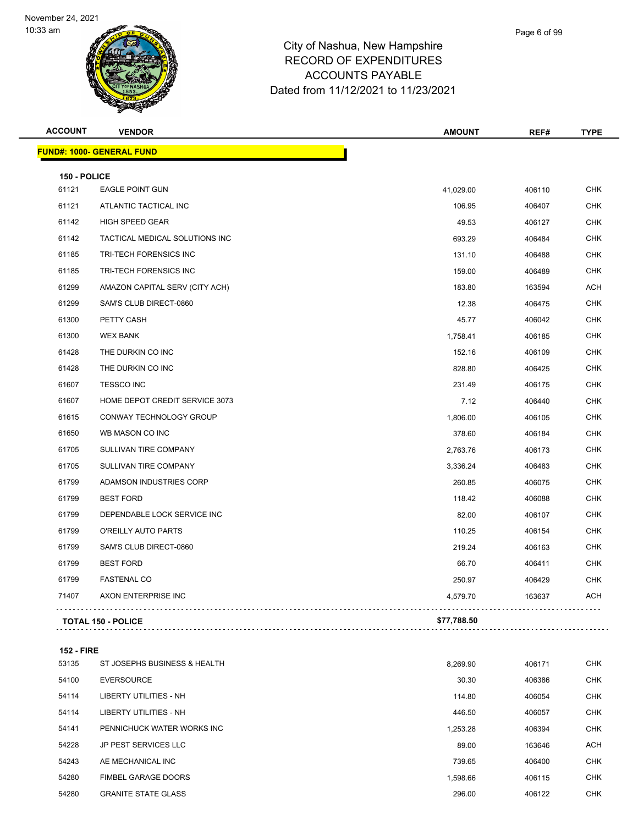

## City of Nashua, New Hampshire RECORD OF EXPENDITURES ACCOUNTS PAYABLE Dated from 11/12/2021 to 11/23/2021

| <b>ACCOUNT</b> | <b>VENDOR</b>                  | <b>AMOUNT</b> | REF#   | <b>TYPE</b> |
|----------------|--------------------------------|---------------|--------|-------------|
|                | FUND#: 1000- GENERAL FUND      |               |        |             |
| 150 - POLICE   |                                |               |        |             |
| 61121          | <b>EAGLE POINT GUN</b>         | 41,029.00     | 406110 | <b>CHK</b>  |
| 61121          | ATLANTIC TACTICAL INC          | 106.95        | 406407 | <b>CHK</b>  |
| 61142          | HIGH SPEED GEAR                | 49.53         | 406127 | <b>CHK</b>  |
| 61142          | TACTICAL MEDICAL SOLUTIONS INC | 693.29        | 406484 | <b>CHK</b>  |
| 61185          | TRI-TECH FORENSICS INC         | 131.10        | 406488 | <b>CHK</b>  |
| 61185          | TRI-TECH FORENSICS INC         | 159.00        | 406489 | <b>CHK</b>  |
| 61299          | AMAZON CAPITAL SERV (CITY ACH) | 183.80        | 163594 | <b>ACH</b>  |
| 61299          | SAM'S CLUB DIRECT-0860         | 12.38         | 406475 | <b>CHK</b>  |
| 61300          | PETTY CASH                     | 45.77         | 406042 | <b>CHK</b>  |
| 61300          | <b>WEX BANK</b>                | 1,758.41      | 406185 | <b>CHK</b>  |
| 61428          | THE DURKIN CO INC              | 152.16        | 406109 | <b>CHK</b>  |
| 61428          | THE DURKIN CO INC              | 828.80        | 406425 | <b>CHK</b>  |
| 61607          | <b>TESSCO INC</b>              | 231.49        | 406175 | <b>CHK</b>  |
| 61607          | HOME DEPOT CREDIT SERVICE 3073 | 7.12          | 406440 | <b>CHK</b>  |
| 61615          | CONWAY TECHNOLOGY GROUP        | 1,806.00      | 406105 | <b>CHK</b>  |
| 61650          | WB MASON CO INC                | 378.60        | 406184 | <b>CHK</b>  |
| 61705          | SULLIVAN TIRE COMPANY          | 2,763.76      | 406173 | <b>CHK</b>  |
| 61705          | SULLIVAN TIRE COMPANY          | 3,336.24      | 406483 | CHK         |
| 61799          | ADAMSON INDUSTRIES CORP        | 260.85        | 406075 | <b>CHK</b>  |
| 61799          | <b>BEST FORD</b>               | 118.42        | 406088 | <b>CHK</b>  |
| 61799          | DEPENDABLE LOCK SERVICE INC    | 82.00         | 406107 | <b>CHK</b>  |
| 61799          | O'REILLY AUTO PARTS            | 110.25        | 406154 | <b>CHK</b>  |
| 61799          | SAM'S CLUB DIRECT-0860         | 219.24        | 406163 | CHK         |
| 61799          | <b>BEST FORD</b>               | 66.70         | 406411 | <b>CHK</b>  |
| 61799          | <b>FASTENAL CO</b>             | 250.97        | 406429 | <b>CHK</b>  |
| 71407          | AXON ENTERPRISE INC            | 4,579.70      | 163637 | <b>ACH</b>  |
|                | <b>TOTAL 150 - POLICE</b>      | \$77,788.50   |        |             |
|                |                                |               |        |             |

**152 - FIRE**

| 53135 | ST JOSEPHS BUSINESS & HEALTH  | 8.269.90 | 406171 | <b>CHK</b> |
|-------|-------------------------------|----------|--------|------------|
| 54100 | <b>EVERSOURCE</b>             | 30.30    | 406386 | <b>CHK</b> |
| 54114 | LIBERTY UTILITIES - NH        | 114.80   | 406054 | <b>CHK</b> |
| 54114 | <b>LIBERTY UTILITIES - NH</b> | 446.50   | 406057 | <b>CHK</b> |
| 54141 | PENNICHUCK WATER WORKS INC    | 1.253.28 | 406394 | <b>CHK</b> |
| 54228 | JP PEST SERVICES LLC          | 89.00    | 163646 | <b>ACH</b> |
| 54243 | AE MECHANICAL INC             | 739.65   | 406400 | <b>CHK</b> |
| 54280 | <b>FIMBEL GARAGE DOORS</b>    | 1.598.66 | 406115 | <b>CHK</b> |
| 54280 | <b>GRANITE STATE GLASS</b>    | 296.00   | 406122 | <b>CHK</b> |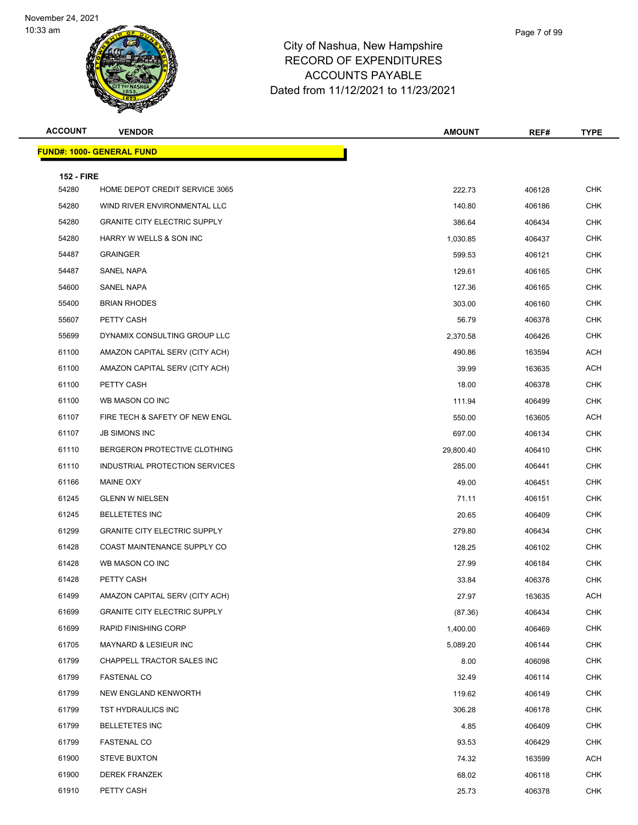

## City of Nashua, New Hamps RECORD OF EXPENDITUR ACCOUNTS PAYABLE Dated from 11/12/2021 to 11/23/2021

| shire |  |  |  |
|-------|--|--|--|
| RES   |  |  |  |
|       |  |  |  |

Page 7 of 99

| <b>ACCOUNT</b>    | <b>VENDOR</b>                       | <b>AMOUNT</b> | REF#   | <b>TYPE</b> |
|-------------------|-------------------------------------|---------------|--------|-------------|
|                   | <b>FUND#: 1000- GENERAL FUND</b>    |               |        |             |
| <b>152 - FIRE</b> |                                     |               |        |             |
| 54280             | HOME DEPOT CREDIT SERVICE 3065      | 222.73        | 406128 | <b>CHK</b>  |
| 54280             | WIND RIVER ENVIRONMENTAL LLC        | 140.80        | 406186 | <b>CHK</b>  |
| 54280             | <b>GRANITE CITY ELECTRIC SUPPLY</b> | 386.64        | 406434 | <b>CHK</b>  |
| 54280             | HARRY W WELLS & SON INC             | 1,030.85      | 406437 | <b>CHK</b>  |
| 54487             | <b>GRAINGER</b>                     | 599.53        | 406121 | <b>CHK</b>  |
| 54487             | SANEL NAPA                          | 129.61        | 406165 | <b>CHK</b>  |
| 54600             | SANEL NAPA                          | 127.36        | 406165 | <b>CHK</b>  |
| 55400             | <b>BRIAN RHODES</b>                 | 303.00        | 406160 | <b>CHK</b>  |
| 55607             | PETTY CASH                          | 56.79         | 406378 | <b>CHK</b>  |
| 55699             | DYNAMIX CONSULTING GROUP LLC        | 2,370.58      | 406426 | <b>CHK</b>  |
| 61100             | AMAZON CAPITAL SERV (CITY ACH)      | 490.86        | 163594 | <b>ACH</b>  |
| 61100             | AMAZON CAPITAL SERV (CITY ACH)      | 39.99         | 163635 | <b>ACH</b>  |
| 61100             | PETTY CASH                          | 18.00         | 406378 | <b>CHK</b>  |
| 61100             | WB MASON CO INC                     | 111.94        | 406499 | <b>CHK</b>  |
| 61107             | FIRE TECH & SAFETY OF NEW ENGL      | 550.00        | 163605 | <b>ACH</b>  |
| 61107             | <b>JB SIMONS INC</b>                | 697.00        | 406134 | <b>CHK</b>  |
| 61110             | BERGERON PROTECTIVE CLOTHING        | 29,800.40     | 406410 | <b>CHK</b>  |
| 61110             | INDUSTRIAL PROTECTION SERVICES      | 285.00        | 406441 | <b>CHK</b>  |
| 61166             | MAINE OXY                           | 49.00         | 406451 | <b>CHK</b>  |
| 61245             | <b>GLENN W NIELSEN</b>              | 71.11         | 406151 | <b>CHK</b>  |
| 61245             | <b>BELLETETES INC</b>               | 20.65         | 406409 | <b>CHK</b>  |
| 61299             | <b>GRANITE CITY ELECTRIC SUPPLY</b> | 279.80        | 406434 | <b>CHK</b>  |
| 61428             | COAST MAINTENANCE SUPPLY CO         | 128.25        | 406102 | <b>CHK</b>  |
| 61428             | WB MASON CO INC                     | 27.99         | 406184 | <b>CHK</b>  |
| 61428             | PETTY CASH                          | 33.84         | 406378 | <b>CHK</b>  |
| 61499             | AMAZON CAPITAL SERV (CITY ACH)      | 27.97         | 163635 | ACH         |
| 61699             | <b>GRANITE CITY ELECTRIC SUPPLY</b> | (87.36)       | 406434 | <b>CHK</b>  |
| 61699             | RAPID FINISHING CORP                | 1,400.00      | 406469 | CHK         |
| 61705             | MAYNARD & LESIEUR INC               | 5,089.20      | 406144 | <b>CHK</b>  |
| 61799             | CHAPPELL TRACTOR SALES INC          | 8.00          | 406098 | <b>CHK</b>  |
| 61799             | <b>FASTENAL CO</b>                  | 32.49         | 406114 | <b>CHK</b>  |
| 61799             | <b>NEW ENGLAND KENWORTH</b>         | 119.62        | 406149 | <b>CHK</b>  |
| 61799             | TST HYDRAULICS INC                  | 306.28        | 406178 | <b>CHK</b>  |
| 61799             | <b>BELLETETES INC</b>               | 4.85          | 406409 | <b>CHK</b>  |
| 61799             | <b>FASTENAL CO</b>                  | 93.53         | 406429 | <b>CHK</b>  |
| 61900             | <b>STEVE BUXTON</b>                 | 74.32         | 163599 | <b>ACH</b>  |
| 61900             | <b>DEREK FRANZEK</b>                | 68.02         | 406118 | <b>CHK</b>  |
| 61910             | PETTY CASH                          | 25.73         | 406378 | CHK         |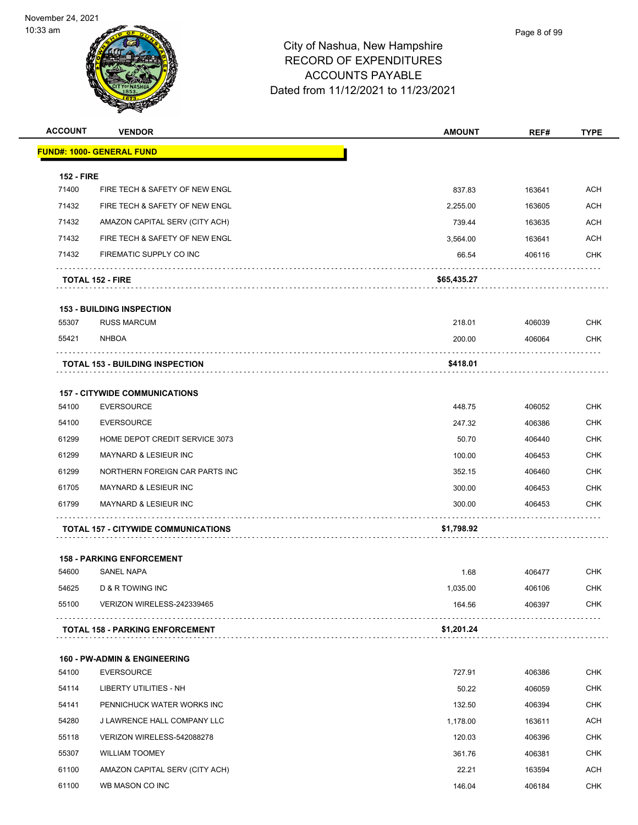

| <b>ACCOUNT</b>    | <b>VENDOR</b>                                             | <b>AMOUNT</b> | REF#   | <b>TYPE</b> |
|-------------------|-----------------------------------------------------------|---------------|--------|-------------|
|                   | <b>FUND#: 1000- GENERAL FUND</b>                          |               |        |             |
| <b>152 - FIRE</b> |                                                           |               |        |             |
| 71400             | FIRE TECH & SAFETY OF NEW ENGL                            | 837.83        | 163641 | <b>ACH</b>  |
| 71432             | FIRE TECH & SAFETY OF NEW ENGL                            | 2,255.00      | 163605 | <b>ACH</b>  |
| 71432             | AMAZON CAPITAL SERV (CITY ACH)                            | 739.44        | 163635 | ACH         |
| 71432             | FIRE TECH & SAFETY OF NEW ENGL                            | 3,564.00      | 163641 | <b>ACH</b>  |
| 71432             | FIREMATIC SUPPLY CO INC                                   | 66.54         | 406116 | <b>CHK</b>  |
|                   | <b>TOTAL 152 - FIRE</b>                                   | \$65,435.27   |        |             |
|                   | <b>153 - BUILDING INSPECTION</b>                          |               |        |             |
| 55307             | <b>RUSS MARCUM</b>                                        | 218.01        | 406039 | <b>CHK</b>  |
| 55421             | <b>NHBOA</b>                                              | 200.00        | 406064 | <b>CHK</b>  |
|                   | <b>TOTAL 153 - BUILDING INSPECTION</b>                    | \$418.01      |        |             |
|                   |                                                           |               |        |             |
| 54100             | <b>157 - CITYWIDE COMMUNICATIONS</b><br><b>EVERSOURCE</b> | 448.75        | 406052 | <b>CHK</b>  |
| 54100             | <b>EVERSOURCE</b>                                         | 247.32        | 406386 | <b>CHK</b>  |
| 61299             | HOME DEPOT CREDIT SERVICE 3073                            | 50.70         | 406440 | <b>CHK</b>  |
| 61299             | <b>MAYNARD &amp; LESIEUR INC</b>                          | 100.00        | 406453 | <b>CHK</b>  |
| 61299             | NORTHERN FOREIGN CAR PARTS INC                            | 352.15        | 406460 | <b>CHK</b>  |
| 61705             | MAYNARD & LESIEUR INC                                     | 300.00        | 406453 | <b>CHK</b>  |
| 61799             | <b>MAYNARD &amp; LESIEUR INC</b>                          | 300.00        | 406453 | <b>CHK</b>  |
|                   | <b>TOTAL 157 - CITYWIDE COMMUNICATIONS</b>                | \$1,798.92    |        |             |
|                   |                                                           |               |        |             |
|                   | <b>158 - PARKING ENFORCEMENT</b>                          |               |        |             |
| 54600             | <b>SANEL NAPA</b>                                         | 1.68          | 406477 | <b>CHK</b>  |
| 54625             | <b>D &amp; R TOWING INC</b>                               | 1,035.00      | 406106 | <b>CHK</b>  |
| 55100             | VERIZON WIRELESS-242339465                                | 164.56        | 406397 | <b>CHK</b>  |
|                   | <b>TOTAL 158 - PARKING ENFORCEMENT</b>                    | \$1,201.24    |        |             |
|                   | <b>160 - PW-ADMIN &amp; ENGINEERING</b>                   |               |        |             |
| 54100             | <b>EVERSOURCE</b>                                         | 727.91        | 406386 | <b>CHK</b>  |
| 54114             | LIBERTY UTILITIES - NH                                    | 50.22         | 406059 | <b>CHK</b>  |
| 54141             | PENNICHUCK WATER WORKS INC                                | 132.50        | 406394 | CHK         |
| 54280             | J LAWRENCE HALL COMPANY LLC                               | 1,178.00      | 163611 | <b>ACH</b>  |
| 55118             | VERIZON WIRELESS-542088278                                | 120.03        | 406396 | <b>CHK</b>  |
| 55307             | <b>WILLIAM TOOMEY</b>                                     | 361.76        | 406381 | <b>CHK</b>  |
| 61100             | AMAZON CAPITAL SERV (CITY ACH)                            | 22.21         | 163594 | <b>ACH</b>  |
| 61100             | WB MASON CO INC                                           | 146.04        | 406184 | <b>CHK</b>  |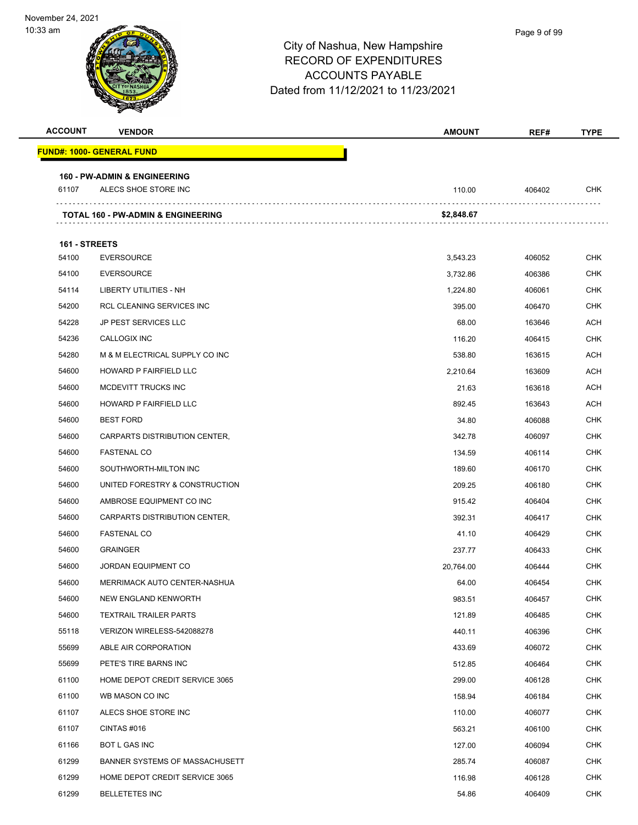| <b>ACCOUNT</b> | <b>VENDOR</b>                                                   | <b>AMOUNT</b> | REF#   | <b>TYPE</b> |
|----------------|-----------------------------------------------------------------|---------------|--------|-------------|
|                | <u> FUND#: 1000- GENERAL FUND</u>                               |               |        |             |
|                |                                                                 |               |        |             |
| 61107          | <b>160 - PW-ADMIN &amp; ENGINEERING</b><br>ALECS SHOE STORE INC | 110.00        | 406402 | <b>CHK</b>  |
|                |                                                                 |               |        |             |
|                | TOTAL 160 - PW-ADMIN & ENGINEERING                              | \$2,848.67    |        |             |
| 161 - STREETS  |                                                                 |               |        |             |
| 54100          | <b>EVERSOURCE</b>                                               | 3,543.23      | 406052 | CHK         |
| 54100          | <b>EVERSOURCE</b>                                               | 3,732.86      | 406386 | <b>CHK</b>  |
| 54114          | LIBERTY UTILITIES - NH                                          | 1,224.80      | 406061 | <b>CHK</b>  |
| 54200          | RCL CLEANING SERVICES INC                                       | 395.00        | 406470 | <b>CHK</b>  |
| 54228          | <b>JP PEST SERVICES LLC</b>                                     | 68.00         | 163646 | ACH         |
| 54236          | <b>CALLOGIX INC</b>                                             | 116.20        | 406415 | CHK         |
| 54280          | M & M ELECTRICAL SUPPLY CO INC                                  | 538.80        | 163615 | ACH         |
| 54600          | <b>HOWARD P FAIRFIELD LLC</b>                                   | 2,210.64      | 163609 | <b>ACH</b>  |
| 54600          | MCDEVITT TRUCKS INC                                             | 21.63         | 163618 | ACH         |
| 54600          | HOWARD P FAIRFIELD LLC                                          | 892.45        | 163643 | <b>ACH</b>  |
| 54600          | <b>BEST FORD</b>                                                | 34.80         | 406088 | <b>CHK</b>  |
| 54600          | CARPARTS DISTRIBUTION CENTER,                                   | 342.78        | 406097 | CHK         |
| 54600          | <b>FASTENAL CO</b>                                              | 134.59        | 406114 | <b>CHK</b>  |
| 54600          | SOUTHWORTH-MILTON INC                                           | 189.60        | 406170 | CHK         |
| 54600          | UNITED FORESTRY & CONSTRUCTION                                  | 209.25        | 406180 | <b>CHK</b>  |
| 54600          | AMBROSE EQUIPMENT CO INC                                        | 915.42        | 406404 | CHK         |
| 54600          | CARPARTS DISTRIBUTION CENTER,                                   | 392.31        | 406417 | CHK         |
| 54600          | <b>FASTENAL CO</b>                                              | 41.10         | 406429 | <b>CHK</b>  |
| 54600          | <b>GRAINGER</b>                                                 | 237.77        | 406433 | <b>CHK</b>  |
| 54600          | <b>JORDAN EQUIPMENT CO</b>                                      | 20,764.00     | 406444 | <b>CHK</b>  |
| 54600          | MERRIMACK AUTO CENTER-NASHUA                                    | 64.00         | 406454 | <b>CHK</b>  |
| 54600          | NEW ENGLAND KENWORTH                                            | 983.51        | 406457 | <b>CHK</b>  |
| 54600          | <b>TEXTRAIL TRAILER PARTS</b>                                   | 121.89        | 406485 | <b>CHK</b>  |
| 55118          | VERIZON WIRELESS-542088278                                      | 440.11        | 406396 | CHK         |
| 55699          | ABLE AIR CORPORATION                                            | 433.69        | 406072 | <b>CHK</b>  |
| 55699          | PETE'S TIRE BARNS INC                                           | 512.85        | 406464 | CHK         |
| 61100          | HOME DEPOT CREDIT SERVICE 3065                                  | 299.00        | 406128 | <b>CHK</b>  |
| 61100          | WB MASON CO INC                                                 | 158.94        | 406184 | <b>CHK</b>  |
| 61107          | ALECS SHOE STORE INC                                            | 110.00        | 406077 | CHK         |
| 61107          | CINTAS #016                                                     | 563.21        | 406100 | <b>CHK</b>  |
| 61166          | BOT L GAS INC                                                   | 127.00        | 406094 | <b>CHK</b>  |
| 61299          | BANNER SYSTEMS OF MASSACHUSETT                                  | 285.74        | 406087 | <b>CHK</b>  |
| 61299          | HOME DEPOT CREDIT SERVICE 3065                                  | 116.98        | 406128 | <b>CHK</b>  |
| 61299          | <b>BELLETETES INC</b>                                           | 54.86         | 406409 | CHK         |
|                |                                                                 |               |        |             |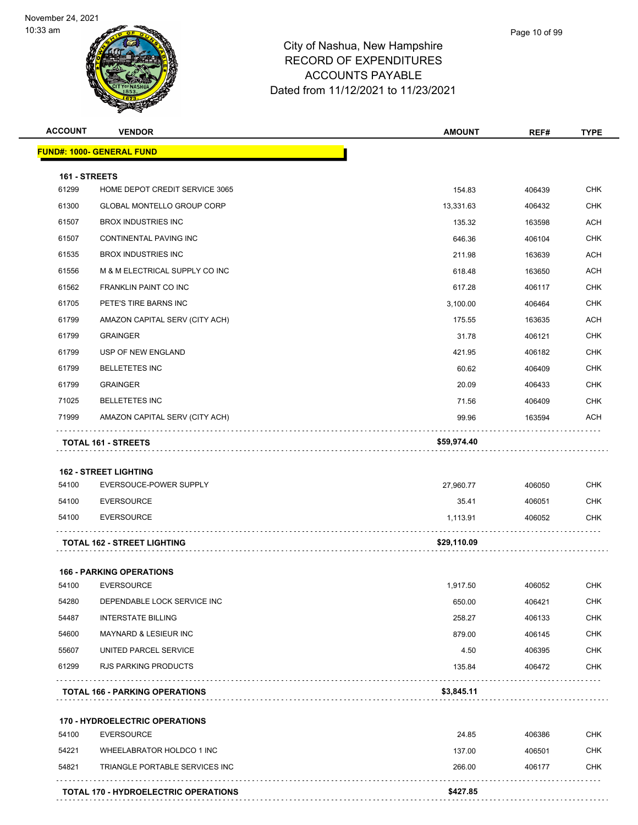

| <b>ACCOUNT</b> | <b>VENDOR</b>                         | <b>AMOUNT</b> | REF#   | <b>TYPE</b> |
|----------------|---------------------------------------|---------------|--------|-------------|
|                | <b>FUND#: 1000- GENERAL FUND</b>      |               |        |             |
| 161 - STREETS  |                                       |               |        |             |
| 61299          | HOME DEPOT CREDIT SERVICE 3065        | 154.83        | 406439 | <b>CHK</b>  |
| 61300          | <b>GLOBAL MONTELLO GROUP CORP</b>     | 13,331.63     | 406432 | <b>CHK</b>  |
| 61507          | <b>BROX INDUSTRIES INC</b>            | 135.32        | 163598 | <b>ACH</b>  |
| 61507          | CONTINENTAL PAVING INC                | 646.36        | 406104 | <b>CHK</b>  |
| 61535          | <b>BROX INDUSTRIES INC</b>            | 211.98        | 163639 | <b>ACH</b>  |
| 61556          | M & M ELECTRICAL SUPPLY CO INC        | 618.48        | 163650 | <b>ACH</b>  |
| 61562          | <b>FRANKLIN PAINT CO INC</b>          | 617.28        | 406117 | <b>CHK</b>  |
| 61705          | PETE'S TIRE BARNS INC                 | 3,100.00      | 406464 | <b>CHK</b>  |
| 61799          | AMAZON CAPITAL SERV (CITY ACH)        | 175.55        | 163635 | <b>ACH</b>  |
| 61799          | <b>GRAINGER</b>                       | 31.78         | 406121 | <b>CHK</b>  |
| 61799          | USP OF NEW ENGLAND                    | 421.95        | 406182 | <b>CHK</b>  |
| 61799          | <b>BELLETETES INC</b>                 | 60.62         | 406409 | <b>CHK</b>  |
| 61799          | <b>GRAINGER</b>                       | 20.09         | 406433 | <b>CHK</b>  |
| 71025          | <b>BELLETETES INC</b>                 | 71.56         | 406409 | <b>CHK</b>  |
| 71999          | AMAZON CAPITAL SERV (CITY ACH)        | 99.96         | 163594 | <b>ACH</b>  |
|                | TOTAL 161 - STREETS                   | \$59,974.40   |        |             |
|                |                                       |               |        |             |
|                | <b>162 - STREET LIGHTING</b>          |               |        |             |
| 54100          | EVERSOUCE-POWER SUPPLY                | 27,960.77     | 406050 | <b>CHK</b>  |
| 54100          | <b>EVERSOURCE</b>                     | 35.41         | 406051 | <b>CHK</b>  |
| 54100          | <b>EVERSOURCE</b>                     | 1,113.91      | 406052 | <b>CHK</b>  |
|                | <b>TOTAL 162 - STREET LIGHTING</b>    | \$29,110.09   |        |             |
|                | <b>166 - PARKING OPERATIONS</b>       |               |        |             |
| 54100          | <b>EVERSOURCE</b>                     | 1,917.50      | 406052 | <b>CHK</b>  |
| 54280          | DEPENDABLE LOCK SERVICE INC           | 650.00        | 406421 | <b>CHK</b>  |
| 54487          | <b>INTERSTATE BILLING</b>             | 258.27        | 406133 | <b>CHK</b>  |
| 54600          | MAYNARD & LESIEUR INC                 | 879.00        | 406145 | <b>CHK</b>  |
| 55607          | UNITED PARCEL SERVICE                 | 4.50          | 406395 | <b>CHK</b>  |
| 61299          | <b>RJS PARKING PRODUCTS</b>           | 135.84        | 406472 | <b>CHK</b>  |
|                | <b>TOTAL 166 - PARKING OPERATIONS</b> | \$3,845.11    |        |             |
|                |                                       |               |        |             |
|                | 170 - HYDROELECTRIC OPERATIONS        |               |        |             |
| 54100          | <b>EVERSOURCE</b>                     | 24.85         | 406386 | <b>CHK</b>  |
| 54221          | WHEELABRATOR HOLDCO 1 INC             | 137.00        | 406501 | <b>CHK</b>  |
| 54821          | TRIANGLE PORTABLE SERVICES INC        | 266.00        | 406177 | <b>CHK</b>  |
|                |                                       |               |        |             |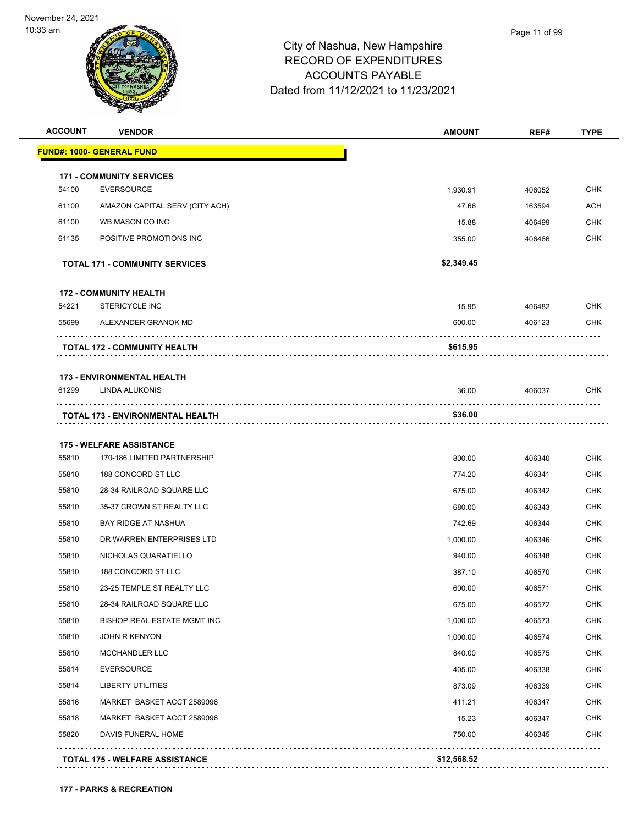

| <b>ACCOUNT</b> | <b>VENDOR</b>                           | <b>AMOUNT</b> | REF#   | <b>TYPE</b> |
|----------------|-----------------------------------------|---------------|--------|-------------|
|                | <u> FUND#: 1000- GENERAL FUND</u>       |               |        |             |
|                | <b>171 - COMMUNITY SERVICES</b>         |               |        |             |
| 54100          | <b>EVERSOURCE</b>                       | 1,930.91      | 406052 | <b>CHK</b>  |
| 61100          | AMAZON CAPITAL SERV (CITY ACH)          | 47.66         | 163594 | <b>ACH</b>  |
| 61100          | WB MASON CO INC                         | 15.88         | 406499 | <b>CHK</b>  |
| 61135          | POSITIVE PROMOTIONS INC                 | 355.00        | 406466 | <b>CHK</b>  |
|                | <b>TOTAL 171 - COMMUNITY SERVICES</b>   | \$2,349.45    |        |             |
|                | <b>172 - COMMUNITY HEALTH</b>           |               |        |             |
| 54221          | <b>STERICYCLE INC</b>                   | 15.95         | 406482 | <b>CHK</b>  |
| 55699          | ALEXANDER GRANOK MD                     | 600.00        | 406123 | <b>CHK</b>  |
|                | <b>TOTAL 172 - COMMUNITY HEALTH</b>     | \$615.95      |        |             |
|                | <b>173 - ENVIRONMENTAL HEALTH</b>       |               |        |             |
| 61299          | <b>LINDA ALUKONIS</b>                   | 36.00         | 406037 | <b>CHK</b>  |
|                | <b>TOTAL 173 - ENVIRONMENTAL HEALTH</b> | \$36.00       |        |             |
|                | <b>175 - WELFARE ASSISTANCE</b>         |               |        |             |
| 55810          | 170-186 LIMITED PARTNERSHIP             | 800.00        | 406340 | <b>CHK</b>  |
| 55810          | 188 CONCORD ST LLC                      | 774.20        | 406341 | <b>CHK</b>  |
| 55810          | 28-34 RAILROAD SQUARE LLC               | 675.00        | 406342 | <b>CHK</b>  |
| 55810          | 35-37 CROWN ST REALTY LLC               | 680.00        | 406343 | <b>CHK</b>  |
| 55810          | <b>BAY RIDGE AT NASHUA</b>              | 742.69        | 406344 | <b>CHK</b>  |
| 55810          | DR WARREN ENTERPRISES LTD               | 1,000.00      | 406346 | <b>CHK</b>  |
| 55810          | NICHOLAS QUARATIELLO                    | 940.00        | 406348 | <b>CHK</b>  |
| 55810          | 188 CONCORD ST LLC                      | 387.10        | 406570 | CHK         |
| 55810          | 23-25 TEMPLE ST REALTY LLC              | 600.00        | 406571 | <b>CHK</b>  |
| 55810          | 28-34 RAILROAD SQUARE LLC               | 675.00        | 406572 | <b>CHK</b>  |
| 55810          | BISHOP REAL ESTATE MGMT INC             | 1,000.00      | 406573 | <b>CHK</b>  |
| 55810          | <b>JOHN R KENYON</b>                    | 1,000.00      | 406574 | <b>CHK</b>  |
| 55810          | MCCHANDLER LLC                          | 840.00        | 406575 | <b>CHK</b>  |
| 55814          | <b>EVERSOURCE</b>                       | 405.00        | 406338 | <b>CHK</b>  |
| 55814          | LIBERTY UTILITIES                       | 873.09        | 406339 | <b>CHK</b>  |
| 55816          | MARKET BASKET ACCT 2589096              | 411.21        | 406347 | <b>CHK</b>  |
| 55818          | MARKET BASKET ACCT 2589096              | 15.23         | 406347 | <b>CHK</b>  |
| 55820          | DAVIS FUNERAL HOME                      | 750.00        | 406345 | <b>CHK</b>  |
|                | <b>TOTAL 175 - WELFARE ASSISTANCE</b>   | \$12,568.52   |        |             |
|                |                                         |               |        |             |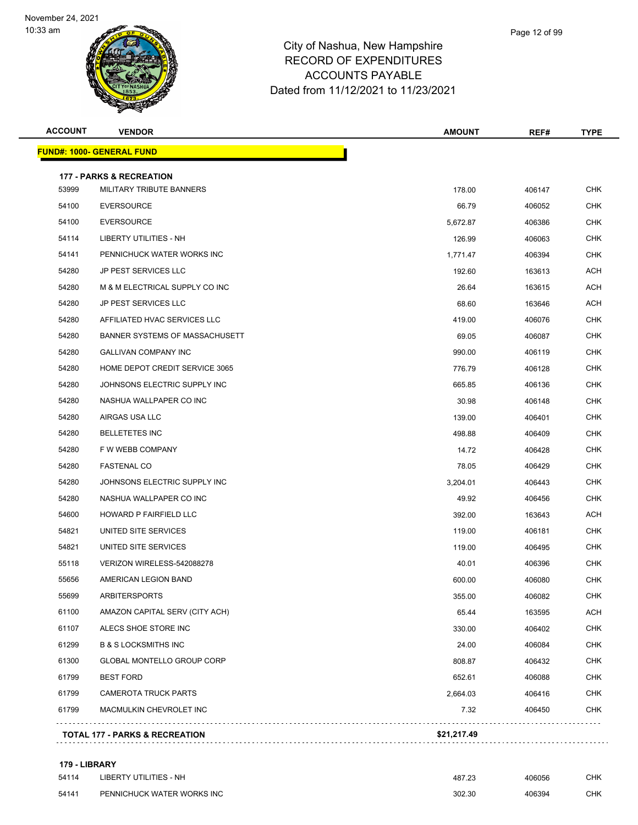

## City of Nashua, New Hampshire RECORD OF EXPENDITURES ACCOUNTS PAYABLE Dated from 11/12/2021 to 11/23/2021

| <b>ACCOUNT</b> | <b>VENDOR</b>                             | <b>AMOUNT</b> | REF#   | <b>TYPE</b> |
|----------------|-------------------------------------------|---------------|--------|-------------|
|                | <u> FUND#: 1000- GENERAL FUND</u>         |               |        |             |
|                | <b>177 - PARKS &amp; RECREATION</b>       |               |        |             |
| 53999          | MILITARY TRIBUTE BANNERS                  | 178.00        | 406147 | CHK         |
| 54100          | <b>EVERSOURCE</b>                         | 66.79         | 406052 | CHK         |
| 54100          | <b>EVERSOURCE</b>                         | 5,672.87      | 406386 | <b>CHK</b>  |
| 54114          | <b>LIBERTY UTILITIES - NH</b>             | 126.99        | 406063 | CHK         |
| 54141          | PENNICHUCK WATER WORKS INC                | 1.771.47      | 406394 | CHK         |
| 54280          | JP PEST SERVICES LLC                      | 192.60        | 163613 | ACH         |
| 54280          | M & M ELECTRICAL SUPPLY CO INC            | 26.64         | 163615 | ACH         |
| 54280          | <b>JP PEST SERVICES LLC</b>               | 68.60         | 163646 | ACH         |
| 54280          | AFFILIATED HVAC SERVICES LLC              | 419.00        | 406076 | CHK         |
| 54280          | BANNER SYSTEMS OF MASSACHUSETT            | 69.05         | 406087 | <b>CHK</b>  |
| 54280          | GALLIVAN COMPANY INC                      | 990.00        | 406119 | CHK         |
| 54280          | HOME DEPOT CREDIT SERVICE 3065            | 776.79        | 406128 | CHK         |
| 54280          | JOHNSONS ELECTRIC SUPPLY INC              | 665.85        | 406136 | <b>CHK</b>  |
| 54280          | NASHUA WALLPAPER CO INC                   | 30.98         | 406148 | CHK         |
| 54280          | AIRGAS USA LLC                            | 139.00        | 406401 | <b>CHK</b>  |
| 54280          | <b>BELLETETES INC</b>                     | 498.88        | 406409 | <b>CHK</b>  |
| 54280          | F W WEBB COMPANY                          | 14.72         | 406428 | CHK         |
| 54280          | <b>FASTENAL CO</b>                        | 78.05         | 406429 | <b>CHK</b>  |
| 54280          | JOHNSONS ELECTRIC SUPPLY INC              | 3,204.01      | 406443 | CHK         |
| 54280          | NASHUA WALLPAPER CO INC                   | 49.92         | 406456 | CHK         |
| 54600          | HOWARD P FAIRFIELD LLC                    | 392.00        | 163643 | <b>ACH</b>  |
| 54821          | UNITED SITE SERVICES                      | 119.00        | 406181 | CHK         |
| 54821          | UNITED SITE SERVICES                      | 119.00        | 406495 | <b>CHK</b>  |
| 55118          | VERIZON WIRELESS-542088278                | 40.01         | 406396 | CHK         |
| 55656          | AMERICAN LEGION BAND                      | 600.00        | 406080 | <b>CHK</b>  |
| 55699          | <b>ARBITERSPORTS</b>                      | 355.00        | 406082 | <b>CHK</b>  |
| 61100          | AMAZON CAPITAL SERV (CITY ACH)            | 65.44         | 163595 | ACH         |
| 61107          | ALECS SHOE STORE INC                      | 330.00        | 406402 | <b>CHK</b>  |
| 61299          | <b>B &amp; S LOCKSMITHS INC</b>           | 24.00         | 406084 | CHK         |
| 61300          | GLOBAL MONTELLO GROUP CORP                | 808.87        | 406432 | <b>CHK</b>  |
| 61799          | <b>BEST FORD</b>                          | 652.61        | 406088 | <b>CHK</b>  |
| 61799          | <b>CAMEROTA TRUCK PARTS</b>               | 2,664.03      | 406416 | CHK         |
| 61799          | MACMULKIN CHEVROLET INC                   | 7.32          | 406450 | <b>CHK</b>  |
|                | <b>TOTAL 177 - PARKS &amp; RECREATION</b> | \$21,217.49   |        |             |
|                |                                           |               |        |             |

#### **179 - LIBRARY**

| 54114 | LIBERTY UTILITIES - NH     | 487.23 | 406056 | СНК |
|-------|----------------------------|--------|--------|-----|
| 54141 | PENNICHUCK WATER WORKS INC | 302.30 | 406394 | СНК |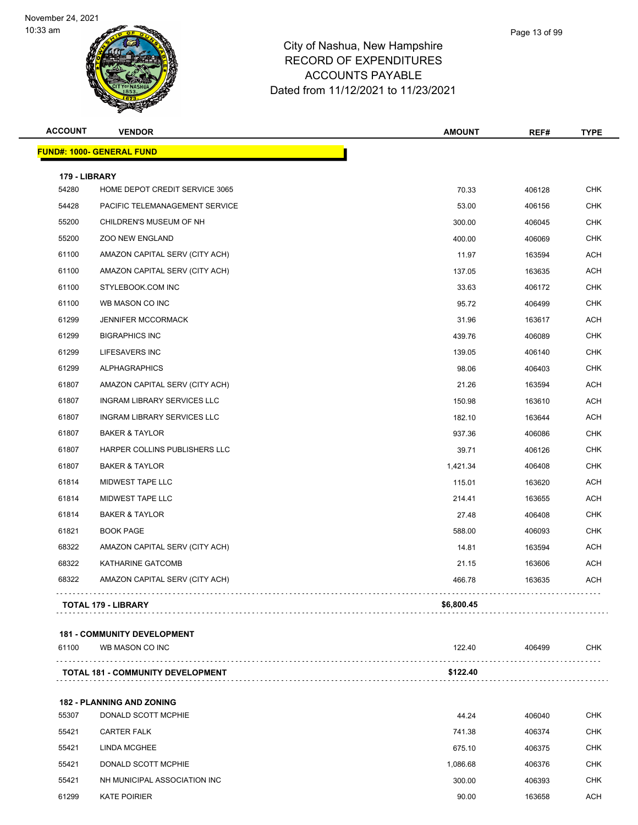

## City of Nashua, New Hampshire RECORD OF EXPENDITURES ACCOUNTS PAYABLE Dated from 11/12/2021 to 11/23/2021

| <b>ACCOUNT</b> | <b>VENDOR</b>                      | <b>AMOUNT</b> | REF#   | <b>TYPE</b> |
|----------------|------------------------------------|---------------|--------|-------------|
|                | <u> FUND#: 1000- GENERAL FUND</u>  |               |        |             |
| 179 - LIBRARY  |                                    |               |        |             |
| 54280          | HOME DEPOT CREDIT SERVICE 3065     | 70.33         | 406128 | <b>CHK</b>  |
| 54428          | PACIFIC TELEMANAGEMENT SERVICE     | 53.00         | 406156 | <b>CHK</b>  |
| 55200          | CHILDREN'S MUSEUM OF NH            | 300.00        | 406045 | <b>CHK</b>  |
| 55200          | <b>ZOO NEW ENGLAND</b>             | 400.00        | 406069 | <b>CHK</b>  |
| 61100          | AMAZON CAPITAL SERV (CITY ACH)     | 11.97         | 163594 | <b>ACH</b>  |
| 61100          | AMAZON CAPITAL SERV (CITY ACH)     | 137.05        | 163635 | ACH         |
| 61100          | STYLEBOOK.COM INC                  | 33.63         | 406172 | <b>CHK</b>  |
| 61100          | WB MASON CO INC                    | 95.72         | 406499 | <b>CHK</b>  |
| 61299          | <b>JENNIFER MCCORMACK</b>          | 31.96         | 163617 | ACH         |
| 61299          | <b>BIGRAPHICS INC</b>              | 439.76        | 406089 | <b>CHK</b>  |
| 61299          | LIFESAVERS INC                     | 139.05        | 406140 | <b>CHK</b>  |
| 61299          | <b>ALPHAGRAPHICS</b>               | 98.06         | 406403 | <b>CHK</b>  |
| 61807          | AMAZON CAPITAL SERV (CITY ACH)     | 21.26         | 163594 | ACH         |
| 61807          | <b>INGRAM LIBRARY SERVICES LLC</b> | 150.98        | 163610 | ACH         |
| 61807          | <b>INGRAM LIBRARY SERVICES LLC</b> | 182.10        | 163644 | ACH         |
| 61807          | <b>BAKER &amp; TAYLOR</b>          | 937.36        | 406086 | <b>CHK</b>  |
| 61807          | HARPER COLLINS PUBLISHERS LLC      | 39.71         | 406126 | <b>CHK</b>  |
| 61807          | <b>BAKER &amp; TAYLOR</b>          | 1,421.34      | 406408 | <b>CHK</b>  |
| 61814          | MIDWEST TAPE LLC                   | 115.01        | 163620 | ACH         |
| 61814          | MIDWEST TAPE LLC                   | 214.41        | 163655 | ACH         |
| 61814          | <b>BAKER &amp; TAYLOR</b>          | 27.48         | 406408 | <b>CHK</b>  |
| 61821          | <b>BOOK PAGE</b>                   | 588.00        | 406093 | CHK         |
| 68322          | AMAZON CAPITAL SERV (CITY ACH)     | 14.81         | 163594 | <b>ACH</b>  |
| 68322          | <b>KATHARINE GATCOMB</b>           | 21.15         | 163606 | ACH         |
| 68322          | AMAZON CAPITAL SERV (CITY ACH)     | 466.78        | 163635 | ACH         |
|                | <b>TOTAL 179 - LIBRARY</b>         | \$6,800.45    |        |             |

| 61100 | WB MASON CO INC                          | 122.40   | 406499 | снк |
|-------|------------------------------------------|----------|--------|-----|
|       | <b>TOTAL 181 - COMMUNITY DEVELOPMENT</b> | \$122.40 |        |     |
|       |                                          |          |        |     |

**182 - PLANNING AND ZONING** DONALD SCOTT MCPHIE 44.24 406040 CHK CARTER FALK 741.38 406374 CHK LINDA MCGHEE 675.10 406375 CHK DONALD SCOTT MCPHIE 1,086.68 406376 CHK NH MUNICIPAL ASSOCIATION INC 300.00 406393 CHK KATE POIRIER 90.00 163658 ACH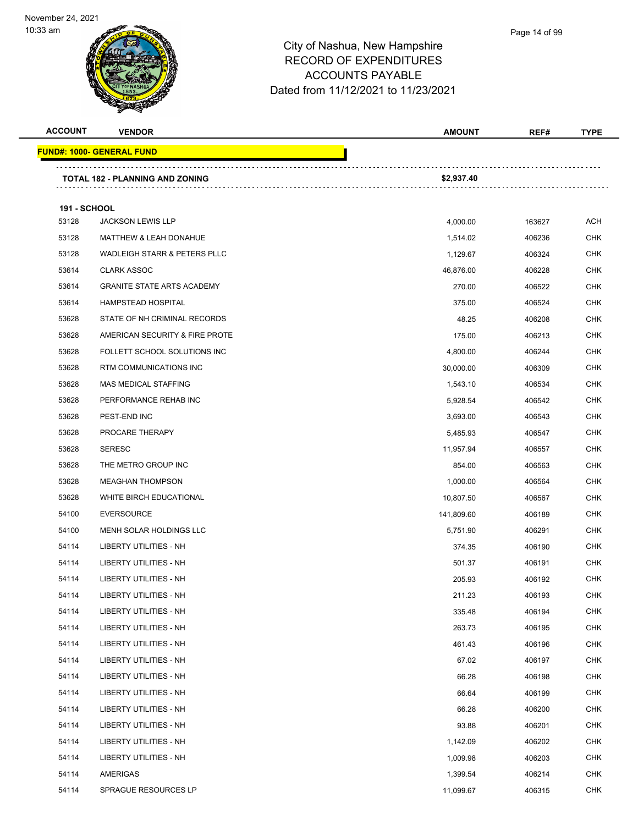

| <b>VENDOR</b>                          | <b>AMOUNT</b>                                                             | REF#                             | <b>TYPE</b>      |
|----------------------------------------|---------------------------------------------------------------------------|----------------------------------|------------------|
| <u> FUND#: 1000- GENERAL FUND</u>      |                                                                           |                                  |                  |
| <b>TOTAL 182 - PLANNING AND ZONING</b> | \$2,937.40                                                                |                                  |                  |
|                                        |                                                                           |                                  |                  |
|                                        |                                                                           |                                  | <b>ACH</b>       |
|                                        |                                                                           |                                  | <b>CHK</b>       |
| WADLEIGH STARR & PETERS PLLC           |                                                                           | 406324                           | <b>CHK</b>       |
| <b>CLARK ASSOC</b>                     | 46,876.00                                                                 | 406228                           | <b>CHK</b>       |
| <b>GRANITE STATE ARTS ACADEMY</b>      | 270.00                                                                    | 406522                           | CHK              |
| <b>HAMPSTEAD HOSPITAL</b>              | 375.00                                                                    | 406524                           | <b>CHK</b>       |
| STATE OF NH CRIMINAL RECORDS           | 48.25                                                                     | 406208                           | <b>CHK</b>       |
| AMERICAN SECURITY & FIRE PROTE         | 175.00                                                                    | 406213                           | <b>CHK</b>       |
| FOLLETT SCHOOL SOLUTIONS INC           | 4,800.00                                                                  | 406244                           | <b>CHK</b>       |
| RTM COMMUNICATIONS INC                 | 30,000.00                                                                 | 406309                           | <b>CHK</b>       |
| MAS MEDICAL STAFFING                   | 1,543.10                                                                  | 406534                           | <b>CHK</b>       |
| PERFORMANCE REHAB INC                  | 5,928.54                                                                  | 406542                           | <b>CHK</b>       |
| PEST-END INC                           | 3,693.00                                                                  | 406543                           | <b>CHK</b>       |
| PROCARE THERAPY                        | 5,485.93                                                                  | 406547                           | <b>CHK</b>       |
| <b>SERESC</b>                          | 11,957.94                                                                 | 406557                           | CHK              |
| THE METRO GROUP INC                    | 854.00                                                                    | 406563                           | <b>CHK</b>       |
| <b>MEAGHAN THOMPSON</b>                | 1,000.00                                                                  | 406564                           | <b>CHK</b>       |
| WHITE BIRCH EDUCATIONAL                | 10,807.50                                                                 | 406567                           | <b>CHK</b>       |
| <b>EVERSOURCE</b>                      | 141,809.60                                                                | 406189                           | <b>CHK</b>       |
| MENH SOLAR HOLDINGS LLC                | 5,751.90                                                                  | 406291                           | <b>CHK</b>       |
| LIBERTY UTILITIES - NH                 | 374.35                                                                    | 406190                           | <b>CHK</b>       |
| LIBERTY UTILITIES - NH                 | 501.37                                                                    | 406191                           | <b>CHK</b>       |
| LIBERTY UTILITIES - NH                 | 205.93                                                                    | 406192                           | <b>CHK</b>       |
| LIBERTY UTILITIES - NH                 | 211.23                                                                    | 406193                           | $\textsf{CHK}{}$ |
| LIBERTY UTILITIES - NH                 | 335.48                                                                    | 406194                           | <b>CHK</b>       |
| LIBERTY UTILITIES - NH                 | 263.73                                                                    | 406195                           | <b>CHK</b>       |
| <b>LIBERTY UTILITIES - NH</b>          | 461.43                                                                    | 406196                           | <b>CHK</b>       |
| LIBERTY UTILITIES - NH                 | 67.02                                                                     | 406197                           | <b>CHK</b>       |
| <b>LIBERTY UTILITIES - NH</b>          | 66.28                                                                     | 406198                           | <b>CHK</b>       |
| LIBERTY UTILITIES - NH                 | 66.64                                                                     | 406199                           | <b>CHK</b>       |
| LIBERTY UTILITIES - NH                 | 66.28                                                                     | 406200                           | <b>CHK</b>       |
| LIBERTY UTILITIES - NH                 | 93.88                                                                     | 406201                           | <b>CHK</b>       |
| LIBERTY UTILITIES - NH                 | 1,142.09                                                                  | 406202                           | <b>CHK</b>       |
| LIBERTY UTILITIES - NH                 | 1,009.98                                                                  | 406203                           | <b>CHK</b>       |
| AMERIGAS                               | 1,399.54                                                                  | 406214                           | <b>CHK</b>       |
| SPRAGUE RESOURCES LP                   | 11,099.67                                                                 | 406315                           | <b>CHK</b>       |
|                                        | <b>191 - SCHOOL</b><br><b>JACKSON LEWIS LLP</b><br>MATTHEW & LEAH DONAHUE | 4,000.00<br>1,514.02<br>1,129.67 | 163627<br>406236 |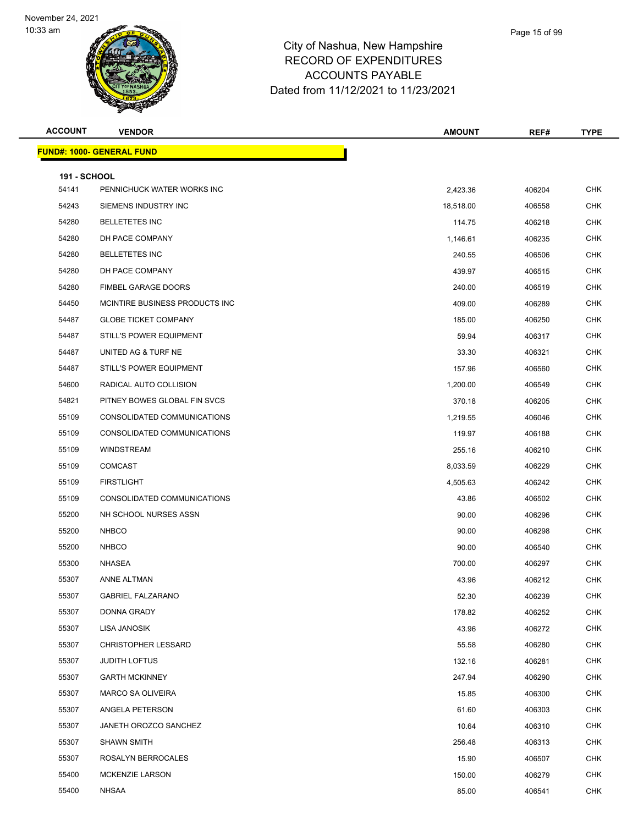

| <b>ACCOUNT</b>      | <b>VENDOR</b>                    | <b>AMOUNT</b> | REF#   | <b>TYPE</b> |
|---------------------|----------------------------------|---------------|--------|-------------|
|                     | <b>FUND#: 1000- GENERAL FUND</b> |               |        |             |
|                     |                                  |               |        |             |
| <b>191 - SCHOOL</b> |                                  |               |        |             |
| 54141               | PENNICHUCK WATER WORKS INC       | 2,423.36      | 406204 | <b>CHK</b>  |
| 54243               | SIEMENS INDUSTRY INC             | 18,518.00     | 406558 | <b>CHK</b>  |
| 54280               | <b>BELLETETES INC</b>            | 114.75        | 406218 | CHK         |
| 54280               | DH PACE COMPANY                  | 1,146.61      | 406235 | <b>CHK</b>  |
| 54280               | <b>BELLETETES INC</b>            | 240.55        | 406506 | <b>CHK</b>  |
| 54280               | DH PACE COMPANY                  | 439.97        | 406515 | <b>CHK</b>  |
| 54280               | FIMBEL GARAGE DOORS              | 240.00        | 406519 | <b>CHK</b>  |
| 54450               | MCINTIRE BUSINESS PRODUCTS INC   | 409.00        | 406289 | CHK         |
| 54487               | <b>GLOBE TICKET COMPANY</b>      | 185.00        | 406250 | <b>CHK</b>  |
| 54487               | STILL'S POWER EQUIPMENT          | 59.94         | 406317 | <b>CHK</b>  |
| 54487               | UNITED AG & TURF NE              | 33.30         | 406321 | <b>CHK</b>  |
| 54487               | STILL'S POWER EQUIPMENT          | 157.96        | 406560 | <b>CHK</b>  |
| 54600               | RADICAL AUTO COLLISION           | 1,200.00      | 406549 | CHK         |
| 54821               | PITNEY BOWES GLOBAL FIN SVCS     | 370.18        | 406205 | <b>CHK</b>  |
| 55109               | CONSOLIDATED COMMUNICATIONS      | 1,219.55      | 406046 | <b>CHK</b>  |
| 55109               | CONSOLIDATED COMMUNICATIONS      | 119.97        | 406188 | <b>CHK</b>  |
| 55109               | <b>WINDSTREAM</b>                | 255.16        | 406210 | <b>CHK</b>  |
| 55109               | <b>COMCAST</b>                   | 8,033.59      | 406229 | CHK         |
| 55109               | <b>FIRSTLIGHT</b>                | 4,505.63      | 406242 | <b>CHK</b>  |
| 55109               | CONSOLIDATED COMMUNICATIONS      | 43.86         | 406502 | <b>CHK</b>  |
| 55200               | NH SCHOOL NURSES ASSN            | 90.00         | 406296 | <b>CHK</b>  |
| 55200               | <b>NHBCO</b>                     | 90.00         | 406298 | <b>CHK</b>  |
| 55200               | <b>NHBCO</b>                     | 90.00         | 406540 | CHK         |
| 55300               | NHASEA                           | 700.00        | 406297 | <b>CHK</b>  |
| 55307               | <b>ANNE ALTMAN</b>               | 43.96         | 406212 | <b>CHK</b>  |
| 55307               | <b>GABRIEL FALZARANO</b>         | 52.30         | 406239 | <b>CHK</b>  |
| 55307               | DONNA GRADY                      | 178.82        | 406252 | <b>CHK</b>  |
| 55307               | LISA JANOSIK                     | 43.96         | 406272 | CHK         |
| 55307               | <b>CHRISTOPHER LESSARD</b>       | 55.58         | 406280 | <b>CHK</b>  |
| 55307               | <b>JUDITH LOFTUS</b>             | 132.16        | 406281 | <b>CHK</b>  |
| 55307               | <b>GARTH MCKINNEY</b>            | 247.94        | 406290 | <b>CHK</b>  |
| 55307               | MARCO SA OLIVEIRA                | 15.85         | 406300 | <b>CHK</b>  |
| 55307               | ANGELA PETERSON                  | 61.60         | 406303 | CHK         |
| 55307               | JANETH OROZCO SANCHEZ            | 10.64         | 406310 | <b>CHK</b>  |
| 55307               | <b>SHAWN SMITH</b>               | 256.48        | 406313 | <b>CHK</b>  |
| 55307               | ROSALYN BERROCALES               | 15.90         | 406507 | <b>CHK</b>  |
| 55400               | <b>MCKENZIE LARSON</b>           | 150.00        | 406279 | <b>CHK</b>  |
| 55400               | NHSAA                            | 85.00         | 406541 | <b>CHK</b>  |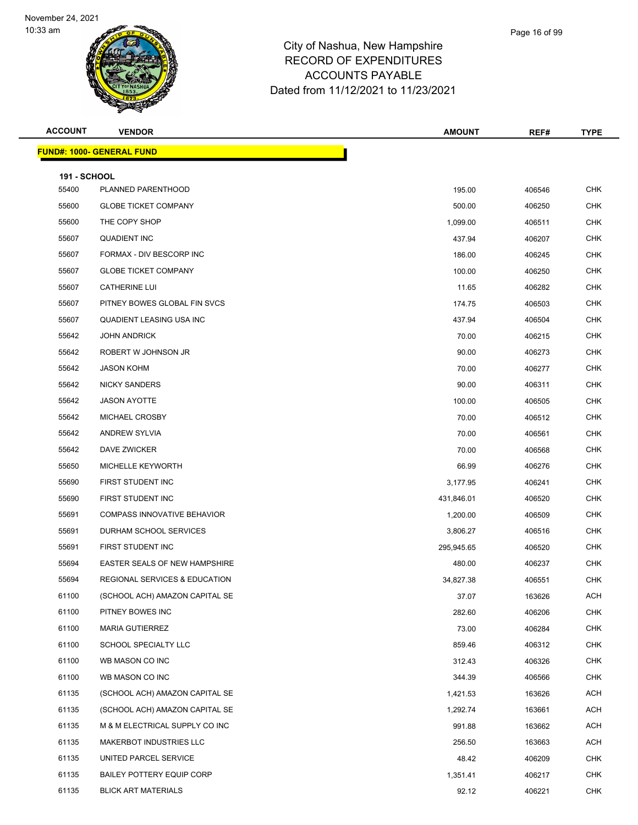

| <b>ACCOUNT</b>               | <b>VENDOR</b>                            | <b>AMOUNT</b> | REF#   | <b>TYPE</b> |
|------------------------------|------------------------------------------|---------------|--------|-------------|
|                              | <b>FUND#: 1000- GENERAL FUND</b>         |               |        |             |
|                              |                                          |               |        |             |
| <b>191 - SCHOOL</b><br>55400 | PLANNED PARENTHOOD                       | 195.00        | 406546 | <b>CHK</b>  |
| 55600                        | <b>GLOBE TICKET COMPANY</b>              | 500.00        | 406250 | <b>CHK</b>  |
| 55600                        | THE COPY SHOP                            | 1,099.00      | 406511 | <b>CHK</b>  |
| 55607                        | <b>QUADIENT INC</b>                      | 437.94        | 406207 | <b>CHK</b>  |
| 55607                        | FORMAX - DIV BESCORP INC                 | 186.00        | 406245 | <b>CHK</b>  |
| 55607                        | <b>GLOBE TICKET COMPANY</b>              | 100.00        | 406250 | <b>CHK</b>  |
| 55607                        | <b>CATHERINE LUI</b>                     | 11.65         | 406282 | <b>CHK</b>  |
| 55607                        | PITNEY BOWES GLOBAL FIN SVCS             | 174.75        | 406503 | <b>CHK</b>  |
| 55607                        | QUADIENT LEASING USA INC                 | 437.94        | 406504 | <b>CHK</b>  |
| 55642                        | <b>JOHN ANDRICK</b>                      | 70.00         | 406215 | CHK         |
| 55642                        | ROBERT W JOHNSON JR                      | 90.00         | 406273 | <b>CHK</b>  |
| 55642                        | <b>JASON KOHM</b>                        | 70.00         | 406277 | <b>CHK</b>  |
| 55642                        | <b>NICKY SANDERS</b>                     | 90.00         | 406311 | <b>CHK</b>  |
| 55642                        | <b>JASON AYOTTE</b>                      | 100.00        | 406505 | <b>CHK</b>  |
| 55642                        | MICHAEL CROSBY                           | 70.00         | 406512 | <b>CHK</b>  |
| 55642                        | <b>ANDREW SYLVIA</b>                     | 70.00         | 406561 | <b>CHK</b>  |
| 55642                        | DAVE ZWICKER                             | 70.00         | 406568 | <b>CHK</b>  |
| 55650                        | MICHELLE KEYWORTH                        | 66.99         | 406276 | <b>CHK</b>  |
| 55690                        | FIRST STUDENT INC                        | 3,177.95      | 406241 | <b>CHK</b>  |
| 55690                        | FIRST STUDENT INC                        | 431,846.01    | 406520 | CHK         |
| 55691                        | <b>COMPASS INNOVATIVE BEHAVIOR</b>       | 1,200.00      | 406509 | <b>CHK</b>  |
| 55691                        | <b>DURHAM SCHOOL SERVICES</b>            | 3,806.27      | 406516 | <b>CHK</b>  |
| 55691                        | FIRST STUDENT INC                        | 295,945.65    | 406520 | <b>CHK</b>  |
| 55694                        | <b>EASTER SEALS OF NEW HAMPSHIRE</b>     | 480.00        | 406237 | <b>CHK</b>  |
| 55694                        | <b>REGIONAL SERVICES &amp; EDUCATION</b> | 34,827.38     | 406551 | <b>CHK</b>  |
| 61100                        | (SCHOOL ACH) AMAZON CAPITAL SE           | 37.07         | 163626 | ACH         |
| 61100                        | PITNEY BOWES INC                         | 282.60        | 406206 | <b>CHK</b>  |
| 61100                        | <b>MARIA GUTIERREZ</b>                   | 73.00         | 406284 | <b>CHK</b>  |
| 61100                        | SCHOOL SPECIALTY LLC                     | 859.46        | 406312 | <b>CHK</b>  |
| 61100                        | WB MASON CO INC                          | 312.43        | 406326 | <b>CHK</b>  |
| 61100                        | WB MASON CO INC                          | 344.39        | 406566 | <b>CHK</b>  |
| 61135                        | (SCHOOL ACH) AMAZON CAPITAL SE           | 1,421.53      | 163626 | <b>ACH</b>  |
| 61135                        | (SCHOOL ACH) AMAZON CAPITAL SE           | 1,292.74      | 163661 | <b>ACH</b>  |
| 61135                        | M & M ELECTRICAL SUPPLY CO INC           | 991.88        | 163662 | <b>ACH</b>  |
| 61135                        | MAKERBOT INDUSTRIES LLC                  | 256.50        | 163663 | ACH         |
| 61135                        | UNITED PARCEL SERVICE                    | 48.42         | 406209 | <b>CHK</b>  |
| 61135                        | <b>BAILEY POTTERY EQUIP CORP</b>         | 1,351.41      | 406217 | <b>CHK</b>  |
| 61135                        | <b>BLICK ART MATERIALS</b>               | 92.12         | 406221 | <b>CHK</b>  |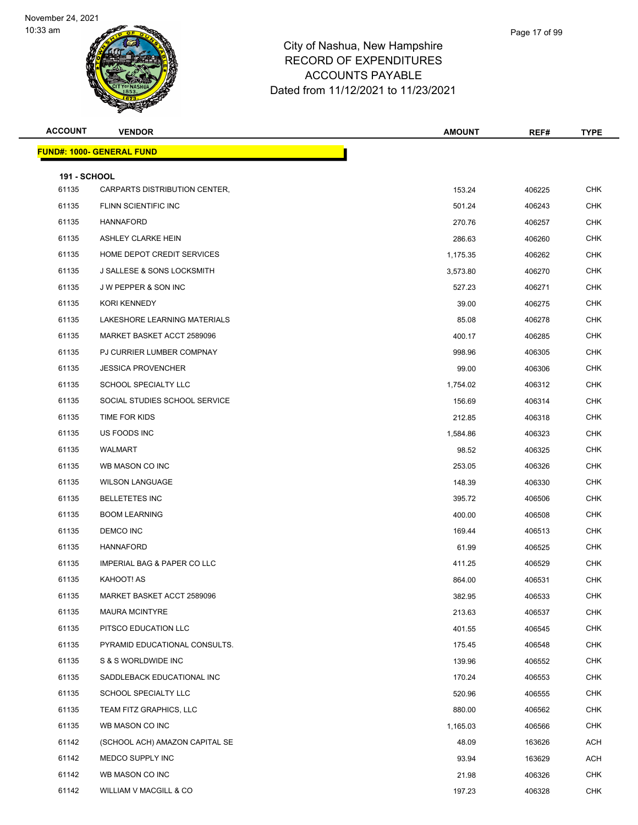

| <b>ACCOUNT</b>               | <b>VENDOR</b>                          | <b>AMOUNT</b> | REF#   | <b>TYPE</b>              |
|------------------------------|----------------------------------------|---------------|--------|--------------------------|
|                              | <b>FUND#: 1000- GENERAL FUND</b>       |               |        |                          |
|                              |                                        |               |        |                          |
| <b>191 - SCHOOL</b><br>61135 | CARPARTS DISTRIBUTION CENTER,          | 153.24        | 406225 | <b>CHK</b>               |
| 61135                        | FLINN SCIENTIFIC INC                   | 501.24        |        | CHK                      |
|                              |                                        |               | 406243 |                          |
| 61135                        | HANNAFORD<br>ASHLEY CLARKE HEIN        | 270.76        | 406257 | <b>CHK</b>               |
| 61135                        | HOME DEPOT CREDIT SERVICES             | 286.63        | 406260 | <b>CHK</b><br><b>CHK</b> |
| 61135                        |                                        | 1,175.35      | 406262 |                          |
| 61135                        | J SALLESE & SONS LOCKSMITH             | 3,573.80      | 406270 | <b>CHK</b>               |
| 61135                        | J W PEPPER & SON INC                   | 527.23        | 406271 | CHK                      |
| 61135                        | <b>KORI KENNEDY</b>                    | 39.00         | 406275 | <b>CHK</b>               |
| 61135                        | LAKESHORE LEARNING MATERIALS           | 85.08         | 406278 | <b>CHK</b>               |
| 61135                        | MARKET BASKET ACCT 2589096             | 400.17        | 406285 | <b>CHK</b>               |
| 61135                        | PJ CURRIER LUMBER COMPNAY              | 998.96        | 406305 | <b>CHK</b>               |
| 61135                        | <b>JESSICA PROVENCHER</b>              | 99.00         | 406306 | CHK                      |
| 61135                        | SCHOOL SPECIALTY LLC                   | 1,754.02      | 406312 | <b>CHK</b>               |
| 61135                        | SOCIAL STUDIES SCHOOL SERVICE          | 156.69        | 406314 | <b>CHK</b>               |
| 61135                        | TIME FOR KIDS                          | 212.85        | 406318 | <b>CHK</b>               |
| 61135                        | US FOODS INC                           | 1,584.86      | 406323 | <b>CHK</b>               |
| 61135                        | WALMART                                | 98.52         | 406325 | CHK                      |
| 61135                        | WB MASON CO INC                        | 253.05        | 406326 | <b>CHK</b>               |
| 61135                        | <b>WILSON LANGUAGE</b>                 | 148.39        | 406330 | <b>CHK</b>               |
| 61135                        | <b>BELLETETES INC</b>                  | 395.72        | 406506 | <b>CHK</b>               |
| 61135                        | <b>BOOM LEARNING</b>                   | 400.00        | 406508 | <b>CHK</b>               |
| 61135                        | DEMCO INC                              | 169.44        | 406513 | CHK                      |
| 61135                        | <b>HANNAFORD</b>                       | 61.99         | 406525 | <b>CHK</b>               |
| 61135                        | <b>IMPERIAL BAG &amp; PAPER CO LLC</b> | 411.25        | 406529 | CHK                      |
| 61135                        | KAHOOT! AS                             | 864.00        | 406531 | <b>CHK</b>               |
| 61135                        | MARKET BASKET ACCT 2589096             | 382.95        | 406533 | <b>CHK</b>               |
| 61135                        | <b>MAURA MCINTYRE</b>                  | 213.63        | 406537 | <b>CHK</b>               |
| 61135                        | PITSCO EDUCATION LLC                   | 401.55        | 406545 | <b>CHK</b>               |
| 61135                        | PYRAMID EDUCATIONAL CONSULTS.          | 175.45        | 406548 | <b>CHK</b>               |
| 61135                        | S & S WORLDWIDE INC                    | 139.96        | 406552 | <b>CHK</b>               |
| 61135                        | SADDLEBACK EDUCATIONAL INC             | 170.24        | 406553 | <b>CHK</b>               |
| 61135                        | SCHOOL SPECIALTY LLC                   | 520.96        | 406555 | CHK                      |
| 61135                        | TEAM FITZ GRAPHICS, LLC                | 880.00        | 406562 | <b>CHK</b>               |
| 61135                        | WB MASON CO INC                        | 1,165.03      | 406566 | <b>CHK</b>               |
| 61142                        | (SCHOOL ACH) AMAZON CAPITAL SE         | 48.09         | 163626 | ACH                      |
| 61142                        | MEDCO SUPPLY INC                       | 93.94         | 163629 | ACH                      |
| 61142                        | WB MASON CO INC                        | 21.98         | 406326 | CHK                      |
| 61142                        | WILLIAM V MACGILL & CO                 | 197.23        | 406328 | <b>CHK</b>               |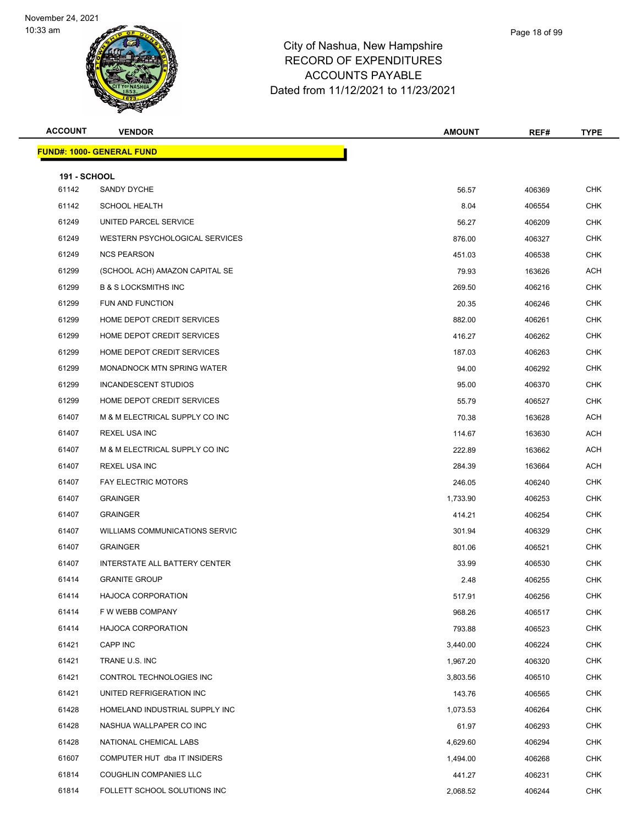

|       | Page 18 of 99 |
|-------|---------------|
| shire |               |
| つこく   |               |

| <b>ACCOUNT</b>               | <b>VENDOR</b>                    | <b>AMOUNT</b> | REF#   | <b>TYPE</b> |
|------------------------------|----------------------------------|---------------|--------|-------------|
|                              | <b>FUND#: 1000- GENERAL FUND</b> |               |        |             |
|                              |                                  |               |        |             |
| <b>191 - SCHOOL</b><br>61142 | SANDY DYCHE                      | 56.57         | 406369 | <b>CHK</b>  |
| 61142                        | <b>SCHOOL HEALTH</b>             | 8.04          | 406554 | <b>CHK</b>  |
| 61249                        | UNITED PARCEL SERVICE            | 56.27         | 406209 | <b>CHK</b>  |
| 61249                        | WESTERN PSYCHOLOGICAL SERVICES   | 876.00        | 406327 | <b>CHK</b>  |
| 61249                        | <b>NCS PEARSON</b>               | 451.03        | 406538 | <b>CHK</b>  |
| 61299                        | (SCHOOL ACH) AMAZON CAPITAL SE   | 79.93         | 163626 | ACH         |
| 61299                        | <b>B &amp; S LOCKSMITHS INC</b>  | 269.50        | 406216 | <b>CHK</b>  |
| 61299                        | FUN AND FUNCTION                 | 20.35         | 406246 | <b>CHK</b>  |
| 61299                        | HOME DEPOT CREDIT SERVICES       | 882.00        | 406261 | <b>CHK</b>  |
| 61299                        | HOME DEPOT CREDIT SERVICES       | 416.27        | 406262 | <b>CHK</b>  |
| 61299                        | HOME DEPOT CREDIT SERVICES       | 187.03        | 406263 | <b>CHK</b>  |
| 61299                        | MONADNOCK MTN SPRING WATER       | 94.00         | 406292 | <b>CHK</b>  |
| 61299                        | INCANDESCENT STUDIOS             | 95.00         | 406370 | <b>CHK</b>  |
| 61299                        | HOME DEPOT CREDIT SERVICES       | 55.79         | 406527 | <b>CHK</b>  |
| 61407                        | M & M ELECTRICAL SUPPLY CO INC   | 70.38         | 163628 | <b>ACH</b>  |
| 61407                        | <b>REXEL USA INC</b>             | 114.67        | 163630 | <b>ACH</b>  |
| 61407                        | M & M ELECTRICAL SUPPLY CO INC   | 222.89        | 163662 | <b>ACH</b>  |
| 61407                        | <b>REXEL USA INC</b>             | 284.39        | 163664 | <b>ACH</b>  |
| 61407                        | <b>FAY ELECTRIC MOTORS</b>       | 246.05        | 406240 | <b>CHK</b>  |
| 61407                        | <b>GRAINGER</b>                  | 1,733.90      | 406253 | <b>CHK</b>  |
| 61407                        | <b>GRAINGER</b>                  | 414.21        | 406254 | <b>CHK</b>  |
| 61407                        | WILLIAMS COMMUNICATIONS SERVIC   | 301.94        | 406329 | <b>CHK</b>  |
| 61407                        | <b>GRAINGER</b>                  | 801.06        | 406521 | <b>CHK</b>  |
| 61407                        | INTERSTATE ALL BATTERY CENTER    | 33.99         | 406530 | <b>CHK</b>  |
| 61414                        | <b>GRANITE GROUP</b>             | 2.48          | 406255 | <b>CHK</b>  |
| 61414                        | HAJOCA CORPORATION               | 517.91        | 406256 | <b>CHK</b>  |
| 61414                        | F W WEBB COMPANY                 | 968.26        | 406517 | <b>CHK</b>  |
| 61414                        | HAJOCA CORPORATION               | 793.88        | 406523 | <b>CHK</b>  |
| 61421                        | CAPP INC                         | 3,440.00      | 406224 | <b>CHK</b>  |
| 61421                        | TRANE U.S. INC                   | 1,967.20      | 406320 | <b>CHK</b>  |
| 61421                        | CONTROL TECHNOLOGIES INC         | 3,803.56      | 406510 | <b>CHK</b>  |
| 61421                        | UNITED REFRIGERATION INC         | 143.76        | 406565 | <b>CHK</b>  |
| 61428                        | HOMELAND INDUSTRIAL SUPPLY INC   | 1,073.53      | 406264 | <b>CHK</b>  |
| 61428                        | NASHUA WALLPAPER CO INC          | 61.97         | 406293 | <b>CHK</b>  |
| 61428                        | NATIONAL CHEMICAL LABS           | 4,629.60      | 406294 | <b>CHK</b>  |
| 61607                        | COMPUTER HUT dba IT INSIDERS     | 1,494.00      | 406268 | <b>CHK</b>  |
| 61814                        | <b>COUGHLIN COMPANIES LLC</b>    | 441.27        | 406231 | <b>CHK</b>  |
| 61814                        | FOLLETT SCHOOL SOLUTIONS INC     | 2,068.52      | 406244 | <b>CHK</b>  |
|                              |                                  |               |        |             |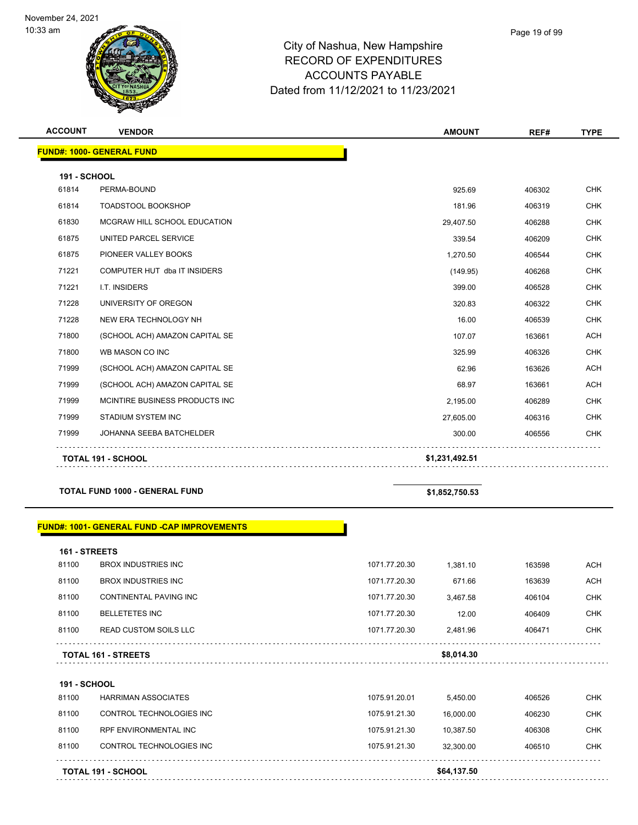

## City of Nashua, New Hampshire RECORD OF EXPENDITURES ACCOUNTS PAYABLE Dated from 11/12/2021 to 11/23/2021

| <b>ACCOUNT</b>      | <b>VENDOR</b>                         | <b>AMOUNT</b>  | REF#   | <b>TYPE</b> |
|---------------------|---------------------------------------|----------------|--------|-------------|
|                     | <b>FUND#: 1000- GENERAL FUND</b>      |                |        |             |
| <b>191 - SCHOOL</b> |                                       |                |        |             |
| 61814               | PERMA-BOUND                           | 925.69         | 406302 | <b>CHK</b>  |
| 61814               | TOADSTOOL BOOKSHOP                    | 181.96         | 406319 | <b>CHK</b>  |
| 61830               | MCGRAW HILL SCHOOL EDUCATION          | 29,407.50      | 406288 | <b>CHK</b>  |
| 61875               | UNITED PARCEL SERVICE                 | 339.54         | 406209 | <b>CHK</b>  |
| 61875               | PIONEER VALLEY BOOKS                  | 1,270.50       | 406544 | <b>CHK</b>  |
| 71221               | COMPUTER HUT dba IT INSIDERS          | (149.95)       | 406268 | <b>CHK</b>  |
| 71221               | I.T. INSIDERS                         | 399.00         | 406528 | <b>CHK</b>  |
| 71228               | UNIVERSITY OF OREGON                  | 320.83         | 406322 | <b>CHK</b>  |
| 71228               | NEW ERA TECHNOLOGY NH                 | 16.00          | 406539 | <b>CHK</b>  |
| 71800               | (SCHOOL ACH) AMAZON CAPITAL SE        | 107.07         | 163661 | <b>ACH</b>  |
| 71800               | WB MASON CO INC                       | 325.99         | 406326 | <b>CHK</b>  |
| 71999               | (SCHOOL ACH) AMAZON CAPITAL SE        | 62.96          | 163626 | <b>ACH</b>  |
| 71999               | (SCHOOL ACH) AMAZON CAPITAL SE        | 68.97          | 163661 | <b>ACH</b>  |
| 71999               | MCINTIRE BUSINESS PRODUCTS INC        | 2,195.00       | 406289 | <b>CHK</b>  |
| 71999               | STADIUM SYSTEM INC                    | 27,605.00      | 406316 | <b>CHK</b>  |
| 71999               | JOHANNA SEEBA BATCHELDER              | 300.00         | 406556 | <b>CHK</b>  |
|                     | <b>TOTAL 191 - SCHOOL</b>             | \$1,231,492.51 |        |             |
|                     | <b>TOTAL FUND 1000 - GENERAL FUND</b> | \$1,852,750.53 |        |             |

## **FUND#: 1001- GENERAL FUND -CAP IMPROVEMENTS**

| 161 - STREETS              |                              |               |            |        |            |
|----------------------------|------------------------------|---------------|------------|--------|------------|
| 81100                      | <b>BROX INDUSTRIES INC.</b>  | 1071.77.20.30 | 1.381.10   | 163598 | ACH        |
| 81100                      | <b>BROX INDUSTRIES INC.</b>  | 1071.77.20.30 | 671.66     | 163639 | <b>ACH</b> |
| 81100                      | CONTINENTAL PAVING INC       | 1071.77.20.30 | 3.467.58   | 406104 | <b>CHK</b> |
| 81100                      | <b>BELLETETES INC</b>        | 1071.77.20.30 | 12.00      | 406409 | CHK.       |
| 81100                      | <b>READ CUSTOM SOILS LLC</b> | 1071.77.20.30 | 2.481.96   | 406471 | CHK.       |
|                            |                              |               | \$8,014.30 |        |            |
| <b>TOTAL 161 - STREETS</b> |                              |               |            |        |            |

**191 - SCHOOL** 81100 HARRIMAN ASSOCIATES 1075.91.20.01 5,450.00 406526 CHK 81100 CONTROL TECHNOLOGIES INC 1075.91.21.30 16,000.00 406230 CHK 81100 RPF ENVIRONMENTAL INC 1075.91.21.30 10,387.50 406308 CHK 81100 CONTROL TECHNOLOGIES INC 1075.91.21.30 32,300.00 406510 CHK . . . . . . . . . . . . . . . . . . . . . . . . . . . . . . . . . . . . . . . . . . . . . . . . . . **TOTAL 191 - SCHOOL \$64,137.50**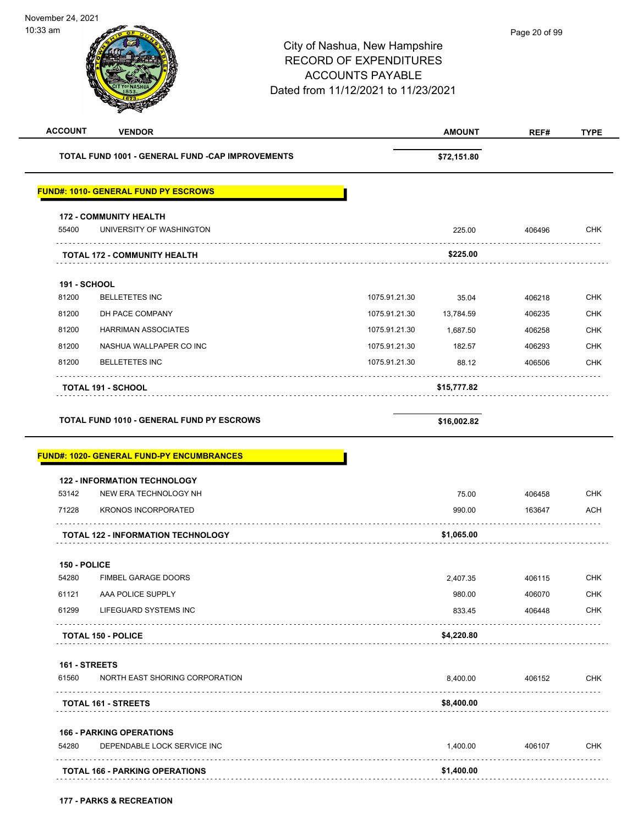| <b>ACCOUNT</b>      | <b>VENDOR</b>                                                                                                                                                                                                                                                                                                                                                                                                                                                                                        |  | <b>AMOUNT</b> | REF#   | <b>TYPE</b>                     |
|---------------------|------------------------------------------------------------------------------------------------------------------------------------------------------------------------------------------------------------------------------------------------------------------------------------------------------------------------------------------------------------------------------------------------------------------------------------------------------------------------------------------------------|--|---------------|--------|---------------------------------|
|                     | TOTAL FUND 1001 - GENERAL FUND -CAP IMPROVEMENTS                                                                                                                                                                                                                                                                                                                                                                                                                                                     |  | \$72,151.80   |        |                                 |
|                     | <b>FUND#: 1010- GENERAL FUND PY ESCROWS</b><br>225.00<br>\$225.00<br>1075.91.21.30<br>35.04<br>1075.91.21.30<br>13,784.59<br>1075.91.21.30<br>1,687.50<br>1075.91.21.30<br>182.57<br>1075.91.21.30<br>88.12<br>\$15,777.82<br><b>TOTAL FUND 1010 - GENERAL FUND PY ESCROWS</b><br>\$16,002.82<br><b>122 - INFORMATION TECHNOLOGY</b><br>NEW ERA TECHNOLOGY NH<br>75.00<br><b>KRONOS INCORPORATED</b><br>990.00<br>\$1,065.00<br>2,407.35<br>980.00<br>833.45<br>\$4,220.80<br>8,400.00<br>\$8,400.00 |  |               |        |                                 |
|                     | <b>172 - COMMUNITY HEALTH</b>                                                                                                                                                                                                                                                                                                                                                                                                                                                                        |  |               |        |                                 |
| 55400               | UNIVERSITY OF WASHINGTON                                                                                                                                                                                                                                                                                                                                                                                                                                                                             |  |               | 406496 | CHK                             |
|                     | <b>TOTAL 172 - COMMUNITY HEALTH</b>                                                                                                                                                                                                                                                                                                                                                                                                                                                                  |  |               |        |                                 |
| <b>191 - SCHOOL</b> |                                                                                                                                                                                                                                                                                                                                                                                                                                                                                                      |  |               |        |                                 |
| 81200               | <b>BELLETETES INC</b>                                                                                                                                                                                                                                                                                                                                                                                                                                                                                |  |               | 406218 | <b>CHK</b>                      |
| 81200               | DH PACE COMPANY                                                                                                                                                                                                                                                                                                                                                                                                                                                                                      |  |               | 406235 | CHK                             |
| 81200               | <b>HARRIMAN ASSOCIATES</b>                                                                                                                                                                                                                                                                                                                                                                                                                                                                           |  |               | 406258 | <b>CHK</b>                      |
| 81200               | NASHUA WALLPAPER CO INC                                                                                                                                                                                                                                                                                                                                                                                                                                                                              |  |               | 406293 | <b>CHK</b>                      |
| 81200               | <b>BELLETETES INC</b>                                                                                                                                                                                                                                                                                                                                                                                                                                                                                |  |               | 406506 | <b>CHK</b>                      |
|                     | <b>TOTAL 191 - SCHOOL</b>                                                                                                                                                                                                                                                                                                                                                                                                                                                                            |  |               |        |                                 |
|                     |                                                                                                                                                                                                                                                                                                                                                                                                                                                                                                      |  |               |        |                                 |
|                     | <b>FUND#: 1020- GENERAL FUND-PY ENCUMBRANCES</b>                                                                                                                                                                                                                                                                                                                                                                                                                                                     |  |               |        |                                 |
|                     |                                                                                                                                                                                                                                                                                                                                                                                                                                                                                                      |  |               |        |                                 |
| 53142               |                                                                                                                                                                                                                                                                                                                                                                                                                                                                                                      |  |               | 406458 | <b>CHK</b>                      |
| 71228               |                                                                                                                                                                                                                                                                                                                                                                                                                                                                                                      |  |               | 163647 | <b>ACH</b>                      |
|                     |                                                                                                                                                                                                                                                                                                                                                                                                                                                                                                      |  |               |        |                                 |
|                     | <b>TOTAL 122 - INFORMATION TECHNOLOGY</b>                                                                                                                                                                                                                                                                                                                                                                                                                                                            |  |               |        |                                 |
| 150 - POLICE        |                                                                                                                                                                                                                                                                                                                                                                                                                                                                                                      |  |               |        |                                 |
| 54280               | FIMBEL GARAGE DOORS                                                                                                                                                                                                                                                                                                                                                                                                                                                                                  |  |               | 406115 | <b>CHK</b>                      |
| 61121               | AAA POLICE SUPPLY                                                                                                                                                                                                                                                                                                                                                                                                                                                                                    |  |               | 406070 | <b>CHK</b>                      |
| 61299               | LIFEGUARD SYSTEMS INC                                                                                                                                                                                                                                                                                                                                                                                                                                                                                |  |               | 406448 |                                 |
|                     |                                                                                                                                                                                                                                                                                                                                                                                                                                                                                                      |  |               |        |                                 |
| 161 - STREETS       | <b>TOTAL 150 - POLICE</b>                                                                                                                                                                                                                                                                                                                                                                                                                                                                            |  |               |        |                                 |
| 61560               |                                                                                                                                                                                                                                                                                                                                                                                                                                                                                                      |  |               |        |                                 |
|                     | NORTH EAST SHORING CORPORATION                                                                                                                                                                                                                                                                                                                                                                                                                                                                       |  |               | 406152 |                                 |
|                     | <b>TOTAL 161 - STREETS</b>                                                                                                                                                                                                                                                                                                                                                                                                                                                                           |  |               |        |                                 |
|                     | <b>166 - PARKING OPERATIONS</b>                                                                                                                                                                                                                                                                                                                                                                                                                                                                      |  |               |        |                                 |
| 54280               | DEPENDABLE LOCK SERVICE INC                                                                                                                                                                                                                                                                                                                                                                                                                                                                          |  | 1,400.00      | 406107 |                                 |
|                     | <b>TOTAL 166 - PARKING OPERATIONS</b>                                                                                                                                                                                                                                                                                                                                                                                                                                                                |  | \$1,400.00    |        | <b>CHK</b><br>CHK<br><b>CHK</b> |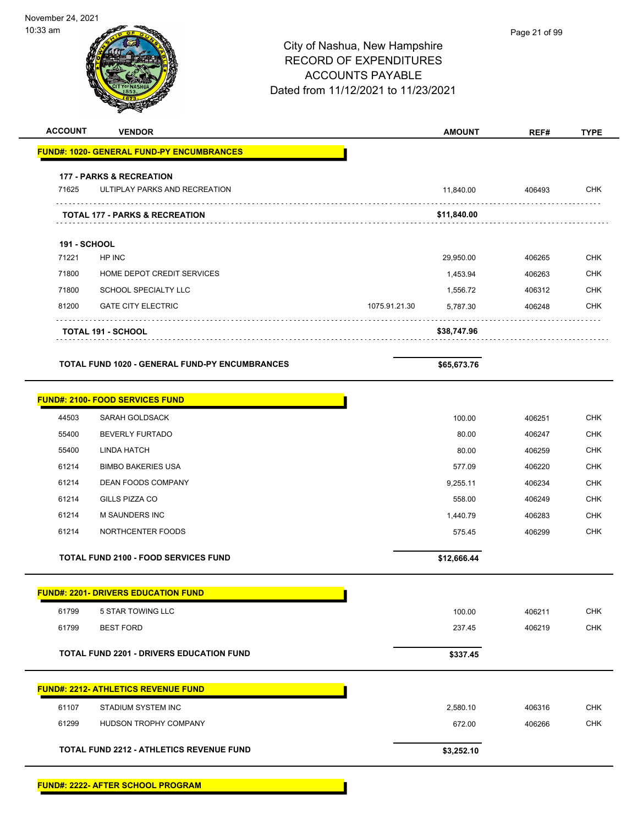| <b>ACCOUNT</b>      | <b>VENDOR</b>                                                        | <b>AMOUNT</b>             | REF#   | <b>TYPE</b> |
|---------------------|----------------------------------------------------------------------|---------------------------|--------|-------------|
|                     | <b>FUND#: 1020- GENERAL FUND-PY ENCUMBRANCES</b>                     |                           |        |             |
|                     |                                                                      |                           |        |             |
| 71625               | <b>177 - PARKS &amp; RECREATION</b><br>ULTIPLAY PARKS AND RECREATION | 11,840.00                 | 406493 | <b>CHK</b>  |
| .                   | .<br><b>TOTAL 177 - PARKS &amp; RECREATION</b>                       | \$11,840.00               |        |             |
| <b>191 - SCHOOL</b> |                                                                      |                           |        |             |
| 71221               | HP INC                                                               | 29,950.00                 | 406265 | <b>CHK</b>  |
| 71800               | HOME DEPOT CREDIT SERVICES                                           | 1,453.94                  | 406263 | <b>CHK</b>  |
| 71800               | SCHOOL SPECIALTY LLC                                                 | 1,556.72                  | 406312 | <b>CHK</b>  |
| 81200               | <b>GATE CITY ELECTRIC</b>                                            | 1075.91.21.30<br>5,787.30 | 406248 | <b>CHK</b>  |
|                     | <b>TOTAL 191 - SCHOOL</b>                                            | \$38,747.96               |        |             |
|                     | <b>TOTAL FUND 1020 - GENERAL FUND-PY ENCUMBRANCES</b>                | \$65,673.76               |        |             |
|                     |                                                                      |                           |        |             |
|                     | <b>FUND#: 2100- FOOD SERVICES FUND</b>                               |                           |        |             |
| 44503               | SARAH GOLDSACK                                                       | 100.00                    | 406251 | <b>CHK</b>  |
| 55400               | <b>BEVERLY FURTADO</b>                                               | 80.00                     | 406247 | <b>CHK</b>  |
| 55400               | <b>LINDA HATCH</b>                                                   | 80.00                     | 406259 | <b>CHK</b>  |
| 61214               | <b>BIMBO BAKERIES USA</b>                                            | 577.09                    | 406220 | <b>CHK</b>  |
| 61214               | <b>DEAN FOODS COMPANY</b>                                            | 9,255.11                  | 406234 | <b>CHK</b>  |
| 61214               | GILLS PIZZA CO                                                       | 558.00                    | 406249 | <b>CHK</b>  |
| 61214               | <b>M SAUNDERS INC</b>                                                | 1,440.79                  | 406283 | <b>CHK</b>  |
| 61214               | NORTHCENTER FOODS                                                    | 575.45                    | 406299 | <b>CHK</b>  |
|                     | <b>TOTAL FUND 2100 - FOOD SERVICES FUND</b>                          | \$12,666.44               |        |             |
|                     | <b>FUND#: 2201- DRIVERS EDUCATION FUND</b>                           |                           |        |             |
| 61799               | 5 STAR TOWING LLC                                                    | 100.00                    | 406211 | <b>CHK</b>  |
| 61799               | <b>BEST FORD</b>                                                     | 237.45                    | 406219 | <b>CHK</b>  |
|                     |                                                                      |                           |        |             |
|                     | <b>TOTAL FUND 2201 - DRIVERS EDUCATION FUND</b>                      | \$337.45                  |        |             |
|                     | <b>FUND#: 2212- ATHLETICS REVENUE FUND</b>                           |                           |        |             |
| 61107               | STADIUM SYSTEM INC                                                   | 2,580.10                  | 406316 | <b>CHK</b>  |
| 61299               | HUDSON TROPHY COMPANY                                                | 672.00                    | 406266 | <b>CHK</b>  |
|                     | <b>TOTAL FUND 2212 - ATHLETICS REVENUE FUND</b>                      | \$3,252.10                |        |             |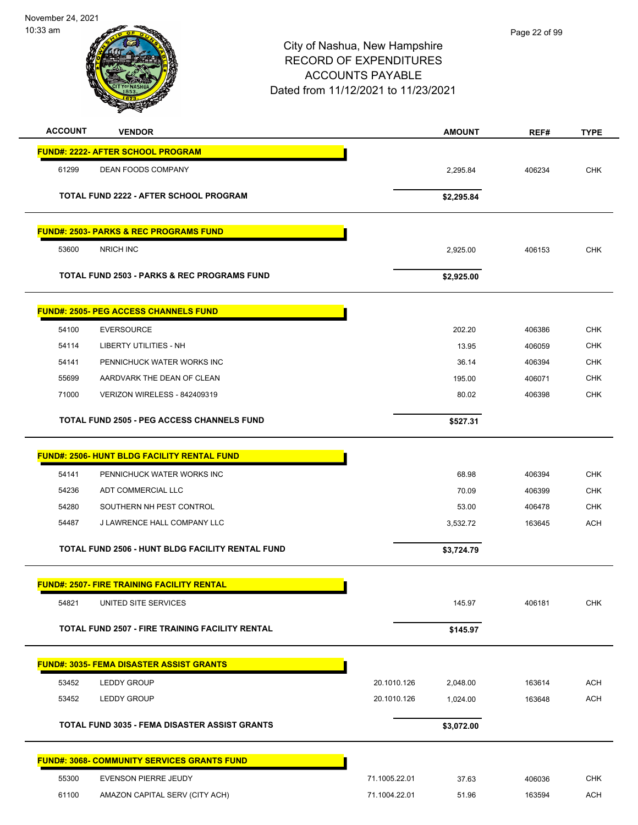November 24, 2021



# City of Nashua, New Hampshire RECORD OF EXPENDITURES

| Dated from 11/12/2021 to 11/23/2021 |                                                        |               |               |        |             |
|-------------------------------------|--------------------------------------------------------|---------------|---------------|--------|-------------|
| <b>ACCOUNT</b>                      | <b>VENDOR</b>                                          |               | <b>AMOUNT</b> | REF#   | <b>TYPE</b> |
|                                     | <b>FUND#: 2222- AFTER SCHOOL PROGRAM</b>               |               |               |        |             |
| 61299                               | <b>DEAN FOODS COMPANY</b>                              |               | 2,295.84      | 406234 | <b>CHK</b>  |
|                                     |                                                        |               |               |        |             |
|                                     | TOTAL FUND 2222 - AFTER SCHOOL PROGRAM                 |               | \$2,295.84    |        |             |
|                                     | <b>FUND#: 2503- PARKS &amp; REC PROGRAMS FUND</b>      |               |               |        |             |
| 53600                               | NRICH INC                                              |               | 2,925.00      | 406153 | <b>CHK</b>  |
|                                     | <b>TOTAL FUND 2503 - PARKS &amp; REC PROGRAMS FUND</b> |               | \$2,925.00    |        |             |
|                                     | <b>FUND#: 2505- PEG ACCESS CHANNELS FUND</b>           |               |               |        |             |
| 54100                               | <b>EVERSOURCE</b>                                      |               | 202.20        | 406386 | <b>CHK</b>  |
| 54114                               | <b>LIBERTY UTILITIES - NH</b>                          |               | 13.95         | 406059 | <b>CHK</b>  |
| 54141                               | PENNICHUCK WATER WORKS INC                             |               | 36.14         | 406394 | <b>CHK</b>  |
| 55699                               | AARDVARK THE DEAN OF CLEAN                             |               | 195.00        | 406071 | <b>CHK</b>  |
| 71000                               | <b>VERIZON WIRELESS - 842409319</b>                    |               | 80.02         | 406398 | <b>CHK</b>  |
|                                     | <b>TOTAL FUND 2505 - PEG ACCESS CHANNELS FUND</b>      |               | \$527.31      |        |             |
|                                     | <b>FUND#: 2506- HUNT BLDG FACILITY RENTAL FUND</b>     |               |               |        |             |
| 54141                               | PENNICHUCK WATER WORKS INC                             |               | 68.98         | 406394 | <b>CHK</b>  |
| 54236                               | ADT COMMERCIAL LLC                                     |               | 70.09         | 406399 | <b>CHK</b>  |
| 54280                               | SOUTHERN NH PEST CONTROL                               |               | 53.00         | 406478 | <b>CHK</b>  |
| 54487                               | J LAWRENCE HALL COMPANY LLC                            |               | 3,532.72      | 163645 | ACH         |
|                                     | TOTAL FUND 2506 - HUNT BLDG FACILITY RENTAL FUND       |               | \$3,724.79    |        |             |
|                                     | <b>FUND#: 2507- FIRE TRAINING FACILITY RENTAL</b>      |               |               |        |             |
| 54821                               | UNITED SITE SERVICES                                   |               | 145.97        | 406181 | <b>CHK</b>  |
|                                     | <b>TOTAL FUND 2507 - FIRE TRAINING FACILITY RENTAL</b> |               | \$145.97      |        |             |
|                                     | <b>FUND#: 3035- FEMA DISASTER ASSIST GRANTS</b>        |               |               |        |             |
| 53452                               | <b>LEDDY GROUP</b>                                     | 20.1010.126   | 2,048.00      | 163614 | <b>ACH</b>  |
| 53452                               | <b>LEDDY GROUP</b>                                     | 20.1010.126   | 1,024.00      | 163648 | <b>ACH</b>  |
|                                     | <b>TOTAL FUND 3035 - FEMA DISASTER ASSIST GRANTS</b>   |               | \$3,072.00    |        |             |
|                                     | <b>FUND#: 3068- COMMUNITY SERVICES GRANTS FUND</b>     |               |               |        |             |
| 55300                               | EVENSON PIERRE JEUDY                                   | 71.1005.22.01 | 37.63         | 406036 | <b>CHK</b>  |
| 61100                               | AMAZON CAPITAL SERV (CITY ACH)                         | 71.1004.22.01 | 51.96         | 163594 | ACH         |

ACCOUNTS PAYABLE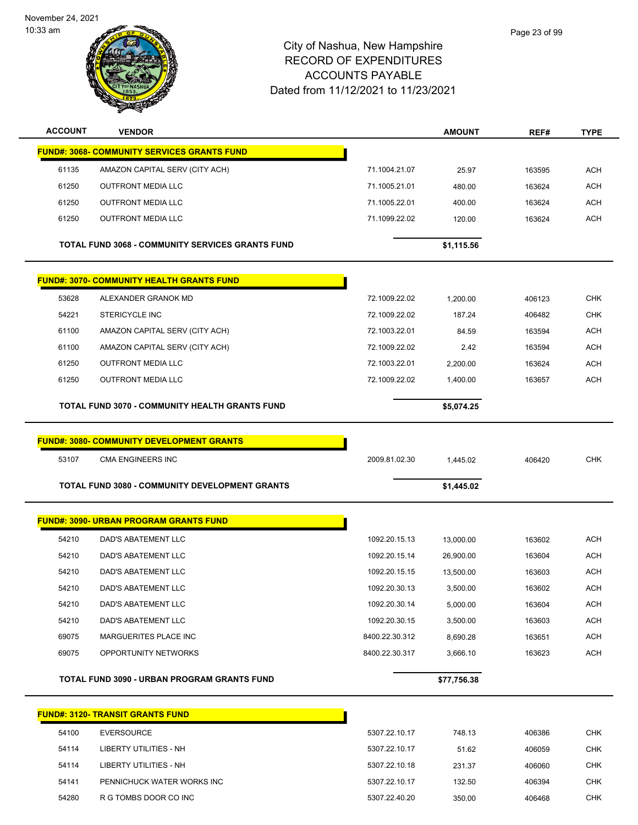November 24, 2021

10:33 am



| <b>ACCOUNT</b> | <b>VENDOR</b>                                           |                | <b>AMOUNT</b> | REF#   | <b>TYPE</b> |
|----------------|---------------------------------------------------------|----------------|---------------|--------|-------------|
|                | <b>FUND#: 3068- COMMUNITY SERVICES GRANTS FUND</b>      |                |               |        |             |
| 61135          | AMAZON CAPITAL SERV (CITY ACH)                          | 71.1004.21.07  | 25.97         | 163595 | <b>ACH</b>  |
| 61250          | <b>OUTFRONT MEDIA LLC</b>                               | 71.1005.21.01  | 480.00        | 163624 | <b>ACH</b>  |
| 61250          | <b>OUTFRONT MEDIA LLC</b>                               | 71.1005.22.01  | 400.00        | 163624 | <b>ACH</b>  |
| 61250          | <b>OUTFRONT MEDIA LLC</b>                               | 71.1099.22.02  | 120.00        | 163624 | <b>ACH</b>  |
|                | <b>TOTAL FUND 3068 - COMMUNITY SERVICES GRANTS FUND</b> |                | \$1,115.56    |        |             |
|                | <b>FUND#: 3070- COMMUNITY HEALTH GRANTS FUND</b>        |                |               |        |             |
| 53628          | ALEXANDER GRANOK MD                                     | 72.1009.22.02  | 1,200.00      | 406123 | <b>CHK</b>  |
| 54221          | <b>STERICYCLE INC</b>                                   | 72.1009.22.02  | 187.24        | 406482 | <b>CHK</b>  |
| 61100          | AMAZON CAPITAL SERV (CITY ACH)                          | 72.1003.22.01  | 84.59         | 163594 | <b>ACH</b>  |
| 61100          | AMAZON CAPITAL SERV (CITY ACH)                          | 72.1009.22.02  | 2.42          | 163594 | ACH         |
| 61250          | <b>OUTFRONT MEDIA LLC</b>                               | 72.1003.22.01  | 2,200.00      | 163624 | <b>ACH</b>  |
| 61250          | <b>OUTFRONT MEDIA LLC</b>                               | 72.1009.22.02  | 1,400.00      | 163657 | <b>ACH</b>  |
|                | TOTAL FUND 3070 - COMMUNITY HEALTH GRANTS FUND          |                | \$5,074.25    |        |             |
|                | <b>FUND#: 3080- COMMUNITY DEVELOPMENT GRANTS</b>        |                |               |        |             |
| 53107          | <b>CMA ENGINEERS INC</b>                                | 2009.81.02.30  | 1,445.02      | 406420 | <b>CHK</b>  |
|                | <b>TOTAL FUND 3080 - COMMUNITY DEVELOPMENT GRANTS</b>   |                |               |        |             |
|                |                                                         |                | \$1,445.02    |        |             |
|                | <b>FUND#: 3090- URBAN PROGRAM GRANTS FUND</b>           |                |               |        |             |
| 54210          | DAD'S ABATEMENT LLC                                     | 1092.20.15.13  | 13,000.00     | 163602 | <b>ACH</b>  |
| 54210          | DAD'S ABATEMENT LLC                                     | 1092.20.15.14  | 26,900.00     | 163604 | <b>ACH</b>  |
| 54210          | DAD'S ABATEMENT LLC                                     | 1092.20.15.15  | 13,500.00     | 163603 | ACH         |
| 54210          | DAD'S ABATEMENT LLC                                     | 1092.20.30.13  | 3,500.00      | 163602 | ACH         |
| 54210          | DAD'S ABATEMENT LLC                                     | 1092.20.30.14  | 5,000.00      | 163604 | ACH         |
| 54210          | DAD'S ABATEMENT LLC                                     | 1092.20.30.15  | 3,500.00      | 163603 | <b>ACH</b>  |
| 69075          | MARGUERITES PLACE INC                                   | 8400.22.30.312 | 8,690.28      | 163651 | ACH         |
| 69075          | OPPORTUNITY NETWORKS                                    | 8400.22.30.317 | 3,666.10      | 163623 | <b>ACH</b>  |
|                | TOTAL FUND 3090 - URBAN PROGRAM GRANTS FUND             |                | \$77,756.38   |        |             |
|                | <b>FUND#: 3120- TRANSIT GRANTS FUND</b>                 |                |               |        |             |
| 54100          | <b>EVERSOURCE</b>                                       | 5307.22.10.17  | 748.13        | 406386 | <b>CHK</b>  |
| 54114          | LIBERTY UTILITIES - NH                                  | 5307.22.10.17  | 51.62         | 406059 | <b>CHK</b>  |
| 54114          | LIBERTY UTILITIES - NH                                  | 5307.22.10.18  | 231.37        | 406060 | <b>CHK</b>  |
| 54141          | PENNICHUCK WATER WORKS INC                              | 5307.22.10.17  | 132.50        | 406394 | <b>CHK</b>  |
| 54280          | R G TOMBS DOOR CO INC                                   | 5307.22.40.20  | 350.00        | 406468 | <b>CHK</b>  |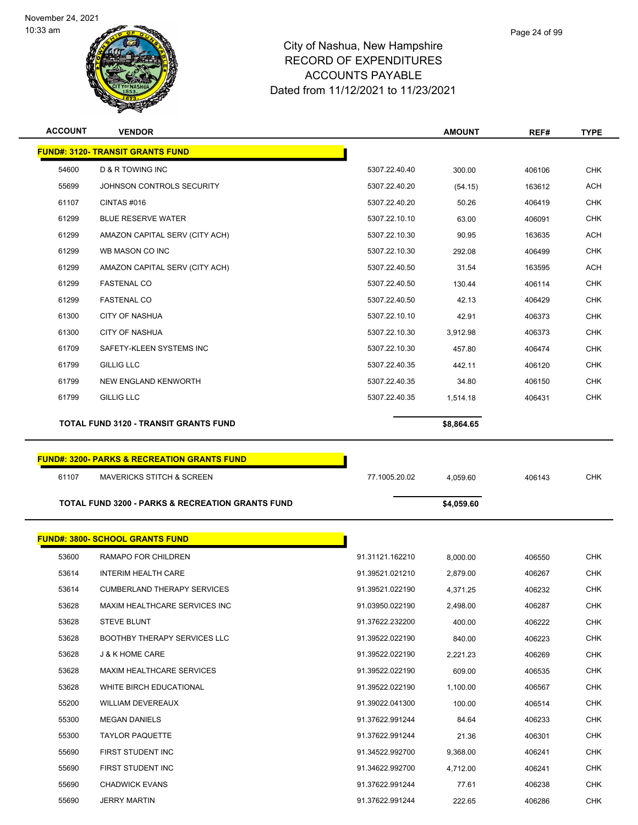

| <b>ACCOUNT</b> | <b>VENDOR</b>                                               |                 | <b>AMOUNT</b> | REF#   | <b>TYPE</b> |
|----------------|-------------------------------------------------------------|-----------------|---------------|--------|-------------|
|                | <b>FUND#: 3120- TRANSIT GRANTS FUND</b>                     |                 |               |        |             |
| 54600          | D & R TOWING INC                                            | 5307.22.40.40   | 300.00        | 406106 | <b>CHK</b>  |
| 55699          | JOHNSON CONTROLS SECURITY                                   | 5307.22.40.20   | (54.15)       | 163612 | <b>ACH</b>  |
| 61107          | CINTAS #016                                                 | 5307.22.40.20   | 50.26         | 406419 | <b>CHK</b>  |
| 61299          | <b>BLUE RESERVE WATER</b>                                   | 5307.22.10.10   | 63.00         | 406091 | <b>CHK</b>  |
| 61299          | AMAZON CAPITAL SERV (CITY ACH)                              | 5307.22.10.30   | 90.95         | 163635 | ACH         |
| 61299          | WB MASON CO INC                                             | 5307.22.10.30   | 292.08        | 406499 | <b>CHK</b>  |
| 61299          | AMAZON CAPITAL SERV (CITY ACH)                              | 5307.22.40.50   | 31.54         | 163595 | <b>ACH</b>  |
| 61299          | <b>FASTENAL CO</b>                                          | 5307.22.40.50   | 130.44        | 406114 | <b>CHK</b>  |
| 61299          | <b>FASTENAL CO</b>                                          | 5307.22.40.50   | 42.13         | 406429 | CHK         |
| 61300          | <b>CITY OF NASHUA</b>                                       | 5307.22.10.10   | 42.91         | 406373 | <b>CHK</b>  |
| 61300          | <b>CITY OF NASHUA</b>                                       | 5307.22.10.30   | 3,912.98      | 406373 | CHK         |
| 61709          | SAFETY-KLEEN SYSTEMS INC                                    | 5307.22.10.30   | 457.80        | 406474 | <b>CHK</b>  |
| 61799          | <b>GILLIG LLC</b>                                           | 5307.22.40.35   | 442.11        | 406120 | <b>CHK</b>  |
| 61799          | <b>NEW ENGLAND KENWORTH</b>                                 | 5307.22.40.35   | 34.80         | 406150 | <b>CHK</b>  |
| 61799          | <b>GILLIG LLC</b>                                           | 5307.22.40.35   | 1,514.18      | 406431 | <b>CHK</b>  |
|                | <b>TOTAL FUND 3120 - TRANSIT GRANTS FUND</b>                |                 | \$8,864.65    |        |             |
|                |                                                             |                 |               |        |             |
|                | <b>FUND#: 3200- PARKS &amp; RECREATION GRANTS FUND</b>      |                 |               |        |             |
| 61107          | <b>MAVERICKS STITCH &amp; SCREEN</b>                        | 77.1005.20.02   | 4,059.60      | 406143 | <b>CHK</b>  |
|                |                                                             |                 |               |        |             |
|                | <b>TOTAL FUND 3200 - PARKS &amp; RECREATION GRANTS FUND</b> |                 | \$4,059.60    |        |             |
|                |                                                             |                 |               |        |             |
|                | <b>FUND#: 3800- SCHOOL GRANTS FUND</b>                      |                 |               |        |             |
| 53600          | RAMAPO FOR CHILDREN                                         | 91.31121.162210 | 8,000.00      | 406550 | <b>CHK</b>  |
| 53614          | <b>INTERIM HEALTH CARE</b>                                  | 91.39521.021210 | 2,879.00      | 406267 | <b>CHK</b>  |
| 53614          | <b>CUMBERLAND THERAPY SERVICES</b>                          | 91.39521.022190 | 4,371.25      | 406232 | <b>CHK</b>  |
| 53628          | MAXIM HEALTHCARE SERVICES INC                               | 91.03950.022190 | 2,498.00      | 406287 | <b>CHK</b>  |
| 53628          | <b>STEVE BLUNT</b>                                          | 91.37622.232200 | 400.00        | 406222 | <b>CHK</b>  |
| 53628          | <b>BOOTHBY THERAPY SERVICES LLC</b>                         | 91.39522.022190 | 840.00        | 406223 | <b>CHK</b>  |
| 53628          | <b>J &amp; K HOME CARE</b>                                  | 91.39522.022190 | 2,221.23      | 406269 | <b>CHK</b>  |
| 53628          | <b>MAXIM HEALTHCARE SERVICES</b>                            | 91.39522.022190 | 609.00        | 406535 | <b>CHK</b>  |
| 53628          | WHITE BIRCH EDUCATIONAL                                     | 91.39522.022190 | 1,100.00      | 406567 | <b>CHK</b>  |
| 55200          | <b>WILLIAM DEVEREAUX</b>                                    | 91.39022.041300 | 100.00        | 406514 | <b>CHK</b>  |
| 55300          | <b>MEGAN DANIELS</b>                                        | 91.37622.991244 | 84.64         | 406233 | CHK         |
| 55300          | <b>TAYLOR PAQUETTE</b>                                      | 91.37622.991244 | 21.36         | 406301 | <b>CHK</b>  |
| 55690          | FIRST STUDENT INC                                           | 91.34522.992700 | 9,368.00      | 406241 | <b>CHK</b>  |
| 55690          | FIRST STUDENT INC                                           | 91.34622.992700 | 4,712.00      |        | <b>CHK</b>  |
| 55690          |                                                             |                 |               | 406241 |             |
|                | <b>CHADWICK EVANS</b>                                       | 91.37622.991244 | 77.61         | 406238 | <b>CHK</b>  |
| 55690          | <b>JERRY MARTIN</b>                                         | 91.37622.991244 | 222.65        | 406286 | <b>CHK</b>  |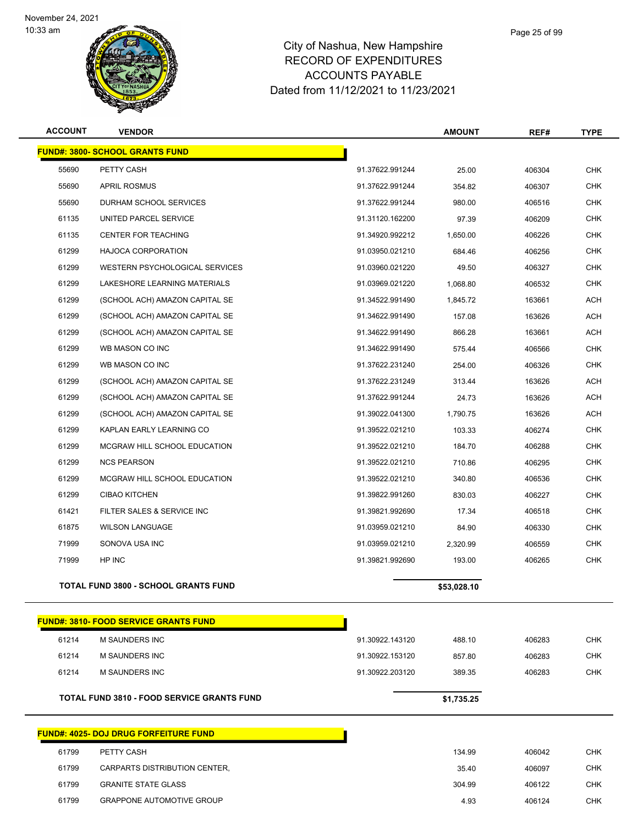

## City of Nashua, New Hampshire RECORD OF EXPENDITURES ACCOUNTS PAYABLE Dated from 11/12/2021 to 11/23/2021

| <b>ACCOUNT</b> | <b>VENDOR</b>                          |                 | <b>AMOUNT</b> | REF#   | <b>TYPE</b> |  |
|----------------|----------------------------------------|-----------------|---------------|--------|-------------|--|
|                | <b>FUND#: 3800- SCHOOL GRANTS FUND</b> |                 |               |        |             |  |
| 55690          | PETTY CASH                             | 91.37622.991244 | 25.00         | 406304 | <b>CHK</b>  |  |
| 55690          | <b>APRIL ROSMUS</b>                    | 91.37622.991244 | 354.82        | 406307 | <b>CHK</b>  |  |
| 55690          | DURHAM SCHOOL SERVICES                 | 91.37622.991244 | 980.00        | 406516 | <b>CHK</b>  |  |
| 61135          | UNITED PARCEL SERVICE                  | 91.31120.162200 | 97.39         | 406209 | <b>CHK</b>  |  |
| 61135          | <b>CENTER FOR TEACHING</b>             | 91.34920.992212 | 1,650.00      | 406226 | <b>CHK</b>  |  |
| 61299          | <b>HAJOCA CORPORATION</b>              | 91.03950.021210 | 684.46        | 406256 | <b>CHK</b>  |  |
| 61299          | <b>WESTERN PSYCHOLOGICAL SERVICES</b>  | 91.03960.021220 | 49.50         | 406327 | <b>CHK</b>  |  |
| 61299          | LAKESHORE LEARNING MATERIALS           | 91.03969.021220 | 1,068.80      | 406532 | <b>CHK</b>  |  |
| 61299          | (SCHOOL ACH) AMAZON CAPITAL SE         | 91.34522.991490 | 1,845.72      | 163661 | ACH         |  |
| 61299          | (SCHOOL ACH) AMAZON CAPITAL SE         | 91.34622.991490 | 157.08        | 163626 | <b>ACH</b>  |  |
| 61299          | (SCHOOL ACH) AMAZON CAPITAL SE         | 91.34622.991490 | 866.28        | 163661 | <b>ACH</b>  |  |
| 61299          | WB MASON CO INC                        | 91.34622.991490 | 575.44        | 406566 | <b>CHK</b>  |  |
| 61299          | WB MASON CO INC                        | 91.37622.231240 | 254.00        | 406326 | <b>CHK</b>  |  |
| 61299          | (SCHOOL ACH) AMAZON CAPITAL SE         | 91.37622.231249 | 313.44        | 163626 | <b>ACH</b>  |  |
| 61299          | (SCHOOL ACH) AMAZON CAPITAL SE         | 91.37622.991244 | 24.73         | 163626 | <b>ACH</b>  |  |
| 61299          | (SCHOOL ACH) AMAZON CAPITAL SE         | 91.39022.041300 | 1,790.75      | 163626 | <b>ACH</b>  |  |
| 61299          | KAPLAN EARLY LEARNING CO               | 91.39522.021210 | 103.33        | 406274 | <b>CHK</b>  |  |
| 61299          | MCGRAW HILL SCHOOL EDUCATION           | 91.39522.021210 | 184.70        | 406288 | <b>CHK</b>  |  |
| 61299          | <b>NCS PEARSON</b>                     | 91.39522.021210 | 710.86        | 406295 | <b>CHK</b>  |  |
| 61299          | MCGRAW HILL SCHOOL EDUCATION           | 91.39522.021210 | 340.80        | 406536 | <b>CHK</b>  |  |
| 61299          | <b>CIBAO KITCHEN</b>                   | 91.39822.991260 | 830.03        | 406227 | <b>CHK</b>  |  |
| 61421          | FILTER SALES & SERVICE INC             | 91.39821.992690 | 17.34         | 406518 | <b>CHK</b>  |  |
| 61875          | <b>WILSON LANGUAGE</b>                 | 91.03959.021210 | 84.90         | 406330 | <b>CHK</b>  |  |
|                |                                        |                 |               |        |             |  |

**TOTAL FUND 3800 - SCHOOL GRANTS FUND \$53,028.10** 

|       | <b>FUND#: 3810- FOOD SERVICE GRANTS FUND</b>      |                 |            |        |            |
|-------|---------------------------------------------------|-----------------|------------|--------|------------|
| 61214 | <b>M SAUNDERS INC</b>                             | 91.30922.143120 | 488.10     | 406283 | <b>CHK</b> |
| 61214 | M SAUNDERS INC                                    | 91.30922.153120 | 857.80     | 406283 | <b>CHK</b> |
| 61214 | <b>M SAUNDERS INC</b>                             | 91.30922.203120 | 389.35     | 406283 | <b>CHK</b> |
|       | <b>TOTAL FUND 3810 - FOOD SERVICE GRANTS FUND</b> |                 | \$1,735.25 |        |            |
|       | <b>FUND#: 4025- DOJ DRUG FORFEITURE FUND</b>      |                 |            |        |            |
| 61799 | PETTY CASH                                        |                 | 134.99     | 406042 | <b>CHK</b> |
| 61799 | CARPARTS DISTRIBUTION CENTER,                     |                 | 35.40      | 406097 | <b>CHK</b> |
| 61799 | <b>GRANITE STATE GLASS</b>                        |                 | 304.99     | 406122 | <b>CHK</b> |

GRAPPONE AUTOMOTIVE GROUP 4.93 406124 CHK

 SONOVA USA INC 91.03959.021210 2,320.99 406559 CHK HP INC 91.39821.992690 193.00 406265 CHK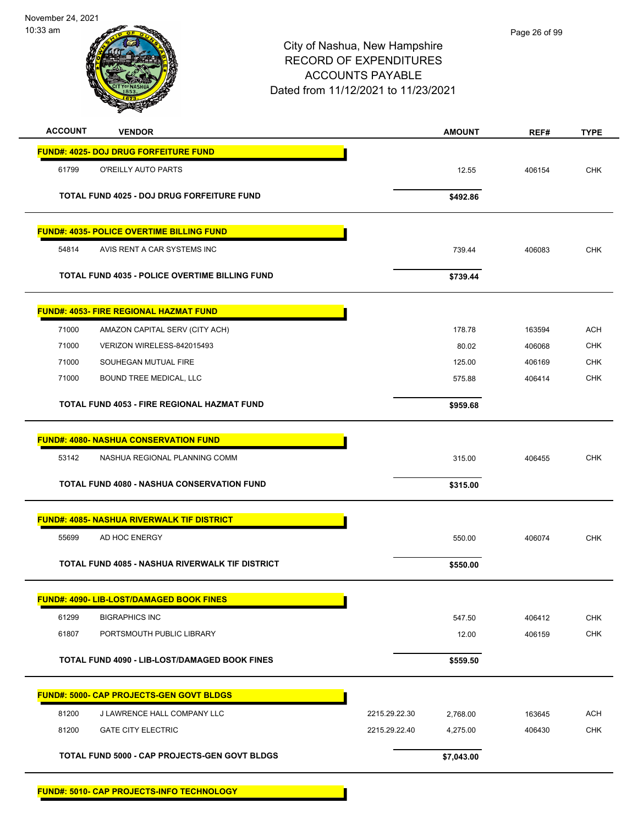November 24, 2021



## City of Nashua, New Hampshire RECORD OF EXPENDITURES ACCOUNTS PAYABLE Dated from 11/12/2021 to 11/23/2021

| <b>ACCOUNT</b> | <b>VENDOR</b>                                          |               | <b>AMOUNT</b> | REF#   | <b>TYPE</b> |
|----------------|--------------------------------------------------------|---------------|---------------|--------|-------------|
|                | <b>FUND#: 4025- DOJ DRUG FORFEITURE FUND</b>           |               |               |        |             |
| 61799          | O'REILLY AUTO PARTS                                    |               | 12.55         | 406154 | <b>CHK</b>  |
|                | TOTAL FUND 4025 - DOJ DRUG FORFEITURE FUND             |               | \$492.86      |        |             |
|                | <b>FUND#: 4035- POLICE OVERTIME BILLING FUND</b>       |               |               |        |             |
| 54814          | AVIS RENT A CAR SYSTEMS INC                            |               | 739.44        | 406083 | <b>CHK</b>  |
|                | <b>TOTAL FUND 4035 - POLICE OVERTIME BILLING FUND</b>  |               | \$739.44      |        |             |
|                | <b>FUND#: 4053- FIRE REGIONAL HAZMAT FUND</b>          |               |               |        |             |
| 71000          | AMAZON CAPITAL SERV (CITY ACH)                         |               | 178.78        | 163594 | <b>ACH</b>  |
| 71000          | VERIZON WIRELESS-842015493                             |               | 80.02         | 406068 | <b>CHK</b>  |
| 71000          | SOUHEGAN MUTUAL FIRE                                   |               | 125.00        | 406169 | CHK         |
| 71000          | <b>BOUND TREE MEDICAL, LLC</b>                         |               | 575.88        | 406414 | <b>CHK</b>  |
|                | TOTAL FUND 4053 - FIRE REGIONAL HAZMAT FUND            |               | \$959.68      |        |             |
|                | <b>FUND#: 4080- NASHUA CONSERVATION FUND</b>           |               |               |        |             |
| 53142          | NASHUA REGIONAL PLANNING COMM                          |               | 315.00        | 406455 | <b>CHK</b>  |
|                | <b>TOTAL FUND 4080 - NASHUA CONSERVATION FUND</b>      |               | \$315.00      |        |             |
|                | <b>FUND#: 4085- NASHUA RIVERWALK TIF DISTRICT</b>      |               |               |        |             |
| 55699          | AD HOC ENERGY                                          |               | 550.00        | 406074 | <b>CHK</b>  |
|                | <b>TOTAL FUND 4085 - NASHUA RIVERWALK TIF DISTRICT</b> |               | \$550.00      |        |             |
|                | <b>FUND#: 4090- LIB-LOST/DAMAGED BOOK FINES</b>        |               |               |        |             |
| 61299          | <b>BIGRAPHICS INC</b>                                  |               | 547.50        | 406412 | <b>CHK</b>  |
| 61807          | PORTSMOUTH PUBLIC LIBRARY                              |               | 12.00         | 406159 | <b>CHK</b>  |
|                | TOTAL FUND 4090 - LIB-LOST/DAMAGED BOOK FINES          |               | \$559.50      |        |             |
|                | <b>FUND#: 5000- CAP PROJECTS-GEN GOVT BLDGS</b>        |               |               |        |             |
| 81200          | J LAWRENCE HALL COMPANY LLC                            | 2215.29.22.30 | 2,768.00      | 163645 | <b>ACH</b>  |
| 81200          | <b>GATE CITY ELECTRIC</b>                              | 2215.29.22.40 | 4,275.00      | 406430 | <b>CHK</b>  |
|                | TOTAL FUND 5000 - CAP PROJECTS-GEN GOVT BLDGS          |               | \$7,043.00    |        |             |
|                |                                                        |               |               |        |             |

**FUND#: 5010- CAP PROJECTS-INFO TECHNOLOGY**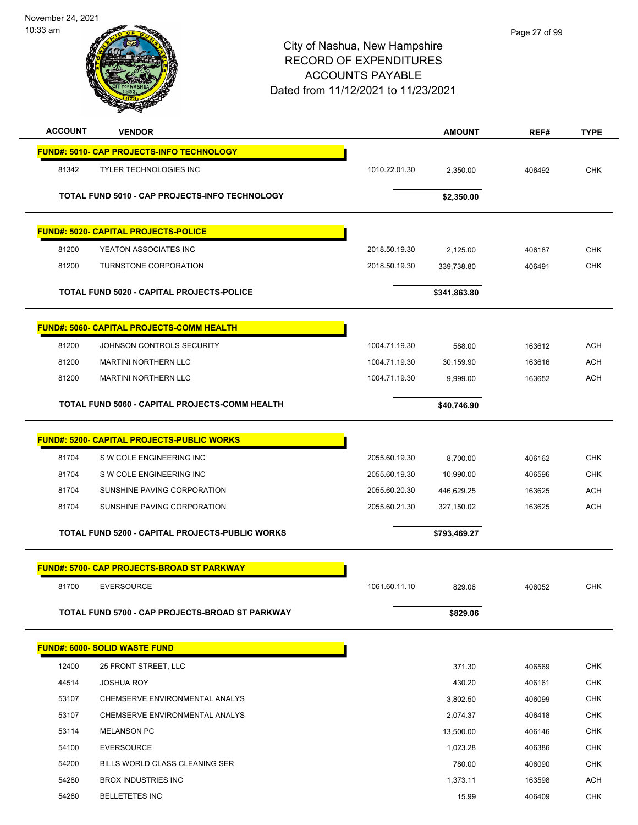November 24, 2021 10:33 am

| <b>ACCOUNT</b> | <b>VENDOR</b>                                     |               | <b>AMOUNT</b> | REF#   | <b>TYPE</b> |
|----------------|---------------------------------------------------|---------------|---------------|--------|-------------|
|                | <b>FUND#: 5010- CAP PROJECTS-INFO TECHNOLOGY</b>  |               |               |        |             |
| 81342          | <b>TYLER TECHNOLOGIES INC</b>                     | 1010.22.01.30 | 2,350.00      | 406492 | <b>CHK</b>  |
|                | TOTAL FUND 5010 - CAP PROJECTS-INFO TECHNOLOGY    |               | \$2,350.00    |        |             |
|                | <b>FUND#: 5020- CAPITAL PROJECTS-POLICE</b>       |               |               |        |             |
| 81200          | YEATON ASSOCIATES INC                             | 2018.50.19.30 | 2,125.00      | 406187 | <b>CHK</b>  |
| 81200          | TURNSTONE CORPORATION                             | 2018.50.19.30 | 339,738.80    | 406491 | <b>CHK</b>  |
|                | TOTAL FUND 5020 - CAPITAL PROJECTS-POLICE         |               | \$341,863.80  |        |             |
|                | <b>FUND#: 5060- CAPITAL PROJECTS-COMM HEALTH</b>  |               |               |        |             |
| 81200          | JOHNSON CONTROLS SECURITY                         | 1004.71.19.30 | 588.00        | 163612 | <b>ACH</b>  |
| 81200          | <b>MARTINI NORTHERN LLC</b>                       | 1004.71.19.30 | 30,159.90     | 163616 | <b>ACH</b>  |
| 81200          | <b>MARTINI NORTHERN LLC</b>                       | 1004.71.19.30 | 9,999.00      | 163652 | ACH         |
|                | TOTAL FUND 5060 - CAPITAL PROJECTS-COMM HEALTH    |               | \$40,746.90   |        |             |
|                | <b>FUND#: 5200- CAPITAL PROJECTS-PUBLIC WORKS</b> |               |               |        |             |
| 81704          | S W COLE ENGINEERING INC                          | 2055.60.19.30 | 8,700.00      | 406162 | <b>CHK</b>  |
| 81704          | S W COLE ENGINEERING INC                          | 2055.60.19.30 | 10,990.00     | 406596 | <b>CHK</b>  |
| 81704          | SUNSHINE PAVING CORPORATION                       | 2055.60.20.30 | 446,629.25    | 163625 | <b>ACH</b>  |
| 81704          | SUNSHINE PAVING CORPORATION                       | 2055.60.21.30 | 327,150.02    | 163625 | <b>ACH</b>  |
|                | TOTAL FUND 5200 - CAPITAL PROJECTS-PUBLIC WORKS   |               | \$793,469.27  |        |             |
|                | <b>FUND#: 5700- CAP PROJECTS-BROAD ST PARKWAY</b> |               |               |        |             |
| 81700          | <b>EVERSOURCE</b>                                 | 1061.60.11.10 | 829.06        | 406052 | CHK         |
|                | TOTAL FUND 5700 - CAP PROJECTS-BROAD ST PARKWAY   |               | \$829.06      |        |             |
|                | <b>FUND#: 6000- SOLID WASTE FUND</b>              |               |               |        |             |
| 12400          | 25 FRONT STREET, LLC                              |               | 371.30        | 406569 | <b>CHK</b>  |
| 44514          | <b>JOSHUA ROY</b>                                 |               | 430.20        | 406161 | <b>CHK</b>  |
| 53107          | CHEMSERVE ENVIRONMENTAL ANALYS                    |               | 3,802.50      | 406099 | <b>CHK</b>  |
| 53107          | CHEMSERVE ENVIRONMENTAL ANALYS                    |               | 2,074.37      | 406418 | CHK         |
| 53114          | <b>MELANSON PC</b>                                |               | 13,500.00     | 406146 | <b>CHK</b>  |
| 54100          | <b>EVERSOURCE</b>                                 |               | 1,023.28      | 406386 | <b>CHK</b>  |
| 54200          | BILLS WORLD CLASS CLEANING SER                    |               | 780.00        | 406090 | <b>CHK</b>  |
| 54280          | <b>BROX INDUSTRIES INC</b>                        |               | 1,373.11      | 163598 | <b>ACH</b>  |
| 54280          | <b>BELLETETES INC</b>                             |               | 15.99         | 406409 | <b>CHK</b>  |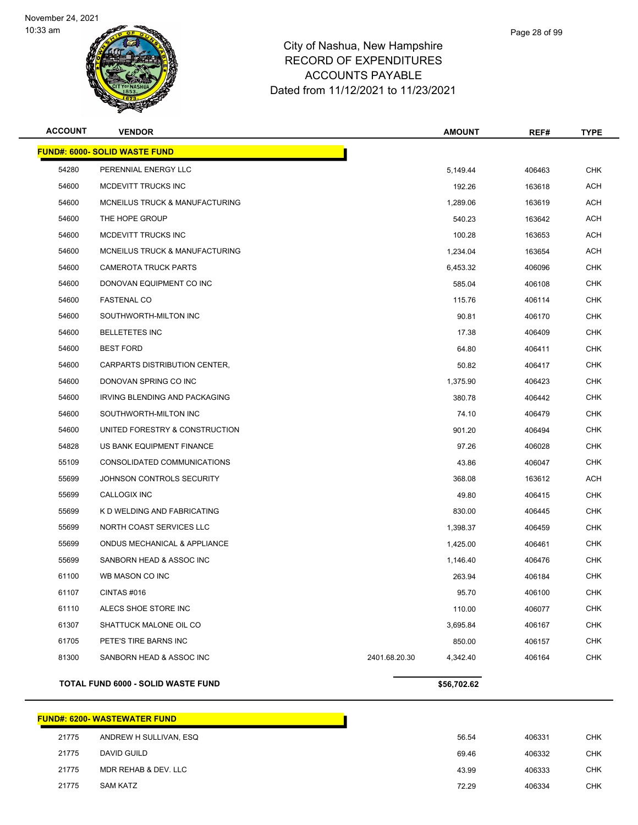

| <b>ACCOUNT</b> | <b>VENDOR</b>                           |               | <b>AMOUNT</b> | REF#   | <b>TYPE</b> |
|----------------|-----------------------------------------|---------------|---------------|--------|-------------|
|                | <b>FUND#: 6000- SOLID WASTE FUND</b>    |               |               |        |             |
| 54280          | PERENNIAL ENERGY LLC                    |               | 5,149.44      | 406463 | <b>CHK</b>  |
| 54600          | MCDEVITT TRUCKS INC                     |               | 192.26        | 163618 | <b>ACH</b>  |
| 54600          | MCNEILUS TRUCK & MANUFACTURING          |               | 1,289.06      | 163619 | ACH         |
| 54600          | THE HOPE GROUP                          |               | 540.23        | 163642 | ACH         |
| 54600          | MCDEVITT TRUCKS INC                     |               | 100.28        | 163653 | ACH         |
| 54600          | MCNEILUS TRUCK & MANUFACTURING          |               | 1,234.04      | 163654 | ACH         |
| 54600          | <b>CAMEROTA TRUCK PARTS</b>             |               | 6,453.32      | 406096 | CHK         |
| 54600          | DONOVAN EQUIPMENT CO INC                |               | 585.04        | 406108 | CHK         |
| 54600          | <b>FASTENAL CO</b>                      |               | 115.76        | 406114 | CHK         |
| 54600          | SOUTHWORTH-MILTON INC                   |               | 90.81         | 406170 | CHK         |
| 54600          | <b>BELLETETES INC</b>                   |               | 17.38         | 406409 | CHK         |
| 54600          | <b>BEST FORD</b>                        |               | 64.80         | 406411 | CHK         |
| 54600          | CARPARTS DISTRIBUTION CENTER,           |               | 50.82         | 406417 | CHK         |
| 54600          | DONOVAN SPRING CO INC                   |               | 1,375.90      | 406423 | <b>CHK</b>  |
| 54600          | IRVING BLENDING AND PACKAGING           |               | 380.78        | 406442 | CHK         |
| 54600          | SOUTHWORTH-MILTON INC                   |               | 74.10         | 406479 | CHK         |
| 54600          | UNITED FORESTRY & CONSTRUCTION          |               | 901.20        | 406494 | <b>CHK</b>  |
| 54828          | US BANK EQUIPMENT FINANCE               |               | 97.26         | 406028 | <b>CHK</b>  |
| 55109          | CONSOLIDATED COMMUNICATIONS             |               | 43.86         | 406047 | CHK         |
| 55699          | JOHNSON CONTROLS SECURITY               |               | 368.08        | 163612 | ACH         |
| 55699          | CALLOGIX INC                            |               | 49.80         | 406415 | CHK         |
| 55699          | K D WELDING AND FABRICATING             |               | 830.00        | 406445 | CHK         |
| 55699          | NORTH COAST SERVICES LLC                |               | 1,398.37      | 406459 | <b>CHK</b>  |
| 55699          | <b>ONDUS MECHANICAL &amp; APPLIANCE</b> |               | 1,425.00      | 406461 | <b>CHK</b>  |
| 55699          | SANBORN HEAD & ASSOC INC                |               | 1,146.40      | 406476 | <b>CHK</b>  |
| 61100          | WB MASON CO INC                         |               | 263.94        | 406184 | <b>CHK</b>  |
| 61107          | CINTAS #016                             |               | 95.70         | 406100 | CHK         |
| 61110          | ALECS SHOE STORE INC                    |               | 110.00        | 406077 | <b>CHK</b>  |
| 61307          | SHATTUCK MALONE OIL CO                  |               | 3,695.84      | 406167 | <b>CHK</b>  |
| 61705          | PETE'S TIRE BARNS INC                   |               | 850.00        | 406157 | <b>CHK</b>  |
| 81300          | SANBORN HEAD & ASSOC INC                | 2401.68.20.30 | 4,342.40      | 406164 | <b>CHK</b>  |
|                | TOTAL FUND 6000 - SOLID WASTE FUND      |               | \$56,702.62   |        |             |

|       | FUND#: 6200- WASTEWATER FUND_ |       |        |
|-------|-------------------------------|-------|--------|
| 21775 | ANDREW H SULLIVAN, ESQ        | 56.54 | 406331 |
| 21775 | DAVID GUILD                   | 69.46 | 406332 |
| 21775 | MDR REHAB & DEV. LLC          | 43.99 | 406333 |
| 21775 | <b>SAM KATZ</b>               | 72.29 | 406334 |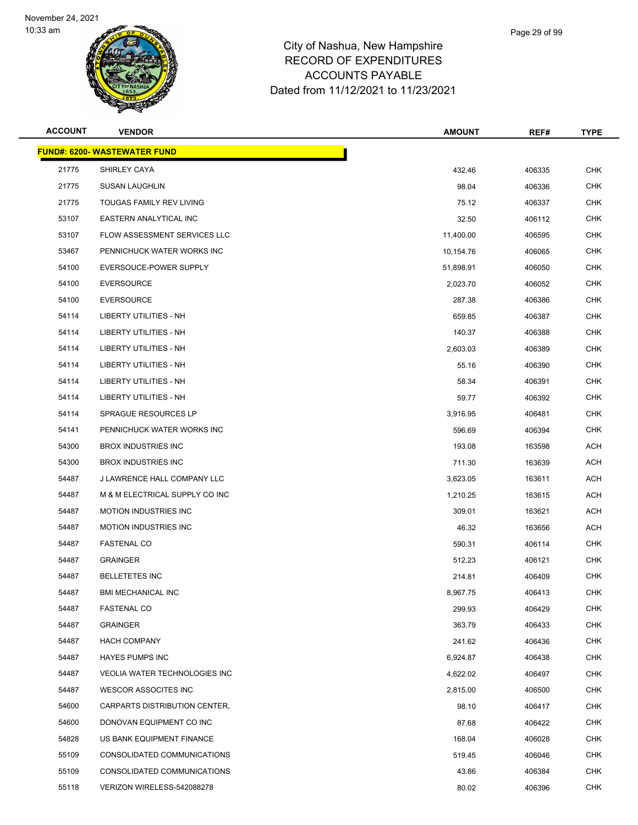

| <b>ACCOUNT</b> | <b>VENDOR</b>                        | <b>AMOUNT</b> | REF#   | <b>TYPE</b> |
|----------------|--------------------------------------|---------------|--------|-------------|
|                | <b>FUND#: 6200- WASTEWATER FUND</b>  |               |        |             |
| 21775          | SHIRLEY CAYA                         | 432.46        | 406335 | <b>CHK</b>  |
| 21775          | <b>SUSAN LAUGHLIN</b>                | 98.04         | 406336 | <b>CHK</b>  |
| 21775          | TOUGAS FAMILY REV LIVING             | 75.12         | 406337 | CHK         |
| 53107          | EASTERN ANALYTICAL INC               | 32.50         | 406112 | <b>CHK</b>  |
| 53107          | <b>FLOW ASSESSMENT SERVICES LLC</b>  | 11,400.00     | 406595 | <b>CHK</b>  |
| 53467          | PENNICHUCK WATER WORKS INC           | 10,154.76     | 406065 | <b>CHK</b>  |
| 54100          | EVERSOUCE-POWER SUPPLY               | 51,898.91     | 406050 | <b>CHK</b>  |
| 54100          | <b>EVERSOURCE</b>                    | 2,023.70      | 406052 | CHK         |
| 54100          | <b>EVERSOURCE</b>                    | 287.38        | 406386 | CHK         |
| 54114          | LIBERTY UTILITIES - NH               | 659.85        | 406387 | <b>CHK</b>  |
| 54114          | LIBERTY UTILITIES - NH               | 140.37        | 406388 | <b>CHK</b>  |
| 54114          | LIBERTY UTILITIES - NH               | 2,603.03      | 406389 | <b>CHK</b>  |
| 54114          | LIBERTY UTILITIES - NH               | 55.16         | 406390 | CHK         |
| 54114          | <b>LIBERTY UTILITIES - NH</b>        | 58.34         | 406391 | <b>CHK</b>  |
| 54114          | LIBERTY UTILITIES - NH               | 59.77         | 406392 | CHK         |
| 54114          | SPRAGUE RESOURCES LP                 | 3,916.95      | 406481 | <b>CHK</b>  |
| 54141          | PENNICHUCK WATER WORKS INC           | 596.69        | 406394 | <b>CHK</b>  |
| 54300          | <b>BROX INDUSTRIES INC</b>           | 193.08        | 163598 | <b>ACH</b>  |
| 54300          | <b>BROX INDUSTRIES INC</b>           | 711.30        | 163639 | ACH         |
| 54487          | J LAWRENCE HALL COMPANY LLC          | 3,623.05      | 163611 | <b>ACH</b>  |
| 54487          | M & M ELECTRICAL SUPPLY CO INC       | 1,210.25      | 163615 | ACH         |
| 54487          | <b>MOTION INDUSTRIES INC</b>         | 309.01        | 163621 | ACH         |
| 54487          | <b>MOTION INDUSTRIES INC</b>         | 46.32         | 163656 | ACH         |
| 54487          | <b>FASTENAL CO</b>                   | 590.31        | 406114 | CHK         |
| 54487          | <b>GRAINGER</b>                      | 512.23        | 406121 | CHK         |
| 54487          | <b>BELLETETES INC</b>                | 214.81        | 406409 | <b>CHK</b>  |
| 54487          | <b>BMI MECHANICAL INC</b>            | 8,967.75      | 406413 | <b>CHK</b>  |
| 54487          | <b>FASTENAL CO</b>                   | 299.93        | 406429 | <b>CHK</b>  |
| 54487          | <b>GRAINGER</b>                      | 363.79        | 406433 | <b>CHK</b>  |
| 54487          | <b>HACH COMPANY</b>                  | 241.62        | 406436 | <b>CHK</b>  |
| 54487          | <b>HAYES PUMPS INC</b>               | 6,924.87      | 406438 | CHK         |
| 54487          | <b>VEOLIA WATER TECHNOLOGIES INC</b> | 4,622.02      | 406497 | <b>CHK</b>  |
| 54487          | <b>WESCOR ASSOCITES INC</b>          | 2,815.00      | 406500 | <b>CHK</b>  |
| 54600          | CARPARTS DISTRIBUTION CENTER,        | 98.10         | 406417 | CHK         |
| 54600          | DONOVAN EQUIPMENT CO INC             | 87.68         | 406422 | <b>CHK</b>  |
| 54828          | US BANK EQUIPMENT FINANCE            | 168.04        | 406028 | <b>CHK</b>  |
| 55109          | CONSOLIDATED COMMUNICATIONS          | 519.45        | 406046 | <b>CHK</b>  |
| 55109          | CONSOLIDATED COMMUNICATIONS          | 43.86         | 406384 | CHK         |
| 55118          | VERIZON WIRELESS-542088278           | 80.02         | 406396 | <b>CHK</b>  |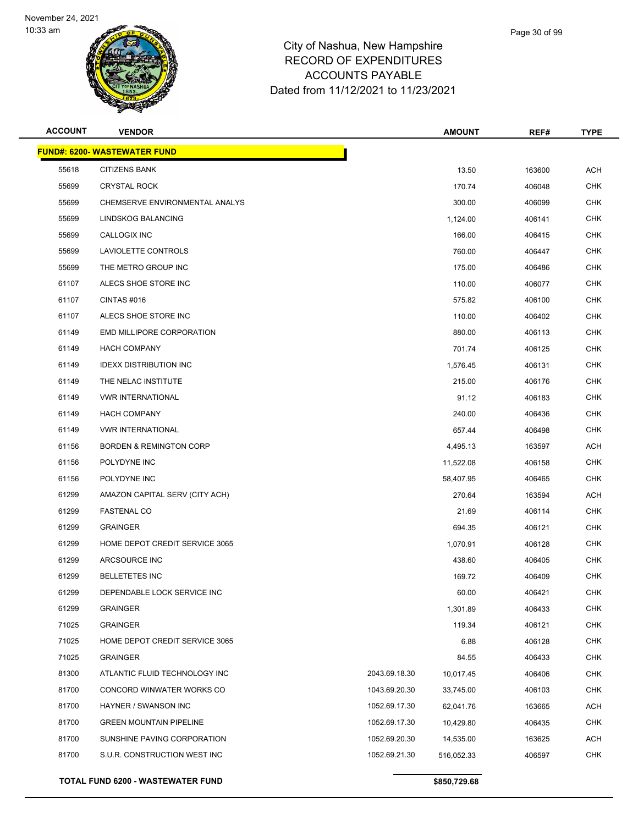

| <b>ACCOUNT</b> | <b>VENDOR</b>                            |               | <b>AMOUNT</b> | REF#   | <b>TYPE</b> |
|----------------|------------------------------------------|---------------|---------------|--------|-------------|
|                | <b>FUND#: 6200- WASTEWATER FUND</b>      |               |               |        |             |
| 55618          | <b>CITIZENS BANK</b>                     |               | 13.50         | 163600 | <b>ACH</b>  |
| 55699          | <b>CRYSTAL ROCK</b>                      |               | 170.74        | 406048 | <b>CHK</b>  |
| 55699          | CHEMSERVE ENVIRONMENTAL ANALYS           |               | 300.00        | 406099 | <b>CHK</b>  |
| 55699          | LINDSKOG BALANCING                       |               | 1,124.00      | 406141 | <b>CHK</b>  |
| 55699          | <b>CALLOGIX INC</b>                      |               | 166.00        | 406415 | <b>CHK</b>  |
| 55699          | LAVIOLETTE CONTROLS                      |               | 760.00        | 406447 | <b>CHK</b>  |
| 55699          | THE METRO GROUP INC                      |               | 175.00        | 406486 | <b>CHK</b>  |
| 61107          | ALECS SHOE STORE INC                     |               | 110.00        | 406077 | <b>CHK</b>  |
| 61107          | CINTAS#016                               |               | 575.82        | 406100 | <b>CHK</b>  |
| 61107          | ALECS SHOE STORE INC                     |               | 110.00        | 406402 | <b>CHK</b>  |
| 61149          | EMD MILLIPORE CORPORATION                |               | 880.00        | 406113 | <b>CHK</b>  |
| 61149          | <b>HACH COMPANY</b>                      |               | 701.74        | 406125 | <b>CHK</b>  |
| 61149          | <b>IDEXX DISTRIBUTION INC</b>            |               | 1,576.45      | 406131 | <b>CHK</b>  |
| 61149          | THE NELAC INSTITUTE                      |               | 215.00        | 406176 | <b>CHK</b>  |
| 61149          | <b>VWR INTERNATIONAL</b>                 |               | 91.12         | 406183 | <b>CHK</b>  |
| 61149          | <b>HACH COMPANY</b>                      |               | 240.00        | 406436 | <b>CHK</b>  |
| 61149          | <b>VWR INTERNATIONAL</b>                 |               | 657.44        | 406498 | <b>CHK</b>  |
| 61156          | <b>BORDEN &amp; REMINGTON CORP</b>       |               | 4,495.13      | 163597 | <b>ACH</b>  |
| 61156          | POLYDYNE INC                             |               | 11,522.08     | 406158 | <b>CHK</b>  |
| 61156          | POLYDYNE INC                             |               | 58,407.95     | 406465 | <b>CHK</b>  |
| 61299          | AMAZON CAPITAL SERV (CITY ACH)           |               | 270.64        | 163594 | ACH         |
| 61299          | <b>FASTENAL CO</b>                       |               | 21.69         | 406114 | <b>CHK</b>  |
| 61299          | <b>GRAINGER</b>                          |               | 694.35        | 406121 | <b>CHK</b>  |
| 61299          | HOME DEPOT CREDIT SERVICE 3065           |               | 1,070.91      | 406128 | <b>CHK</b>  |
| 61299          | ARCSOURCE INC                            |               | 438.60        | 406405 | <b>CHK</b>  |
| 61299          | <b>BELLETETES INC</b>                    |               | 169.72        | 406409 | <b>CHK</b>  |
| 61299          | DEPENDABLE LOCK SERVICE INC              |               | 60.00         | 406421 | <b>CHK</b>  |
| 61299          | <b>GRAINGER</b>                          |               | 1,301.89      | 406433 | CHK         |
| 71025          | <b>GRAINGER</b>                          |               | 119.34        | 406121 | <b>CHK</b>  |
| 71025          | HOME DEPOT CREDIT SERVICE 3065           |               | 6.88          | 406128 | <b>CHK</b>  |
| 71025          | <b>GRAINGER</b>                          |               | 84.55         | 406433 | <b>CHK</b>  |
| 81300          | ATLANTIC FLUID TECHNOLOGY INC            | 2043.69.18.30 | 10,017.45     | 406406 | <b>CHK</b>  |
| 81700          | CONCORD WINWATER WORKS CO                | 1043.69.20.30 | 33,745.00     | 406103 | <b>CHK</b>  |
| 81700          | HAYNER / SWANSON INC                     | 1052.69.17.30 | 62,041.76     | 163665 | ACH         |
| 81700          | <b>GREEN MOUNTAIN PIPELINE</b>           | 1052.69.17.30 | 10,429.80     | 406435 | <b>CHK</b>  |
| 81700          | SUNSHINE PAVING CORPORATION              | 1052.69.20.30 | 14,535.00     | 163625 | ACH         |
| 81700          | S.U.R. CONSTRUCTION WEST INC             | 1052.69.21.30 | 516,052.33    | 406597 | <b>CHK</b>  |
|                | <b>TOTAL FUND 6200 - WASTEWATER FUND</b> |               | \$850,729.68  |        |             |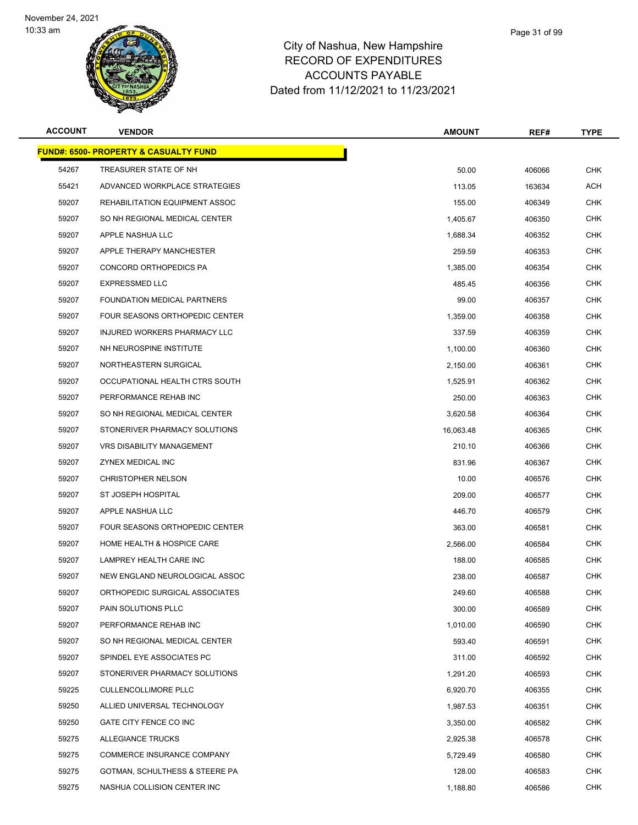

| <b>ACCOUNT</b> | <b>VENDOR</b>                                     | <b>AMOUNT</b> | REF#   | <b>TYPE</b> |
|----------------|---------------------------------------------------|---------------|--------|-------------|
|                | <u> FUND#: 6500- PROPERTY &amp; CASUALTY FUND</u> |               |        |             |
| 54267          | TREASURER STATE OF NH                             | 50.00         | 406066 | <b>CHK</b>  |
| 55421          | ADVANCED WORKPLACE STRATEGIES                     | 113.05        | 163634 | ACH         |
| 59207          | REHABILITATION EQUIPMENT ASSOC                    | 155.00        | 406349 | CHK         |
| 59207          | SO NH REGIONAL MEDICAL CENTER                     | 1,405.67      | 406350 | <b>CHK</b>  |
| 59207          | APPLE NASHUA LLC                                  | 1,688.34      | 406352 | CHK         |
| 59207          | APPLE THERAPY MANCHESTER                          | 259.59        | 406353 | CHK         |
| 59207          | CONCORD ORTHOPEDICS PA                            | 1.385.00      | 406354 | <b>CHK</b>  |
| 59207          | <b>EXPRESSMED LLC</b>                             | 485.45        | 406356 | CHK         |
| 59207          | FOUNDATION MEDICAL PARTNERS                       | 99.00         | 406357 | <b>CHK</b>  |
| 59207          | FOUR SEASONS ORTHOPEDIC CENTER                    | 1,359.00      | 406358 | <b>CHK</b>  |
| 59207          | INJURED WORKERS PHARMACY LLC                      | 337.59        | 406359 | CHK         |
| 59207          | NH NEUROSPINE INSTITUTE                           | 1,100.00      | 406360 | <b>CHK</b>  |
| 59207          | NORTHEASTERN SURGICAL                             | 2,150.00      | 406361 | CHK         |
| 59207          | OCCUPATIONAL HEALTH CTRS SOUTH                    | 1,525.91      | 406362 | <b>CHK</b>  |
| 59207          | PERFORMANCE REHAB INC                             | 250.00        | 406363 | <b>CHK</b>  |
| 59207          | SO NH REGIONAL MEDICAL CENTER                     | 3,620.58      | 406364 | CHK         |
| 59207          | STONERIVER PHARMACY SOLUTIONS                     | 16,063.48     | 406365 | <b>CHK</b>  |
| 59207          | VRS DISABILITY MANAGEMENT                         | 210.10        | 406366 | <b>CHK</b>  |
| 59207          | ZYNEX MEDICAL INC                                 | 831.96        | 406367 | <b>CHK</b>  |
| 59207          | <b>CHRISTOPHER NELSON</b>                         | 10.00         | 406576 | CHK         |
| 59207          | ST JOSEPH HOSPITAL                                | 209.00        | 406577 | CHK         |
| 59207          | APPLE NASHUA LLC                                  | 446.70        | 406579 | <b>CHK</b>  |
| 59207          | FOUR SEASONS ORTHOPEDIC CENTER                    | 363.00        | 406581 | CHK         |
| 59207          | HOME HEALTH & HOSPICE CARE                        | 2,566.00      | 406584 | <b>CHK</b>  |
| 59207          | LAMPREY HEALTH CARE INC                           | 188.00        | 406585 | CHK         |
| 59207          | NEW ENGLAND NEUROLOGICAL ASSOC                    | 238.00        | 406587 | CHK         |
| 59207          | ORTHOPEDIC SURGICAL ASSOCIATES                    | 249.60        | 406588 | <b>CHK</b>  |
| 59207          | PAIN SOLUTIONS PLLC                               | 300.00        | 406589 | <b>CHK</b>  |
| 59207          | PERFORMANCE REHAB INC                             | 1,010.00      | 406590 | <b>CHK</b>  |
| 59207          | SO NH REGIONAL MEDICAL CENTER                     | 593.40        | 406591 | <b>CHK</b>  |
| 59207          | SPINDEL EYE ASSOCIATES PC                         | 311.00        | 406592 | <b>CHK</b>  |
| 59207          | STONERIVER PHARMACY SOLUTIONS                     | 1,291.20      | 406593 | <b>CHK</b>  |
| 59225          | <b>CULLENCOLLIMORE PLLC</b>                       | 6,920.70      | 406355 | <b>CHK</b>  |
| 59250          | ALLIED UNIVERSAL TECHNOLOGY                       | 1,987.53      | 406351 | <b>CHK</b>  |
| 59250          | GATE CITY FENCE CO INC                            | 3,350.00      | 406582 | <b>CHK</b>  |
| 59275          | ALLEGIANCE TRUCKS                                 | 2,925.38      | 406578 | <b>CHK</b>  |
| 59275          | COMMERCE INSURANCE COMPANY                        | 5,729.49      | 406580 | <b>CHK</b>  |
| 59275          | GOTMAN, SCHULTHESS & STEERE PA                    | 128.00        | 406583 | <b>CHK</b>  |
| 59275          | NASHUA COLLISION CENTER INC                       | 1,188.80      | 406586 | <b>CHK</b>  |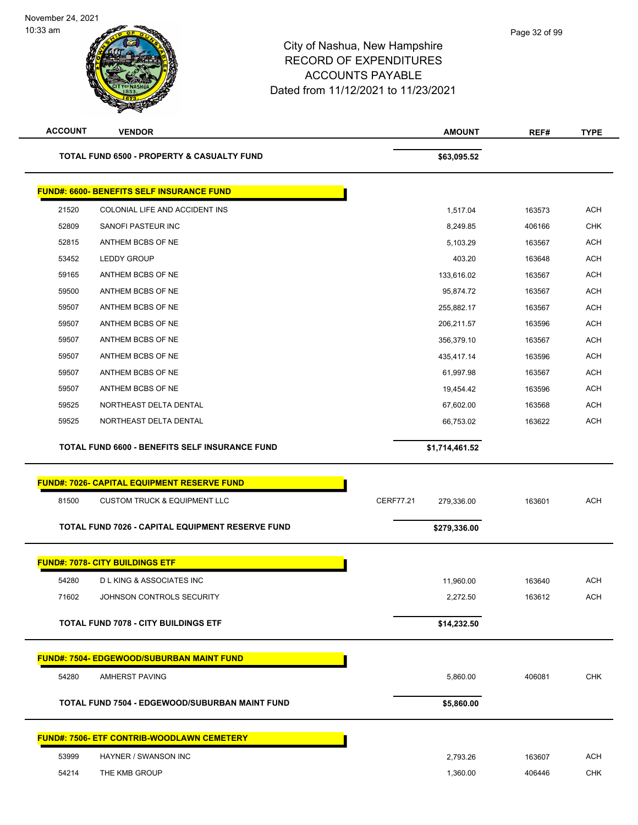## City of Nashua, New Hampshire RECORD OF EXPENDITURES ACCOUNTS PAYABLE Dated from 11/12/2021 to 11/23/2021

November 24, 2021

10:33 am

| <b>ACCOUNT</b> | <b>VENDOR</b>                                         | <b>AMOUNT</b>                  | REF#   | <b>TYPE</b> |
|----------------|-------------------------------------------------------|--------------------------------|--------|-------------|
|                | <b>TOTAL FUND 6500 - PROPERTY &amp; CASUALTY FUND</b> | \$63,095.52                    |        |             |
|                | <b>FUND#: 6600- BENEFITS SELF INSURANCE FUND</b>      |                                |        |             |
| 21520          | COLONIAL LIFE AND ACCIDENT INS                        | 1,517.04                       | 163573 | <b>ACH</b>  |
| 52809          | SANOFI PASTEUR INC                                    | 8,249.85                       | 406166 | <b>CHK</b>  |
| 52815          | ANTHEM BCBS OF NE                                     | 5,103.29                       | 163567 | <b>ACH</b>  |
| 53452          | LEDDY GROUP                                           | 403.20                         | 163648 | <b>ACH</b>  |
| 59165          | ANTHEM BCBS OF NE                                     | 133,616.02                     | 163567 | <b>ACH</b>  |
| 59500          | ANTHEM BCBS OF NE                                     | 95,874.72                      | 163567 | <b>ACH</b>  |
| 59507          | ANTHEM BCBS OF NE                                     | 255,882.17                     | 163567 | <b>ACH</b>  |
| 59507          | ANTHEM BCBS OF NE                                     | 206,211.57                     | 163596 | <b>ACH</b>  |
| 59507          | ANTHEM BCBS OF NE                                     | 356,379.10                     | 163567 | <b>ACH</b>  |
| 59507          | ANTHEM BCBS OF NE                                     | 435,417.14                     | 163596 | <b>ACH</b>  |
| 59507          | ANTHEM BCBS OF NE                                     | 61,997.98                      | 163567 | <b>ACH</b>  |
| 59507          | ANTHEM BCBS OF NE                                     | 19,454.42                      | 163596 | <b>ACH</b>  |
| 59525          | NORTHEAST DELTA DENTAL                                | 67,602.00                      | 163568 | <b>ACH</b>  |
| 59525          | NORTHEAST DELTA DENTAL                                | 66,753.02                      | 163622 | <b>ACH</b>  |
|                | TOTAL FUND 6600 - BENEFITS SELF INSURANCE FUND        | \$1,714,461.52                 |        |             |
|                | <b>FUND#: 7026- CAPITAL EQUIPMENT RESERVE FUND</b>    |                                |        |             |
| 81500          | <b>CUSTOM TRUCK &amp; EQUIPMENT LLC</b>               | <b>CERF77.21</b><br>279,336.00 | 163601 | <b>ACH</b>  |
|                | TOTAL FUND 7026 - CAPITAL EQUIPMENT RESERVE FUND      | \$279,336.00                   |        |             |
|                | <b>FUND#: 7078- CITY BUILDINGS ETF</b>                |                                |        |             |
| 54280          | <b>D L KING &amp; ASSOCIATES INC</b>                  | 11,960.00                      | 163640 | <b>ACH</b>  |
| 71602          | JOHNSON CONTROLS SECURITY                             | 2,272.50                       | 163612 | <b>ACH</b>  |
|                | <b>TOTAL FUND 7078 - CITY BUILDINGS ETF</b>           | \$14,232.50                    |        |             |
|                | <u>FUND#: 7504- EDGEWOOD/SUBURBAN MAINT FUND</u>      |                                |        |             |
| 54280          | AMHERST PAVING                                        | 5,860.00                       | 406081 | <b>CHK</b>  |
|                | TOTAL FUND 7504 - EDGEWOOD/SUBURBAN MAINT FUND        | \$5,860.00                     |        |             |
|                | <b>FUND#: 7506- ETF CONTRIB-WOODLAWN CEMETERY</b>     |                                |        |             |
| 53999          | HAYNER / SWANSON INC                                  | 2,793.26                       | 163607 | <b>ACH</b>  |
| 54214          | THE KMB GROUP                                         | 1,360.00                       | 406446 | <b>CHK</b>  |
|                |                                                       |                                |        |             |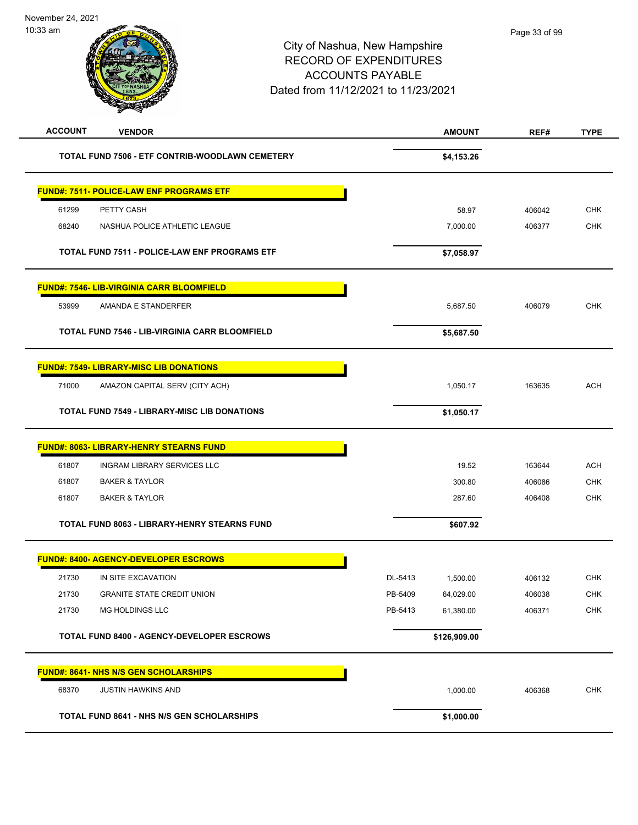| <b>ACCOUNT</b><br><b>VENDOR</b>                       | <b>AMOUNT</b>        | REF#   | <b>TYPE</b> |
|-------------------------------------------------------|----------------------|--------|-------------|
| TOTAL FUND 7506 - ETF CONTRIB-WOODLAWN CEMETERY       | \$4,153.26           |        |             |
| <b>FUND#: 7511- POLICE-LAW ENF PROGRAMS ETF</b>       |                      |        |             |
| 61299<br>PETTY CASH                                   | 58.97                | 406042 | <b>CHK</b>  |
| 68240<br>NASHUA POLICE ATHLETIC LEAGUE                | 7,000.00             | 406377 | <b>CHK</b>  |
| TOTAL FUND 7511 - POLICE-LAW ENF PROGRAMS ETF         | \$7,058.97           |        |             |
| <b>FUND#: 7546- LIB-VIRGINIA CARR BLOOMFIELD</b>      |                      |        |             |
| 53999<br>AMANDA E STANDERFER                          | 5,687.50             | 406079 | <b>CHK</b>  |
|                                                       |                      |        |             |
| <b>TOTAL FUND 7546 - LIB-VIRGINIA CARR BLOOMFIELD</b> | \$5,687.50           |        |             |
| <b>FUND#: 7549- LIBRARY-MISC LIB DONATIONS</b>        |                      |        |             |
| 71000<br>AMAZON CAPITAL SERV (CITY ACH)               | 1,050.17             | 163635 | <b>ACH</b>  |
| <b>TOTAL FUND 7549 - LIBRARY-MISC LIB DONATIONS</b>   | \$1,050.17           |        |             |
| <b>FUND#: 8063- LIBRARY-HENRY STEARNS FUND</b>        |                      |        |             |
| 61807<br>INGRAM LIBRARY SERVICES LLC                  | 19.52                | 163644 | <b>ACH</b>  |
| 61807<br><b>BAKER &amp; TAYLOR</b>                    | 300.80               | 406086 | <b>CHK</b>  |
| <b>BAKER &amp; TAYLOR</b><br>61807                    | 287.60               | 406408 | <b>CHK</b>  |
| <b>TOTAL FUND 8063 - LIBRARY-HENRY STEARNS FUND</b>   | \$607.92             |        |             |
| <b>FUND#: 8400- AGENCY-DEVELOPER ESCROWS</b>          |                      |        |             |
| 21730<br>IN SITE EXCAVATION                           | DL-5413<br>1,500.00  | 406132 | <b>CHK</b>  |
| 21730<br><b>GRANITE STATE CREDIT UNION</b>            | PB-5409<br>64,029.00 | 406038 | CHK         |
| 21730<br>MG HOLDINGS LLC                              | PB-5413<br>61,380.00 | 406371 | CHK         |
| TOTAL FUND 8400 - AGENCY-DEVELOPER ESCROWS            | \$126,909.00         |        |             |
| <b>FUND#: 8641- NHS N/S GEN SCHOLARSHIPS</b>          |                      |        |             |
| 68370<br><b>JUSTIN HAWKINS AND</b>                    | 1,000.00             | 406368 | <b>CHK</b>  |
| <b>TOTAL FUND 8641 - NHS N/S GEN SCHOLARSHIPS</b>     | \$1,000.00           |        |             |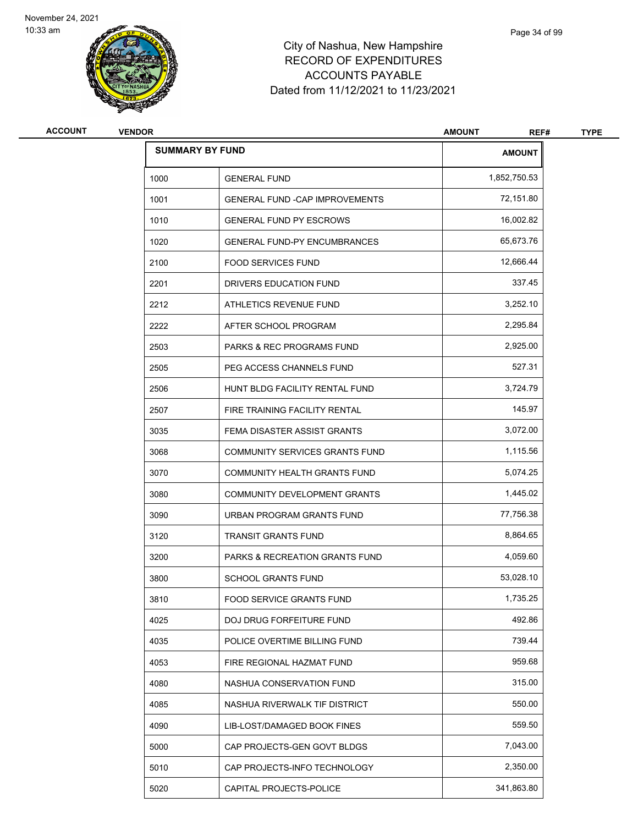

| Page 34 of 99 |
|---------------|
|               |

| <b>ACCOUNT</b> | <b>VENDOR</b>          |                                           | <b>AMOUNT</b><br>REF# | <b>TYPE</b> |
|----------------|------------------------|-------------------------------------------|-----------------------|-------------|
|                | <b>SUMMARY BY FUND</b> |                                           | <b>AMOUNT</b>         |             |
|                | 1000                   | <b>GENERAL FUND</b>                       | 1,852,750.53          |             |
|                | 1001                   | <b>GENERAL FUND - CAP IMPROVEMENTS</b>    | 72,151.80             |             |
|                | 1010                   | <b>GENERAL FUND PY ESCROWS</b>            | 16,002.82             |             |
|                | 1020                   | <b>GENERAL FUND-PY ENCUMBRANCES</b>       | 65,673.76             |             |
|                | 2100                   | <b>FOOD SERVICES FUND</b>                 | 12,666.44             |             |
|                | 2201                   | DRIVERS EDUCATION FUND                    | 337.45                |             |
|                | 2212                   | ATHLETICS REVENUE FUND                    | 3,252.10              |             |
|                | 2222                   | AFTER SCHOOL PROGRAM                      | 2,295.84              |             |
|                | 2503                   | <b>PARKS &amp; REC PROGRAMS FUND</b>      | 2,925.00              |             |
|                | 2505                   | PEG ACCESS CHANNELS FUND                  | 527.31                |             |
|                | 2506                   | HUNT BLDG FACILITY RENTAL FUND            | 3,724.79              |             |
|                | 2507                   | FIRE TRAINING FACILITY RENTAL             | 145.97                |             |
|                | 3035                   | FEMA DISASTER ASSIST GRANTS               | 3,072.00              |             |
|                | 3068                   | COMMUNITY SERVICES GRANTS FUND            | 1,115.56              |             |
|                | 3070                   | COMMUNITY HEALTH GRANTS FUND              | 5,074.25              |             |
|                | 3080                   | COMMUNITY DEVELOPMENT GRANTS              | 1,445.02              |             |
|                | 3090                   | URBAN PROGRAM GRANTS FUND                 | 77,756.38             |             |
|                | 3120                   | <b>TRANSIT GRANTS FUND</b>                | 8,864.65              |             |
|                | 3200                   | <b>PARKS &amp; RECREATION GRANTS FUND</b> | 4,059.60              |             |
|                | 3800                   | <b>SCHOOL GRANTS FUND</b>                 | 53,028.10             |             |
|                | 3810                   | FOOD SERVICE GRANTS FUND                  | 1,735.25              |             |
|                | 4025                   | <b>DOJ DRUG FORFEITURE FUND</b>           | 492.86                |             |
|                | 4035                   | POLICE OVERTIME BILLING FUND              | 739.44                |             |
|                | 4053                   | FIRE REGIONAL HAZMAT FUND                 | 959.68                |             |
|                | 4080                   | NASHUA CONSERVATION FUND                  | 315.00                |             |
|                | 4085                   | NASHUA RIVERWALK TIF DISTRICT             | 550.00                |             |
|                | 4090                   | LIB-LOST/DAMAGED BOOK FINES               | 559.50                |             |
|                | 5000                   | CAP PROJECTS-GEN GOVT BLDGS               | 7,043.00              |             |
|                | 5010                   | CAP PROJECTS-INFO TECHNOLOGY              | 2,350.00              |             |
|                | 5020                   | CAPITAL PROJECTS-POLICE                   | 341,863.80            |             |
|                |                        |                                           |                       |             |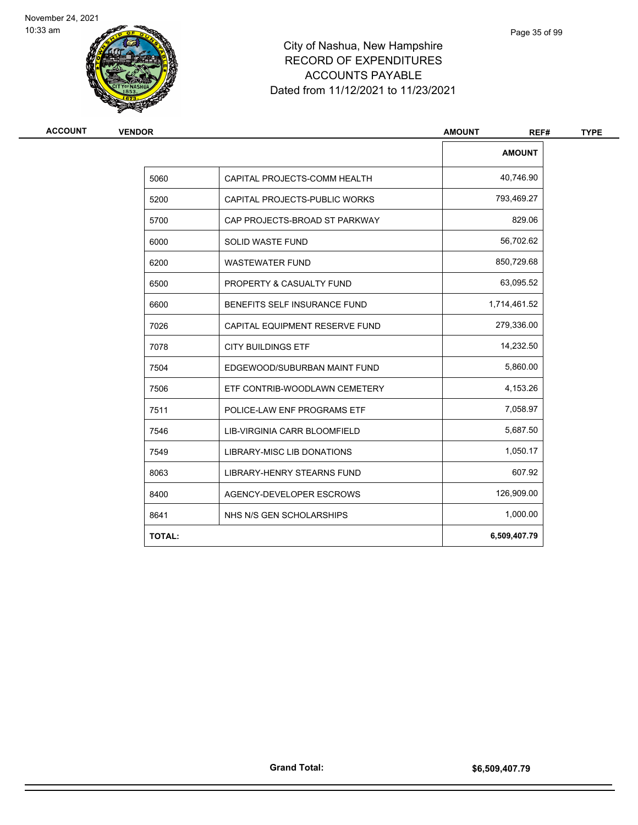

| <b>VENDOR</b> |                                   | <b>AMOUNT</b><br>REF# |
|---------------|-----------------------------------|-----------------------|
|               |                                   | <b>AMOUNT</b>         |
| 5060          | CAPITAL PROJECTS-COMM HEALTH      | 40,746.90             |
| 5200          | CAPITAL PROJECTS-PUBLIC WORKS     | 793,469.27            |
| 5700          | CAP PROJECTS-BROAD ST PARKWAY     | 829.06                |
| 6000          | <b>SOLID WASTE FUND</b>           | 56,702.62             |
| 6200          | <b>WASTEWATER FUND</b>            | 850,729.68            |
| 6500          | PROPERTY & CASUALTY FUND          | 63,095.52             |
| 6600          | BENEFITS SELF INSURANCE FUND      | 1,714,461.52          |
| 7026          | CAPITAL EQUIPMENT RESERVE FUND    | 279,336.00            |
| 7078          | <b>CITY BUILDINGS ETF</b>         | 14,232.50             |
| 7504          | EDGEWOOD/SUBURBAN MAINT FUND      | 5,860.00              |
| 7506          | ETF CONTRIB-WOODLAWN CEMETERY     | 4,153.26              |
| 7511          | POLICE-LAW ENF PROGRAMS ETF       | 7,058.97              |
| 7546          | LIB-VIRGINIA CARR BLOOMFIELD      | 5,687.50              |
| 7549          | <b>LIBRARY-MISC LIB DONATIONS</b> | 1,050.17              |
| 8063          | LIBRARY-HENRY STEARNS FUND        | 607.92                |
| 8400          | AGENCY-DEVELOPER ESCROWS          | 126,909.00            |
| 8641          | NHS N/S GEN SCHOLARSHIPS          | 1,000.00              |
| <b>TOTAL:</b> |                                   | 6,509,407.79          |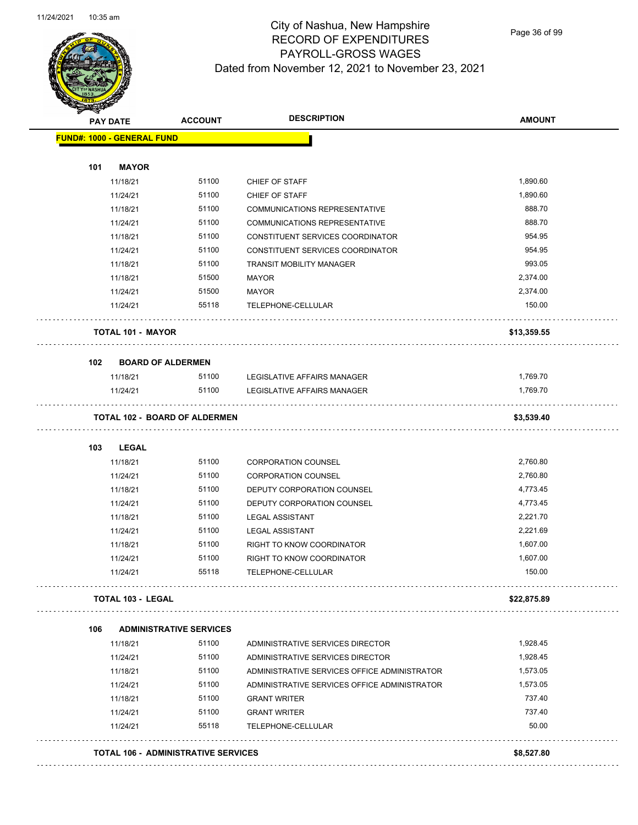

## City of Nashua, New Hampshire RECORD OF EXPENDITURES PAYROLL-GROSS WAGES Dated from November 12, 2021 to November 23, 2021

Page 36 of 99

|     | <b>PAY DATE</b>                   | <b>ACCOUNT</b>                             | <b>DESCRIPTION</b>                           | <b>AMOUNT</b> |
|-----|-----------------------------------|--------------------------------------------|----------------------------------------------|---------------|
|     | <b>FUND#: 1000 - GENERAL FUND</b> |                                            |                                              |               |
| 101 | <b>MAYOR</b>                      |                                            |                                              |               |
|     | 11/18/21                          | 51100                                      | <b>CHIEF OF STAFF</b>                        | 1,890.60      |
|     | 11/24/21                          | 51100                                      | CHIEF OF STAFF                               | 1,890.60      |
|     | 11/18/21                          | 51100                                      | <b>COMMUNICATIONS REPRESENTATIVE</b>         | 888.70        |
|     | 11/24/21                          | 51100                                      | <b>COMMUNICATIONS REPRESENTATIVE</b>         | 888.70        |
|     | 11/18/21                          | 51100                                      | CONSTITUENT SERVICES COORDINATOR             | 954.95        |
|     | 11/24/21                          | 51100                                      | CONSTITUENT SERVICES COORDINATOR             | 954.95        |
|     | 11/18/21                          | 51100                                      | TRANSIT MOBILITY MANAGER                     | 993.05        |
|     | 11/18/21                          | 51500                                      | <b>MAYOR</b>                                 | 2,374.00      |
|     | 11/24/21                          | 51500                                      | MAYOR                                        | 2,374.00      |
|     | 11/24/21                          | 55118                                      | TELEPHONE-CELLULAR                           | 150.00        |
|     | <b>TOTAL 101 - MAYOR</b>          |                                            |                                              | \$13,359.55   |
| 102 | <b>BOARD OF ALDERMEN</b>          |                                            |                                              |               |
|     | 11/18/21                          | 51100                                      | LEGISLATIVE AFFAIRS MANAGER                  | 1,769.70      |
|     | 11/24/21                          | 51100                                      | LEGISLATIVE AFFAIRS MANAGER                  | 1,769.70      |
|     |                                   | <b>TOTAL 102 - BOARD OF ALDERMEN</b>       |                                              | \$3,539.40    |
| 103 | <b>LEGAL</b>                      |                                            |                                              |               |
|     | 11/18/21                          | 51100                                      | <b>CORPORATION COUNSEL</b>                   | 2,760.80      |
|     | 11/24/21                          | 51100                                      | <b>CORPORATION COUNSEL</b>                   | 2,760.80      |
|     | 11/18/21                          | 51100                                      | DEPUTY CORPORATION COUNSEL                   | 4,773.45      |
|     | 11/24/21                          | 51100                                      | DEPUTY CORPORATION COUNSEL                   | 4,773.45      |
|     | 11/18/21                          | 51100                                      | <b>LEGAL ASSISTANT</b>                       | 2,221.70      |
|     | 11/24/21                          | 51100                                      | <b>LEGAL ASSISTANT</b>                       | 2,221.69      |
|     | 11/18/21                          | 51100                                      | RIGHT TO KNOW COORDINATOR                    | 1,607.00      |
|     | 11/24/21                          | 51100                                      | <b>RIGHT TO KNOW COORDINATOR</b>             | 1,607.00      |
|     | 11/24/21                          | 55118                                      | TELEPHONE-CELLULAR                           | 150.00        |
|     | <b>TOTAL 103 - LEGAL</b>          |                                            |                                              | \$22,875.89   |
| 106 |                                   | <b>ADMINISTRATIVE SERVICES</b>             |                                              |               |
|     | 11/18/21                          | 51100                                      | ADMINISTRATIVE SERVICES DIRECTOR             | 1,928.45      |
|     | 11/24/21                          | 51100                                      | ADMINISTRATIVE SERVICES DIRECTOR             | 1,928.45      |
|     | 11/18/21                          | 51100                                      | ADMINISTRATIVE SERVICES OFFICE ADMINISTRATOR | 1,573.05      |
|     | 11/24/21                          | 51100                                      | ADMINISTRATIVE SERVICES OFFICE ADMINISTRATOR | 1,573.05      |
|     | 11/18/21                          | 51100                                      | <b>GRANT WRITER</b>                          | 737.40        |
|     | 11/24/21                          | 51100                                      | <b>GRANT WRITER</b>                          | 737.40        |
|     | 11/24/21                          | 55118                                      | TELEPHONE-CELLULAR                           | 50.00         |
|     |                                   | <b>TOTAL 106 - ADMINISTRATIVE SERVICES</b> |                                              | \$8,527.80    |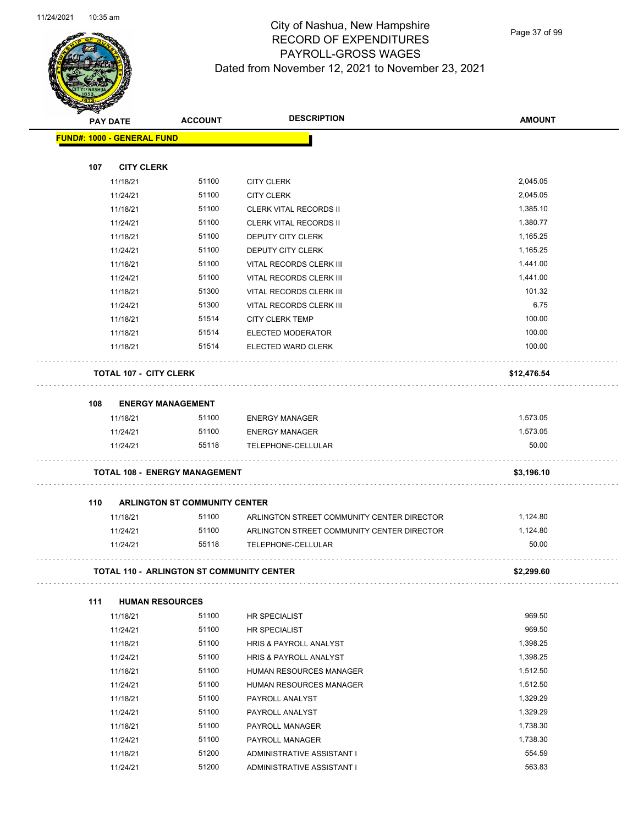

Page 37 of 99

| <b>Allen</b> |                                           |                                      | <b>DESCRIPTION</b>                                               |               |
|--------------|-------------------------------------------|--------------------------------------|------------------------------------------------------------------|---------------|
|              | <b>PAY DATE</b>                           | <b>ACCOUNT</b>                       |                                                                  | <b>AMOUNT</b> |
|              | <b>FUND#: 1000 - GENERAL FUND</b>         |                                      |                                                                  |               |
|              |                                           |                                      |                                                                  |               |
| 107          | <b>CITY CLERK</b><br>11/18/21             | 51100                                |                                                                  | 2,045.05      |
|              |                                           |                                      | <b>CITY CLERK</b>                                                |               |
|              | 11/24/21                                  | 51100                                | <b>CITY CLERK</b>                                                | 2,045.05      |
|              | 11/18/21                                  | 51100                                | <b>CLERK VITAL RECORDS II</b>                                    | 1,385.10      |
|              | 11/24/21                                  | 51100                                | <b>CLERK VITAL RECORDS II</b>                                    | 1,380.77      |
|              | 11/18/21                                  | 51100                                | <b>DEPUTY CITY CLERK</b>                                         | 1,165.25      |
|              | 11/24/21                                  | 51100                                | DEPUTY CITY CLERK                                                | 1,165.25      |
|              | 11/18/21                                  | 51100                                | VITAL RECORDS CLERK III                                          | 1,441.00      |
|              | 11/24/21                                  | 51100                                | VITAL RECORDS CLERK III                                          | 1,441.00      |
|              | 11/18/21                                  | 51300                                | VITAL RECORDS CLERK III                                          | 101.32        |
|              | 11/24/21                                  | 51300                                | VITAL RECORDS CLERK III                                          | 6.75          |
|              | 11/18/21                                  | 51514                                | <b>CITY CLERK TEMP</b>                                           | 100.00        |
|              | 11/18/21                                  | 51514                                | ELECTED MODERATOR                                                | 100.00        |
|              | 11/18/21                                  | 51514                                | ELECTED WARD CLERK                                               | 100.00        |
|              | <b>TOTAL 107 - CITY CLERK</b>             |                                      |                                                                  | \$12,476.54   |
| 108          | <b>ENERGY MANAGEMENT</b>                  |                                      |                                                                  |               |
|              | 11/18/21                                  | 51100                                | <b>ENERGY MANAGER</b>                                            | 1,573.05      |
|              | 11/24/21                                  | 51100                                | <b>ENERGY MANAGER</b>                                            | 1,573.05      |
|              | 11/24/21                                  | 55118                                | TELEPHONE-CELLULAR                                               | 50.00         |
|              | <b>TOTAL 108 - ENERGY MANAGEMENT</b>      |                                      |                                                                  | \$3,196.10    |
| 110          |                                           | <b>ARLINGTON ST COMMUNITY CENTER</b> |                                                                  |               |
|              | 11/18/21                                  | 51100                                | ARLINGTON STREET COMMUNITY CENTER DIRECTOR                       | 1,124.80      |
|              | 11/24/21                                  | 51100                                |                                                                  | 1,124.80      |
|              | 11/24/21                                  | 55118                                | ARLINGTON STREET COMMUNITY CENTER DIRECTOR<br>TELEPHONE-CELLULAR | 50.00         |
|              |                                           |                                      |                                                                  |               |
|              | TOTAL 110 - ARLINGTON ST COMMUNITY CENTER |                                      |                                                                  | \$2,299.60    |
| 111          | <b>HUMAN RESOURCES</b>                    |                                      |                                                                  |               |
|              | 11/18/21                                  | 51100                                | HR SPECIALIST                                                    | 969.50        |
|              | 11/24/21                                  | 51100                                | HR SPECIALIST                                                    | 969.50        |
|              | 11/18/21                                  | 51100                                | HRIS & PAYROLL ANALYST                                           | 1,398.25      |
|              | 11/24/21                                  | 51100                                | HRIS & PAYROLL ANALYST                                           | 1,398.25      |
|              | 11/18/21                                  | 51100                                | HUMAN RESOURCES MANAGER                                          | 1,512.50      |
|              | 11/24/21                                  | 51100                                | HUMAN RESOURCES MANAGER                                          | 1,512.50      |
|              | 11/18/21                                  | 51100                                | PAYROLL ANALYST                                                  | 1,329.29      |
|              | 11/24/21                                  | 51100                                | PAYROLL ANALYST                                                  | 1,329.29      |
|              | 11/18/21                                  | 51100                                | PAYROLL MANAGER                                                  | 1,738.30      |
|              | 11/24/21                                  | 51100                                | PAYROLL MANAGER                                                  | 1,738.30      |
|              | 11/18/21                                  | 51200                                | ADMINISTRATIVE ASSISTANT I                                       | 554.59        |
|              | 11/24/21                                  | 51200                                | ADMINISTRATIVE ASSISTANT I                                       | 563.83        |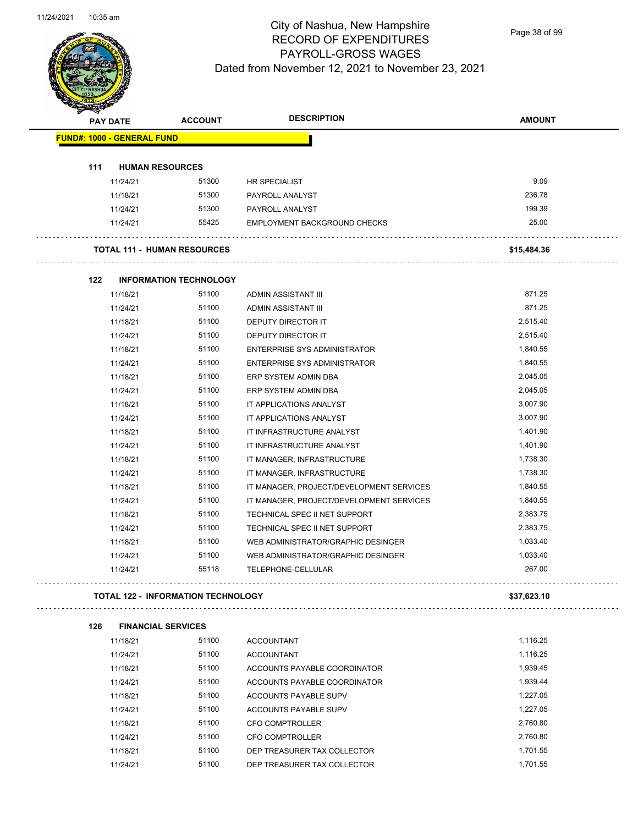

Page 38 of 99

| <b>PAY DATE</b>                   |          | <b>ACCOUNT</b>                            | <b>DESCRIPTION</b>                       | <b>AMOUNT</b> |
|-----------------------------------|----------|-------------------------------------------|------------------------------------------|---------------|
| <b>FUND#: 1000 - GENERAL FUND</b> |          |                                           |                                          |               |
|                                   |          |                                           |                                          |               |
| 111                               |          | <b>HUMAN RESOURCES</b>                    |                                          |               |
|                                   | 11/24/21 | 51300                                     | HR SPECIALIST                            | 9.09          |
|                                   | 11/18/21 | 51300                                     | PAYROLL ANALYST                          | 236.78        |
|                                   | 11/24/21 | 51300                                     | PAYROLL ANALYST                          | 199.39        |
|                                   | 11/24/21 | 55425                                     | <b>EMPLOYMENT BACKGROUND CHECKS</b>      | 25.00         |
|                                   |          | <b>TOTAL 111 - HUMAN RESOURCES</b>        |                                          | \$15,484.36   |
| 122                               |          | <b>INFORMATION TECHNOLOGY</b>             |                                          |               |
|                                   | 11/18/21 | 51100                                     | ADMIN ASSISTANT III                      | 871.25        |
|                                   | 11/24/21 | 51100                                     | ADMIN ASSISTANT III                      | 871.25        |
|                                   | 11/18/21 | 51100                                     | DEPUTY DIRECTOR IT                       | 2,515.40      |
|                                   | 11/24/21 | 51100                                     | DEPUTY DIRECTOR IT                       | 2,515.40      |
|                                   | 11/18/21 | 51100                                     | ENTERPRISE SYS ADMINISTRATOR             | 1,840.55      |
|                                   | 11/24/21 | 51100                                     | ENTERPRISE SYS ADMINISTRATOR             | 1,840.55      |
|                                   | 11/18/21 | 51100                                     | ERP SYSTEM ADMIN DBA                     | 2,045.05      |
|                                   | 11/24/21 | 51100                                     | ERP SYSTEM ADMIN DBA                     | 2,045.05      |
|                                   | 11/18/21 | 51100                                     | IT APPLICATIONS ANALYST                  | 3,007.90      |
|                                   | 11/24/21 | 51100                                     | IT APPLICATIONS ANALYST                  | 3,007.90      |
|                                   | 11/18/21 | 51100                                     | IT INFRASTRUCTURE ANALYST                | 1,401.90      |
|                                   | 11/24/21 | 51100                                     | IT INFRASTRUCTURE ANALYST                | 1,401.90      |
|                                   | 11/18/21 | 51100                                     | IT MANAGER, INFRASTRUCTURE               | 1,738.30      |
|                                   | 11/24/21 | 51100                                     | IT MANAGER, INFRASTRUCTURE               | 1,738.30      |
|                                   | 11/18/21 | 51100                                     | IT MANAGER, PROJECT/DEVELOPMENT SERVICES | 1,840.55      |
|                                   | 11/24/21 | 51100                                     | IT MANAGER, PROJECT/DEVELOPMENT SERVICES | 1,840.55      |
|                                   | 11/18/21 | 51100                                     | TECHNICAL SPEC II NET SUPPORT            | 2,383.75      |
|                                   | 11/24/21 | 51100                                     | TECHNICAL SPEC II NET SUPPORT            | 2,383.75      |
|                                   | 11/18/21 | 51100                                     | WEB ADMINISTRATOR/GRAPHIC DESINGER       | 1,033.40      |
|                                   | 11/24/21 | 51100                                     | WEB ADMINISTRATOR/GRAPHIC DESINGER       | 1,033.40      |
|                                   | 11/24/21 | 55118                                     | TELEPHONE-CELLULAR                       | 267.00        |
|                                   |          | <b>TOTAL 122 - INFORMATION TECHNOLOGY</b> |                                          | \$37,623.10   |
| 126                               |          | <b>FINANCIAL SERVICES</b>                 |                                          |               |
|                                   | 11/18/21 | 51100                                     | <b>ACCOUNTANT</b>                        | 1,116.25      |
|                                   | 11/24/21 | 51100                                     | <b>ACCOUNTANT</b>                        | 1,116.25      |
|                                   | 11/18/21 | 51100                                     | ACCOUNTS PAYABLE COORDINATOR             | 1,939.45      |
|                                   | 11/24/21 | 51100                                     | ACCOUNTS PAYABLE COORDINATOR             | 1,939.44      |
|                                   | 11/18/21 | 51100                                     | ACCOUNTS PAYABLE SUPV                    | 1,227.05      |
|                                   | 11/24/21 | 51100                                     | ACCOUNTS PAYABLE SUPV                    | 1,227.05      |
|                                   | 11/18/21 | 51100                                     | CFO COMPTROLLER                          | 2,760.80      |
|                                   | 11/24/21 | 51100                                     | <b>CFO COMPTROLLER</b>                   | 2,760.80      |
|                                   | 11/18/21 | 51100                                     | DEP TREASURER TAX COLLECTOR              | 1,701.55      |
|                                   | 11/24/21 | 51100                                     | DEP TREASURER TAX COLLECTOR              | 1,701.55      |
|                                   |          |                                           |                                          |               |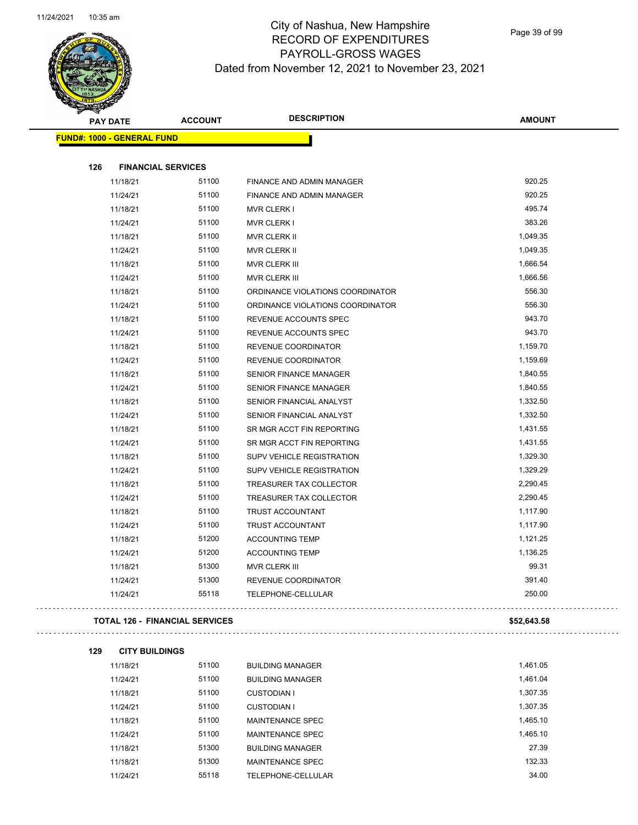

Page 39 of 99

| $\sum_{i=1}^n a_i$ |                                   |                                       |                                  |               |
|--------------------|-----------------------------------|---------------------------------------|----------------------------------|---------------|
|                    | <b>PAY DATE</b>                   | <b>ACCOUNT</b>                        | <b>DESCRIPTION</b>               | <b>AMOUNT</b> |
|                    | <b>FUND#: 1000 - GENERAL FUND</b> |                                       |                                  |               |
|                    |                                   |                                       |                                  |               |
| 126                | <b>FINANCIAL SERVICES</b>         |                                       |                                  |               |
|                    | 11/18/21                          | 51100                                 | FINANCE AND ADMIN MANAGER        | 920.25        |
|                    | 11/24/21                          | 51100                                 | FINANCE AND ADMIN MANAGER        | 920.25        |
|                    | 11/18/21                          | 51100                                 | <b>MVR CLERK I</b>               | 495.74        |
|                    | 11/24/21                          | 51100                                 | <b>MVR CLERK I</b>               | 383.26        |
|                    | 11/18/21                          | 51100                                 | MVR CLERK II                     | 1,049.35      |
|                    | 11/24/21                          | 51100                                 | MVR CLERK II                     | 1,049.35      |
|                    | 11/18/21                          | 51100                                 | MVR CLERK III                    | 1,666.54      |
|                    | 11/24/21                          | 51100                                 | MVR CLERK III                    | 1,666.56      |
|                    | 11/18/21                          | 51100                                 | ORDINANCE VIOLATIONS COORDINATOR | 556.30        |
|                    | 11/24/21                          | 51100                                 | ORDINANCE VIOLATIONS COORDINATOR | 556.30        |
|                    | 11/18/21                          | 51100                                 | REVENUE ACCOUNTS SPEC            | 943.70        |
|                    | 11/24/21                          | 51100                                 | REVENUE ACCOUNTS SPEC            | 943.70        |
|                    | 11/18/21                          | 51100                                 | REVENUE COORDINATOR              | 1,159.70      |
|                    | 11/24/21                          | 51100                                 | REVENUE COORDINATOR              | 1,159.69      |
|                    | 11/18/21                          | 51100                                 | <b>SENIOR FINANCE MANAGER</b>    | 1,840.55      |
|                    | 11/24/21                          | 51100                                 | SENIOR FINANCE MANAGER           | 1,840.55      |
|                    | 11/18/21                          | 51100                                 | SENIOR FINANCIAL ANALYST         | 1,332.50      |
|                    | 11/24/21                          | 51100                                 | SENIOR FINANCIAL ANALYST         | 1,332.50      |
|                    | 11/18/21                          | 51100                                 | SR MGR ACCT FIN REPORTING        | 1,431.55      |
|                    | 11/24/21                          | 51100                                 | SR MGR ACCT FIN REPORTING        | 1,431.55      |
|                    | 11/18/21                          | 51100                                 | SUPV VEHICLE REGISTRATION        | 1,329.30      |
|                    | 11/24/21                          | 51100                                 | SUPV VEHICLE REGISTRATION        | 1,329.29      |
|                    | 11/18/21                          | 51100                                 | TREASURER TAX COLLECTOR          | 2,290.45      |
|                    | 11/24/21                          | 51100                                 | TREASURER TAX COLLECTOR          | 2,290.45      |
|                    | 11/18/21                          | 51100                                 | TRUST ACCOUNTANT                 | 1,117.90      |
|                    | 11/24/21                          | 51100                                 | TRUST ACCOUNTANT                 | 1,117.90      |
|                    | 11/18/21                          | 51200                                 | <b>ACCOUNTING TEMP</b>           | 1,121.25      |
|                    | 11/24/21                          | 51200                                 | <b>ACCOUNTING TEMP</b>           | 1,136.25      |
|                    | 11/18/21                          | 51300                                 | <b>MVR CLERK III</b>             | 99.31         |
|                    | 11/24/21                          | 51300                                 | REVENUE COORDINATOR              | 391.40        |
|                    | 11/24/21                          | 55118                                 | TELEPHONE-CELLULAR               | 250.00        |
|                    |                                   | <b>TOTAL 126 - FINANCIAL SERVICES</b> |                                  | \$52,643.58   |
| 129                | <b>CITY BUILDINGS</b>             |                                       |                                  |               |
|                    | 11/18/21                          | 51100                                 | <b>BUILDING MANAGER</b>          | 1,461.05      |

| 11/18/21 | 51100 | <b>BUILDING MANAGER</b> | 1.461.05 |
|----------|-------|-------------------------|----------|
| 11/24/21 | 51100 | <b>BUILDING MANAGER</b> | 1.461.04 |
| 11/18/21 | 51100 | <b>CUSTODIAN I</b>      | 1.307.35 |
| 11/24/21 | 51100 | <b>CUSTODIAN I</b>      | 1,307.35 |
| 11/18/21 | 51100 | MAINTENANCE SPEC        | 1.465.10 |
| 11/24/21 | 51100 | MAINTENANCE SPEC        | 1,465.10 |
| 11/18/21 | 51300 | <b>BUILDING MANAGER</b> | 27.39    |
| 11/18/21 | 51300 | MAINTENANCE SPEC        | 132.33   |
| 11/24/21 | 55118 | TELEPHONE-CELLULAR      | 34.00    |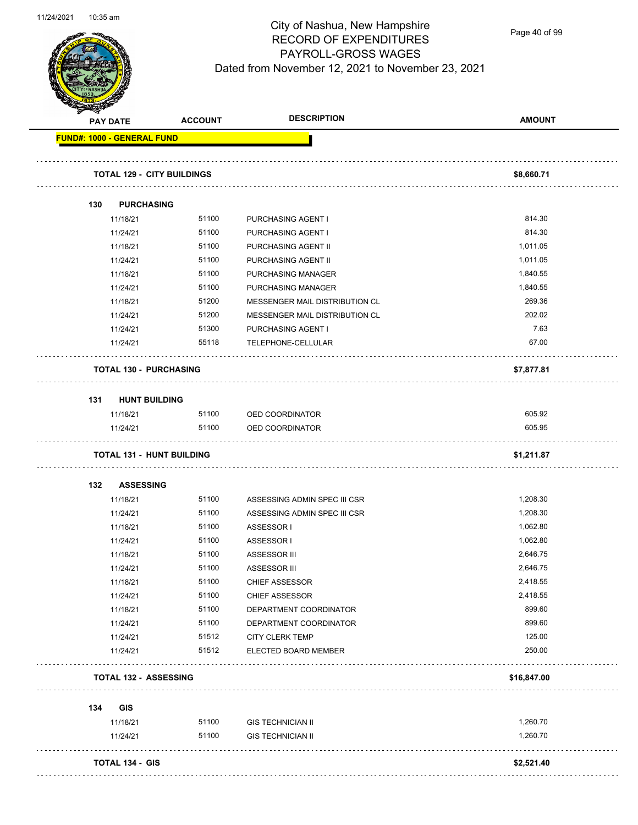

Page 40 of 99

|     | <b>PAY DATE</b>                   | <b>ACCOUNT</b> | <b>DESCRIPTION</b>                       | <b>AMOUNT</b>    |
|-----|-----------------------------------|----------------|------------------------------------------|------------------|
|     | <b>FUND#: 1000 - GENERAL FUND</b> |                |                                          |                  |
|     |                                   |                |                                          |                  |
|     | <b>TOTAL 129 - CITY BUILDINGS</b> |                |                                          | \$8,660.71       |
|     |                                   |                |                                          |                  |
| 130 | <b>PURCHASING</b>                 |                |                                          |                  |
|     | 11/18/21                          | 51100          | PURCHASING AGENT I                       | 814.30           |
|     | 11/24/21                          | 51100          | PURCHASING AGENT I                       | 814.30           |
|     | 11/18/21                          | 51100<br>51100 | PURCHASING AGENT II                      | 1,011.05         |
|     | 11/24/21                          | 51100          | PURCHASING AGENT II                      | 1,011.05         |
|     | 11/18/21                          |                | PURCHASING MANAGER                       | 1,840.55         |
|     | 11/24/21                          | 51100          | PURCHASING MANAGER                       | 1,840.55         |
|     | 11/18/21                          | 51200<br>51200 | MESSENGER MAIL DISTRIBUTION CL           | 269.36<br>202.02 |
|     | 11/24/21                          | 51300          | MESSENGER MAIL DISTRIBUTION CL           | 7.63             |
|     | 11/24/21<br>11/24/21              | 55118          | PURCHASING AGENT I<br>TELEPHONE-CELLULAR | 67.00            |
|     | .                                 |                |                                          |                  |
|     | <b>TOTAL 130 - PURCHASING</b>     |                |                                          | \$7,877.81       |
| 131 | <b>HUNT BUILDING</b>              |                |                                          |                  |
|     | 11/18/21                          | 51100          | OED COORDINATOR                          | 605.92           |
|     | 11/24/21                          | 51100          | OED COORDINATOR                          | 605.95           |
|     | <b>TOTAL 131 - HUNT BUILDING</b>  | .              |                                          | \$1,211.87       |
| 132 | <b>ASSESSING</b>                  |                |                                          |                  |
|     | 11/18/21                          | 51100          | ASSESSING ADMIN SPEC III CSR             | 1,208.30         |
|     | 11/24/21                          | 51100          |                                          | 1,208.30         |
|     |                                   | 51100          | ASSESSING ADMIN SPEC III CSR             |                  |
|     | 11/18/21                          |                | ASSESSOR I                               |                  |
|     |                                   |                |                                          | 1,062.80         |
|     | 11/24/21                          | 51100          | ASSESSOR I                               | 1,062.80         |
|     | 11/18/21                          | 51100          | ASSESSOR III                             | 2,646.75         |
|     | 11/24/21                          | 51100          | <b>ASSESSOR III</b>                      | 2,646.75         |
|     | 11/18/21                          | 51100          | <b>CHIEF ASSESSOR</b>                    | 2,418.55         |
|     | 11/24/21                          | 51100          | <b>CHIEF ASSESSOR</b>                    | 2,418.55         |
|     | 11/18/21                          | 51100          | DEPARTMENT COORDINATOR                   | 899.60           |
|     | 11/24/21                          | 51100          | DEPARTMENT COORDINATOR                   | 899.60           |
|     | 11/24/21                          | 51512          | <b>CITY CLERK TEMP</b>                   | 125.00           |
|     | 11/24/21                          | 51512          | ELECTED BOARD MEMBER                     | 250.00           |
|     | <b>TOTAL 132 - ASSESSING</b>      |                |                                          | \$16,847.00      |
| 134 | <b>GIS</b>                        |                |                                          |                  |
|     | 11/18/21                          | 51100          | <b>GIS TECHNICIAN II</b>                 | 1,260.70         |
|     | 11/24/21                          | 51100          | <b>GIS TECHNICIAN II</b>                 | 1,260.70         |
|     |                                   |                |                                          |                  |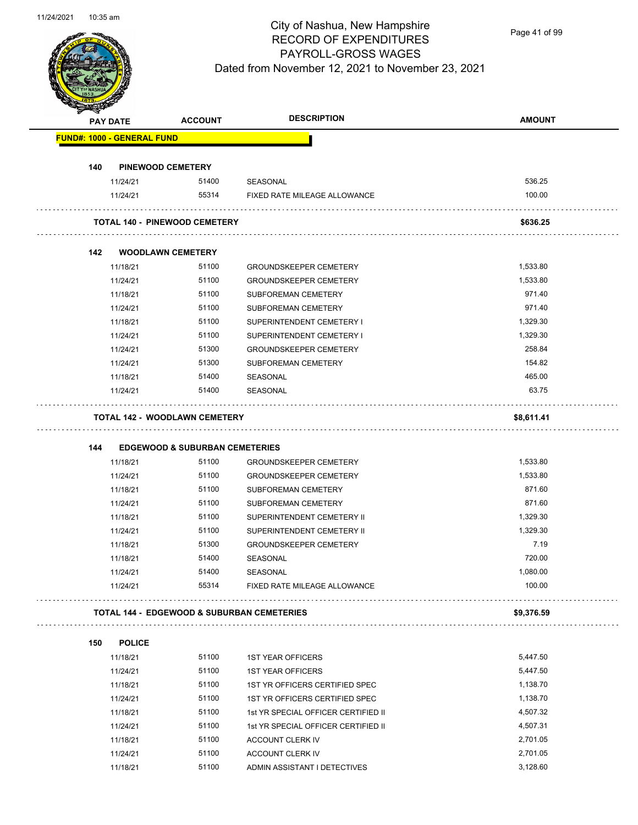

Page 41 of 99

|     | <b>PAY DATE</b>                   | <b>ACCOUNT</b>                            | <b>DESCRIPTION</b>                                    | <b>AMOUNT</b>        |
|-----|-----------------------------------|-------------------------------------------|-------------------------------------------------------|----------------------|
|     | <b>FUND#: 1000 - GENERAL FUND</b> |                                           |                                                       |                      |
| 140 |                                   | <b>PINEWOOD CEMETERY</b>                  |                                                       |                      |
|     | 11/24/21                          | 51400                                     | SEASONAL                                              | 536.25               |
|     | 11/24/21                          | 55314                                     | FIXED RATE MILEAGE ALLOWANCE                          | 100.00               |
|     |                                   | <b>TOTAL 140 - PINEWOOD CEMETERY</b>      |                                                       | \$636.25             |
| 142 |                                   | <b>WOODLAWN CEMETERY</b>                  |                                                       |                      |
|     | 11/18/21                          | 51100                                     | <b>GROUNDSKEEPER CEMETERY</b>                         | 1,533.80             |
|     | 11/24/21                          | 51100                                     | <b>GROUNDSKEEPER CEMETERY</b>                         | 1,533.80             |
|     | 11/18/21                          | 51100                                     | SUBFOREMAN CEMETERY                                   | 971.40               |
|     | 11/24/21                          | 51100                                     | SUBFOREMAN CEMETERY                                   | 971.40               |
|     | 11/18/21                          | 51100                                     | SUPERINTENDENT CEMETERY I                             | 1,329.30             |
|     | 11/24/21                          | 51100                                     | SUPERINTENDENT CEMETERY I                             | 1,329.30             |
|     | 11/24/21                          | 51300                                     | <b>GROUNDSKEEPER CEMETERY</b>                         | 258.84               |
|     | 11/24/21                          | 51300                                     | SUBFOREMAN CEMETERY                                   | 154.82               |
|     | 11/18/21                          | 51400                                     | SEASONAL                                              | 465.00               |
|     | 11/24/21                          | 51400                                     | SEASONAL                                              | 63.75                |
|     |                                   | <b>TOTAL 142 - WOODLAWN CEMETERY</b>      |                                                       | \$8,611.41           |
| 144 |                                   | <b>EDGEWOOD &amp; SUBURBAN CEMETERIES</b> |                                                       |                      |
|     | 11/18/21                          | 51100                                     | <b>GROUNDSKEEPER CEMETERY</b>                         | 1,533.80             |
|     | 11/24/21                          | 51100                                     | <b>GROUNDSKEEPER CEMETERY</b>                         | 1,533.80             |
|     | 11/18/21                          | 51100                                     | <b>SUBFOREMAN CEMETERY</b>                            | 871.60               |
|     | 11/24/21                          | 51100                                     | <b>SUBFOREMAN CEMETERY</b>                            | 871.60               |
|     | 11/18/21                          | 51100                                     | SUPERINTENDENT CEMETERY II                            | 1,329.30             |
|     | 11/24/21                          | 51100                                     | SUPERINTENDENT CEMETERY II                            | 1,329.30             |
|     | 11/18/21                          | 51300                                     | <b>GROUNDSKEEPER CEMETERY</b>                         | 7.19                 |
|     | 11/18/21                          | 51400                                     | <b>SEASONAL</b>                                       | 720.00               |
|     |                                   | 51400                                     |                                                       | 1,080.00             |
|     | 11/24/21<br>11/24/21              | 55314                                     | SEASONAL<br>FIXED RATE MILEAGE ALLOWANCE              | 100.00               |
|     |                                   |                                           | <b>TOTAL 144 - EDGEWOOD &amp; SUBURBAN CEMETERIES</b> | \$9,376.59           |
| 150 | <b>POLICE</b>                     |                                           |                                                       |                      |
|     | 11/18/21                          | 51100                                     | <b>1ST YEAR OFFICERS</b>                              | 5,447.50             |
|     | 11/24/21                          | 51100                                     | <b>1ST YEAR OFFICERS</b>                              | 5,447.50             |
|     | 11/18/21                          | 51100                                     | 1ST YR OFFICERS CERTIFIED SPEC                        | 1,138.70             |
|     | 11/24/21                          | 51100                                     | 1ST YR OFFICERS CERTIFIED SPEC                        | 1,138.70             |
|     | 11/18/21                          | 51100                                     | 1st YR SPECIAL OFFICER CERTIFIED II                   | 4,507.32             |
|     | 11/24/21                          | 51100                                     | 1st YR SPECIAL OFFICER CERTIFIED II                   | 4,507.31             |
|     |                                   |                                           |                                                       |                      |
|     |                                   |                                           |                                                       |                      |
|     | 11/18/21<br>11/24/21              | 51100<br>51100                            | ACCOUNT CLERK IV<br>ACCOUNT CLERK IV                  | 2,701.05<br>2,701.05 |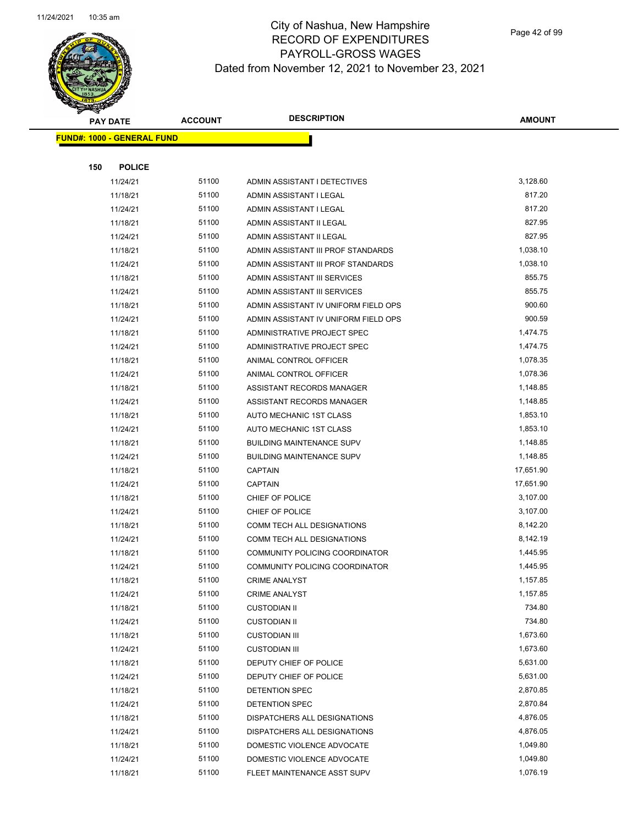

|     | <b>PAY DATE</b>                    | <b>ACCOUNT</b> | <b>DESCRIPTION</b>                    | <b>AMOUNT</b> |
|-----|------------------------------------|----------------|---------------------------------------|---------------|
|     | <u> FUND#: 1000 - GENERAL FUND</u> |                |                                       |               |
|     |                                    |                |                                       |               |
| 150 | <b>POLICE</b>                      |                |                                       |               |
|     | 11/24/21                           | 51100          | ADMIN ASSISTANT I DETECTIVES          | 3,128.60      |
|     | 11/18/21                           | 51100          | ADMIN ASSISTANT I LEGAL               | 817.20        |
|     | 11/24/21                           | 51100          | ADMIN ASSISTANT I LEGAL               | 817.20        |
|     | 11/18/21                           | 51100          | ADMIN ASSISTANT II LEGAL              | 827.95        |
|     | 11/24/21                           | 51100          | ADMIN ASSISTANT II LEGAL              | 827.95        |
|     | 11/18/21                           | 51100          | ADMIN ASSISTANT III PROF STANDARDS    | 1,038.10      |
|     | 11/24/21                           | 51100          | ADMIN ASSISTANT III PROF STANDARDS    | 1,038.10      |
|     | 11/18/21                           | 51100          | ADMIN ASSISTANT III SERVICES          | 855.75        |
|     | 11/24/21                           | 51100          | ADMIN ASSISTANT III SERVICES          | 855.75        |
|     | 11/18/21                           | 51100          | ADMIN ASSISTANT IV UNIFORM FIELD OPS  | 900.60        |
|     | 11/24/21                           | 51100          | ADMIN ASSISTANT IV UNIFORM FIELD OPS  | 900.59        |
|     | 11/18/21                           | 51100          | ADMINISTRATIVE PROJECT SPEC           | 1,474.75      |
|     | 11/24/21                           | 51100          | ADMINISTRATIVE PROJECT SPEC           | 1,474.75      |
|     | 11/18/21                           | 51100          | ANIMAL CONTROL OFFICER                | 1,078.35      |
|     | 11/24/21                           | 51100          | ANIMAL CONTROL OFFICER                | 1,078.36      |
|     | 11/18/21                           | 51100          | ASSISTANT RECORDS MANAGER             | 1,148.85      |
|     | 11/24/21                           | 51100          | ASSISTANT RECORDS MANAGER             | 1,148.85      |
|     | 11/18/21                           | 51100          | AUTO MECHANIC 1ST CLASS               | 1,853.10      |
|     | 11/24/21                           | 51100          | AUTO MECHANIC 1ST CLASS               | 1,853.10      |
|     | 11/18/21                           | 51100          | <b>BUILDING MAINTENANCE SUPV</b>      | 1,148.85      |
|     | 11/24/21                           | 51100          | <b>BUILDING MAINTENANCE SUPV</b>      | 1,148.85      |
|     | 11/18/21                           | 51100          | <b>CAPTAIN</b>                        | 17,651.90     |
|     | 11/24/21                           | 51100          | <b>CAPTAIN</b>                        | 17,651.90     |
|     | 11/18/21                           | 51100          | CHIEF OF POLICE                       | 3,107.00      |
|     | 11/24/21                           | 51100          | CHIEF OF POLICE                       | 3,107.00      |
|     | 11/18/21                           | 51100          | COMM TECH ALL DESIGNATIONS            | 8,142.20      |
|     | 11/24/21                           | 51100          | COMM TECH ALL DESIGNATIONS            | 8,142.19      |
|     | 11/18/21                           | 51100          | COMMUNITY POLICING COORDINATOR        | 1,445.95      |
|     | 11/24/21                           | 51100          | <b>COMMUNITY POLICING COORDINATOR</b> | 1,445.95      |
|     | 11/18/21                           | 51100          | <b>CRIME ANALYST</b>                  | 1,157.85      |
|     | 11/24/21                           | 51100          | <b>CRIME ANALYST</b>                  | 1,157.85      |
|     | 11/18/21                           | 51100          | <b>CUSTODIAN II</b>                   | 734.80        |
|     | 11/24/21                           | 51100          | <b>CUSTODIAN II</b>                   | 734.80        |
|     | 11/18/21                           | 51100          | <b>CUSTODIAN III</b>                  | 1,673.60      |
|     | 11/24/21                           | 51100          | <b>CUSTODIAN III</b>                  | 1,673.60      |
|     | 11/18/21                           | 51100          | DEPUTY CHIEF OF POLICE                | 5,631.00      |
|     | 11/24/21                           | 51100          | DEPUTY CHIEF OF POLICE                | 5,631.00      |
|     | 11/18/21                           | 51100          | DETENTION SPEC                        | 2,870.85      |
|     | 11/24/21                           | 51100          | DETENTION SPEC                        | 2,870.84      |
|     | 11/18/21                           | 51100          | DISPATCHERS ALL DESIGNATIONS          | 4,876.05      |
|     | 11/24/21                           | 51100          | DISPATCHERS ALL DESIGNATIONS          | 4,876.05      |
|     | 11/18/21                           | 51100          | DOMESTIC VIOLENCE ADVOCATE            | 1,049.80      |
|     | 11/24/21                           | 51100          | DOMESTIC VIOLENCE ADVOCATE            | 1,049.80      |
|     | 11/18/21                           | 51100          | FLEET MAINTENANCE ASST SUPV           | 1,076.19      |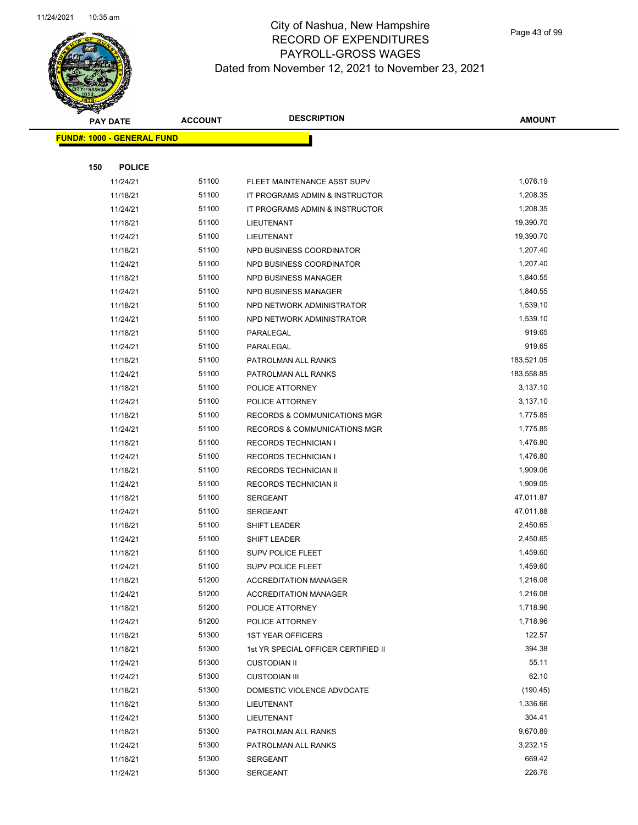

|     | <b>PAY DATE</b>                    | <b>ACCOUNT</b> | <b>DESCRIPTION</b>                  | <b>AMOUNT</b> |
|-----|------------------------------------|----------------|-------------------------------------|---------------|
|     | <u> FUND#: 1000 - GENERAL FUND</u> |                |                                     |               |
|     |                                    |                |                                     |               |
| 150 | <b>POLICE</b>                      |                |                                     |               |
|     | 11/24/21                           | 51100          | FLEET MAINTENANCE ASST SUPV         | 1,076.19      |
|     | 11/18/21                           | 51100          | IT PROGRAMS ADMIN & INSTRUCTOR      | 1,208.35      |
|     | 11/24/21                           | 51100          | IT PROGRAMS ADMIN & INSTRUCTOR      | 1,208.35      |
|     | 11/18/21                           | 51100          | LIEUTENANT                          | 19,390.70     |
|     | 11/24/21                           | 51100          | LIEUTENANT                          | 19,390.70     |
|     | 11/18/21                           | 51100          | NPD BUSINESS COORDINATOR            | 1,207.40      |
|     | 11/24/21                           | 51100          | NPD BUSINESS COORDINATOR            | 1,207.40      |
|     | 11/18/21                           | 51100          | NPD BUSINESS MANAGER                | 1,840.55      |
|     | 11/24/21                           | 51100          | NPD BUSINESS MANAGER                | 1,840.55      |
|     | 11/18/21                           | 51100          | NPD NETWORK ADMINISTRATOR           | 1,539.10      |
|     | 11/24/21                           | 51100          | NPD NETWORK ADMINISTRATOR           | 1,539.10      |
|     | 11/18/21                           | 51100          | PARALEGAL                           | 919.65        |
|     | 11/24/21                           | 51100          | PARALEGAL                           | 919.65        |
|     | 11/18/21                           | 51100          | PATROLMAN ALL RANKS                 | 183,521.05    |
|     | 11/24/21                           | 51100          | PATROLMAN ALL RANKS                 | 183,558.85    |
|     | 11/18/21                           | 51100          | POLICE ATTORNEY                     | 3,137.10      |
|     | 11/24/21                           | 51100          | POLICE ATTORNEY                     | 3,137.10      |
|     | 11/18/21                           | 51100          | RECORDS & COMMUNICATIONS MGR        | 1,775.85      |
|     | 11/24/21                           | 51100          | RECORDS & COMMUNICATIONS MGR        | 1,775.85      |
|     | 11/18/21                           | 51100          | <b>RECORDS TECHNICIAN I</b>         | 1,476.80      |
|     | 11/24/21                           | 51100          | <b>RECORDS TECHNICIAN I</b>         | 1,476.80      |
|     | 11/18/21                           | 51100          | <b>RECORDS TECHNICIAN II</b>        | 1,909.06      |
|     | 11/24/21                           | 51100          | <b>RECORDS TECHNICIAN II</b>        | 1,909.05      |
|     | 11/18/21                           | 51100          | <b>SERGEANT</b>                     | 47,011.87     |
|     | 11/24/21                           | 51100          | <b>SERGEANT</b>                     | 47,011.88     |
|     | 11/18/21                           | 51100          | SHIFT LEADER                        | 2,450.65      |
|     | 11/24/21                           | 51100          | SHIFT LEADER                        | 2,450.65      |
|     | 11/18/21                           | 51100          | <b>SUPV POLICE FLEET</b>            | 1,459.60      |
|     | 11/24/21                           | 51100          | <b>SUPV POLICE FLEET</b>            | 1,459.60      |
|     | 11/18/21                           | 51200          | <b>ACCREDITATION MANAGER</b>        | 1,216.08      |
|     | 11/24/21                           | 51200          | ACCREDITATION MANAGER               | 1,216.08      |
|     | 11/18/21                           | 51200          | POLICE ATTORNEY                     | 1,718.96      |
|     | 11/24/21                           | 51200          | POLICE ATTORNEY                     | 1,718.96      |
|     | 11/18/21                           | 51300          | <b>1ST YEAR OFFICERS</b>            | 122.57        |
|     | 11/18/21                           | 51300          | 1st YR SPECIAL OFFICER CERTIFIED II | 394.38        |
|     | 11/24/21                           | 51300          | <b>CUSTODIAN II</b>                 | 55.11         |
|     | 11/24/21                           | 51300          | <b>CUSTODIAN III</b>                | 62.10         |
|     | 11/18/21                           | 51300          | DOMESTIC VIOLENCE ADVOCATE          | (190.45)      |
|     | 11/18/21                           | 51300          | LIEUTENANT                          | 1,336.66      |
|     | 11/24/21                           | 51300          | LIEUTENANT                          | 304.41        |
|     | 11/18/21                           | 51300          | PATROLMAN ALL RANKS                 | 9,670.89      |
|     | 11/24/21                           | 51300          | PATROLMAN ALL RANKS                 | 3,232.15      |
|     | 11/18/21                           | 51300          | <b>SERGEANT</b>                     | 669.42        |
|     | 11/24/21                           | 51300          | SERGEANT                            | 226.76        |
|     |                                    |                |                                     |               |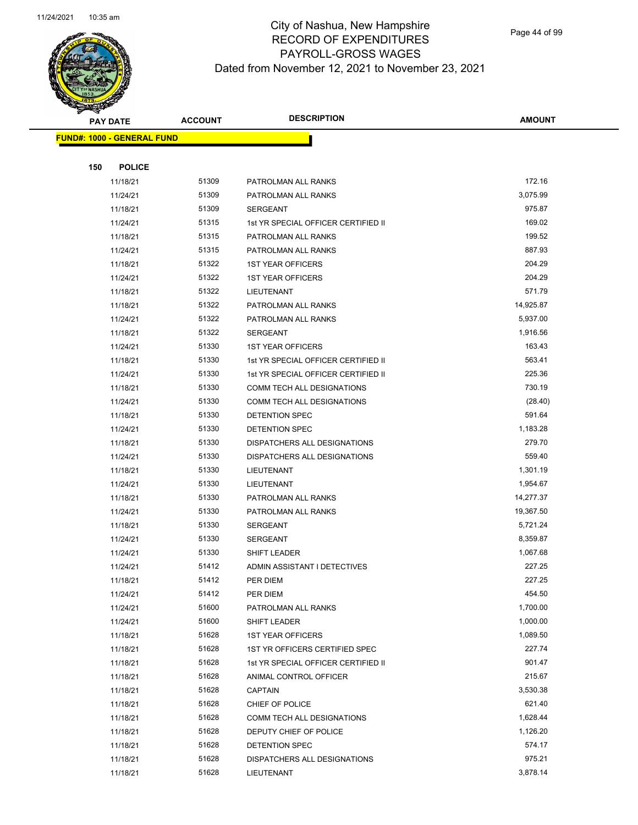

Page 44 of 99

|     | <b>PAY DATE</b>                   | <b>ACCOUNT</b> | <b>DESCRIPTION</b>                  | <b>AMOUNT</b> |
|-----|-----------------------------------|----------------|-------------------------------------|---------------|
|     | <b>FUND#: 1000 - GENERAL FUND</b> |                |                                     |               |
|     |                                   |                |                                     |               |
| 150 | <b>POLICE</b>                     |                |                                     |               |
|     | 11/18/21                          | 51309          | PATROLMAN ALL RANKS                 | 172.16        |
|     | 11/24/21                          | 51309          | PATROLMAN ALL RANKS                 | 3,075.99      |
|     | 11/18/21                          | 51309          | <b>SERGEANT</b>                     | 975.87        |
|     | 11/24/21                          | 51315          | 1st YR SPECIAL OFFICER CERTIFIED II | 169.02        |
|     | 11/18/21                          | 51315          | PATROLMAN ALL RANKS                 | 199.52        |
|     | 11/24/21                          | 51315          | PATROLMAN ALL RANKS                 | 887.93        |
|     | 11/18/21                          | 51322          | <b>1ST YEAR OFFICERS</b>            | 204.29        |
|     | 11/24/21                          | 51322          | <b>1ST YEAR OFFICERS</b>            | 204.29        |
|     | 11/18/21                          | 51322          | LIEUTENANT                          | 571.79        |
|     | 11/18/21                          | 51322          | PATROLMAN ALL RANKS                 | 14,925.87     |
|     | 11/24/21                          | 51322          | PATROLMAN ALL RANKS                 | 5,937.00      |
|     | 11/18/21                          | 51322          | <b>SERGEANT</b>                     | 1,916.56      |
|     | 11/24/21                          | 51330          | <b>1ST YEAR OFFICERS</b>            | 163.43        |
|     | 11/18/21                          | 51330          | 1st YR SPECIAL OFFICER CERTIFIED II | 563.41        |
|     | 11/24/21                          | 51330          | 1st YR SPECIAL OFFICER CERTIFIED II | 225.36        |
|     | 11/18/21                          | 51330          | COMM TECH ALL DESIGNATIONS          | 730.19        |
|     | 11/24/21                          | 51330          | COMM TECH ALL DESIGNATIONS          | (28.40)       |
|     | 11/18/21                          | 51330          | DETENTION SPEC                      | 591.64        |
|     | 11/24/21                          | 51330          | DETENTION SPEC                      | 1,183.28      |
|     | 11/18/21                          | 51330          | DISPATCHERS ALL DESIGNATIONS        | 279.70        |
|     | 11/24/21                          | 51330          | DISPATCHERS ALL DESIGNATIONS        | 559.40        |
|     | 11/18/21                          | 51330          | LIEUTENANT                          | 1,301.19      |
|     | 11/24/21                          | 51330          | LIEUTENANT                          | 1,954.67      |
|     | 11/18/21                          | 51330          | PATROLMAN ALL RANKS                 | 14,277.37     |
|     | 11/24/21                          | 51330          | PATROLMAN ALL RANKS                 | 19,367.50     |
|     | 11/18/21                          | 51330          | <b>SERGEANT</b>                     | 5,721.24      |
|     | 11/24/21                          | 51330          | SERGEANT                            | 8,359.87      |
|     | 11/24/21                          | 51330          | SHIFT LEADER                        | 1,067.68      |
|     | 11/24/21                          | 51412          | ADMIN ASSISTANT I DETECTIVES        | 227.25        |
|     | 11/18/21                          | 51412          | PER DIEM                            | 227.25        |
|     | 11/24/21                          | 51412          | PER DIEM                            | 454.50        |
|     | 11/24/21                          | 51600          | PATROLMAN ALL RANKS                 | 1,700.00      |
|     | 11/24/21                          | 51600          | SHIFT LEADER                        | 1,000.00      |
|     | 11/18/21                          | 51628          | <b>1ST YEAR OFFICERS</b>            | 1,089.50      |
|     | 11/18/21                          | 51628          | 1ST YR OFFICERS CERTIFIED SPEC      | 227.74        |
|     | 11/18/21                          | 51628          | 1st YR SPECIAL OFFICER CERTIFIED II | 901.47        |
|     | 11/18/21                          | 51628          | ANIMAL CONTROL OFFICER              | 215.67        |
|     | 11/18/21                          | 51628          | <b>CAPTAIN</b>                      | 3,530.38      |
|     | 11/18/21                          | 51628          | CHIEF OF POLICE                     | 621.40        |
|     | 11/18/21                          | 51628          | COMM TECH ALL DESIGNATIONS          | 1,628.44      |
|     | 11/18/21                          | 51628          | DEPUTY CHIEF OF POLICE              | 1,126.20      |
|     | 11/18/21                          | 51628          | DETENTION SPEC                      | 574.17        |
|     | 11/18/21                          | 51628          | DISPATCHERS ALL DESIGNATIONS        | 975.21        |
|     | 11/18/21                          | 51628          | LIEUTENANT                          | 3,878.14      |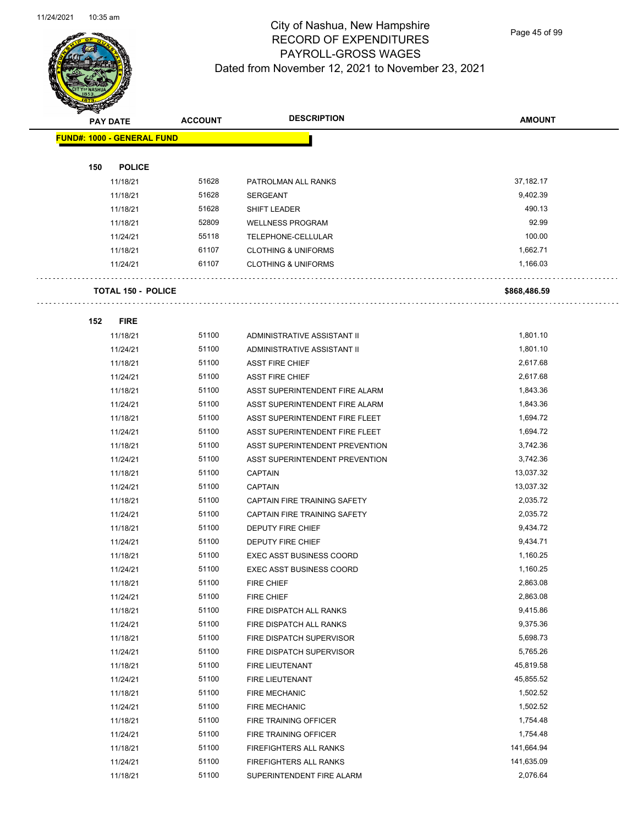

Page 45 of 99

|     | <b>PAY DATE</b>                   | <b>ACCOUNT</b> | <b>DESCRIPTION</b>              | <b>AMOUNT</b> |
|-----|-----------------------------------|----------------|---------------------------------|---------------|
|     | <b>FUND#: 1000 - GENERAL FUND</b> |                |                                 |               |
|     |                                   |                |                                 |               |
| 150 | <b>POLICE</b>                     |                |                                 |               |
|     | 11/18/21                          | 51628          | PATROLMAN ALL RANKS             | 37,182.17     |
|     | 11/18/21                          | 51628          | <b>SERGEANT</b>                 | 9,402.39      |
|     | 11/18/21                          | 51628          | <b>SHIFT LEADER</b>             | 490.13        |
|     | 11/18/21                          | 52809          | <b>WELLNESS PROGRAM</b>         | 92.99         |
|     | 11/24/21                          | 55118          | TELEPHONE-CELLULAR              | 100.00        |
|     | 11/18/21                          | 61107          | <b>CLOTHING &amp; UNIFORMS</b>  | 1,662.71      |
|     | 11/24/21                          | 61107          | <b>CLOTHING &amp; UNIFORMS</b>  | 1,166.03      |
|     | <b>TOTAL 150 - POLICE</b>         |                |                                 | \$868,486.59  |
|     |                                   |                |                                 |               |
| 152 | <b>FIRE</b>                       |                |                                 |               |
|     | 11/18/21                          | 51100          | ADMINISTRATIVE ASSISTANT II     | 1,801.10      |
|     | 11/24/21                          | 51100          | ADMINISTRATIVE ASSISTANT II     | 1,801.10      |
|     | 11/18/21                          | 51100          | <b>ASST FIRE CHIEF</b>          | 2,617.68      |
|     | 11/24/21                          | 51100          | <b>ASST FIRE CHIEF</b>          | 2,617.68      |
|     | 11/18/21                          | 51100          | ASST SUPERINTENDENT FIRE ALARM  | 1,843.36      |
|     | 11/24/21                          | 51100          | ASST SUPERINTENDENT FIRE ALARM  | 1,843.36      |
|     | 11/18/21                          | 51100          | ASST SUPERINTENDENT FIRE FLEET  | 1,694.72      |
|     | 11/24/21                          | 51100          | ASST SUPERINTENDENT FIRE FLEET  | 1,694.72      |
|     | 11/18/21                          | 51100          | ASST SUPERINTENDENT PREVENTION  | 3,742.36      |
|     | 11/24/21                          | 51100          | ASST SUPERINTENDENT PREVENTION  | 3,742.36      |
|     | 11/18/21                          | 51100          | <b>CAPTAIN</b>                  | 13,037.32     |
|     | 11/24/21                          | 51100          | <b>CAPTAIN</b>                  | 13,037.32     |
|     | 11/18/21                          | 51100          | CAPTAIN FIRE TRAINING SAFETY    | 2,035.72      |
|     | 11/24/21                          | 51100          | CAPTAIN FIRE TRAINING SAFETY    | 2,035.72      |
|     | 11/18/21                          | 51100          | DEPUTY FIRE CHIEF               | 9,434.72      |
|     | 11/24/21                          | 51100          | <b>DEPUTY FIRE CHIEF</b>        | 9,434.71      |
|     | 11/18/21                          | 51100          | <b>EXEC ASST BUSINESS COORD</b> | 1,160.25      |
|     | 11/24/21                          | 51100          | <b>EXEC ASST BUSINESS COORD</b> | 1,160.25      |
|     | 11/18/21                          | 51100          | FIRE CHIEF                      | 2,863.08      |
|     | 11/24/21                          | 51100          | FIRE CHIEF                      | 2,863.08      |
|     | 11/18/21                          | 51100          | FIRE DISPATCH ALL RANKS         | 9,415.86      |
|     | 11/24/21                          | 51100          | FIRE DISPATCH ALL RANKS         | 9,375.36      |
|     | 11/18/21                          | 51100          | FIRE DISPATCH SUPERVISOR        | 5,698.73      |
|     | 11/24/21                          | 51100          | FIRE DISPATCH SUPERVISOR        | 5,765.26      |
|     | 11/18/21                          | 51100          | FIRE LIEUTENANT                 | 45,819.58     |
|     | 11/24/21                          | 51100          | FIRE LIEUTENANT                 | 45,855.52     |
|     | 11/18/21                          | 51100          | <b>FIRE MECHANIC</b>            | 1,502.52      |
|     | 11/24/21                          | 51100          | <b>FIRE MECHANIC</b>            | 1,502.52      |
|     | 11/18/21                          | 51100          | FIRE TRAINING OFFICER           | 1,754.48      |
|     | 11/24/21                          | 51100          | FIRE TRAINING OFFICER           | 1,754.48      |
|     | 11/18/21                          | 51100          | FIREFIGHTERS ALL RANKS          | 141,664.94    |
|     | 11/24/21                          | 51100          | FIREFIGHTERS ALL RANKS          | 141,635.09    |

11/18/21 51100 SUPERINTENDENT FIRE ALARM 2,076.64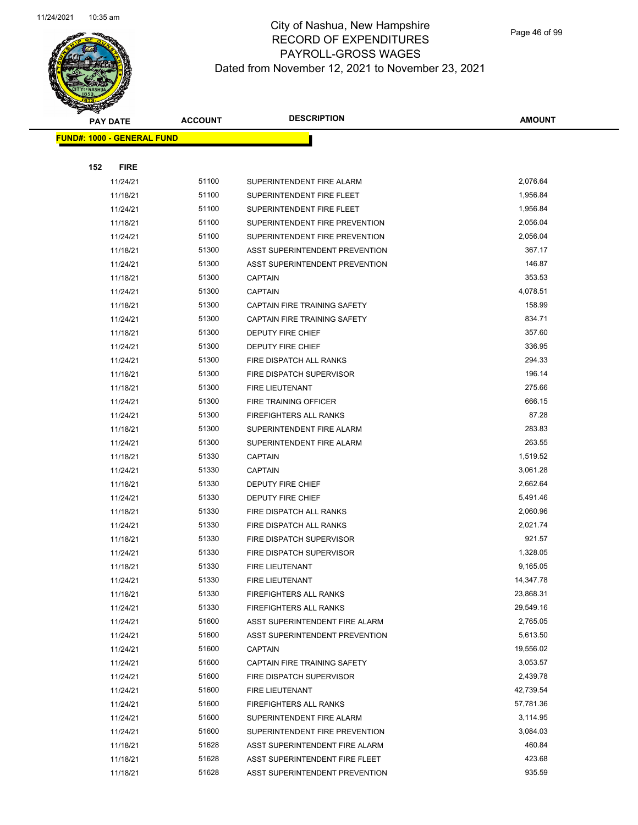

| <b>PAY DATE</b>                    | <b>ACCOUNT</b> | <b>DESCRIPTION</b>             | <b>AMOUNT</b> |
|------------------------------------|----------------|--------------------------------|---------------|
| <u> FUND#: 1000 - GENERAL FUND</u> |                |                                |               |
|                                    |                |                                |               |
| 152<br><b>FIRE</b>                 |                |                                |               |
| 11/24/21                           | 51100          | SUPERINTENDENT FIRE ALARM      | 2,076.64      |
| 11/18/21                           | 51100          | SUPERINTENDENT FIRE FLEET      | 1,956.84      |
| 11/24/21                           | 51100          | SUPERINTENDENT FIRE FLEET      | 1,956.84      |
| 11/18/21                           | 51100          | SUPERINTENDENT FIRE PREVENTION | 2,056.04      |
| 11/24/21                           | 51100          | SUPERINTENDENT FIRE PREVENTION | 2,056.04      |
| 11/18/21                           | 51300          | ASST SUPERINTENDENT PREVENTION | 367.17        |
| 11/24/21                           | 51300          | ASST SUPERINTENDENT PREVENTION | 146.87        |
| 11/18/21                           | 51300          | <b>CAPTAIN</b>                 | 353.53        |
| 11/24/21                           | 51300          | <b>CAPTAIN</b>                 | 4,078.51      |
| 11/18/21                           | 51300          | CAPTAIN FIRE TRAINING SAFETY   | 158.99        |
| 11/24/21                           | 51300          | CAPTAIN FIRE TRAINING SAFETY   | 834.71        |
| 11/18/21                           | 51300          | <b>DEPUTY FIRE CHIEF</b>       | 357.60        |
| 11/24/21                           | 51300          | <b>DEPUTY FIRE CHIEF</b>       | 336.95        |
| 11/24/21                           | 51300          | FIRE DISPATCH ALL RANKS        | 294.33        |
| 11/18/21                           | 51300          | FIRE DISPATCH SUPERVISOR       | 196.14        |
| 11/18/21                           | 51300          | <b>FIRE LIEUTENANT</b>         | 275.66        |
| 11/24/21                           | 51300          | FIRE TRAINING OFFICER          | 666.15        |
| 11/24/21                           | 51300          | <b>FIREFIGHTERS ALL RANKS</b>  | 87.28         |
| 11/18/21                           | 51300          | SUPERINTENDENT FIRE ALARM      | 283.83        |
| 11/24/21                           | 51300          | SUPERINTENDENT FIRE ALARM      | 263.55        |
| 11/18/21                           | 51330          | <b>CAPTAIN</b>                 | 1,519.52      |
| 11/24/21                           | 51330          | <b>CAPTAIN</b>                 | 3,061.28      |
| 11/18/21                           | 51330          | DEPUTY FIRE CHIEF              | 2,662.64      |
| 11/24/21                           | 51330          | DEPUTY FIRE CHIEF              | 5,491.46      |
| 11/18/21                           | 51330          | FIRE DISPATCH ALL RANKS        | 2,060.96      |
| 11/24/21                           | 51330          | FIRE DISPATCH ALL RANKS        | 2,021.74      |
| 11/18/21                           | 51330          | FIRE DISPATCH SUPERVISOR       | 921.57        |
| 11/24/21                           | 51330          | FIRE DISPATCH SUPERVISOR       | 1,328.05      |
| 11/18/21                           | 51330          | FIRE LIEUTENANT                | 9,165.05      |
| 11/24/21                           | 51330          | FIRE LIEUTENANT                | 14,347.78     |
| 11/18/21                           | 51330          | FIREFIGHTERS ALL RANKS         | 23,868.31     |
| 11/24/21                           | 51330          | <b>FIREFIGHTERS ALL RANKS</b>  | 29,549.16     |
| 11/24/21                           | 51600          | ASST SUPERINTENDENT FIRE ALARM | 2,765.05      |
| 11/24/21                           | 51600          | ASST SUPERINTENDENT PREVENTION | 5,613.50      |
| 11/24/21                           | 51600          | <b>CAPTAIN</b>                 | 19,556.02     |
| 11/24/21                           | 51600          | CAPTAIN FIRE TRAINING SAFETY   | 3,053.57      |
| 11/24/21                           | 51600          | FIRE DISPATCH SUPERVISOR       | 2,439.78      |
| 11/24/21                           | 51600          | FIRE LIEUTENANT                | 42,739.54     |
| 11/24/21                           | 51600          | FIREFIGHTERS ALL RANKS         | 57,781.36     |
| 11/24/21                           | 51600          | SUPERINTENDENT FIRE ALARM      | 3,114.95      |
| 11/24/21                           | 51600          | SUPERINTENDENT FIRE PREVENTION | 3,084.03      |
| 11/18/21                           | 51628          | ASST SUPERINTENDENT FIRE ALARM | 460.84        |
| 11/18/21                           | 51628          | ASST SUPERINTENDENT FIRE FLEET | 423.68        |
| 11/18/21                           | 51628          | ASST SUPERINTENDENT PREVENTION | 935.59        |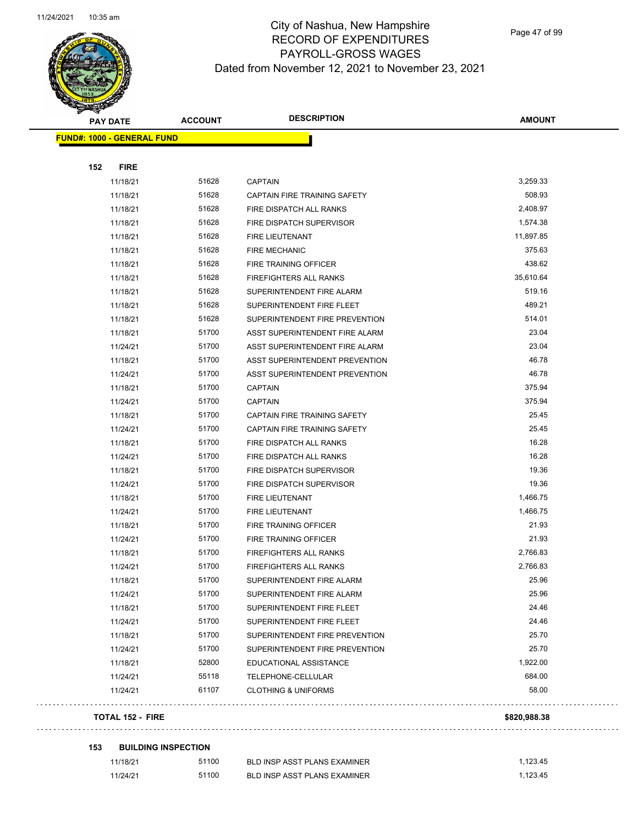

Page 47 of 99

| <b>PAY DATE</b>                   | <b>ACCOUNT</b> | <b>DESCRIPTION</b>             | <b>AMOUNT</b> |
|-----------------------------------|----------------|--------------------------------|---------------|
| <b>FUND#: 1000 - GENERAL FUND</b> |                |                                |               |
|                                   |                |                                |               |
| 152<br><b>FIRE</b>                |                |                                |               |
| 11/18/21                          | 51628          | <b>CAPTAIN</b>                 | 3,259.33      |
| 11/18/21                          | 51628          | CAPTAIN FIRE TRAINING SAFETY   | 508.93        |
| 11/18/21                          | 51628          | FIRE DISPATCH ALL RANKS        | 2,408.97      |
| 11/18/21                          | 51628          | FIRE DISPATCH SUPERVISOR       | 1,574.38      |
| 11/18/21                          | 51628          | FIRE LIEUTENANT                | 11,897.85     |
| 11/18/21                          | 51628          | <b>FIRE MECHANIC</b>           | 375.63        |
| 11/18/21                          | 51628          | FIRE TRAINING OFFICER          | 438.62        |
| 11/18/21                          | 51628          | <b>FIREFIGHTERS ALL RANKS</b>  | 35,610.64     |
| 11/18/21                          | 51628          | SUPERINTENDENT FIRE ALARM      | 519.16        |
| 11/18/21                          | 51628          | SUPERINTENDENT FIRE FLEET      | 489.21        |
| 11/18/21                          | 51628          | SUPERINTENDENT FIRE PREVENTION | 514.01        |
| 11/18/21                          | 51700          | ASST SUPERINTENDENT FIRE ALARM | 23.04         |
| 11/24/21                          | 51700          | ASST SUPERINTENDENT FIRE ALARM | 23.04         |
| 11/18/21                          | 51700          | ASST SUPERINTENDENT PREVENTION | 46.78         |
| 11/24/21                          | 51700          | ASST SUPERINTENDENT PREVENTION | 46.78         |
| 11/18/21                          | 51700          | <b>CAPTAIN</b>                 | 375.94        |
| 11/24/21                          | 51700          | <b>CAPTAIN</b>                 | 375.94        |
| 11/18/21                          | 51700          | CAPTAIN FIRE TRAINING SAFETY   | 25.45         |
| 11/24/21                          | 51700          | CAPTAIN FIRE TRAINING SAFETY   | 25.45         |
| 11/18/21                          | 51700          | FIRE DISPATCH ALL RANKS        | 16.28         |
| 11/24/21                          | 51700          | FIRE DISPATCH ALL RANKS        | 16.28         |
| 11/18/21                          | 51700          | FIRE DISPATCH SUPERVISOR       | 19.36         |
| 11/24/21                          | 51700          | FIRE DISPATCH SUPERVISOR       | 19.36         |
| 11/18/21                          | 51700          | FIRE LIEUTENANT                | 1,466.75      |
| 11/24/21                          | 51700          | FIRE LIEUTENANT                | 1,466.75      |
| 11/18/21                          | 51700          | FIRE TRAINING OFFICER          | 21.93         |
| 11/24/21                          | 51700          | FIRE TRAINING OFFICER          | 21.93         |
| 11/18/21                          | 51700          | <b>FIREFIGHTERS ALL RANKS</b>  | 2,766.83      |
| 11/24/21                          | 51700          | <b>FIREFIGHTERS ALL RANKS</b>  | 2,766.83      |
| 11/18/21                          | 51700          | SUPERINTENDENT FIRE ALARM      | 25.96         |
| 11/24/21                          | 51700          | SUPERINTENDENT FIRE ALARM      | 25.96         |
| 11/18/21                          | 51700          | SUPERINTENDENT FIRE FLEET      | 24.46         |
| 11/24/21                          | 51700          | SUPERINTENDENT FIRE FLEET      | 24.46         |
| 11/18/21                          | 51700          | SUPERINTENDENT FIRE PREVENTION | 25.70         |
| 11/24/21                          | 51700          | SUPERINTENDENT FIRE PREVENTION | 25.70         |
| 11/18/21                          | 52800          | EDUCATIONAL ASSISTANCE         | 1,922.00      |
| 11/24/21                          | 55118          | TELEPHONE-CELLULAR             | 684.00        |
| 11/24/21                          | 61107          | <b>CLOTHING &amp; UNIFORMS</b> | 58.00         |
| <b>TOTAL 152 - FIRE</b>           |                |                                | \$820,988.38  |

**153 BUILDING INSPECTION**

 $\Box$  .

 $\sim$  .

| 11/18/21 | 51100 | BLD INSP ASST PLANS EXAMINER | 1.123.45 |
|----------|-------|------------------------------|----------|
| 11/24/21 | 51100 | BLD INSP ASST PLANS EXAMINER | 1.123.45 |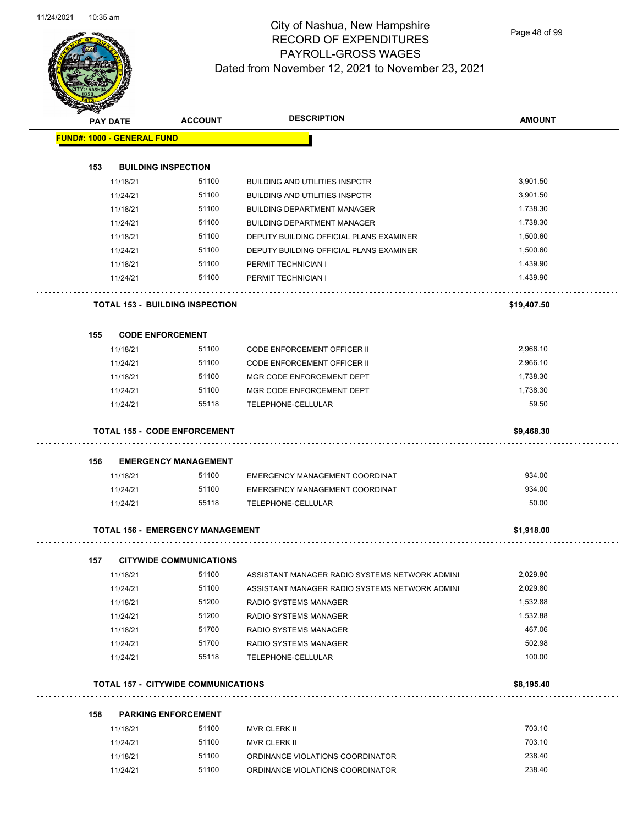$\overline{\phantom{0}}$ 



## City of Nashua, New Hampshire RECORD OF EXPENDITURES PAYROLL-GROSS WAGES Dated from November 12, 2021 to November 23, 2021

Page 48 of 99

| B.  | <b>PAY DATE</b>                   | <b>ACCOUNT</b>                             | <b>DESCRIPTION</b>                             | <b>AMOUNT</b> |
|-----|-----------------------------------|--------------------------------------------|------------------------------------------------|---------------|
|     | <b>FUND#: 1000 - GENERAL FUND</b> |                                            |                                                |               |
| 153 |                                   | <b>BUILDING INSPECTION</b>                 |                                                |               |
|     | 11/18/21                          | 51100                                      | <b>BUILDING AND UTILITIES INSPCTR</b>          | 3,901.50      |
|     | 11/24/21                          | 51100                                      | <b>BUILDING AND UTILITIES INSPCTR</b>          | 3,901.50      |
|     | 11/18/21                          | 51100                                      | <b>BUILDING DEPARTMENT MANAGER</b>             | 1,738.30      |
|     | 11/24/21                          | 51100                                      | <b>BUILDING DEPARTMENT MANAGER</b>             | 1,738.30      |
|     | 11/18/21                          | 51100                                      | DEPUTY BUILDING OFFICIAL PLANS EXAMINER        | 1,500.60      |
|     | 11/24/21                          | 51100                                      | DEPUTY BUILDING OFFICIAL PLANS EXAMINER        | 1,500.60      |
|     | 11/18/21                          | 51100                                      | PERMIT TECHNICIAN I                            | 1,439.90      |
|     | 11/24/21                          | 51100                                      | PERMIT TECHNICIAN I                            | 1,439.90      |
|     |                                   | <b>TOTAL 153 - BUILDING INSPECTION</b>     |                                                | \$19,407.50   |
| 155 |                                   | <b>CODE ENFORCEMENT</b>                    |                                                |               |
|     | 11/18/21                          | 51100                                      | <b>CODE ENFORCEMENT OFFICER II</b>             | 2,966.10      |
|     | 11/24/21                          | 51100                                      | CODE ENFORCEMENT OFFICER II                    | 2,966.10      |
|     | 11/18/21                          | 51100                                      | MGR CODE ENFORCEMENT DEPT                      | 1,738.30      |
|     | 11/24/21                          | 51100                                      | MGR CODE ENFORCEMENT DEPT                      | 1,738.30      |
|     | 11/24/21                          | 55118                                      | TELEPHONE-CELLULAR                             | 59.50         |
|     |                                   | TOTAL 155 - CODE ENFORCEMENT               |                                                | \$9,468.30    |
| 156 |                                   | <b>EMERGENCY MANAGEMENT</b>                |                                                |               |
|     | 11/18/21                          | 51100                                      | EMERGENCY MANAGEMENT COORDINAT                 | 934.00        |
|     | 11/24/21                          | 51100                                      | EMERGENCY MANAGEMENT COORDINAT                 | 934.00        |
|     | 11/24/21                          | 55118                                      | TELEPHONE-CELLULAR                             | 50.00         |
|     |                                   | <b>TOTAL 156 - EMERGENCY MANAGEMENT</b>    |                                                | \$1,918.00    |
| 157 |                                   | <b>CITYWIDE COMMUNICATIONS</b>             |                                                |               |
|     | 11/18/21                          | 51100                                      | ASSISTANT MANAGER RADIO SYSTEMS NETWORK ADMINI | 2,029.80      |
|     | 11/24/21                          | 51100                                      | ASSISTANT MANAGER RADIO SYSTEMS NETWORK ADMINI | 2,029.80      |
|     | 11/18/21                          | 51200                                      | RADIO SYSTEMS MANAGER                          | 1,532.88      |
|     | 11/24/21                          | 51200                                      | RADIO SYSTEMS MANAGER                          | 1,532.88      |
|     | 11/18/21                          | 51700                                      | RADIO SYSTEMS MANAGER                          | 467.06        |
|     | 11/24/21                          | 51700                                      | RADIO SYSTEMS MANAGER                          | 502.98        |
|     | 11/24/21                          | 55118                                      | TELEPHONE-CELLULAR                             | 100.00        |
|     |                                   | <b>TOTAL 157 - CITYWIDE COMMUNICATIONS</b> |                                                | \$8,195.40    |
| 158 |                                   | <b>PARKING ENFORCEMENT</b>                 |                                                |               |
|     | 11/18/21                          | 51100                                      | MVR CLERK II                                   | 703.10        |
|     | 11/24/21                          | 51100                                      | MVR CLERK II                                   | 703.10        |
|     | 11/18/21                          | 51100                                      | ORDINANCE VIOLATIONS COORDINATOR               | 238.40        |

11/24/21 51100 ORDINANCE VIOLATIONS COORDINATOR 238.40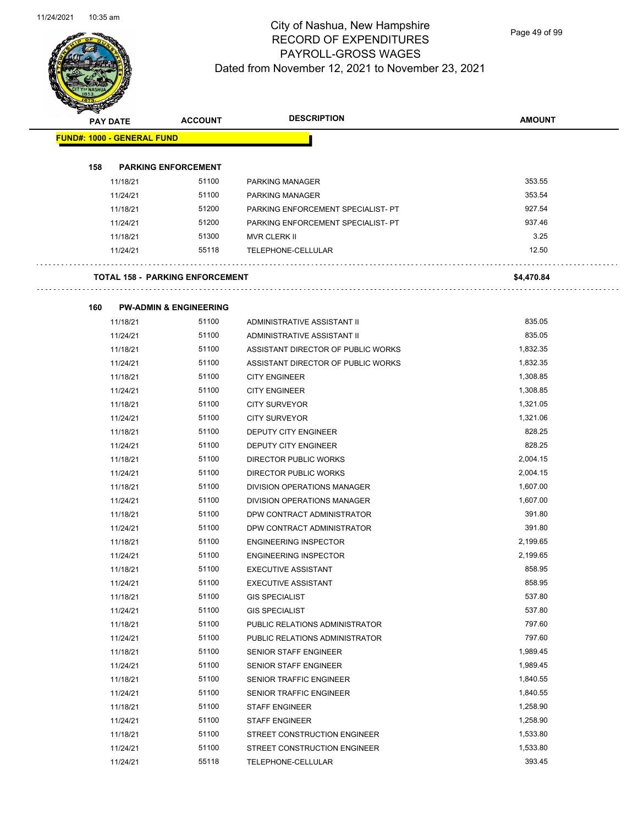

Page 49 of 99

| <b>Alla</b> | <b>PAY DATE</b>                   | <b>ACCOUNT</b>                         | <b>DESCRIPTION</b>                                      | <b>AMOUNT</b> |
|-------------|-----------------------------------|----------------------------------------|---------------------------------------------------------|---------------|
|             | <b>FUND#: 1000 - GENERAL FUND</b> |                                        |                                                         |               |
|             |                                   |                                        |                                                         |               |
| 158         |                                   | <b>PARKING ENFORCEMENT</b>             |                                                         |               |
|             | 11/18/21                          | 51100                                  | <b>PARKING MANAGER</b>                                  | 353.55        |
|             | 11/24/21                          | 51100                                  | <b>PARKING MANAGER</b>                                  | 353.54        |
|             | 11/18/21                          | 51200                                  | PARKING ENFORCEMENT SPECIALIST- PT                      | 927.54        |
|             | 11/24/21                          | 51200                                  | PARKING ENFORCEMENT SPECIALIST- PT                      | 937.46        |
|             | 11/18/21                          | 51300                                  | MVR CLERK II                                            | 3.25          |
|             | 11/24/21                          | 55118                                  | TELEPHONE-CELLULAR                                      | 12.50         |
|             |                                   | <b>TOTAL 158 - PARKING ENFORCEMENT</b> |                                                         | \$4,470.84    |
| 160         |                                   | <b>PW-ADMIN &amp; ENGINEERING</b>      |                                                         |               |
|             | 11/18/21                          | 51100                                  | ADMINISTRATIVE ASSISTANT II                             | 835.05        |
|             | 11/24/21                          | 51100                                  | ADMINISTRATIVE ASSISTANT II                             | 835.05        |
|             | 11/18/21                          | 51100                                  | ASSISTANT DIRECTOR OF PUBLIC WORKS                      | 1,832.35      |
|             | 11/24/21                          | 51100                                  | ASSISTANT DIRECTOR OF PUBLIC WORKS                      | 1,832.35      |
|             | 11/18/21                          | 51100                                  | <b>CITY ENGINEER</b>                                    | 1,308.85      |
|             | 11/24/21                          | 51100                                  | <b>CITY ENGINEER</b>                                    | 1,308.85      |
|             | 11/18/21                          | 51100                                  | <b>CITY SURVEYOR</b>                                    | 1,321.05      |
|             | 11/24/21                          | 51100                                  | <b>CITY SURVEYOR</b>                                    | 1,321.06      |
|             | 11/18/21                          | 51100                                  | DEPUTY CITY ENGINEER                                    | 828.25        |
|             | 11/24/21                          | 51100                                  | DEPUTY CITY ENGINEER                                    | 828.25        |
|             | 11/18/21                          | 51100                                  | DIRECTOR PUBLIC WORKS                                   | 2,004.15      |
|             | 11/24/21                          | 51100                                  | DIRECTOR PUBLIC WORKS                                   | 2,004.15      |
|             | 11/18/21                          | 51100                                  | DIVISION OPERATIONS MANAGER                             | 1,607.00      |
|             | 11/24/21                          | 51100                                  | DIVISION OPERATIONS MANAGER                             | 1,607.00      |
|             | 11/18/21                          | 51100                                  | DPW CONTRACT ADMINISTRATOR                              | 391.80        |
|             | 11/24/21                          | 51100                                  | DPW CONTRACT ADMINISTRATOR                              | 391.80        |
|             | 11/18/21                          | 51100                                  | <b>ENGINEERING INSPECTOR</b>                            | 2,199.65      |
|             | 11/24/21                          | 51100                                  | <b>ENGINEERING INSPECTOR</b>                            | 2,199.65      |
|             | 11/18/21                          | 51100                                  | <b>EXECUTIVE ASSISTANT</b>                              | 858.95        |
|             | 11/24/21                          | 51100                                  | <b>EXECUTIVE ASSISTANT</b>                              | 858.95        |
|             | 11/18/21                          | 51100                                  |                                                         | 537.80        |
|             | 11/24/21                          | 51100                                  | <b>GIS SPECIALIST</b>                                   | 537.80        |
|             | 11/18/21                          | 51100                                  | <b>GIS SPECIALIST</b><br>PUBLIC RELATIONS ADMINISTRATOR | 797.60        |
|             |                                   | 51100                                  |                                                         | 797.60        |
|             | 11/24/21                          |                                        | PUBLIC RELATIONS ADMINISTRATOR                          |               |
|             | 11/18/21                          | 51100                                  | SENIOR STAFF ENGINEER                                   | 1,989.45      |
|             | 11/24/21                          | 51100<br>51100                         | SENIOR STAFF ENGINEER                                   | 1,989.45      |
|             | 11/18/21                          |                                        | SENIOR TRAFFIC ENGINEER                                 | 1,840.55      |
|             | 11/24/21                          | 51100                                  | SENIOR TRAFFIC ENGINEER                                 | 1,840.55      |
|             | 11/18/21                          | 51100                                  | <b>STAFF ENGINEER</b>                                   | 1,258.90      |
|             | 11/24/21                          | 51100                                  | <b>STAFF ENGINEER</b>                                   | 1,258.90      |
|             | 11/18/21                          | 51100                                  | STREET CONSTRUCTION ENGINEER                            | 1,533.80      |
|             | 11/24/21                          | 51100                                  | STREET CONSTRUCTION ENGINEER                            | 1,533.80      |
|             | 11/24/21                          | 55118                                  | TELEPHONE-CELLULAR                                      | 393.45        |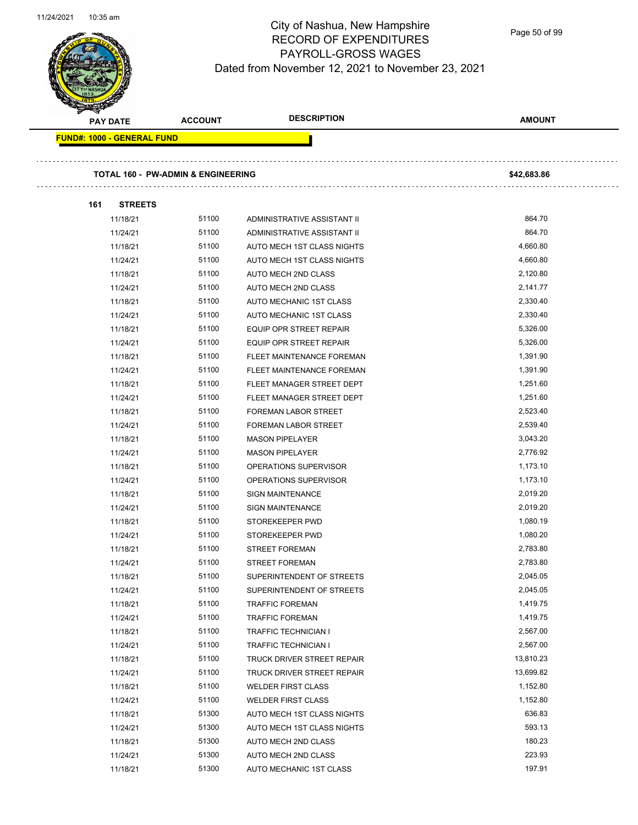Page 50 of 99

| <b>PAY DATE</b>                   | <b>ACCOUNT</b>                                | <b>DESCRIPTION</b>                                         | <b>AMOUNT</b>    |
|-----------------------------------|-----------------------------------------------|------------------------------------------------------------|------------------|
| <b>FUND#: 1000 - GENERAL FUND</b> |                                               |                                                            |                  |
|                                   | <b>TOTAL 160 - PW-ADMIN &amp; ENGINEERING</b> |                                                            |                  |
|                                   |                                               |                                                            | \$42,683.86      |
|                                   |                                               |                                                            |                  |
| 161<br><b>STREETS</b>             |                                               |                                                            |                  |
| 11/18/21                          | 51100<br>51100                                | ADMINISTRATIVE ASSISTANT II<br>ADMINISTRATIVE ASSISTANT II | 864.70<br>864.70 |
| 11/24/21                          | 51100                                         |                                                            | 4,660.80         |
| 11/18/21                          | 51100                                         | AUTO MECH 1ST CLASS NIGHTS                                 | 4,660.80         |
| 11/24/21                          | 51100                                         | AUTO MECH 1ST CLASS NIGHTS                                 | 2,120.80         |
| 11/18/21                          |                                               | AUTO MECH 2ND CLASS                                        |                  |
| 11/24/21                          | 51100                                         | AUTO MECH 2ND CLASS                                        | 2,141.77         |
| 11/18/21                          | 51100                                         | AUTO MECHANIC 1ST CLASS                                    | 2,330.40         |
| 11/24/21                          | 51100<br>51100                                | AUTO MECHANIC 1ST CLASS                                    | 2,330.40         |
| 11/18/21                          |                                               | <b>EQUIP OPR STREET REPAIR</b>                             | 5,326.00         |
| 11/24/21                          | 51100                                         | EQUIP OPR STREET REPAIR                                    | 5,326.00         |
| 11/18/21                          | 51100                                         | FLEET MAINTENANCE FOREMAN                                  | 1,391.90         |
| 11/24/21                          | 51100                                         | FLEET MAINTENANCE FOREMAN                                  | 1,391.90         |
| 11/18/21                          | 51100                                         | FLEET MANAGER STREET DEPT                                  | 1,251.60         |
| 11/24/21                          | 51100                                         | FLEET MANAGER STREET DEPT                                  | 1,251.60         |
| 11/18/21                          | 51100                                         | <b>FOREMAN LABOR STREET</b>                                | 2,523.40         |
| 11/24/21                          | 51100                                         | <b>FOREMAN LABOR STREET</b>                                | 2,539.40         |
| 11/18/21                          | 51100                                         | <b>MASON PIPELAYER</b>                                     | 3,043.20         |
| 11/24/21                          | 51100                                         | <b>MASON PIPELAYER</b>                                     | 2,776.92         |
| 11/18/21                          | 51100                                         | OPERATIONS SUPERVISOR                                      | 1,173.10         |
| 11/24/21                          | 51100                                         | OPERATIONS SUPERVISOR                                      | 1,173.10         |
| 11/18/21                          | 51100                                         | <b>SIGN MAINTENANCE</b>                                    | 2,019.20         |
| 11/24/21                          | 51100                                         | <b>SIGN MAINTENANCE</b>                                    | 2,019.20         |
| 11/18/21                          | 51100                                         | STOREKEEPER PWD                                            | 1,080.19         |
| 11/24/21                          | 51100                                         | STOREKEEPER PWD                                            | 1,080.20         |
| 11/18/21                          | 51100                                         | <b>STREET FOREMAN</b>                                      | 2,783.80         |
| 11/24/21                          | 51100                                         | <b>STREET FOREMAN</b>                                      | 2,783.80         |
| 11/18/21                          | 51100                                         | SUPERINTENDENT OF STREETS                                  | 2,045.05         |
| 11/24/21                          | 51100                                         | SUPERINTENDENT OF STREETS                                  | 2,045.05         |
| 11/18/21                          | 51100                                         | <b>TRAFFIC FOREMAN</b>                                     | 1,419.75         |
| 11/24/21                          | 51100                                         | <b>TRAFFIC FOREMAN</b>                                     | 1,419.75         |
| 11/18/21                          | 51100                                         | TRAFFIC TECHNICIAN I                                       | 2,567.00         |
| 11/24/21                          | 51100                                         | TRAFFIC TECHNICIAN I                                       | 2,567.00         |
| 11/18/21                          | 51100                                         | TRUCK DRIVER STREET REPAIR                                 | 13,810.23        |
| 11/24/21                          | 51100                                         | TRUCK DRIVER STREET REPAIR                                 | 13,699.82        |
| 11/18/21                          | 51100                                         | <b>WELDER FIRST CLASS</b>                                  | 1,152.80         |
| 11/24/21                          | 51100                                         | <b>WELDER FIRST CLASS</b>                                  | 1,152.80         |
| 11/18/21                          | 51300                                         | AUTO MECH 1ST CLASS NIGHTS                                 | 636.83           |
| 11/24/21                          | 51300                                         | AUTO MECH 1ST CLASS NIGHTS                                 | 593.13           |
| 11/18/21                          | 51300                                         | AUTO MECH 2ND CLASS                                        | 180.23           |
| 11/24/21                          | 51300                                         | AUTO MECH 2ND CLASS                                        | 223.93           |
| 11/18/21                          | 51300                                         | AUTO MECHANIC 1ST CLASS                                    | 197.91           |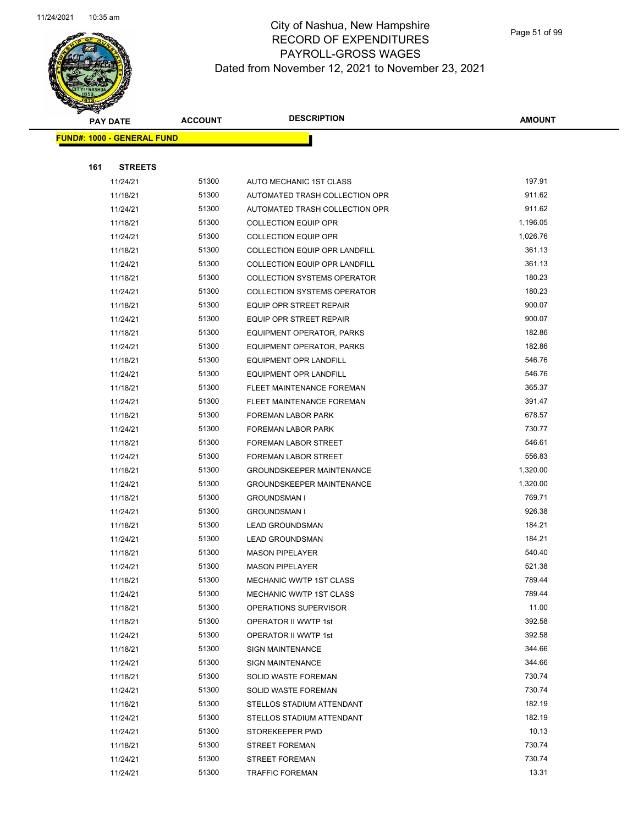

Page 51 of 99

|     | <b>PAY DATE</b>                   | <b>ACCOUNT</b> | <b>DESCRIPTION</b>                 | <b>AMOUNT</b>   |
|-----|-----------------------------------|----------------|------------------------------------|-----------------|
|     | <b>FUND#: 1000 - GENERAL FUND</b> |                |                                    |                 |
|     |                                   |                |                                    |                 |
| 161 | <b>STREETS</b>                    |                |                                    |                 |
|     | 11/24/21                          | 51300          | AUTO MECHANIC 1ST CLASS            | 197.91          |
|     | 11/18/21                          | 51300          | AUTOMATED TRASH COLLECTION OPR     | 911.62          |
|     | 11/24/21                          | 51300          | AUTOMATED TRASH COLLECTION OPR     | 911.62          |
|     | 11/18/21                          | 51300          | <b>COLLECTION EQUIP OPR</b>        | 1,196.05        |
|     | 11/24/21                          | 51300          | <b>COLLECTION EQUIP OPR</b>        | 1,026.76        |
|     | 11/18/21                          | 51300          | COLLECTION EQUIP OPR LANDFILL      | 361.13          |
|     | 11/24/21                          | 51300          | COLLECTION EQUIP OPR LANDFILL      | 361.13          |
|     | 11/18/21                          | 51300          | <b>COLLECTION SYSTEMS OPERATOR</b> | 180.23          |
|     | 11/24/21                          | 51300          | <b>COLLECTION SYSTEMS OPERATOR</b> | 180.23          |
|     | 11/18/21                          | 51300          | <b>EQUIP OPR STREET REPAIR</b>     | 900.07          |
|     | 11/24/21                          | 51300          | EQUIP OPR STREET REPAIR            | 900.07          |
|     | 11/18/21                          | 51300          | <b>EQUIPMENT OPERATOR, PARKS</b>   | 182.86          |
|     | 11/24/21                          | 51300          | <b>EQUIPMENT OPERATOR, PARKS</b>   | 182.86          |
|     | 11/18/21                          | 51300          | EQUIPMENT OPR LANDFILL             | 546.76          |
|     | 11/24/21                          | 51300          | <b>EQUIPMENT OPR LANDFILL</b>      | 546.76          |
|     | 11/18/21                          | 51300          | FLEET MAINTENANCE FOREMAN          | 365.37          |
|     | 11/24/21                          | 51300          | FLEET MAINTENANCE FOREMAN          | 391.47          |
|     | 11/18/21                          | 51300          | FOREMAN LABOR PARK                 | 678.57          |
|     | 11/24/21                          | 51300          | <b>FOREMAN LABOR PARK</b>          | 730.77          |
|     | 11/18/21                          | 51300          | FOREMAN LABOR STREET               | 546.61          |
|     | 11/24/21                          | 51300          | FOREMAN LABOR STREET               | 556.83          |
|     | 11/18/21                          | 51300          | <b>GROUNDSKEEPER MAINTENANCE</b>   | 1,320.00        |
|     | 11/24/21                          | 51300          | <b>GROUNDSKEEPER MAINTENANCE</b>   | 1,320.00        |
|     | 11/18/21                          | 51300          | <b>GROUNDSMAN I</b>                | 769.71          |
|     | 11/24/21                          | 51300          | <b>GROUNDSMAN I</b>                | 926.38          |
|     | 11/18/21                          | 51300          | <b>LEAD GROUNDSMAN</b>             | 184.21          |
|     | 11/24/21                          | 51300          | <b>LEAD GROUNDSMAN</b>             | 184.21          |
|     | 11/18/21                          | 51300          | <b>MASON PIPELAYER</b>             | 540.40          |
|     | 11/24/21                          | 51300          | <b>MASON PIPELAYER</b>             | 521.38          |
|     | 11/18/21                          | 51300          | MECHANIC WWTP 1ST CLASS            | 789.44          |
|     | 11/24/21                          | 51300          | MECHANIC WWTP 1ST CLASS            | 789.44          |
|     | 11/18/21                          | 51300          | OPERATIONS SUPERVISOR              | 11.00           |
|     | 11/18/21                          | 51300          | OPERATOR II WWTP 1st               | 392.58          |
|     | 11/24/21                          | 51300          | OPERATOR II WWTP 1st               | 392.58          |
|     | 11/18/21                          | 51300          | <b>SIGN MAINTENANCE</b>            | 344.66          |
|     | 11/24/21                          | 51300          | <b>SIGN MAINTENANCE</b>            | 344.66          |
|     | 11/18/21                          | 51300          | SOLID WASTE FOREMAN                | 730.74          |
|     | 11/24/21                          | 51300          | SOLID WASTE FOREMAN                | 730.74          |
|     | 11/18/21                          | 51300          | STELLOS STADIUM ATTENDANT          | 182.19          |
|     | 11/24/21                          | 51300          | STELLOS STADIUM ATTENDANT          | 182.19          |
|     | 11/24/21                          | 51300<br>51300 | STOREKEEPER PWD                    | 10.13<br>730.74 |
|     | 11/18/21                          |                | <b>STREET FOREMAN</b>              |                 |
|     | 11/24/21                          | 51300          | <b>STREET FOREMAN</b>              | 730.74          |
|     | 11/24/21                          | 51300          | <b>TRAFFIC FOREMAN</b>             | 13.31           |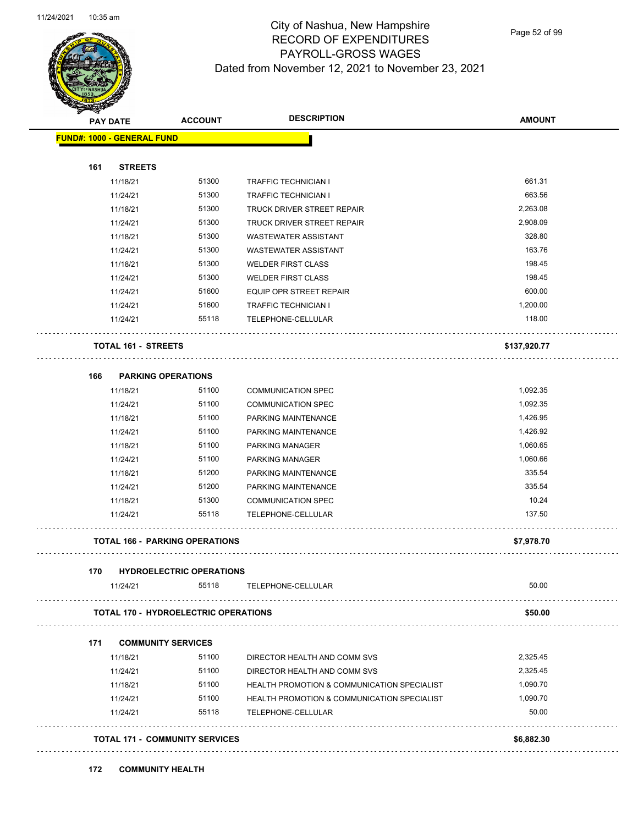

Page 52 of 99

| <b>PAY DATE</b>                   |                | <b>ACCOUNT</b>                              | <b>DESCRIPTION</b>                                     | <b>AMOUNT</b> |
|-----------------------------------|----------------|---------------------------------------------|--------------------------------------------------------|---------------|
| <b>FUND#: 1000 - GENERAL FUND</b> |                |                                             |                                                        |               |
| 161                               | <b>STREETS</b> |                                             |                                                        |               |
|                                   | 11/18/21       | 51300                                       | <b>TRAFFIC TECHNICIAN I</b>                            | 661.31        |
|                                   | 11/24/21       | 51300                                       | <b>TRAFFIC TECHNICIAN I</b>                            | 663.56        |
|                                   | 11/18/21       | 51300                                       | TRUCK DRIVER STREET REPAIR                             | 2,263.08      |
|                                   | 11/24/21       | 51300                                       | TRUCK DRIVER STREET REPAIR                             | 2,908.09      |
|                                   | 11/18/21       | 51300                                       | <b>WASTEWATER ASSISTANT</b>                            | 328.80        |
|                                   | 11/24/21       | 51300                                       | <b>WASTEWATER ASSISTANT</b>                            | 163.76        |
|                                   | 11/18/21       | 51300                                       | <b>WELDER FIRST CLASS</b>                              | 198.45        |
|                                   | 11/24/21       | 51300                                       | <b>WELDER FIRST CLASS</b>                              | 198.45        |
|                                   | 11/24/21       | 51600                                       | EQUIP OPR STREET REPAIR                                | 600.00        |
|                                   | 11/24/21       | 51600                                       | <b>TRAFFIC TECHNICIAN I</b>                            | 1,200.00      |
|                                   | 11/24/21       | 55118                                       | TELEPHONE-CELLULAR                                     | 118.00        |
|                                   |                | <b>TOTAL 161 - STREETS</b>                  |                                                        | \$137,920.77  |
| 166                               |                | <b>PARKING OPERATIONS</b>                   |                                                        |               |
|                                   | 11/18/21       | 51100                                       | <b>COMMUNICATION SPEC</b>                              | 1,092.35      |
|                                   | 11/24/21       | 51100                                       | <b>COMMUNICATION SPEC</b>                              | 1,092.35      |
|                                   | 11/18/21       | 51100                                       | PARKING MAINTENANCE                                    | 1,426.95      |
|                                   | 11/24/21       | 51100                                       | PARKING MAINTENANCE                                    | 1,426.92      |
|                                   | 11/18/21       | 51100                                       | PARKING MANAGER                                        | 1,060.65      |
|                                   | 11/24/21       | 51100                                       | PARKING MANAGER                                        | 1,060.66      |
|                                   | 11/18/21       | 51200                                       | PARKING MAINTENANCE                                    | 335.54        |
|                                   | 11/24/21       | 51200                                       | PARKING MAINTENANCE                                    | 335.54        |
|                                   | 11/18/21       | 51300                                       | <b>COMMUNICATION SPEC</b>                              | 10.24         |
|                                   | 11/24/21       | 55118                                       | TELEPHONE-CELLULAR                                     | 137.50        |
|                                   |                | <b>TOTAL 166 - PARKING OPERATIONS</b>       |                                                        | \$7,978.70    |
| 170                               |                | <b>HYDROELECTRIC OPERATIONS</b>             |                                                        |               |
|                                   | 11/24/21       | 55118                                       | TELEPHONE-CELLULAR                                     | 50.00         |
|                                   |                | <b>TOTAL 170 - HYDROELECTRIC OPERATIONS</b> |                                                        | \$50.00       |
| 171                               |                | <b>COMMUNITY SERVICES</b>                   |                                                        |               |
|                                   | 11/18/21       | 51100                                       | DIRECTOR HEALTH AND COMM SVS                           | 2,325.45      |
|                                   | 11/24/21       | 51100                                       | DIRECTOR HEALTH AND COMM SVS                           | 2,325.45      |
|                                   | 11/18/21       | 51100                                       | <b>HEALTH PROMOTION &amp; COMMUNICATION SPECIALIST</b> | 1,090.70      |
|                                   | 11/24/21       | 51100                                       | <b>HEALTH PROMOTION &amp; COMMUNICATION SPECIALIST</b> | 1,090.70      |
|                                   | 11/24/21       | 55118                                       | TELEPHONE-CELLULAR                                     | 50.00         |
|                                   |                | <b>TOTAL 171 - COMMUNITY SERVICES</b>       |                                                        | \$6,882.30    |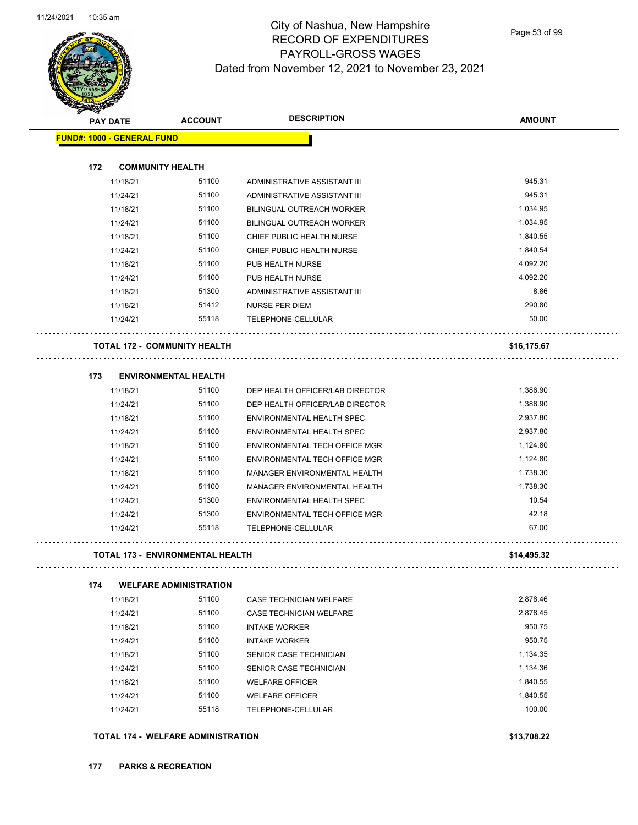

Page 53 of 99

| <b>PAY DATE</b>                         | <b>ACCOUNT</b>                            | <b>DESCRIPTION</b>              | <b>AMOUNT</b> |
|-----------------------------------------|-------------------------------------------|---------------------------------|---------------|
| <b>FUND#: 1000 - GENERAL FUND</b>       |                                           |                                 |               |
| 172<br><b>COMMUNITY HEALTH</b>          |                                           |                                 |               |
| 11/18/21                                | 51100                                     | ADMINISTRATIVE ASSISTANT III    | 945.31        |
| 11/24/21                                | 51100                                     | ADMINISTRATIVE ASSISTANT III    | 945.31        |
| 11/18/21                                | 51100                                     | BILINGUAL OUTREACH WORKER       | 1,034.95      |
| 11/24/21                                | 51100                                     | BILINGUAL OUTREACH WORKER       | 1,034.95      |
| 11/18/21                                | 51100                                     | CHIEF PUBLIC HEALTH NURSE       | 1,840.55      |
| 11/24/21                                | 51100                                     | CHIEF PUBLIC HEALTH NURSE       | 1,840.54      |
| 11/18/21                                | 51100                                     | PUB HEALTH NURSE                | 4,092.20      |
| 11/24/21                                | 51100                                     | PUB HEALTH NURSE                | 4,092.20      |
| 11/18/21                                | 51300                                     | ADMINISTRATIVE ASSISTANT III    | 8.86          |
| 11/18/21                                | 51412                                     | NURSE PER DIEM                  | 290.80        |
| 11/24/21                                | 55118                                     | TELEPHONE-CELLULAR              | 50.00         |
| <b>TOTAL 172 - COMMUNITY HEALTH</b>     |                                           |                                 | \$16,175.67   |
| 173                                     | <b>ENVIRONMENTAL HEALTH</b>               |                                 |               |
| 11/18/21                                | 51100                                     | DEP HEALTH OFFICER/LAB DIRECTOR | 1,386.90      |
| 11/24/21                                | 51100                                     | DEP HEALTH OFFICER/LAB DIRECTOR | 1,386.90      |
| 11/18/21                                | 51100                                     | ENVIRONMENTAL HEALTH SPEC       | 2,937.80      |
| 11/24/21                                | 51100                                     | ENVIRONMENTAL HEALTH SPEC       | 2,937.80      |
| 11/18/21                                | 51100                                     | ENVIRONMENTAL TECH OFFICE MGR   | 1,124.80      |
| 11/24/21                                | 51100                                     | ENVIRONMENTAL TECH OFFICE MGR   | 1,124.80      |
| 11/18/21                                | 51100                                     | MANAGER ENVIRONMENTAL HEALTH    | 1,738.30      |
| 11/24/21                                | 51100                                     | MANAGER ENVIRONMENTAL HEALTH    | 1,738.30      |
| 11/24/21                                | 51300                                     | ENVIRONMENTAL HEALTH SPEC       | 10.54         |
| 11/24/21                                | 51300                                     | ENVIRONMENTAL TECH OFFICE MGR   | 42.18         |
| 11/24/21                                | 55118                                     | TELEPHONE-CELLULAR              | 67.00         |
| <b>TOTAL 173 - ENVIRONMENTAL HEALTH</b> |                                           |                                 | \$14,495.32   |
| 174                                     | <b>WELFARE ADMINISTRATION</b>             |                                 |               |
| 11/18/21                                | 51100                                     | <b>CASE TECHNICIAN WELFARE</b>  | 2,878.46      |
| 11/24/21                                | 51100                                     | CASE TECHNICIAN WELFARE         | 2,878.45      |
| 11/18/21                                | 51100                                     | <b>INTAKE WORKER</b>            | 950.75        |
| 11/24/21                                | 51100                                     | <b>INTAKE WORKER</b>            | 950.75        |
| 11/18/21                                | 51100                                     | SENIOR CASE TECHNICIAN          | 1,134.35      |
| 11/24/21                                | 51100                                     | SENIOR CASE TECHNICIAN          | 1,134.36      |
| 11/18/21                                | 51100                                     | <b>WELFARE OFFICER</b>          | 1,840.55      |
| 11/24/21                                | 51100                                     | <b>WELFARE OFFICER</b>          | 1,840.55      |
| 11/24/21                                | 55118                                     | TELEPHONE-CELLULAR              | 100.00        |
|                                         | <b>TOTAL 174 - WELFARE ADMINISTRATION</b> |                                 | \$13,708.22   |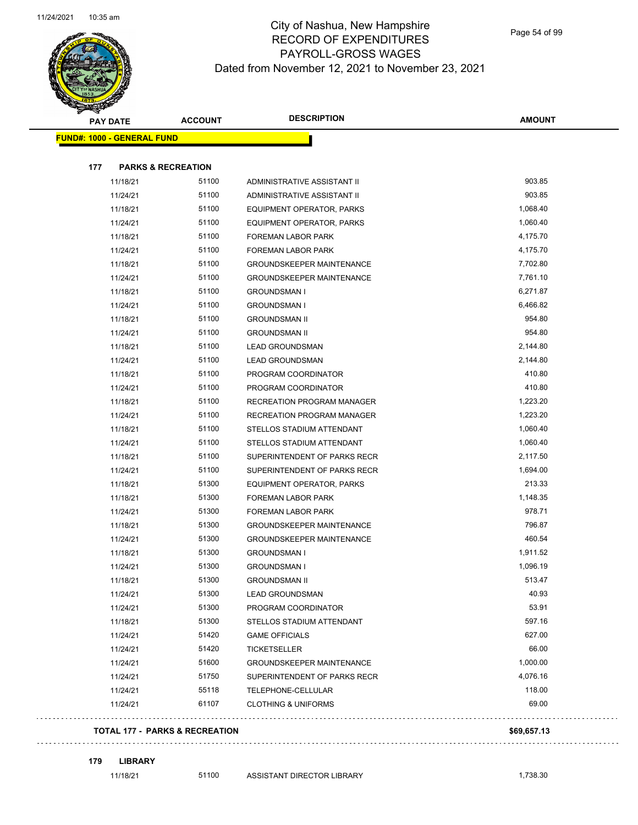

|     | <b>PAY DATE</b>                   | <b>ACCOUNT</b>                | <b>DESCRIPTION</b>               | <b>AMOUNT</b> |
|-----|-----------------------------------|-------------------------------|----------------------------------|---------------|
|     | <b>FUND#: 1000 - GENERAL FUND</b> |                               |                                  |               |
|     |                                   |                               |                                  |               |
| 177 |                                   | <b>PARKS &amp; RECREATION</b> |                                  |               |
|     | 11/18/21                          | 51100                         | ADMINISTRATIVE ASSISTANT II      | 903.85        |
|     | 11/24/21                          | 51100                         | ADMINISTRATIVE ASSISTANT II      | 903.85        |
|     | 11/18/21                          | 51100                         | EQUIPMENT OPERATOR, PARKS        | 1,068.40      |
|     | 11/24/21                          | 51100                         | EQUIPMENT OPERATOR, PARKS        | 1,060.40      |
|     | 11/18/21                          | 51100                         | <b>FOREMAN LABOR PARK</b>        | 4,175.70      |
|     | 11/24/21                          | 51100                         | FOREMAN LABOR PARK               | 4,175.70      |
|     | 11/18/21                          | 51100                         | <b>GROUNDSKEEPER MAINTENANCE</b> | 7,702.80      |
|     | 11/24/21                          | 51100                         | <b>GROUNDSKEEPER MAINTENANCE</b> | 7,761.10      |
|     | 11/18/21                          | 51100                         | <b>GROUNDSMAN I</b>              | 6,271.87      |
|     | 11/24/21                          | 51100                         | <b>GROUNDSMAN I</b>              | 6,466.82      |
|     | 11/18/21                          | 51100                         | <b>GROUNDSMAN II</b>             | 954.80        |
|     | 11/24/21                          | 51100                         | <b>GROUNDSMAN II</b>             | 954.80        |
|     | 11/18/21                          | 51100                         | <b>LEAD GROUNDSMAN</b>           | 2,144.80      |
|     | 11/24/21                          | 51100                         | <b>LEAD GROUNDSMAN</b>           | 2,144.80      |
|     | 11/18/21                          | 51100                         | PROGRAM COORDINATOR              | 410.80        |
|     | 11/24/21                          | 51100                         | PROGRAM COORDINATOR              | 410.80        |
|     | 11/18/21                          | 51100                         | RECREATION PROGRAM MANAGER       | 1,223.20      |
|     | 11/24/21                          | 51100                         | RECREATION PROGRAM MANAGER       | 1,223.20      |
|     | 11/18/21                          | 51100                         | STELLOS STADIUM ATTENDANT        | 1,060.40      |
|     | 11/24/21                          | 51100                         | STELLOS STADIUM ATTENDANT        | 1,060.40      |
|     | 11/18/21                          | 51100                         | SUPERINTENDENT OF PARKS RECR     | 2,117.50      |
|     | 11/24/21                          | 51100                         | SUPERINTENDENT OF PARKS RECR     | 1,694.00      |
|     | 11/18/21                          | 51300                         | EQUIPMENT OPERATOR, PARKS        | 213.33        |
|     | 11/18/21                          | 51300                         | FOREMAN LABOR PARK               | 1,148.35      |
|     | 11/24/21                          | 51300                         | FOREMAN LABOR PARK               | 978.71        |
|     | 11/18/21                          | 51300                         | <b>GROUNDSKEEPER MAINTENANCE</b> | 796.87        |
|     | 11/24/21                          | 51300                         | <b>GROUNDSKEEPER MAINTENANCE</b> | 460.54        |
|     | 11/18/21                          | 51300                         | <b>GROUNDSMAN I</b>              | 1,911.52      |
|     | 11/24/21                          | 51300                         | <b>GROUNDSMAN I</b>              | 1,096.19      |
|     | 11/18/21                          | 51300                         | <b>GROUNDSMAN II</b>             | 513.47        |
|     | 11/24/21                          | 51300                         | <b>LEAD GROUNDSMAN</b>           | 40.93         |
|     | 11/24/21                          | 51300                         | PROGRAM COORDINATOR              | 53.91         |
|     | 11/18/21                          | 51300                         | STELLOS STADIUM ATTENDANT        | 597.16        |
|     | 11/24/21                          | 51420                         | <b>GAME OFFICIALS</b>            | 627.00        |
|     | 11/24/21                          | 51420                         | <b>TICKETSELLER</b>              | 66.00         |
|     | 11/24/21                          | 51600                         | <b>GROUNDSKEEPER MAINTENANCE</b> | 1,000.00      |
|     | 11/24/21                          | 51750                         | SUPERINTENDENT OF PARKS RECR     | 4,076.16      |
|     | 11/24/21                          | 55118                         | TELEPHONE-CELLULAR               | 118.00        |
|     | 11/24/21                          | 61107                         | <b>CLOTHING &amp; UNIFORMS</b>   | 69.00         |

#### **TOTAL 177 - PARKS & RECREATION \$69,657.13**

. . . . . . . . . . .

```
179 LIBRARY
```
 $\ldots$ 

. . . . . . . . . . . .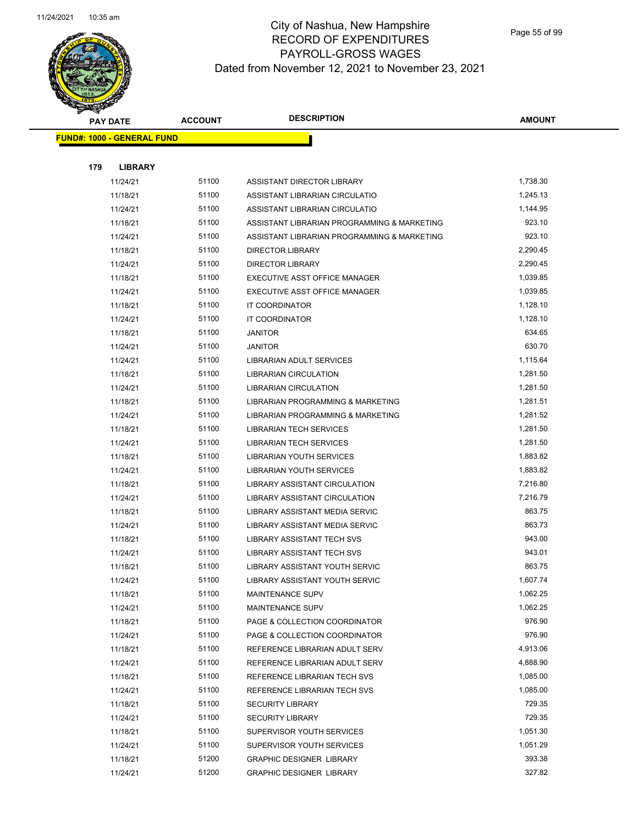

|     | <b>PAY DATE</b>                    | <b>ACCOUNT</b> | <b>DESCRIPTION</b>                          | AMOUNT   |
|-----|------------------------------------|----------------|---------------------------------------------|----------|
|     | <u> FUND#: 1000 - GENERAL FUND</u> |                |                                             |          |
|     |                                    |                |                                             |          |
| 179 | <b>LIBRARY</b>                     |                |                                             |          |
|     | 11/24/21                           | 51100          | ASSISTANT DIRECTOR LIBRARY                  | 1,738.30 |
|     | 11/18/21                           | 51100          | ASSISTANT LIBRARIAN CIRCULATIO              | 1,245.13 |
|     | 11/24/21                           | 51100          | ASSISTANT LIBRARIAN CIRCULATIO              | 1,144.95 |
|     | 11/18/21                           | 51100          | ASSISTANT LIBRARIAN PROGRAMMING & MARKETING | 923.10   |
|     | 11/24/21                           | 51100          | ASSISTANT LIBRARIAN PROGRAMMING & MARKETING | 923.10   |
|     | 11/18/21                           | 51100          | <b>DIRECTOR LIBRARY</b>                     | 2,290.45 |
|     | 11/24/21                           | 51100          | <b>DIRECTOR LIBRARY</b>                     | 2,290.45 |
|     | 11/18/21                           | 51100          | EXECUTIVE ASST OFFICE MANAGER               | 1,039.85 |
|     | 11/24/21                           | 51100          | EXECUTIVE ASST OFFICE MANAGER               | 1,039.85 |
|     | 11/18/21                           | 51100          | IT COORDINATOR                              | 1,128.10 |
|     | 11/24/21                           | 51100          | IT COORDINATOR                              | 1,128.10 |
|     | 11/18/21                           | 51100          | <b>JANITOR</b>                              | 634.65   |
|     | 11/24/21                           | 51100          | <b>JANITOR</b>                              | 630.70   |
|     | 11/24/21                           | 51100          | LIBRARIAN ADULT SERVICES                    | 1,115.64 |
|     | 11/18/21                           | 51100          | <b>LIBRARIAN CIRCULATION</b>                | 1,281.50 |
|     | 11/24/21                           | 51100          | <b>LIBRARIAN CIRCULATION</b>                | 1,281.50 |
|     | 11/18/21                           | 51100          | LIBRARIAN PROGRAMMING & MARKETING           | 1,281.51 |
|     | 11/24/21                           | 51100          | LIBRARIAN PROGRAMMING & MARKETING           | 1,281.52 |
|     | 11/18/21                           | 51100          | <b>LIBRARIAN TECH SERVICES</b>              | 1,281.50 |
|     | 11/24/21                           | 51100          | <b>LIBRARIAN TECH SERVICES</b>              | 1,281.50 |
|     | 11/18/21                           | 51100          | LIBRARIAN YOUTH SERVICES                    | 1,883.82 |
|     | 11/24/21                           | 51100          | LIBRARIAN YOUTH SERVICES                    | 1,883.82 |
|     | 11/18/21                           | 51100          | LIBRARY ASSISTANT CIRCULATION               | 7,216.80 |
|     | 11/24/21                           | 51100          | LIBRARY ASSISTANT CIRCULATION               | 7,216.79 |
|     | 11/18/21                           | 51100          | LIBRARY ASSISTANT MEDIA SERVIC              | 863.75   |
|     | 11/24/21                           | 51100          | <b>LIBRARY ASSISTANT MEDIA SERVIC</b>       | 863.73   |
|     | 11/18/21                           | 51100          | LIBRARY ASSISTANT TECH SVS                  | 943.00   |
|     | 11/24/21                           | 51100          | <b>LIBRARY ASSISTANT TECH SVS</b>           | 943.01   |
|     | 11/18/21                           | 51100          | LIBRARY ASSISTANT YOUTH SERVIC              | 863.75   |
|     | 11/24/21                           | 51100          | LIBRARY ASSISTANT YOUTH SERVIC              | 1,607.74 |
|     | 11/18/21                           | 51100          | MAINTENANCE SUPV                            | 1,062.25 |
|     | 11/24/21                           | 51100          | MAINTENANCE SUPV                            | 1,062.25 |
|     | 11/18/21                           | 51100          | PAGE & COLLECTION COORDINATOR               | 976.90   |
|     | 11/24/21                           | 51100          | PAGE & COLLECTION COORDINATOR               | 976.90   |
|     | 11/18/21                           | 51100          | REFERENCE LIBRARIAN ADULT SERV              | 4,913.06 |
|     | 11/24/21                           | 51100          | REFERENCE LIBRARIAN ADULT SERV              | 4,888.90 |
|     | 11/18/21                           | 51100          | REFERENCE LIBRARIAN TECH SVS                | 1,085.00 |
|     | 11/24/21                           | 51100          | REFERENCE LIBRARIAN TECH SVS                | 1,085.00 |
|     | 11/18/21                           | 51100          | <b>SECURITY LIBRARY</b>                     | 729.35   |
|     | 11/24/21                           | 51100          | <b>SECURITY LIBRARY</b>                     | 729.35   |
|     | 11/18/21                           | 51100          | SUPERVISOR YOUTH SERVICES                   | 1,051.30 |
|     | 11/24/21                           | 51100          | SUPERVISOR YOUTH SERVICES                   | 1,051.29 |
|     | 11/18/21                           | 51200          | <b>GRAPHIC DESIGNER LIBRARY</b>             | 393.38   |
|     | 11/24/21                           | 51200          | <b>GRAPHIC DESIGNER LIBRARY</b>             | 327.82   |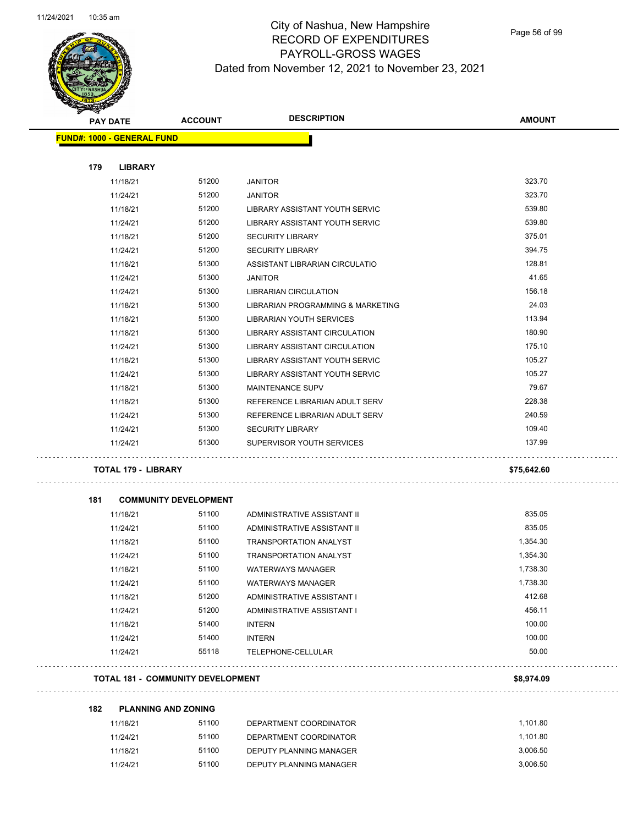

Page 56 of 99

| <b>STARTER</b>                    |                            |                                          |                                                        |               |
|-----------------------------------|----------------------------|------------------------------------------|--------------------------------------------------------|---------------|
| <b>PAY DATE</b>                   |                            | <b>ACCOUNT</b>                           | <b>DESCRIPTION</b>                                     | <b>AMOUNT</b> |
| <b>FUND#: 1000 - GENERAL FUND</b> |                            |                                          |                                                        |               |
|                                   |                            |                                          |                                                        |               |
| 179                               | <b>LIBRARY</b>             |                                          |                                                        |               |
|                                   | 11/18/21                   | 51200                                    | <b>JANITOR</b>                                         | 323.70        |
|                                   | 11/24/21                   | 51200                                    | <b>JANITOR</b>                                         | 323.70        |
|                                   | 11/18/21                   | 51200                                    | LIBRARY ASSISTANT YOUTH SERVIC                         | 539.80        |
|                                   | 11/24/21                   | 51200                                    | LIBRARY ASSISTANT YOUTH SERVIC                         | 539.80        |
|                                   | 11/18/21                   | 51200                                    | <b>SECURITY LIBRARY</b>                                | 375.01        |
|                                   | 11/24/21                   | 51200                                    | <b>SECURITY LIBRARY</b>                                | 394.75        |
|                                   | 11/18/21                   | 51300                                    | ASSISTANT LIBRARIAN CIRCULATIO                         | 128.81        |
|                                   | 11/24/21                   | 51300                                    | <b>JANITOR</b>                                         | 41.65         |
|                                   | 11/24/21                   | 51300                                    | <b>LIBRARIAN CIRCULATION</b>                           | 156.18        |
|                                   | 11/18/21                   | 51300                                    | LIBRARIAN PROGRAMMING & MARKETING                      | 24.03         |
|                                   | 11/18/21                   | 51300                                    | LIBRARIAN YOUTH SERVICES                               | 113.94        |
|                                   | 11/18/21                   | 51300                                    | LIBRARY ASSISTANT CIRCULATION                          | 180.90        |
|                                   | 11/24/21                   | 51300                                    | LIBRARY ASSISTANT CIRCULATION                          | 175.10        |
|                                   | 11/18/21                   | 51300                                    | LIBRARY ASSISTANT YOUTH SERVIC                         | 105.27        |
|                                   | 11/24/21                   | 51300                                    | LIBRARY ASSISTANT YOUTH SERVIC                         | 105.27        |
|                                   | 11/18/21                   | 51300                                    | <b>MAINTENANCE SUPV</b>                                | 79.67         |
|                                   | 11/18/21                   | 51300                                    | REFERENCE LIBRARIAN ADULT SERV                         | 228.38        |
|                                   | 11/24/21                   | 51300                                    | REFERENCE LIBRARIAN ADULT SERV                         | 240.59        |
|                                   | 11/24/21                   | 51300                                    | <b>SECURITY LIBRARY</b>                                | 109.40        |
|                                   | 11/24/21                   | 51300                                    | SUPERVISOR YOUTH SERVICES                              | 137.99        |
|                                   | <b>TOTAL 179 - LIBRARY</b> |                                          |                                                        | \$75,642.60   |
| 181                               |                            | <b>COMMUNITY DEVELOPMENT</b>             |                                                        |               |
|                                   | 11/18/21                   | 51100                                    | ADMINISTRATIVE ASSISTANT II                            | 835.05        |
|                                   | 11/24/21                   | 51100                                    | ADMINISTRATIVE ASSISTANT II                            | 835.05        |
|                                   | 11/18/21                   | 51100                                    | <b>TRANSPORTATION ANALYST</b>                          | 1,354.30      |
|                                   | 11/24/21                   | 51100                                    | <b>TRANSPORTATION ANALYST</b>                          | 1,354.30      |
|                                   | 11/18/21                   | 51100                                    |                                                        | 1,738.30      |
|                                   |                            | 51100                                    | <b>WATERWAYS MANAGER</b>                               | 1,738.30      |
|                                   | 11/24/21                   | 51200                                    | <b>WATERWAYS MANAGER</b><br>ADMINISTRATIVE ASSISTANT I | 412.68        |
|                                   | 11/18/21                   | 51200                                    |                                                        | 456.11        |
|                                   | 11/24/21                   |                                          | ADMINISTRATIVE ASSISTANT I                             |               |
|                                   | 11/18/21                   | 51400                                    | <b>INTERN</b>                                          | 100.00        |
|                                   | 11/24/21                   | 51400                                    | <b>INTERN</b>                                          | 100.00        |
|                                   | 11/24/21                   | 55118                                    | TELEPHONE-CELLULAR                                     | 50.00         |
|                                   |                            | <b>TOTAL 181 - COMMUNITY DEVELOPMENT</b> |                                                        | \$8,974.09    |
| 182                               |                            | <b>PLANNING AND ZONING</b>               |                                                        |               |
|                                   | 11/18/21                   | 51100                                    | DEPARTMENT COORDINATOR                                 | 1,101.80      |
|                                   | 11/24/21                   | 51100                                    | DEPARTMENT COORDINATOR                                 | 1,101.80      |
|                                   | 11/18/21                   | 51100                                    | DEPUTY PLANNING MANAGER                                | 3,006.50      |
|                                   | 11/24/21                   | 51100                                    | DEPUTY PLANNING MANAGER                                | 3,006.50      |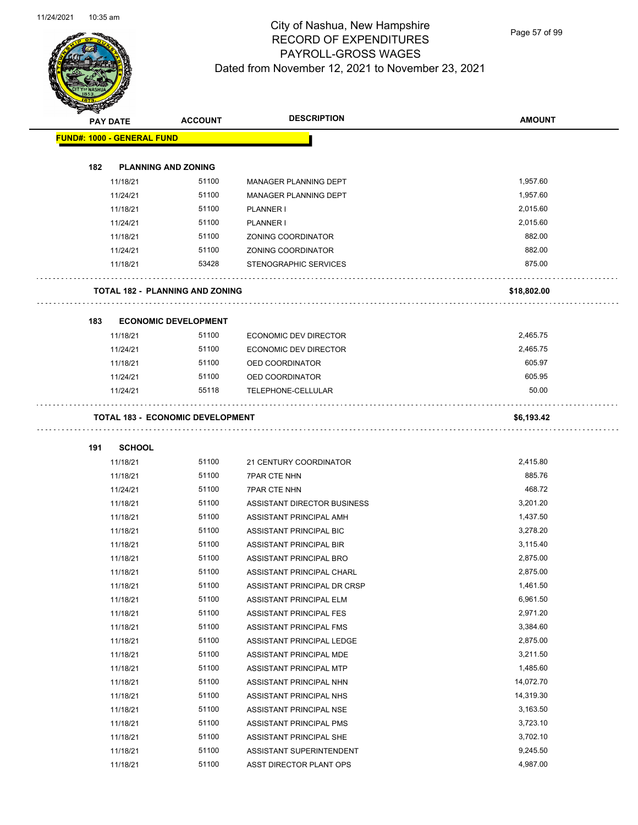$\overline{\phantom{0}}$ 



## City of Nashua, New Hampshire RECORD OF EXPENDITURES PAYROLL-GROSS WAGES Dated from November 12, 2021 to November 23, 2021

Page 57 of 99

| B.                                | <b>PAY DATE</b> | <b>ACCOUNT</b>                          | <b>DESCRIPTION</b>           | <b>AMOUNT</b> |
|-----------------------------------|-----------------|-----------------------------------------|------------------------------|---------------|
| <b>FUND#: 1000 - GENERAL FUND</b> |                 |                                         |                              |               |
|                                   |                 |                                         |                              |               |
| 182                               |                 | <b>PLANNING AND ZONING</b>              |                              |               |
|                                   | 11/18/21        | 51100                                   | MANAGER PLANNING DEPT        | 1,957.60      |
|                                   | 11/24/21        | 51100                                   | MANAGER PLANNING DEPT        | 1,957.60      |
|                                   | 11/18/21        | 51100                                   | PLANNER I                    | 2,015.60      |
|                                   | 11/24/21        | 51100                                   | PLANNER I                    | 2,015.60      |
|                                   | 11/18/21        | 51100                                   | <b>ZONING COORDINATOR</b>    | 882.00        |
|                                   | 11/24/21        | 51100                                   | <b>ZONING COORDINATOR</b>    | 882.00        |
|                                   | 11/18/21        | 53428                                   | <b>STENOGRAPHIC SERVICES</b> | 875.00        |
|                                   |                 | <b>TOTAL 182 - PLANNING AND ZONING</b>  |                              | \$18,802.00   |
| 183                               |                 | <b>ECONOMIC DEVELOPMENT</b>             |                              |               |
|                                   | 11/18/21        | 51100                                   | ECONOMIC DEV DIRECTOR        | 2,465.75      |
|                                   | 11/24/21        | 51100                                   | <b>ECONOMIC DEV DIRECTOR</b> | 2,465.75      |
|                                   | 11/18/21        | 51100                                   | OED COORDINATOR              | 605.97        |
|                                   | 11/24/21        | 51100                                   | OED COORDINATOR              | 605.95        |
|                                   | 11/24/21        | 55118                                   | TELEPHONE-CELLULAR           | 50.00         |
|                                   |                 | <b>TOTAL 183 - ECONOMIC DEVELOPMENT</b> |                              | \$6,193.42    |
| 191                               | <b>SCHOOL</b>   |                                         |                              |               |
|                                   | 11/18/21        | 51100                                   | 21 CENTURY COORDINATOR       | 2,415.80      |
|                                   | 11/18/21        | 51100                                   | <b>7PAR CTE NHN</b>          | 885.76        |
|                                   | 11/24/21        | 51100                                   | <b>7PAR CTE NHN</b>          | 468.72        |
|                                   | 11/18/21        | 51100                                   | ASSISTANT DIRECTOR BUSINESS  | 3,201.20      |
|                                   | 11/18/21        | 51100                                   | ASSISTANT PRINCIPAL AMH      | 1,437.50      |
|                                   | 11/18/21        | 51100                                   | ASSISTANT PRINCIPAL BIC      | 3,278.20      |
|                                   | 11/18/21        | 51100                                   | ASSISTANT PRINCIPAL BIR      | 3,115.40      |
|                                   | 11/18/21        | 51100                                   | ASSISTANT PRINCIPAL BRO      | 2,875.00      |
|                                   | 11/18/21        | 51100                                   | ASSISTANT PRINCIPAL CHARL    | 2,875.00      |
|                                   | 11/18/21        | 51100                                   | ASSISTANT PRINCIPAL DR CRSP  | 1,461.50      |
|                                   | 11/18/21        | 51100                                   | ASSISTANT PRINCIPAL ELM      | 6,961.50      |
|                                   | 11/18/21        | 51100                                   | ASSISTANT PRINCIPAL FES      | 2,971.20      |
|                                   | 11/18/21        | 51100                                   | ASSISTANT PRINCIPAL FMS      | 3,384.60      |
|                                   | 11/18/21        | 51100                                   | ASSISTANT PRINCIPAL LEDGE    | 2,875.00      |
|                                   | 11/18/21        | 51100                                   | ASSISTANT PRINCIPAL MDE      | 3,211.50      |
|                                   | 11/18/21        | 51100                                   | ASSISTANT PRINCIPAL MTP      | 1,485.60      |
|                                   | 11/18/21        | 51100                                   | ASSISTANT PRINCIPAL NHN      | 14,072.70     |
|                                   | 11/18/21        | 51100                                   | ASSISTANT PRINCIPAL NHS      | 14,319.30     |
|                                   | 11/18/21        | 51100                                   | ASSISTANT PRINCIPAL NSE      | 3,163.50      |
|                                   | 11/18/21        | 51100                                   | ASSISTANT PRINCIPAL PMS      | 3,723.10      |
|                                   | 11/18/21        | 51100                                   | ASSISTANT PRINCIPAL SHE      | 3,702.10      |
|                                   | 11/18/21        | 51100                                   | ASSISTANT SUPERINTENDENT     | 9,245.50      |

11/18/21 51100 ASST DIRECTOR PLANT OPS 4,987.00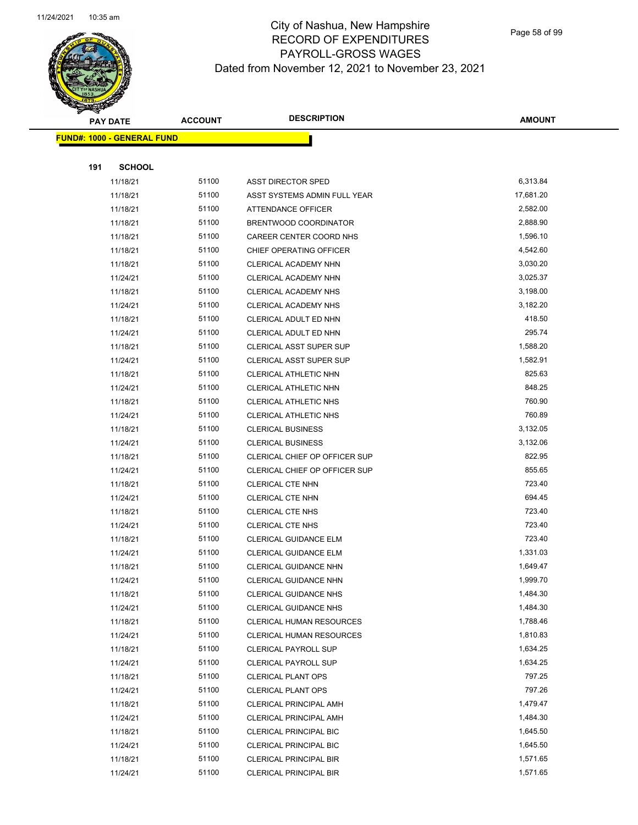

Page 58 of 99

|     | <b>PAY DATE</b>                   |       | <b>DESCRIPTION</b>              | <b>AMOUNT</b> |
|-----|-----------------------------------|-------|---------------------------------|---------------|
|     | <b>FUND#: 1000 - GENERAL FUND</b> |       |                                 |               |
|     |                                   |       |                                 |               |
| 191 | <b>SCHOOL</b>                     |       |                                 |               |
|     | 11/18/21                          | 51100 | ASST DIRECTOR SPED              | 6,313.84      |
|     | 11/18/21                          | 51100 | ASST SYSTEMS ADMIN FULL YEAR    | 17,681.20     |
|     | 11/18/21                          | 51100 | ATTENDANCE OFFICER              | 2,582.00      |
|     | 11/18/21                          | 51100 | BRENTWOOD COORDINATOR           | 2,888.90      |
|     | 11/18/21                          | 51100 | CAREER CENTER COORD NHS         | 1,596.10      |
|     | 11/18/21                          | 51100 | CHIEF OPERATING OFFICER         | 4,542.60      |
|     | 11/18/21                          | 51100 | CLERICAL ACADEMY NHN            | 3,030.20      |
|     | 11/24/21                          | 51100 | CLERICAL ACADEMY NHN            | 3,025.37      |
|     | 11/18/21                          | 51100 | CLERICAL ACADEMY NHS            | 3,198.00      |
|     | 11/24/21                          | 51100 | CLERICAL ACADEMY NHS            | 3,182.20      |
|     | 11/18/21                          | 51100 | CLERICAL ADULT ED NHN           | 418.50        |
|     | 11/24/21                          | 51100 | CLERICAL ADULT ED NHN           | 295.74        |
|     | 11/18/21                          | 51100 | <b>CLERICAL ASST SUPER SUP</b>  | 1,588.20      |
|     | 11/24/21                          | 51100 | <b>CLERICAL ASST SUPER SUP</b>  | 1,582.91      |
|     | 11/18/21                          | 51100 | <b>CLERICAL ATHLETIC NHN</b>    | 825.63        |
|     | 11/24/21                          | 51100 | CLERICAL ATHLETIC NHN           | 848.25        |
|     | 11/18/21                          | 51100 | CLERICAL ATHLETIC NHS           | 760.90        |
|     | 11/24/21                          | 51100 | CLERICAL ATHLETIC NHS           | 760.89        |
|     | 11/18/21                          | 51100 | <b>CLERICAL BUSINESS</b>        | 3,132.05      |
|     | 11/24/21                          | 51100 | <b>CLERICAL BUSINESS</b>        | 3,132.06      |
|     | 11/18/21                          | 51100 | CLERICAL CHIEF OP OFFICER SUP   | 822.95        |
|     | 11/24/21                          | 51100 | CLERICAL CHIEF OP OFFICER SUP   | 855.65        |
|     | 11/18/21                          | 51100 | <b>CLERICAL CTE NHN</b>         | 723.40        |
|     | 11/24/21                          | 51100 | <b>CLERICAL CTE NHN</b>         | 694.45        |
|     | 11/18/21                          | 51100 | <b>CLERICAL CTE NHS</b>         | 723.40        |
|     | 11/24/21                          | 51100 | <b>CLERICAL CTE NHS</b>         | 723.40        |
|     | 11/18/21                          | 51100 | <b>CLERICAL GUIDANCE ELM</b>    | 723.40        |
|     | 11/24/21                          | 51100 | <b>CLERICAL GUIDANCE ELM</b>    | 1,331.03      |
|     | 11/18/21                          | 51100 | CLERICAL GUIDANCE NHN           | 1,649.47      |
|     | 11/24/21                          | 51100 | CLERICAL GUIDANCE NHN           | 1,999.70      |
|     | 11/18/21                          | 51100 | <b>CLERICAL GUIDANCE NHS</b>    | 1,484.30      |
|     | 11/24/21                          | 51100 | CLERICAL GUIDANCE NHS           | 1,484.30      |
|     | 11/18/21                          | 51100 | <b>CLERICAL HUMAN RESOURCES</b> | 1,788.46      |
|     | 11/24/21                          | 51100 | <b>CLERICAL HUMAN RESOURCES</b> | 1,810.83      |
|     | 11/18/21                          | 51100 | <b>CLERICAL PAYROLL SUP</b>     | 1,634.25      |
|     | 11/24/21                          | 51100 | <b>CLERICAL PAYROLL SUP</b>     | 1,634.25      |
|     | 11/18/21                          | 51100 | <b>CLERICAL PLANT OPS</b>       | 797.25        |
|     | 11/24/21                          | 51100 | <b>CLERICAL PLANT OPS</b>       | 797.26        |
|     | 11/18/21                          | 51100 | <b>CLERICAL PRINCIPAL AMH</b>   | 1,479.47      |
|     | 11/24/21                          | 51100 | CLERICAL PRINCIPAL AMH          | 1,484.30      |
|     | 11/18/21                          | 51100 | <b>CLERICAL PRINCIPAL BIC</b>   | 1,645.50      |
|     | 11/24/21                          | 51100 | CLERICAL PRINCIPAL BIC          | 1,645.50      |
|     | 11/18/21                          | 51100 | <b>CLERICAL PRINCIPAL BIR</b>   | 1,571.65      |
|     | 11/24/21                          | 51100 | <b>CLERICAL PRINCIPAL BIR</b>   | 1,571.65      |
|     |                                   |       |                                 |               |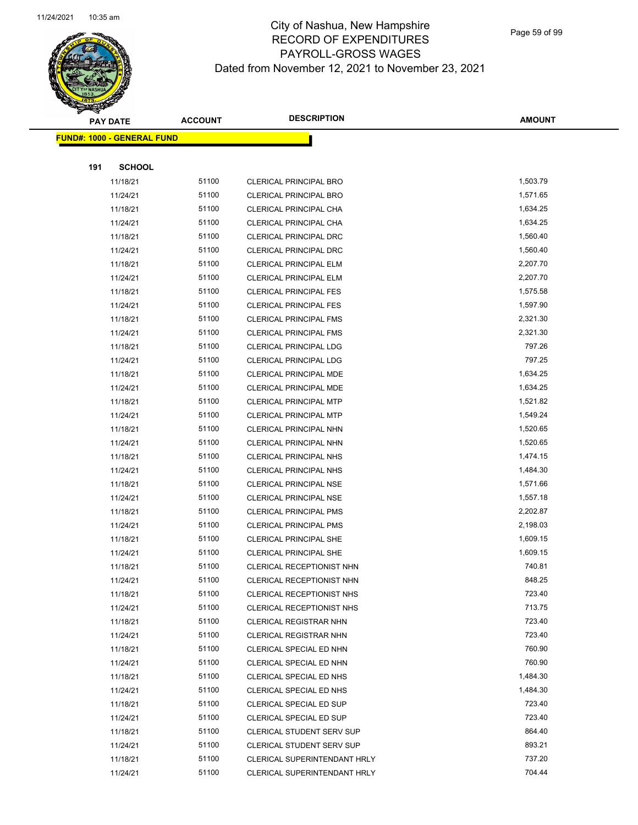

Page 59 of 99

| <b>PAY DATE</b>                    | <b>ACCOUNT</b> | <b>DESCRIPTION</b>               | <b>AMOUNT</b> |
|------------------------------------|----------------|----------------------------------|---------------|
| <u> FUND#: 1000 - GENERAL FUND</u> |                |                                  |               |
|                                    |                |                                  |               |
| 191<br><b>SCHOOL</b>               |                |                                  |               |
| 11/18/21                           | 51100          | <b>CLERICAL PRINCIPAL BRO</b>    | 1,503.79      |
| 11/24/21                           | 51100          | <b>CLERICAL PRINCIPAL BRO</b>    | 1,571.65      |
| 11/18/21                           | 51100          | CLERICAL PRINCIPAL CHA           | 1,634.25      |
| 11/24/21                           | 51100          | CLERICAL PRINCIPAL CHA           | 1,634.25      |
| 11/18/21                           | 51100          | CLERICAL PRINCIPAL DRC           | 1,560.40      |
| 11/24/21                           | 51100          | CLERICAL PRINCIPAL DRC           | 1,560.40      |
| 11/18/21                           | 51100          | <b>CLERICAL PRINCIPAL ELM</b>    | 2,207.70      |
| 11/24/21                           | 51100          | <b>CLERICAL PRINCIPAL ELM</b>    | 2,207.70      |
| 11/18/21                           | 51100          | <b>CLERICAL PRINCIPAL FES</b>    | 1,575.58      |
| 11/24/21                           | 51100          | <b>CLERICAL PRINCIPAL FES</b>    | 1,597.90      |
| 11/18/21                           | 51100          | <b>CLERICAL PRINCIPAL FMS</b>    | 2,321.30      |
| 11/24/21                           | 51100          | <b>CLERICAL PRINCIPAL FMS</b>    | 2,321.30      |
| 11/18/21                           | 51100          | <b>CLERICAL PRINCIPAL LDG</b>    | 797.26        |
| 11/24/21                           | 51100          | <b>CLERICAL PRINCIPAL LDG</b>    | 797.25        |
| 11/18/21                           | 51100          | CLERICAL PRINCIPAL MDE           | 1,634.25      |
| 11/24/21                           | 51100          | CLERICAL PRINCIPAL MDE           | 1,634.25      |
| 11/18/21                           | 51100          | <b>CLERICAL PRINCIPAL MTP</b>    | 1,521.82      |
| 11/24/21                           | 51100          | <b>CLERICAL PRINCIPAL MTP</b>    | 1,549.24      |
| 11/18/21                           | 51100          | CLERICAL PRINCIPAL NHN           | 1,520.65      |
| 11/24/21                           | 51100          | CLERICAL PRINCIPAL NHN           | 1,520.65      |
| 11/18/21                           | 51100          | <b>CLERICAL PRINCIPAL NHS</b>    | 1,474.15      |
| 11/24/21                           | 51100          | <b>CLERICAL PRINCIPAL NHS</b>    | 1,484.30      |
| 11/18/21                           | 51100          | <b>CLERICAL PRINCIPAL NSE</b>    | 1,571.66      |
| 11/24/21                           | 51100          | <b>CLERICAL PRINCIPAL NSE</b>    | 1,557.18      |
| 11/18/21                           | 51100          | <b>CLERICAL PRINCIPAL PMS</b>    | 2,202.87      |
| 11/24/21                           | 51100          | <b>CLERICAL PRINCIPAL PMS</b>    | 2,198.03      |
| 11/18/21                           | 51100          | <b>CLERICAL PRINCIPAL SHE</b>    | 1,609.15      |
| 11/24/21                           | 51100          | <b>CLERICAL PRINCIPAL SHE</b>    | 1,609.15      |
| 11/18/21                           | 51100          | CLERICAL RECEPTIONIST NHN        | 740.81        |
| 11/24/21                           | 51100          | <b>CLERICAL RECEPTIONIST NHN</b> | 848.25        |
| 11/18/21                           | 51100          | CLERICAL RECEPTIONIST NHS        | 723.40        |
| 11/24/21                           | 51100          | CLERICAL RECEPTIONIST NHS        | 713.75        |
| 11/18/21                           | 51100          | <b>CLERICAL REGISTRAR NHN</b>    | 723.40        |
| 11/24/21                           | 51100          | CLERICAL REGISTRAR NHN           | 723.40        |
| 11/18/21                           | 51100          | CLERICAL SPECIAL ED NHN          | 760.90        |
| 11/24/21                           | 51100          | CLERICAL SPECIAL ED NHN          | 760.90        |
| 11/18/21                           | 51100          | CLERICAL SPECIAL ED NHS          | 1,484.30      |
| 11/24/21                           | 51100          | CLERICAL SPECIAL ED NHS          | 1,484.30      |
| 11/18/21                           | 51100          | CLERICAL SPECIAL ED SUP          | 723.40        |
| 11/24/21                           | 51100          | CLERICAL SPECIAL ED SUP          | 723.40        |
| 11/18/21                           | 51100          | <b>CLERICAL STUDENT SERV SUP</b> | 864.40        |
| 11/24/21                           | 51100          | CLERICAL STUDENT SERV SUP        | 893.21        |
| 11/18/21                           | 51100          | CLERICAL SUPERINTENDANT HRLY     | 737.20        |
| 11/24/21                           | 51100          | CLERICAL SUPERINTENDANT HRLY     | 704.44        |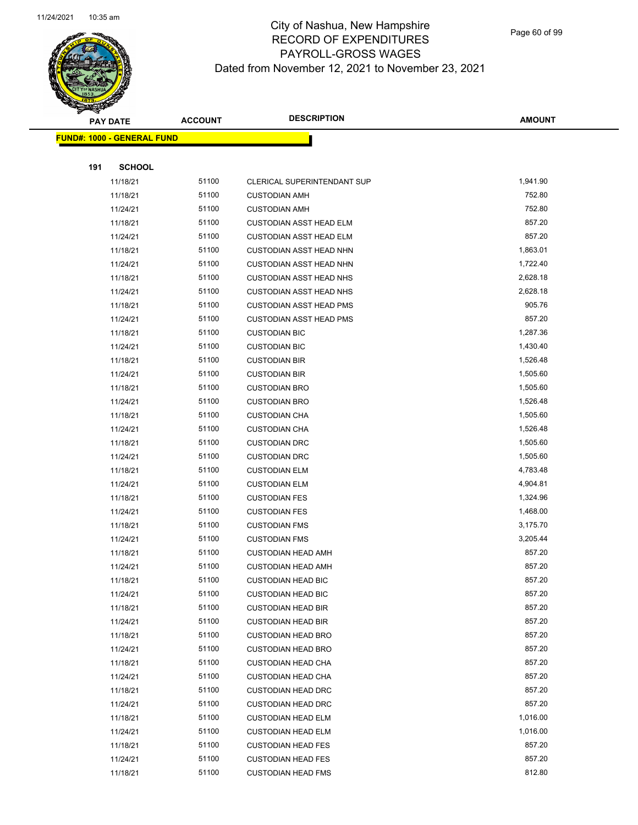

Page 60 of 99

|     | <b>PAY DATE</b>                    | <b>ACCOUNT</b> | <b>DESCRIPTION</b>                                     | <b>AMOUNT</b>    |  |
|-----|------------------------------------|----------------|--------------------------------------------------------|------------------|--|
|     | <u> FUND#: 1000 - GENERAL FUND</u> |                |                                                        |                  |  |
|     |                                    |                |                                                        |                  |  |
| 191 | <b>SCHOOL</b>                      |                |                                                        |                  |  |
|     | 11/18/21                           | 51100          | CLERICAL SUPERINTENDANT SUP                            | 1,941.90         |  |
|     | 11/18/21                           | 51100          | <b>CUSTODIAN AMH</b>                                   | 752.80           |  |
|     | 11/24/21                           | 51100          | <b>CUSTODIAN AMH</b>                                   | 752.80           |  |
|     | 11/18/21                           | 51100          | <b>CUSTODIAN ASST HEAD ELM</b>                         | 857.20           |  |
|     | 11/24/21                           | 51100          | <b>CUSTODIAN ASST HEAD ELM</b>                         | 857.20           |  |
|     | 11/18/21                           | 51100          | <b>CUSTODIAN ASST HEAD NHN</b>                         | 1,863.01         |  |
|     | 11/24/21                           | 51100          | <b>CUSTODIAN ASST HEAD NHN</b>                         | 1,722.40         |  |
|     | 11/18/21                           | 51100          | <b>CUSTODIAN ASST HEAD NHS</b>                         | 2,628.18         |  |
|     | 11/24/21                           | 51100          | <b>CUSTODIAN ASST HEAD NHS</b>                         | 2,628.18         |  |
|     | 11/18/21                           | 51100          | <b>CUSTODIAN ASST HEAD PMS</b>                         | 905.76           |  |
|     | 11/24/21                           | 51100          | <b>CUSTODIAN ASST HEAD PMS</b>                         | 857.20           |  |
|     | 11/18/21                           | 51100          | <b>CUSTODIAN BIC</b>                                   | 1,287.36         |  |
|     | 11/24/21                           | 51100          | <b>CUSTODIAN BIC</b>                                   | 1,430.40         |  |
|     | 11/18/21                           | 51100          | <b>CUSTODIAN BIR</b>                                   | 1,526.48         |  |
|     | 11/24/21                           | 51100          | <b>CUSTODIAN BIR</b>                                   | 1,505.60         |  |
|     | 11/18/21                           | 51100          | <b>CUSTODIAN BRO</b>                                   | 1,505.60         |  |
|     | 11/24/21                           | 51100          | <b>CUSTODIAN BRO</b>                                   | 1,526.48         |  |
|     | 11/18/21                           | 51100          | <b>CUSTODIAN CHA</b>                                   | 1,505.60         |  |
|     | 11/24/21                           | 51100          | <b>CUSTODIAN CHA</b>                                   | 1,526.48         |  |
|     | 11/18/21                           | 51100          | <b>CUSTODIAN DRC</b>                                   | 1,505.60         |  |
|     | 11/24/21                           | 51100          | <b>CUSTODIAN DRC</b>                                   | 1,505.60         |  |
|     | 11/18/21                           | 51100          | <b>CUSTODIAN ELM</b>                                   | 4,783.48         |  |
|     | 11/24/21                           | 51100          | <b>CUSTODIAN ELM</b>                                   | 4,904.81         |  |
|     | 11/18/21                           | 51100          | <b>CUSTODIAN FES</b>                                   | 1,324.96         |  |
|     | 11/24/21                           | 51100          | <b>CUSTODIAN FES</b>                                   | 1,468.00         |  |
|     | 11/18/21                           | 51100          | <b>CUSTODIAN FMS</b>                                   | 3,175.70         |  |
|     | 11/24/21                           | 51100          | <b>CUSTODIAN FMS</b>                                   | 3,205.44         |  |
|     | 11/18/21                           | 51100          | <b>CUSTODIAN HEAD AMH</b>                              | 857.20           |  |
|     | 11/24/21                           | 51100          | <b>CUSTODIAN HEAD AMH</b>                              | 857.20           |  |
|     | 11/18/21                           | 51100          | <b>CUSTODIAN HEAD BIC</b>                              | 857.20           |  |
|     | 11/24/21                           | 51100<br>51100 | <b>CUSTODIAN HEAD BIC</b>                              | 857.20<br>857.20 |  |
|     | 11/18/21                           | 51100          | <b>CUSTODIAN HEAD BIR</b><br><b>CUSTODIAN HEAD BIR</b> | 857.20           |  |
|     | 11/24/21<br>11/18/21               | 51100          | <b>CUSTODIAN HEAD BRO</b>                              | 857.20           |  |
|     | 11/24/21                           | 51100          | <b>CUSTODIAN HEAD BRO</b>                              | 857.20           |  |
|     | 11/18/21                           | 51100          | <b>CUSTODIAN HEAD CHA</b>                              | 857.20           |  |
|     | 11/24/21                           | 51100          | <b>CUSTODIAN HEAD CHA</b>                              | 857.20           |  |
|     | 11/18/21                           | 51100          | <b>CUSTODIAN HEAD DRC</b>                              | 857.20           |  |
|     | 11/24/21                           | 51100          | <b>CUSTODIAN HEAD DRC</b>                              | 857.20           |  |
|     | 11/18/21                           | 51100          | <b>CUSTODIAN HEAD ELM</b>                              | 1,016.00         |  |
|     | 11/24/21                           | 51100          | <b>CUSTODIAN HEAD ELM</b>                              | 1,016.00         |  |
|     | 11/18/21                           | 51100          | <b>CUSTODIAN HEAD FES</b>                              | 857.20           |  |
|     | 11/24/21                           | 51100          | <b>CUSTODIAN HEAD FES</b>                              | 857.20           |  |
|     | 11/18/21                           | 51100          | <b>CUSTODIAN HEAD FMS</b>                              | 812.80           |  |
|     |                                    |                |                                                        |                  |  |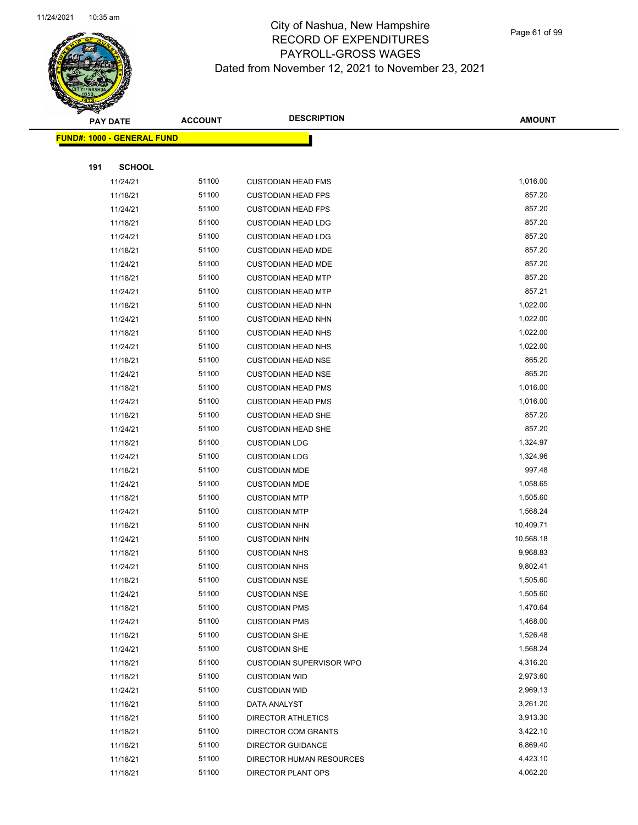

Page 61 of 99

|     | <b>PAY DATE</b>                   | <b>ACCOUNT</b> | <b>DESCRIPTION</b>                           | <b>AMOUNT</b>        |
|-----|-----------------------------------|----------------|----------------------------------------------|----------------------|
|     | <b>FUND#: 1000 - GENERAL FUND</b> |                |                                              |                      |
|     |                                   |                |                                              |                      |
| 191 | <b>SCHOOL</b>                     |                |                                              |                      |
|     | 11/24/21                          | 51100          | <b>CUSTODIAN HEAD FMS</b>                    | 1,016.00             |
|     | 11/18/21                          | 51100          | <b>CUSTODIAN HEAD FPS</b>                    | 857.20               |
|     | 11/24/21                          | 51100          | <b>CUSTODIAN HEAD FPS</b>                    | 857.20               |
|     | 11/18/21                          | 51100          | <b>CUSTODIAN HEAD LDG</b>                    | 857.20               |
|     | 11/24/21                          | 51100          | <b>CUSTODIAN HEAD LDG</b>                    | 857.20               |
|     | 11/18/21                          | 51100          | <b>CUSTODIAN HEAD MDE</b>                    | 857.20               |
|     | 11/24/21                          | 51100          | <b>CUSTODIAN HEAD MDE</b>                    | 857.20               |
|     | 11/18/21                          | 51100          | <b>CUSTODIAN HEAD MTP</b>                    | 857.20               |
|     | 11/24/21                          | 51100          | <b>CUSTODIAN HEAD MTP</b>                    | 857.21               |
|     | 11/18/21                          | 51100          | <b>CUSTODIAN HEAD NHN</b>                    | 1,022.00             |
|     | 11/24/21                          | 51100          | <b>CUSTODIAN HEAD NHN</b>                    | 1,022.00             |
|     | 11/18/21                          | 51100          | <b>CUSTODIAN HEAD NHS</b>                    | 1,022.00             |
|     | 11/24/21                          | 51100          | <b>CUSTODIAN HEAD NHS</b>                    | 1,022.00             |
|     | 11/18/21                          | 51100          | <b>CUSTODIAN HEAD NSE</b>                    | 865.20               |
|     | 11/24/21                          | 51100          | <b>CUSTODIAN HEAD NSE</b>                    | 865.20               |
|     | 11/18/21                          | 51100          | <b>CUSTODIAN HEAD PMS</b>                    | 1,016.00             |
|     | 11/24/21                          | 51100          | <b>CUSTODIAN HEAD PMS</b>                    | 1,016.00             |
|     | 11/18/21                          | 51100          | <b>CUSTODIAN HEAD SHE</b>                    | 857.20               |
|     | 11/24/21                          | 51100          | <b>CUSTODIAN HEAD SHE</b>                    | 857.20               |
|     | 11/18/21                          | 51100          | <b>CUSTODIAN LDG</b>                         | 1,324.97             |
|     | 11/24/21                          | 51100          | <b>CUSTODIAN LDG</b>                         | 1,324.96             |
|     | 11/18/21                          | 51100          | <b>CUSTODIAN MDE</b>                         | 997.48               |
|     | 11/24/21                          | 51100          | <b>CUSTODIAN MDE</b>                         | 1,058.65             |
|     | 11/18/21                          | 51100          | <b>CUSTODIAN MTP</b>                         | 1,505.60             |
|     | 11/24/21                          | 51100          | <b>CUSTODIAN MTP</b>                         | 1,568.24             |
|     | 11/18/21                          | 51100          | <b>CUSTODIAN NHN</b>                         | 10,409.71            |
|     | 11/24/21                          | 51100          | <b>CUSTODIAN NHN</b>                         | 10,568.18            |
|     | 11/18/21                          | 51100          | <b>CUSTODIAN NHS</b>                         | 9,968.83             |
|     | 11/24/21                          | 51100<br>51100 | <b>CUSTODIAN NHS</b>                         | 9,802.41<br>1,505.60 |
|     | 11/18/21                          | 51100          | <b>CUSTODIAN NSE</b>                         | 1,505.60             |
|     | 11/24/21<br>11/18/21              | 51100          | <b>CUSTODIAN NSE</b><br><b>CUSTODIAN PMS</b> | 1,470.64             |
|     | 11/24/21                          | 51100          | <b>CUSTODIAN PMS</b>                         | 1,468.00             |
|     | 11/18/21                          | 51100          | <b>CUSTODIAN SHE</b>                         | 1,526.48             |
|     | 11/24/21                          | 51100          | <b>CUSTODIAN SHE</b>                         | 1,568.24             |
|     | 11/18/21                          | 51100          | <b>CUSTODIAN SUPERVISOR WPO</b>              | 4,316.20             |
|     | 11/18/21                          | 51100          | <b>CUSTODIAN WID</b>                         | 2,973.60             |
|     | 11/24/21                          | 51100          | <b>CUSTODIAN WID</b>                         | 2,969.13             |
|     | 11/18/21                          | 51100          | DATA ANALYST                                 | 3,261.20             |
|     | 11/18/21                          | 51100          | <b>DIRECTOR ATHLETICS</b>                    | 3,913.30             |
|     | 11/18/21                          | 51100          | DIRECTOR COM GRANTS                          | 3,422.10             |
|     | 11/18/21                          | 51100          | <b>DIRECTOR GUIDANCE</b>                     | 6,869.40             |
|     | 11/18/21                          | 51100          | DIRECTOR HUMAN RESOURCES                     | 4,423.10             |
|     | 11/18/21                          | 51100          | DIRECTOR PLANT OPS                           | 4,062.20             |
|     |                                   |                |                                              |                      |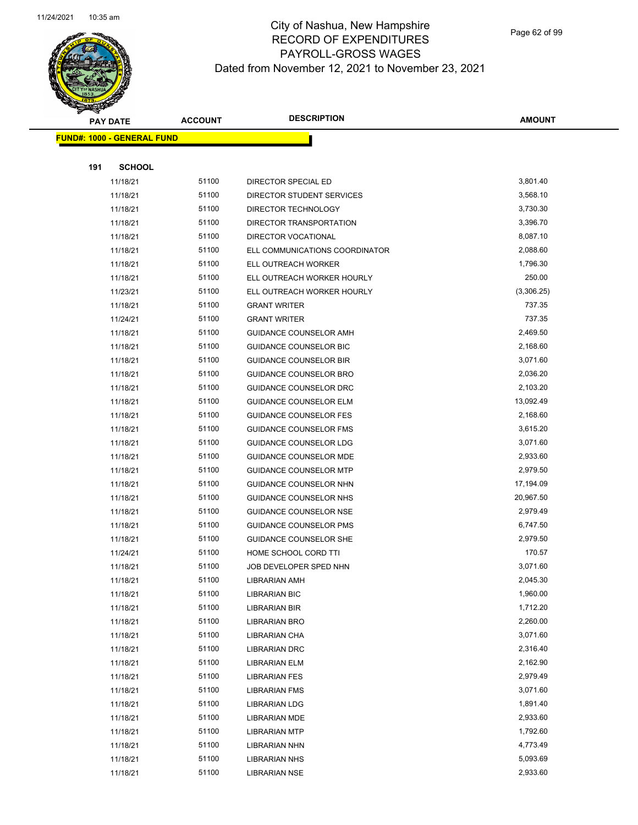

|     | <b>PAY DATE</b>                   | <b>ACCOUNT</b> | <b>DESCRIPTION</b>             | <b>AMOUNT</b>        |
|-----|-----------------------------------|----------------|--------------------------------|----------------------|
|     | <b>FUND#: 1000 - GENERAL FUND</b> |                |                                |                      |
|     |                                   |                |                                |                      |
| 191 | <b>SCHOOL</b>                     |                |                                |                      |
|     | 11/18/21                          | 51100          | DIRECTOR SPECIAL ED            | 3,801.40             |
|     | 11/18/21                          | 51100          | DIRECTOR STUDENT SERVICES      | 3,568.10             |
|     | 11/18/21                          | 51100          | DIRECTOR TECHNOLOGY            | 3,730.30             |
|     | 11/18/21                          | 51100          | DIRECTOR TRANSPORTATION        | 3,396.70             |
|     | 11/18/21                          | 51100          | <b>DIRECTOR VOCATIONAL</b>     | 8,087.10             |
|     | 11/18/21                          | 51100          | ELL COMMUNICATIONS COORDINATOR | 2,088.60             |
|     | 11/18/21                          | 51100          | ELL OUTREACH WORKER            | 1,796.30             |
|     | 11/18/21                          | 51100          | ELL OUTREACH WORKER HOURLY     | 250.00               |
|     | 11/23/21                          | 51100          | ELL OUTREACH WORKER HOURLY     | (3,306.25)           |
|     | 11/18/21                          | 51100          | <b>GRANT WRITER</b>            | 737.35               |
|     | 11/24/21                          | 51100          | <b>GRANT WRITER</b>            | 737.35               |
|     | 11/18/21                          | 51100          | GUIDANCE COUNSELOR AMH         | 2,469.50             |
|     | 11/18/21                          | 51100          | GUIDANCE COUNSELOR BIC         | 2,168.60             |
|     | 11/18/21                          | 51100          | <b>GUIDANCE COUNSELOR BIR</b>  | 3,071.60             |
|     | 11/18/21                          | 51100          | <b>GUIDANCE COUNSELOR BRO</b>  | 2,036.20             |
|     | 11/18/21                          | 51100          | GUIDANCE COUNSELOR DRC         | 2,103.20             |
|     | 11/18/21                          | 51100          | <b>GUIDANCE COUNSELOR ELM</b>  | 13,092.49            |
|     | 11/18/21                          | 51100          | <b>GUIDANCE COUNSELOR FES</b>  | 2,168.60             |
|     | 11/18/21                          | 51100          | <b>GUIDANCE COUNSELOR FMS</b>  | 3,615.20             |
|     | 11/18/21                          | 51100          | <b>GUIDANCE COUNSELOR LDG</b>  | 3,071.60             |
|     | 11/18/21                          | 51100          | GUIDANCE COUNSELOR MDE         | 2,933.60             |
|     | 11/18/21                          | 51100          | <b>GUIDANCE COUNSELOR MTP</b>  | 2,979.50             |
|     | 11/18/21                          | 51100          | GUIDANCE COUNSELOR NHN         | 17,194.09            |
|     | 11/18/21                          | 51100          | GUIDANCE COUNSELOR NHS         | 20,967.50            |
|     | 11/18/21                          | 51100          | GUIDANCE COUNSELOR NSE         | 2,979.49             |
|     | 11/18/21                          | 51100          | <b>GUIDANCE COUNSELOR PMS</b>  | 6,747.50             |
|     | 11/18/21                          | 51100          | <b>GUIDANCE COUNSELOR SHE</b>  | 2,979.50             |
|     | 11/24/21                          | 51100          | HOME SCHOOL CORD TTI           | 170.57               |
|     | 11/18/21                          | 51100          | JOB DEVELOPER SPED NHN         | 3,071.60             |
|     | 11/18/21                          | 51100          | LIBRARIAN AMH                  | 2,045.30             |
|     | 11/18/21                          | 51100          | LIBRARIAN BIC                  | 1,960.00             |
|     | 11/18/21                          | 51100          | LIBRARIAN BIR                  | 1,712.20             |
|     | 11/18/21                          | 51100          | <b>LIBRARIAN BRO</b>           | 2,260.00             |
|     | 11/18/21                          | 51100          | LIBRARIAN CHA                  | 3,071.60             |
|     | 11/18/21                          | 51100          | LIBRARIAN DRC                  | 2,316.40             |
|     | 11/18/21                          | 51100          | LIBRARIAN ELM                  | 2,162.90             |
|     | 11/18/21                          | 51100          | <b>LIBRARIAN FES</b>           | 2,979.49             |
|     | 11/18/21                          | 51100          | <b>LIBRARIAN FMS</b>           | 3,071.60             |
|     | 11/18/21                          | 51100          | <b>LIBRARIAN LDG</b>           | 1,891.40             |
|     | 11/18/21                          | 51100          | <b>LIBRARIAN MDE</b>           | 2,933.60             |
|     | 11/18/21                          | 51100<br>51100 | <b>LIBRARIAN MTP</b>           | 1,792.60<br>4,773.49 |
|     | 11/18/21<br>11/18/21              | 51100          | <b>LIBRARIAN NHN</b>           | 5,093.69             |
|     | 11/18/21                          | 51100          | <b>LIBRARIAN NHS</b>           | 2,933.60             |
|     |                                   |                | <b>LIBRARIAN NSE</b>           |                      |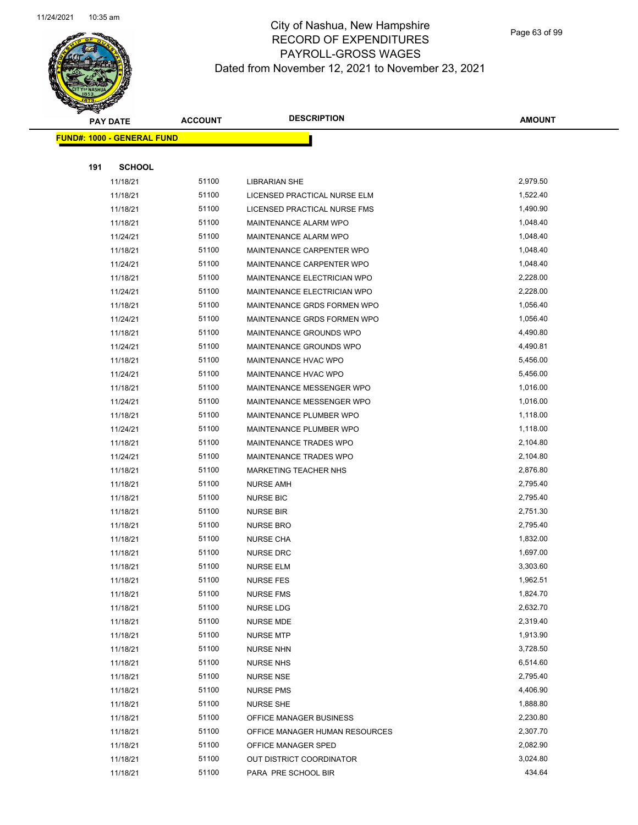

Page 63 of 99

| <b>PAY DATE</b> |                                    | <b>ACCOUNT</b> | <b>DESCRIPTION</b>             | <b>AMOUNT</b> |
|-----------------|------------------------------------|----------------|--------------------------------|---------------|
|                 | <u> FUND#: 1000 - GENERAL FUND</u> |                |                                |               |
|                 |                                    |                |                                |               |
| 191             | <b>SCHOOL</b>                      |                |                                |               |
|                 | 11/18/21                           | 51100          | <b>LIBRARIAN SHE</b>           | 2,979.50      |
|                 | 11/18/21                           | 51100          | LICENSED PRACTICAL NURSE ELM   | 1,522.40      |
|                 | 11/18/21                           | 51100          | LICENSED PRACTICAL NURSE FMS   | 1,490.90      |
|                 | 11/18/21                           | 51100          | MAINTENANCE ALARM WPO          | 1,048.40      |
|                 | 11/24/21                           | 51100          | MAINTENANCE ALARM WPO          | 1,048.40      |
|                 | 11/18/21                           | 51100          | MAINTENANCE CARPENTER WPO      | 1,048.40      |
|                 | 11/24/21                           | 51100          | MAINTENANCE CARPENTER WPO      | 1,048.40      |
|                 | 11/18/21                           | 51100          | MAINTENANCE ELECTRICIAN WPO    | 2,228.00      |
|                 | 11/24/21                           | 51100          | MAINTENANCE ELECTRICIAN WPO    | 2,228.00      |
|                 | 11/18/21                           | 51100          | MAINTENANCE GRDS FORMEN WPO    | 1,056.40      |
|                 | 11/24/21                           | 51100          | MAINTENANCE GRDS FORMEN WPO    | 1,056.40      |
|                 | 11/18/21                           | 51100          | <b>MAINTENANCE GROUNDS WPO</b> | 4,490.80      |
|                 | 11/24/21                           | 51100          | MAINTENANCE GROUNDS WPO        | 4,490.81      |
|                 | 11/18/21                           | 51100          | MAINTENANCE HVAC WPO           | 5,456.00      |
|                 | 11/24/21                           | 51100          | MAINTENANCE HVAC WPO           | 5,456.00      |
|                 | 11/18/21                           | 51100          | MAINTENANCE MESSENGER WPO      | 1,016.00      |
|                 | 11/24/21                           | 51100          | MAINTENANCE MESSENGER WPO      | 1,016.00      |
|                 | 11/18/21                           | 51100          | MAINTENANCE PLUMBER WPO        | 1,118.00      |
|                 | 11/24/21                           | 51100          | MAINTENANCE PLUMBER WPO        | 1,118.00      |
|                 | 11/18/21                           | 51100          | MAINTENANCE TRADES WPO         | 2,104.80      |
|                 | 11/24/21                           | 51100          | MAINTENANCE TRADES WPO         | 2,104.80      |
|                 | 11/18/21                           | 51100          | <b>MARKETING TEACHER NHS</b>   | 2,876.80      |
|                 | 11/18/21                           | 51100          | <b>NURSE AMH</b>               | 2,795.40      |
|                 | 11/18/21                           | 51100          | <b>NURSE BIC</b>               | 2,795.40      |
|                 | 11/18/21                           | 51100          | <b>NURSE BIR</b>               | 2,751.30      |
|                 | 11/18/21                           | 51100          | <b>NURSE BRO</b>               | 2,795.40      |
|                 | 11/18/21                           | 51100          | <b>NURSE CHA</b>               | 1,832.00      |
|                 | 11/18/21                           | 51100          | <b>NURSE DRC</b>               | 1,697.00      |
|                 | 11/18/21                           | 51100          | <b>NURSE ELM</b>               | 3,303.60      |
|                 | 11/18/21                           | 51100          | <b>NURSE FES</b>               | 1,962.51      |
|                 | 11/18/21                           | 51100          | <b>NURSE FMS</b>               | 1,824.70      |
|                 | 11/18/21                           | 51100          | <b>NURSE LDG</b>               | 2,632.70      |
|                 | 11/18/21                           | 51100          | <b>NURSE MDE</b>               | 2,319.40      |
|                 | 11/18/21                           | 51100          | <b>NURSE MTP</b>               | 1,913.90      |
|                 | 11/18/21                           | 51100          | <b>NURSE NHN</b>               | 3,728.50      |
|                 | 11/18/21                           | 51100          | <b>NURSE NHS</b>               | 6,514.60      |
|                 | 11/18/21                           | 51100          | NURSE NSE                      | 2,795.40      |
|                 | 11/18/21                           | 51100          | <b>NURSE PMS</b>               | 4,406.90      |
|                 | 11/18/21                           | 51100          | <b>NURSE SHE</b>               | 1,888.80      |
|                 | 11/18/21                           | 51100          | OFFICE MANAGER BUSINESS        | 2,230.80      |
|                 | 11/18/21                           | 51100          | OFFICE MANAGER HUMAN RESOURCES | 2,307.70      |
|                 | 11/18/21                           | 51100          | OFFICE MANAGER SPED            | 2,082.90      |
|                 | 11/18/21                           | 51100          | OUT DISTRICT COORDINATOR       | 3,024.80      |
|                 | 11/18/21                           | 51100          | PARA PRE SCHOOL BIR            | 434.64        |
|                 |                                    |                |                                |               |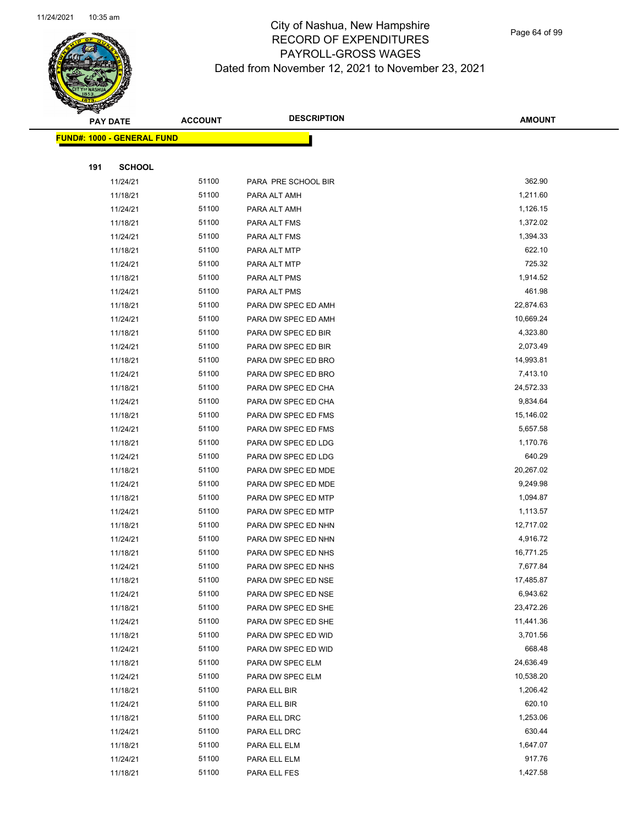

Page 64 of 99

|     | <b>PAY DATE</b>                   | <b>ACCOUNT</b> | <b>DESCRIPTION</b>  | <b>AMOUNT</b> |
|-----|-----------------------------------|----------------|---------------------|---------------|
|     | <b>FUND#: 1000 - GENERAL FUND</b> |                |                     |               |
|     |                                   |                |                     |               |
| 191 | <b>SCHOOL</b>                     |                |                     |               |
|     | 11/24/21                          | 51100          | PARA PRE SCHOOL BIR | 362.90        |
|     | 11/18/21                          | 51100          | PARA ALT AMH        | 1,211.60      |
|     | 11/24/21                          | 51100          | PARA ALT AMH        | 1,126.15      |
|     | 11/18/21                          | 51100          | PARA ALT FMS        | 1,372.02      |
|     | 11/24/21                          | 51100          | PARA ALT FMS        | 1,394.33      |
|     | 11/18/21                          | 51100          | PARA ALT MTP        | 622.10        |
|     | 11/24/21                          | 51100          | PARA ALT MTP        | 725.32        |
|     | 11/18/21                          | 51100          | PARA ALT PMS        | 1,914.52      |
|     | 11/24/21                          | 51100          | PARA ALT PMS        | 461.98        |
|     | 11/18/21                          | 51100          | PARA DW SPEC ED AMH | 22,874.63     |
|     | 11/24/21                          | 51100          | PARA DW SPEC ED AMH | 10,669.24     |
|     | 11/18/21                          | 51100          | PARA DW SPEC ED BIR | 4,323.80      |
|     | 11/24/21                          | 51100          | PARA DW SPEC ED BIR | 2,073.49      |
|     | 11/18/21                          | 51100          | PARA DW SPEC ED BRO | 14,993.81     |
|     | 11/24/21                          | 51100          | PARA DW SPEC ED BRO | 7,413.10      |
|     | 11/18/21                          | 51100          | PARA DW SPEC ED CHA | 24,572.33     |
|     | 11/24/21                          | 51100          | PARA DW SPEC ED CHA | 9,834.64      |
|     | 11/18/21                          | 51100          | PARA DW SPEC ED FMS | 15,146.02     |
|     | 11/24/21                          | 51100          | PARA DW SPEC ED FMS | 5,657.58      |
|     | 11/18/21                          | 51100          | PARA DW SPEC ED LDG | 1,170.76      |
|     | 11/24/21                          | 51100          | PARA DW SPEC ED LDG | 640.29        |
|     | 11/18/21                          | 51100          | PARA DW SPEC ED MDE | 20,267.02     |
|     | 11/24/21                          | 51100          | PARA DW SPEC ED MDE | 9,249.98      |
|     | 11/18/21                          | 51100          | PARA DW SPEC ED MTP | 1,094.87      |
|     | 11/24/21                          | 51100          | PARA DW SPEC ED MTP | 1,113.57      |
|     | 11/18/21                          | 51100          | PARA DW SPEC ED NHN | 12,717.02     |
|     | 11/24/21                          | 51100          | PARA DW SPEC ED NHN | 4,916.72      |
|     | 11/18/21                          | 51100          | PARA DW SPEC ED NHS | 16,771.25     |
|     | 11/24/21                          | 51100          | PARA DW SPEC ED NHS | 7,677.84      |
|     | 11/18/21                          | 51100          | PARA DW SPEC ED NSE | 17,485.87     |
|     | 11/24/21                          | 51100          | PARA DW SPEC ED NSE | 6,943.62      |
|     | 11/18/21                          | 51100          | PARA DW SPEC ED SHE | 23,472.26     |
|     | 11/24/21                          | 51100          | PARA DW SPEC ED SHE | 11,441.36     |
|     | 11/18/21                          | 51100          | PARA DW SPEC ED WID | 3,701.56      |
|     | 11/24/21                          | 51100          | PARA DW SPEC ED WID | 668.48        |
|     | 11/18/21                          | 51100          | PARA DW SPEC ELM    | 24,636.49     |
|     | 11/24/21                          | 51100          | PARA DW SPEC ELM    | 10,538.20     |
|     | 11/18/21                          | 51100          | PARA ELL BIR        | 1,206.42      |
|     | 11/24/21                          | 51100          | PARA ELL BIR        | 620.10        |
|     | 11/18/21                          | 51100          | PARA ELL DRC        | 1,253.06      |
|     | 11/24/21                          | 51100          | PARA ELL DRC        | 630.44        |
|     | 11/18/21                          | 51100          | PARA ELL ELM        | 1,647.07      |
|     | 11/24/21                          | 51100          | PARA ELL ELM        | 917.76        |
|     | 11/18/21                          | 51100          | PARA ELL FES        | 1,427.58      |
|     |                                   |                |                     |               |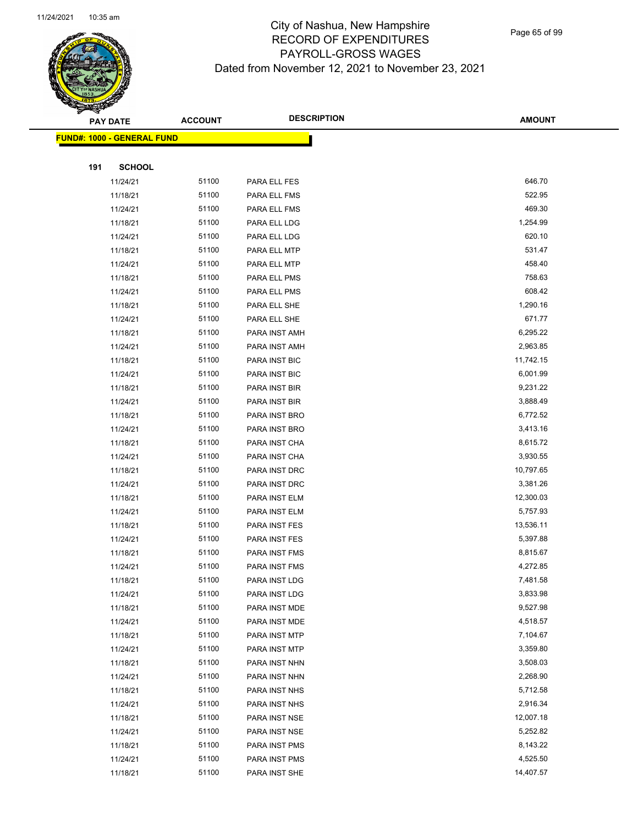

Page 65 of 99

|     | <b>PAY DATE</b>                    | <b>ACCOUNT</b> | <b>DESCRIPTION</b> | <b>AMOUNT</b> |
|-----|------------------------------------|----------------|--------------------|---------------|
|     | <u> FUND#: 1000 - GENERAL FUND</u> |                |                    |               |
|     |                                    |                |                    |               |
| 191 | <b>SCHOOL</b>                      |                |                    |               |
|     | 11/24/21                           | 51100          | PARA ELL FES       | 646.70        |
|     | 11/18/21                           | 51100          | PARA ELL FMS       | 522.95        |
|     | 11/24/21                           | 51100          | PARA ELL FMS       | 469.30        |
|     | 11/18/21                           | 51100          | PARA ELL LDG       | 1,254.99      |
|     | 11/24/21                           | 51100          | PARA ELL LDG       | 620.10        |
|     | 11/18/21                           | 51100          | PARA ELL MTP       | 531.47        |
|     | 11/24/21                           | 51100          | PARA ELL MTP       | 458.40        |
|     | 11/18/21                           | 51100          | PARA ELL PMS       | 758.63        |
|     | 11/24/21                           | 51100          | PARA ELL PMS       | 608.42        |
|     | 11/18/21                           | 51100          | PARA ELL SHE       | 1,290.16      |
|     | 11/24/21                           | 51100          | PARA ELL SHE       | 671.77        |
|     | 11/18/21                           | 51100          | PARA INST AMH      | 6,295.22      |
|     | 11/24/21                           | 51100          | PARA INST AMH      | 2,963.85      |
|     | 11/18/21                           | 51100          | PARA INST BIC      | 11,742.15     |
|     | 11/24/21                           | 51100          | PARA INST BIC      | 6,001.99      |
|     | 11/18/21                           | 51100          | PARA INST BIR      | 9,231.22      |
|     | 11/24/21                           | 51100          | PARA INST BIR      | 3,888.49      |
|     | 11/18/21                           | 51100          | PARA INST BRO      | 6,772.52      |
|     | 11/24/21                           | 51100          | PARA INST BRO      | 3,413.16      |
|     | 11/18/21                           | 51100          | PARA INST CHA      | 8,615.72      |
|     | 11/24/21                           | 51100          | PARA INST CHA      | 3,930.55      |
|     | 11/18/21                           | 51100          | PARA INST DRC      | 10,797.65     |
|     | 11/24/21                           | 51100          | PARA INST DRC      | 3,381.26      |
|     | 11/18/21                           | 51100          | PARA INST ELM      | 12,300.03     |
|     | 11/24/21                           | 51100          | PARA INST ELM      | 5,757.93      |
|     | 11/18/21                           | 51100          | PARA INST FES      | 13,536.11     |
|     | 11/24/21                           | 51100          | PARA INST FES      | 5,397.88      |
|     | 11/18/21                           | 51100          | PARA INST FMS      | 8,815.67      |
|     | 11/24/21                           | 51100          | PARA INST FMS      | 4,272.85      |
|     | 11/18/21                           | 51100          | PARA INST LDG      | 7,481.58      |
|     | 11/24/21                           | 51100          | PARA INST LDG      | 3,833.98      |
|     | 11/18/21                           | 51100          | PARA INST MDE      | 9,527.98      |
|     | 11/24/21                           | 51100          | PARA INST MDE      | 4,518.57      |
|     | 11/18/21                           | 51100          | PARA INST MTP      | 7,104.67      |
|     | 11/24/21                           | 51100          | PARA INST MTP      | 3,359.80      |
|     | 11/18/21                           | 51100          | PARA INST NHN      | 3,508.03      |
|     | 11/24/21                           | 51100          | PARA INST NHN      | 2,268.90      |
|     | 11/18/21                           | 51100          | PARA INST NHS      | 5,712.58      |
|     | 11/24/21                           | 51100          | PARA INST NHS      | 2,916.34      |
|     | 11/18/21                           | 51100          | PARA INST NSE      | 12,007.18     |
|     | 11/24/21                           | 51100          | PARA INST NSE      | 5,252.82      |
|     | 11/18/21                           | 51100          | PARA INST PMS      | 8,143.22      |
|     | 11/24/21                           | 51100          | PARA INST PMS      | 4,525.50      |
|     | 11/18/21                           | 51100          | PARA INST SHE      | 14,407.57     |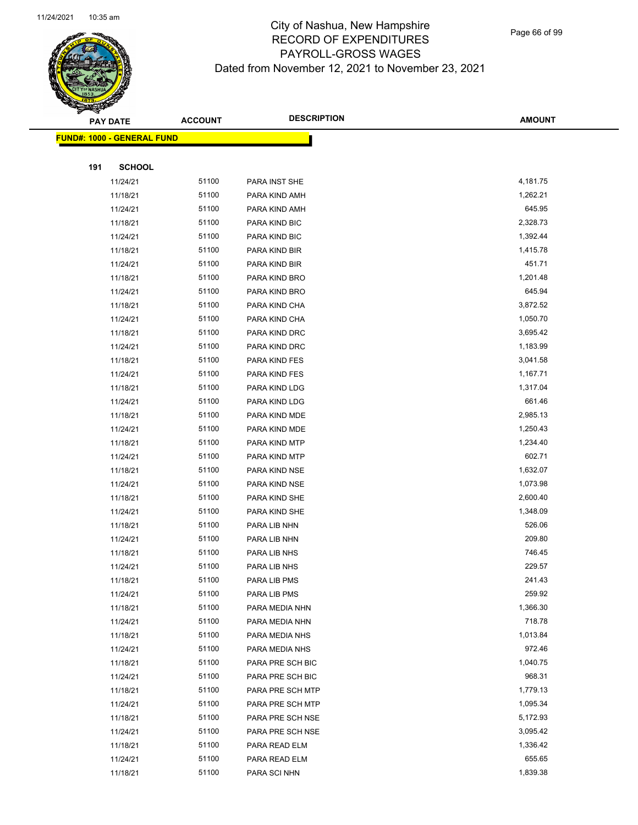

Page 66 of 99

|     | <b>PAY DATE</b>                    | <b>ACCOUNT</b> | <b>DESCRIPTION</b> | <b>AMOUNT</b> |
|-----|------------------------------------|----------------|--------------------|---------------|
|     | <u> FUND#: 1000 - GENERAL FUND</u> |                |                    |               |
|     |                                    |                |                    |               |
| 191 | <b>SCHOOL</b>                      |                |                    |               |
|     | 11/24/21                           | 51100          | PARA INST SHE      | 4,181.75      |
|     | 11/18/21                           | 51100          | PARA KIND AMH      | 1,262.21      |
|     | 11/24/21                           | 51100          | PARA KIND AMH      | 645.95        |
|     | 11/18/21                           | 51100          | PARA KIND BIC      | 2,328.73      |
|     | 11/24/21                           | 51100          | PARA KIND BIC      | 1,392.44      |
|     | 11/18/21                           | 51100          | PARA KIND BIR      | 1,415.78      |
|     | 11/24/21                           | 51100          | PARA KIND BIR      | 451.71        |
|     | 11/18/21                           | 51100          | PARA KIND BRO      | 1,201.48      |
|     | 11/24/21                           | 51100          | PARA KIND BRO      | 645.94        |
|     | 11/18/21                           | 51100          | PARA KIND CHA      | 3,872.52      |
|     | 11/24/21                           | 51100          | PARA KIND CHA      | 1,050.70      |
|     | 11/18/21                           | 51100          | PARA KIND DRC      | 3,695.42      |
|     | 11/24/21                           | 51100          | PARA KIND DRC      | 1,183.99      |
|     | 11/18/21                           | 51100          | PARA KIND FES      | 3,041.58      |
|     | 11/24/21                           | 51100          | PARA KIND FES      | 1,167.71      |
|     | 11/18/21                           | 51100          | PARA KIND LDG      | 1,317.04      |
|     | 11/24/21                           | 51100          | PARA KIND LDG      | 661.46        |
|     | 11/18/21                           | 51100          | PARA KIND MDE      | 2,985.13      |
|     | 11/24/21                           | 51100          | PARA KIND MDE      | 1,250.43      |
|     | 11/18/21                           | 51100          | PARA KIND MTP      | 1,234.40      |
|     | 11/24/21                           | 51100          | PARA KIND MTP      | 602.71        |
|     | 11/18/21                           | 51100          | PARA KIND NSE      | 1,632.07      |
|     | 11/24/21                           | 51100          | PARA KIND NSE      | 1,073.98      |
|     | 11/18/21                           | 51100          | PARA KIND SHE      | 2,600.40      |
|     | 11/24/21                           | 51100          | PARA KIND SHE      | 1,348.09      |
|     | 11/18/21                           | 51100          | PARA LIB NHN       | 526.06        |
|     | 11/24/21                           | 51100          | PARA LIB NHN       | 209.80        |
|     | 11/18/21                           | 51100          | PARA LIB NHS       | 746.45        |
|     | 11/24/21                           | 51100          | PARA LIB NHS       | 229.57        |
|     | 11/18/21                           | 51100          | PARA LIB PMS       | 241.43        |
|     | 11/24/21                           | 51100          | PARA LIB PMS       | 259.92        |
|     | 11/18/21                           | 51100          | PARA MEDIA NHN     | 1,366.30      |
|     | 11/24/21                           | 51100          | PARA MEDIA NHN     | 718.78        |
|     | 11/18/21                           | 51100          | PARA MEDIA NHS     | 1,013.84      |
|     | 11/24/21                           | 51100          | PARA MEDIA NHS     | 972.46        |
|     | 11/18/21                           | 51100          | PARA PRE SCH BIC   | 1,040.75      |
|     | 11/24/21                           | 51100          | PARA PRE SCH BIC   | 968.31        |
|     | 11/18/21                           | 51100          | PARA PRE SCH MTP   | 1,779.13      |
|     | 11/24/21                           | 51100          | PARA PRE SCH MTP   | 1,095.34      |
|     | 11/18/21                           | 51100          | PARA PRE SCH NSE   | 5,172.93      |
|     | 11/24/21                           | 51100          | PARA PRE SCH NSE   | 3,095.42      |
|     | 11/18/21                           | 51100          | PARA READ ELM      | 1,336.42      |
|     | 11/24/21                           | 51100          | PARA READ ELM      | 655.65        |
|     | 11/18/21                           | 51100          | PARA SCI NHN       | 1,839.38      |
|     |                                    |                |                    |               |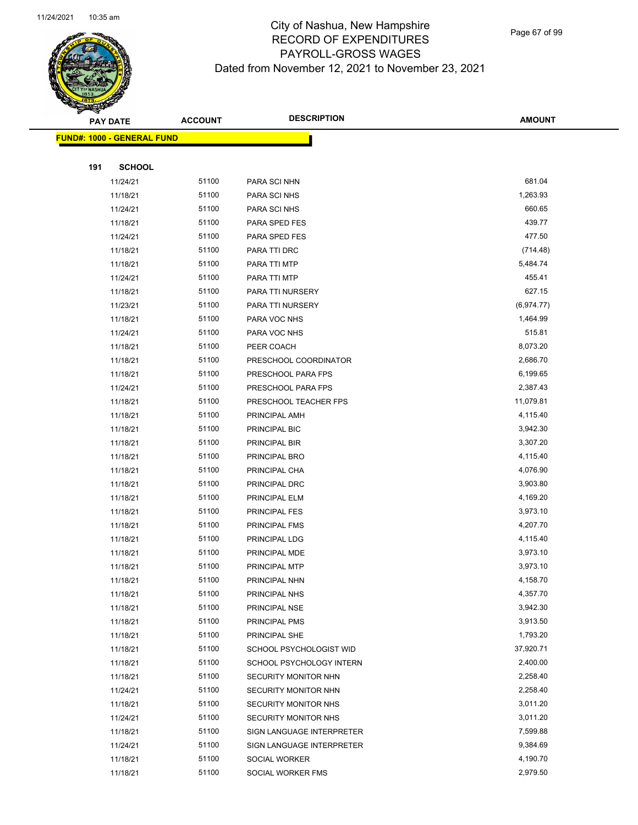

Page 67 of 99

|     | <b>PAY DATE</b>                    | <b>ACCOUNT</b> | <b>DESCRIPTION</b>        | <b>AMOUNT</b> |
|-----|------------------------------------|----------------|---------------------------|---------------|
|     | <u> FUND#: 1000 - GENERAL FUND</u> |                |                           |               |
|     |                                    |                |                           |               |
| 191 | <b>SCHOOL</b>                      |                |                           |               |
|     | 11/24/21                           | 51100          | PARA SCI NHN              | 681.04        |
|     | 11/18/21                           | 51100          | PARA SCI NHS              | 1,263.93      |
|     | 11/24/21                           | 51100          | PARA SCI NHS              | 660.65        |
|     | 11/18/21                           | 51100          | PARA SPED FES             | 439.77        |
|     | 11/24/21                           | 51100          | PARA SPED FES             | 477.50        |
|     | 11/18/21                           | 51100          | PARA TTI DRC              | (714.48)      |
|     | 11/18/21                           | 51100          | PARA TTI MTP              | 5,484.74      |
|     | 11/24/21                           | 51100          | PARA TTI MTP              | 455.41        |
|     | 11/18/21                           | 51100          | PARA TTI NURSERY          | 627.15        |
|     | 11/23/21                           | 51100          | PARA TTI NURSERY          | (6,974.77)    |
|     | 11/18/21                           | 51100          | PARA VOC NHS              | 1,464.99      |
|     | 11/24/21                           | 51100          | PARA VOC NHS              | 515.81        |
|     | 11/18/21                           | 51100          | PEER COACH                | 8,073.20      |
|     | 11/18/21                           | 51100          | PRESCHOOL COORDINATOR     | 2,686.70      |
|     | 11/18/21                           | 51100          | PRESCHOOL PARA FPS        | 6,199.65      |
|     | 11/24/21                           | 51100          | PRESCHOOL PARA FPS        | 2,387.43      |
|     | 11/18/21                           | 51100          | PRESCHOOL TEACHER FPS     | 11,079.81     |
|     | 11/18/21                           | 51100          | PRINCIPAL AMH             | 4,115.40      |
|     | 11/18/21                           | 51100          | PRINCIPAL BIC             | 3,942.30      |
|     | 11/18/21                           | 51100          | PRINCIPAL BIR             | 3,307.20      |
|     | 11/18/21                           | 51100          | PRINCIPAL BRO             | 4,115.40      |
|     | 11/18/21                           | 51100          | PRINCIPAL CHA             | 4,076.90      |
|     | 11/18/21                           | 51100          | PRINCIPAL DRC             | 3,903.80      |
|     | 11/18/21                           | 51100          | PRINCIPAL ELM             | 4,169.20      |
|     | 11/18/21                           | 51100          | PRINCIPAL FES             | 3,973.10      |
|     | 11/18/21                           | 51100          | PRINCIPAL FMS             | 4,207.70      |
|     | 11/18/21                           | 51100          | PRINCIPAL LDG             | 4,115.40      |
|     | 11/18/21                           | 51100          | PRINCIPAL MDE             | 3,973.10      |
|     | 11/18/21                           | 51100          | PRINCIPAL MTP             | 3,973.10      |
|     | 11/18/21                           | 51100          | PRINCIPAL NHN             | 4,158.70      |
|     | 11/18/21                           | 51100          | PRINCIPAL NHS             | 4,357.70      |
|     | 11/18/21                           | 51100          | PRINCIPAL NSE             | 3,942.30      |
|     | 11/18/21                           | 51100          | PRINCIPAL PMS             | 3,913.50      |
|     | 11/18/21                           | 51100          | PRINCIPAL SHE             | 1,793.20      |
|     | 11/18/21                           | 51100          | SCHOOL PSYCHOLOGIST WID   | 37,920.71     |
|     | 11/18/21                           | 51100          | SCHOOL PSYCHOLOGY INTERN  | 2,400.00      |
|     | 11/18/21                           | 51100          | SECURITY MONITOR NHN      | 2,258.40      |
|     | 11/24/21                           | 51100          | SECURITY MONITOR NHN      | 2,258.40      |
|     | 11/18/21                           | 51100          | SECURITY MONITOR NHS      | 3,011.20      |
|     | 11/24/21                           | 51100          | SECURITY MONITOR NHS      | 3,011.20      |
|     | 11/18/21                           | 51100          | SIGN LANGUAGE INTERPRETER | 7,599.88      |
|     | 11/24/21                           | 51100          | SIGN LANGUAGE INTERPRETER | 9,384.69      |
|     | 11/18/21                           | 51100          | SOCIAL WORKER             | 4,190.70      |
|     | 11/18/21                           | 51100          | SOCIAL WORKER FMS         | 2,979.50      |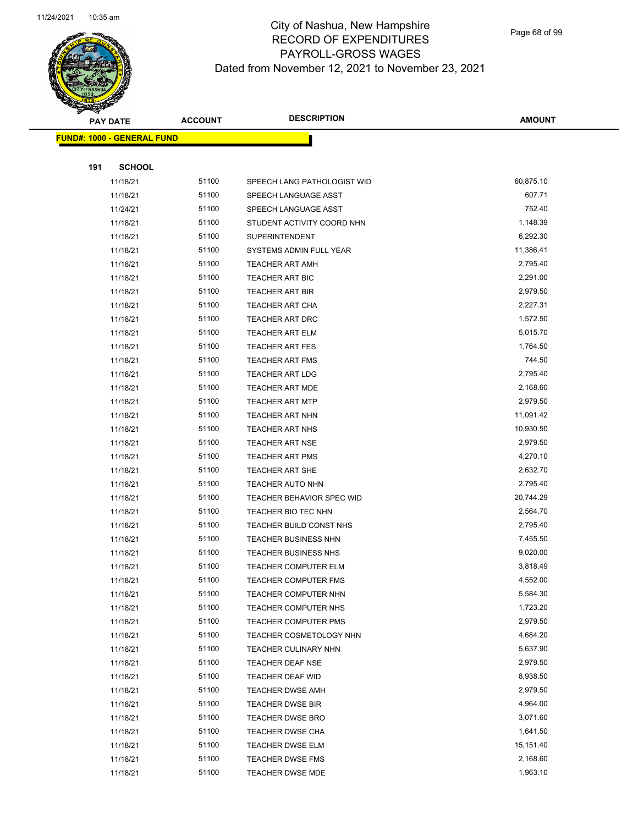

Page 68 of 99

|     | <b>PAY DATE</b>                    | <b>ACCOUNT</b> | <b>DESCRIPTION</b>               | <b>AMOUNT</b> |
|-----|------------------------------------|----------------|----------------------------------|---------------|
|     | <u> FUND#: 1000 - GENERAL FUND</u> |                |                                  |               |
|     |                                    |                |                                  |               |
| 191 | <b>SCHOOL</b>                      |                |                                  |               |
|     | 11/18/21                           | 51100          | SPEECH LANG PATHOLOGIST WID      | 60,875.10     |
|     | 11/18/21                           | 51100          | SPEECH LANGUAGE ASST             | 607.71        |
|     | 11/24/21                           | 51100          | SPEECH LANGUAGE ASST             | 752.40        |
|     | 11/18/21                           | 51100          | STUDENT ACTIVITY COORD NHN       | 1,148.39      |
|     | 11/18/21                           | 51100          | <b>SUPERINTENDENT</b>            | 6,292.30      |
|     | 11/18/21                           | 51100          | SYSTEMS ADMIN FULL YEAR          | 11,386.41     |
|     | 11/18/21                           | 51100          | TEACHER ART AMH                  | 2,795.40      |
|     | 11/18/21                           | 51100          | <b>TEACHER ART BIC</b>           | 2,291.00      |
|     | 11/18/21                           | 51100          | <b>TEACHER ART BIR</b>           | 2,979.50      |
|     | 11/18/21                           | 51100          | <b>TEACHER ART CHA</b>           | 2,227.31      |
|     | 11/18/21                           | 51100          | TEACHER ART DRC                  | 1,572.50      |
|     | 11/18/21                           | 51100          | <b>TEACHER ART ELM</b>           | 5,015.70      |
|     | 11/18/21                           | 51100          | <b>TEACHER ART FES</b>           | 1,764.50      |
|     | 11/18/21                           | 51100          | <b>TEACHER ART FMS</b>           | 744.50        |
|     | 11/18/21                           | 51100          | <b>TEACHER ART LDG</b>           | 2,795.40      |
|     | 11/18/21                           | 51100          | <b>TEACHER ART MDE</b>           | 2,168.60      |
|     | 11/18/21                           | 51100          | <b>TEACHER ART MTP</b>           | 2,979.50      |
|     | 11/18/21                           | 51100          | <b>TEACHER ART NHN</b>           | 11,091.42     |
|     | 11/18/21                           | 51100          | <b>TEACHER ART NHS</b>           | 10,930.50     |
|     | 11/18/21                           | 51100          | <b>TEACHER ART NSE</b>           | 2,979.50      |
|     | 11/18/21                           | 51100          | <b>TEACHER ART PMS</b>           | 4,270.10      |
|     | 11/18/21                           | 51100          | <b>TEACHER ART SHE</b>           | 2,632.70      |
|     | 11/18/21                           | 51100          | <b>TEACHER AUTO NHN</b>          | 2,795.40      |
|     | 11/18/21                           | 51100          | <b>TEACHER BEHAVIOR SPEC WID</b> | 20,744.29     |
|     | 11/18/21                           | 51100          | TEACHER BIO TEC NHN              | 2,564.70      |
|     | 11/18/21                           | 51100          | TEACHER BUILD CONST NHS          | 2,795.40      |
|     | 11/18/21                           | 51100          | TEACHER BUSINESS NHN             | 7,455.50      |
|     | 11/18/21                           | 51100          | <b>TEACHER BUSINESS NHS</b>      | 9,020.00      |
|     | 11/18/21                           | 51100          | <b>TEACHER COMPUTER ELM</b>      | 3,818.49      |
|     | 11/18/21                           | 51100          | TEACHER COMPUTER FMS             | 4,552.00      |
|     | 11/18/21                           | 51100          | TEACHER COMPUTER NHN             | 5,584.30      |
|     | 11/18/21                           | 51100          | TEACHER COMPUTER NHS             | 1,723.20      |
|     | 11/18/21                           | 51100          | <b>TEACHER COMPUTER PMS</b>      | 2,979.50      |
|     | 11/18/21                           | 51100          | TEACHER COSMETOLOGY NHN          | 4,684.20      |
|     | 11/18/21                           | 51100          | <b>TEACHER CULINARY NHN</b>      | 5,637.90      |
|     | 11/18/21                           | 51100          | <b>TEACHER DEAF NSE</b>          | 2,979.50      |
|     | 11/18/21                           | 51100          | TEACHER DEAF WID                 | 8,938.50      |
|     | 11/18/21                           | 51100          | <b>TEACHER DWSE AMH</b>          | 2,979.50      |
|     | 11/18/21                           | 51100          | <b>TEACHER DWSE BIR</b>          | 4,964.00      |
|     | 11/18/21                           | 51100          | <b>TEACHER DWSE BRO</b>          | 3,071.60      |
|     | 11/18/21                           | 51100          | <b>TEACHER DWSE CHA</b>          | 1,641.50      |
|     | 11/18/21                           | 51100          | <b>TEACHER DWSE ELM</b>          | 15,151.40     |
|     | 11/18/21                           | 51100          | <b>TEACHER DWSE FMS</b>          | 2,168.60      |
|     | 11/18/21                           | 51100          | TEACHER DWSE MDE                 | 1,963.10      |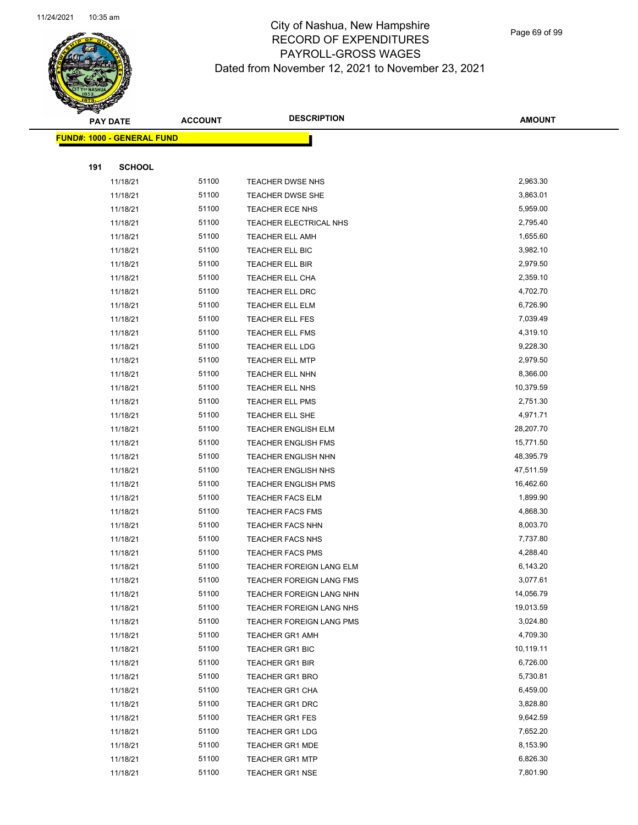

Page 69 of 99

|     | <b>PAY DATE</b>                   | <b>ACCOUNT</b> | <b>DESCRIPTION</b>                                   | <b>AMOUNT</b>          |
|-----|-----------------------------------|----------------|------------------------------------------------------|------------------------|
|     | <b>FUND#: 1000 - GENERAL FUND</b> |                |                                                      |                        |
|     |                                   |                |                                                      |                        |
| 191 | <b>SCHOOL</b>                     |                |                                                      |                        |
|     | 11/18/21                          | 51100          | <b>TEACHER DWSE NHS</b>                              | 2,963.30               |
|     | 11/18/21                          | 51100          | <b>TEACHER DWSE SHE</b>                              | 3,863.01               |
|     | 11/18/21                          | 51100          | TEACHER ECE NHS                                      | 5,959.00               |
|     | 11/18/21                          | 51100          | TEACHER ELECTRICAL NHS                               | 2,795.40               |
|     | 11/18/21                          | 51100          | <b>TEACHER ELL AMH</b>                               | 1,655.60               |
|     | 11/18/21                          | 51100          | TEACHER ELL BIC                                      | 3,982.10               |
|     | 11/18/21                          | 51100          | TEACHER ELL BIR                                      | 2,979.50               |
|     | 11/18/21                          | 51100          | TEACHER ELL CHA                                      | 2,359.10               |
|     | 11/18/21                          | 51100          | <b>TEACHER ELL DRC</b>                               | 4,702.70               |
|     | 11/18/21                          | 51100          | TEACHER ELL ELM                                      | 6,726.90               |
|     | 11/18/21                          | 51100          | <b>TEACHER ELL FES</b>                               | 7,039.49               |
|     | 11/18/21                          | 51100          | <b>TEACHER ELL FMS</b>                               | 4,319.10               |
|     | 11/18/21                          | 51100          | TEACHER ELL LDG                                      | 9,228.30               |
|     | 11/18/21                          | 51100          | <b>TEACHER ELL MTP</b>                               | 2,979.50               |
|     | 11/18/21                          | 51100          | TEACHER ELL NHN                                      | 8,366.00               |
|     | 11/18/21                          | 51100          | TEACHER ELL NHS                                      | 10,379.59              |
|     | 11/18/21                          | 51100          | <b>TEACHER ELL PMS</b>                               | 2,751.30               |
|     | 11/18/21                          | 51100          | TEACHER ELL SHE                                      | 4,971.71               |
|     | 11/18/21                          | 51100          | <b>TEACHER ENGLISH ELM</b>                           | 28,207.70              |
|     | 11/18/21                          | 51100          | <b>TEACHER ENGLISH FMS</b>                           | 15,771.50              |
|     | 11/18/21                          | 51100          | <b>TEACHER ENGLISH NHN</b>                           | 48,395.79              |
|     | 11/18/21                          | 51100          | <b>TEACHER ENGLISH NHS</b>                           | 47,511.59              |
|     | 11/18/21                          | 51100          | <b>TEACHER ENGLISH PMS</b>                           | 16,462.60              |
|     | 11/18/21                          | 51100          | <b>TEACHER FACS ELM</b>                              | 1,899.90               |
|     | 11/18/21                          | 51100          | <b>TEACHER FACS FMS</b>                              | 4,868.30               |
|     | 11/18/21                          | 51100          | <b>TEACHER FACS NHN</b>                              | 8,003.70               |
|     | 11/18/21                          | 51100          | <b>TEACHER FACS NHS</b>                              | 7,737.80               |
|     | 11/18/21                          | 51100          | <b>TEACHER FACS PMS</b>                              | 4,288.40               |
|     | 11/18/21                          | 51100          | TEACHER FOREIGN LANG ELM                             | 6,143.20               |
|     | 11/18/21                          | 51100          | TEACHER FOREIGN LANG FMS                             | 3,077.61               |
|     | 11/18/21                          | 51100<br>51100 | TEACHER FOREIGN LANG NHN                             | 14,056.79<br>19,013.59 |
|     | 11/18/21                          | 51100          | TEACHER FOREIGN LANG NHS<br>TEACHER FOREIGN LANG PMS | 3,024.80               |
|     | 11/18/21<br>11/18/21              | 51100          |                                                      | 4,709.30               |
|     | 11/18/21                          | 51100          | <b>TEACHER GR1 AMH</b><br><b>TEACHER GR1 BIC</b>     | 10,119.11              |
|     | 11/18/21                          | 51100          | <b>TEACHER GR1 BIR</b>                               | 6,726.00               |
|     | 11/18/21                          | 51100          | <b>TEACHER GR1 BRO</b>                               | 5,730.81               |
|     | 11/18/21                          | 51100          | TEACHER GR1 CHA                                      | 6,459.00               |
|     | 11/18/21                          | 51100          | TEACHER GR1 DRC                                      | 3,828.80               |
|     | 11/18/21                          | 51100          | <b>TEACHER GR1 FES</b>                               | 9,642.59               |
|     | 11/18/21                          | 51100          | <b>TEACHER GR1 LDG</b>                               | 7,652.20               |
|     | 11/18/21                          | 51100          | <b>TEACHER GR1 MDE</b>                               | 8,153.90               |
|     | 11/18/21                          | 51100          | <b>TEACHER GR1 MTP</b>                               | 6,826.30               |
|     | 11/18/21                          | 51100          | <b>TEACHER GR1 NSE</b>                               | 7,801.90               |
|     |                                   |                |                                                      |                        |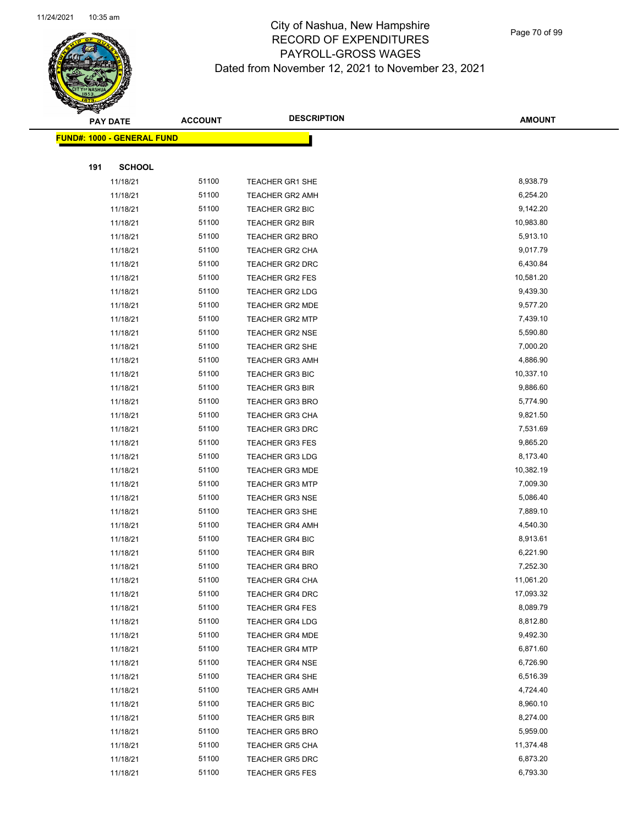

Page 70 of 99

|     | <b>PAY DATE</b>                    | <b>ACCOUNT</b> | <b>DESCRIPTION</b>                               | <b>AMOUNT</b>        |
|-----|------------------------------------|----------------|--------------------------------------------------|----------------------|
|     | <u> FUND#: 1000 - GENERAL FUND</u> |                |                                                  |                      |
|     |                                    |                |                                                  |                      |
| 191 | <b>SCHOOL</b>                      |                |                                                  |                      |
|     | 11/18/21                           | 51100          | <b>TEACHER GR1 SHE</b>                           | 8,938.79             |
|     | 11/18/21                           | 51100          | <b>TEACHER GR2 AMH</b>                           | 6,254.20             |
|     | 11/18/21                           | 51100          | TEACHER GR2 BIC                                  | 9,142.20             |
|     | 11/18/21                           | 51100          | TEACHER GR2 BIR                                  | 10,983.80            |
|     | 11/18/21                           | 51100          | <b>TEACHER GR2 BRO</b>                           | 5,913.10             |
|     | 11/18/21                           | 51100          | <b>TEACHER GR2 CHA</b>                           | 9,017.79             |
|     | 11/18/21                           | 51100          | <b>TEACHER GR2 DRC</b>                           | 6,430.84             |
|     | 11/18/21                           | 51100          | <b>TEACHER GR2 FES</b>                           | 10,581.20            |
|     | 11/18/21                           | 51100          | TEACHER GR2 LDG                                  | 9,439.30             |
|     | 11/18/21                           | 51100          | TEACHER GR2 MDE                                  | 9,577.20             |
|     | 11/18/21                           | 51100          | <b>TEACHER GR2 MTP</b>                           | 7,439.10             |
|     | 11/18/21                           | 51100          | <b>TEACHER GR2 NSE</b>                           | 5,590.80             |
|     | 11/18/21                           | 51100          | <b>TEACHER GR2 SHE</b>                           | 7,000.20             |
|     | 11/18/21                           | 51100          | <b>TEACHER GR3 AMH</b>                           | 4,886.90             |
|     | 11/18/21                           | 51100          | <b>TEACHER GR3 BIC</b>                           | 10,337.10            |
|     | 11/18/21                           | 51100          | <b>TEACHER GR3 BIR</b>                           | 9,886.60             |
|     | 11/18/21                           | 51100          | <b>TEACHER GR3 BRO</b>                           | 5,774.90             |
|     | 11/18/21                           | 51100          | <b>TEACHER GR3 CHA</b>                           | 9,821.50             |
|     | 11/18/21                           | 51100          | <b>TEACHER GR3 DRC</b>                           | 7,531.69             |
|     | 11/18/21                           | 51100          | <b>TEACHER GR3 FES</b>                           | 9,865.20             |
|     | 11/18/21                           | 51100          | <b>TEACHER GR3 LDG</b>                           | 8,173.40             |
|     | 11/18/21                           | 51100          | <b>TEACHER GR3 MDE</b>                           | 10,382.19            |
|     | 11/18/21                           | 51100          | <b>TEACHER GR3 MTP</b>                           | 7,009.30             |
|     | 11/18/21                           | 51100          | <b>TEACHER GR3 NSE</b>                           | 5,086.40             |
|     | 11/18/21                           | 51100          | <b>TEACHER GR3 SHE</b>                           | 7,889.10             |
|     | 11/18/21                           | 51100          | <b>TEACHER GR4 AMH</b>                           | 4,540.30             |
|     | 11/18/21                           | 51100          | <b>TEACHER GR4 BIC</b>                           | 8,913.61             |
|     | 11/18/21                           | 51100          | <b>TEACHER GR4 BIR</b>                           | 6,221.90             |
|     | 11/18/21                           | 51100          | <b>TEACHER GR4 BRO</b>                           | 7,252.30             |
|     | 11/18/21                           | 51100          | <b>TEACHER GR4 CHA</b>                           | 11,061.20            |
|     | 11/18/21                           | 51100          | <b>TEACHER GR4 DRC</b>                           | 17,093.32            |
|     | 11/18/21                           | 51100          | <b>TEACHER GR4 FES</b>                           | 8,089.79             |
|     | 11/18/21                           | 51100          | <b>TEACHER GR4 LDG</b>                           | 8,812.80             |
|     | 11/18/21                           | 51100          | <b>TEACHER GR4 MDE</b>                           | 9,492.30             |
|     | 11/18/21                           | 51100          | <b>TEACHER GR4 MTP</b>                           | 6,871.60             |
|     | 11/18/21                           | 51100          | <b>TEACHER GR4 NSE</b>                           | 6,726.90             |
|     | 11/18/21                           | 51100          | <b>TEACHER GR4 SHE</b>                           | 6,516.39             |
|     | 11/18/21                           | 51100<br>51100 | <b>TEACHER GR5 AMH</b>                           | 4,724.40<br>8,960.10 |
|     | 11/18/21                           | 51100          | <b>TEACHER GR5 BIC</b>                           | 8,274.00             |
|     | 11/18/21                           | 51100          | <b>TEACHER GR5 BIR</b>                           | 5,959.00             |
|     | 11/18/21                           | 51100          | <b>TEACHER GR5 BRO</b>                           | 11,374.48            |
|     | 11/18/21<br>11/18/21               | 51100          | <b>TEACHER GR5 CHA</b>                           | 6,873.20             |
|     | 11/18/21                           | 51100          | <b>TEACHER GR5 DRC</b><br><b>TEACHER GR5 FES</b> | 6,793.30             |
|     |                                    |                |                                                  |                      |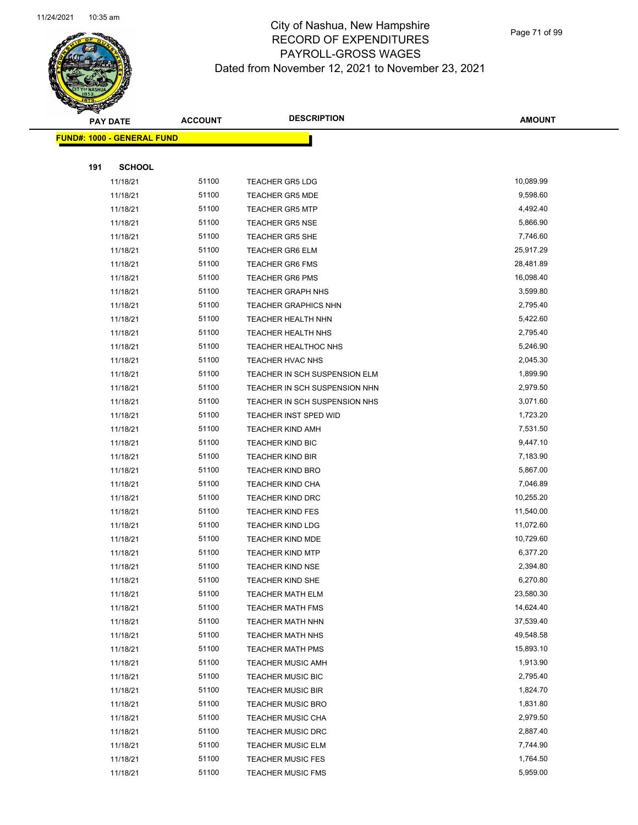

Page 71 of 99

|     | <b>PAY DATE</b>                    | <b>ACCOUNT</b> | <b>DESCRIPTION</b>            | <b>AMOUNT</b> |
|-----|------------------------------------|----------------|-------------------------------|---------------|
|     | <u> FUND#: 1000 - GENERAL FUND</u> |                |                               |               |
|     |                                    |                |                               |               |
| 191 | <b>SCHOOL</b>                      |                |                               |               |
|     | 11/18/21                           | 51100          | <b>TEACHER GR5 LDG</b>        | 10,089.99     |
|     | 11/18/21                           | 51100          | <b>TEACHER GR5 MDE</b>        | 9,598.60      |
|     | 11/18/21                           | 51100          | <b>TEACHER GR5 MTP</b>        | 4,492.40      |
|     | 11/18/21                           | 51100          | <b>TEACHER GR5 NSE</b>        | 5,866.90      |
|     | 11/18/21                           | 51100          | <b>TEACHER GR5 SHE</b>        | 7,746.60      |
|     | 11/18/21                           | 51100          | <b>TEACHER GR6 ELM</b>        | 25,917.29     |
|     | 11/18/21                           | 51100          | <b>TEACHER GR6 FMS</b>        | 28,481.89     |
|     | 11/18/21                           | 51100          | <b>TEACHER GR6 PMS</b>        | 16,098.40     |
|     | 11/18/21                           | 51100          | <b>TEACHER GRAPH NHS</b>      | 3,599.80      |
|     | 11/18/21                           | 51100          | <b>TEACHER GRAPHICS NHN</b>   | 2,795.40      |
|     | 11/18/21                           | 51100          | <b>TEACHER HEALTH NHN</b>     | 5,422.60      |
|     | 11/18/21                           | 51100          | <b>TEACHER HEALTH NHS</b>     | 2,795.40      |
|     | 11/18/21                           | 51100          | <b>TEACHER HEALTHOC NHS</b>   | 5,246.90      |
|     | 11/18/21                           | 51100          | TEACHER HVAC NHS              | 2,045.30      |
|     | 11/18/21                           | 51100          | TEACHER IN SCH SUSPENSION ELM | 1,899.90      |
|     | 11/18/21                           | 51100          | TEACHER IN SCH SUSPENSION NHN | 2,979.50      |
|     | 11/18/21                           | 51100          | TEACHER IN SCH SUSPENSION NHS | 3,071.60      |
|     | 11/18/21                           | 51100          | <b>TEACHER INST SPED WID</b>  | 1,723.20      |
|     | 11/18/21                           | 51100          | <b>TEACHER KIND AMH</b>       | 7,531.50      |
|     | 11/18/21                           | 51100          | <b>TEACHER KIND BIC</b>       | 9,447.10      |
|     | 11/18/21                           | 51100          | <b>TEACHER KIND BIR</b>       | 7,183.90      |
|     | 11/18/21                           | 51100          | TEACHER KIND BRO              | 5,867.00      |
|     | 11/18/21                           | 51100          | <b>TEACHER KIND CHA</b>       | 7,046.89      |
|     | 11/18/21                           | 51100          | <b>TEACHER KIND DRC</b>       | 10,255.20     |
|     | 11/18/21                           | 51100          | <b>TEACHER KIND FES</b>       | 11,540.00     |
|     | 11/18/21                           | 51100          | <b>TEACHER KIND LDG</b>       | 11,072.60     |
|     | 11/18/21                           | 51100          | <b>TEACHER KIND MDE</b>       | 10,729.60     |
|     | 11/18/21                           | 51100          | <b>TEACHER KIND MTP</b>       | 6,377.20      |
|     | 11/18/21                           | 51100          | TEACHER KIND NSE              | 2,394.80      |
|     | 11/18/21                           | 51100          | TEACHER KIND SHE              | 6,270.80      |
|     | 11/18/21                           | 51100          | TEACHER MATH ELM              | 23,580.30     |
|     | 11/18/21                           | 51100          | <b>TEACHER MATH FMS</b>       | 14,624.40     |
|     | 11/18/21                           | 51100          | <b>TEACHER MATH NHN</b>       | 37,539.40     |
|     | 11/18/21                           | 51100          | <b>TEACHER MATH NHS</b>       | 49,548.58     |
|     | 11/18/21                           | 51100          | <b>TEACHER MATH PMS</b>       | 15,893.10     |
|     | 11/18/21                           | 51100          | <b>TEACHER MUSIC AMH</b>      | 1,913.90      |
|     | 11/18/21                           | 51100          | <b>TEACHER MUSIC BIC</b>      | 2,795.40      |
|     | 11/18/21                           | 51100          | <b>TEACHER MUSIC BIR</b>      | 1,824.70      |
|     | 11/18/21                           | 51100          | <b>TEACHER MUSIC BRO</b>      | 1,831.80      |
|     | 11/18/21                           | 51100          | <b>TEACHER MUSIC CHA</b>      | 2,979.50      |
|     | 11/18/21                           | 51100          | <b>TEACHER MUSIC DRC</b>      | 2,887.40      |
|     | 11/18/21                           | 51100          | <b>TEACHER MUSIC ELM</b>      | 7,744.90      |
|     | 11/18/21                           | 51100          | <b>TEACHER MUSIC FES</b>      | 1,764.50      |
|     | 11/18/21                           | 51100          | <b>TEACHER MUSIC FMS</b>      | 5,959.00      |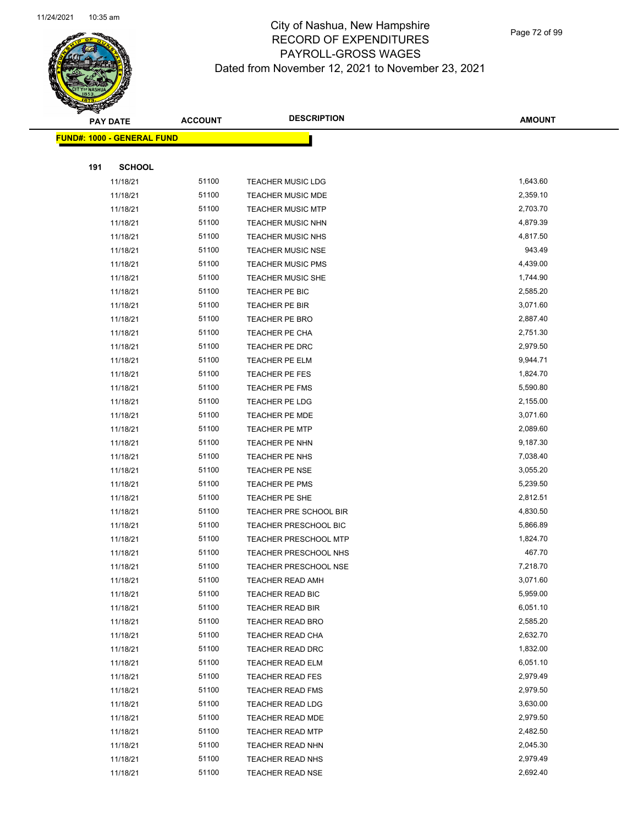

Page 72 of 99

|     | <b>PAY DATE</b>                    | <b>ACCOUNT</b> | <b>DESCRIPTION</b>           | <b>AMOUNT</b> |
|-----|------------------------------------|----------------|------------------------------|---------------|
|     | <u> FUND#: 1000 - GENERAL FUND</u> |                |                              |               |
|     |                                    |                |                              |               |
| 191 | <b>SCHOOL</b>                      |                |                              |               |
|     | 11/18/21                           | 51100          | <b>TEACHER MUSIC LDG</b>     | 1,643.60      |
|     | 11/18/21                           | 51100          | <b>TEACHER MUSIC MDE</b>     | 2,359.10      |
|     | 11/18/21                           | 51100          | <b>TEACHER MUSIC MTP</b>     | 2,703.70      |
|     | 11/18/21                           | 51100          | <b>TEACHER MUSIC NHN</b>     | 4,879.39      |
|     | 11/18/21                           | 51100          | <b>TEACHER MUSIC NHS</b>     | 4,817.50      |
|     | 11/18/21                           | 51100          | <b>TEACHER MUSIC NSE</b>     | 943.49        |
|     | 11/18/21                           | 51100          | <b>TEACHER MUSIC PMS</b>     | 4,439.00      |
|     | 11/18/21                           | 51100          | <b>TEACHER MUSIC SHE</b>     | 1,744.90      |
|     | 11/18/21                           | 51100          | TEACHER PE BIC               | 2,585.20      |
|     | 11/18/21                           | 51100          | TEACHER PE BIR               | 3,071.60      |
|     | 11/18/21                           | 51100          | TEACHER PE BRO               | 2,887.40      |
|     | 11/18/21                           | 51100          | TEACHER PE CHA               | 2,751.30      |
|     | 11/18/21                           | 51100          | TEACHER PE DRC               | 2,979.50      |
|     | 11/18/21                           | 51100          | TEACHER PE ELM               | 9,944.71      |
|     | 11/18/21                           | 51100          | TEACHER PE FES               | 1,824.70      |
|     | 11/18/21                           | 51100          | TEACHER PE FMS               | 5,590.80      |
|     | 11/18/21                           | 51100          | TEACHER PE LDG               | 2,155.00      |
|     | 11/18/21                           | 51100          | <b>TEACHER PE MDE</b>        | 3,071.60      |
|     | 11/18/21                           | 51100          | <b>TEACHER PE MTP</b>        | 2,089.60      |
|     | 11/18/21                           | 51100          | TEACHER PE NHN               | 9,187.30      |
|     | 11/18/21                           | 51100          | TEACHER PE NHS               | 7,038.40      |
|     | 11/18/21                           | 51100          | TEACHER PE NSE               | 3,055.20      |
|     | 11/18/21                           | 51100          | TEACHER PE PMS               | 5,239.50      |
|     | 11/18/21                           | 51100          | TEACHER PE SHE               | 2,812.51      |
|     | 11/18/21                           | 51100          | TEACHER PRE SCHOOL BIR       | 4,830.50      |
|     | 11/18/21                           | 51100          | TEACHER PRESCHOOL BIC        | 5,866.89      |
|     | 11/18/21                           | 51100          | TEACHER PRESCHOOL MTP        | 1,824.70      |
|     | 11/18/21                           | 51100          | <b>TEACHER PRESCHOOL NHS</b> | 467.70        |
|     | 11/18/21                           | 51100          | TEACHER PRESCHOOL NSE        | 7,218.70      |
|     | 11/18/21                           | 51100          | TEACHER READ AMH             | 3,071.60      |
|     | 11/18/21                           | 51100          | TEACHER READ BIC             | 5,959.00      |
|     | 11/18/21                           | 51100          | TEACHER READ BIR             | 6,051.10      |
|     | 11/18/21                           | 51100          | <b>TEACHER READ BRO</b>      | 2,585.20      |
|     | 11/18/21                           | 51100          | TEACHER READ CHA             | 2,632.70      |
|     | 11/18/21                           | 51100          | TEACHER READ DRC             | 1,832.00      |
|     | 11/18/21                           | 51100          | <b>TEACHER READ ELM</b>      | 6,051.10      |
|     | 11/18/21                           | 51100          | <b>TEACHER READ FES</b>      | 2,979.49      |
|     | 11/18/21                           | 51100          | TEACHER READ FMS             | 2,979.50      |
|     | 11/18/21                           | 51100          | TEACHER READ LDG             | 3,630.00      |
|     | 11/18/21                           | 51100          | TEACHER READ MDE             | 2,979.50      |
|     | 11/18/21                           | 51100          | <b>TEACHER READ MTP</b>      | 2,482.50      |
|     | 11/18/21                           | 51100          | TEACHER READ NHN             | 2,045.30      |
|     | 11/18/21                           | 51100          | TEACHER READ NHS             | 2,979.49      |
|     | 11/18/21                           | 51100          | TEACHER READ NSE             | 2,692.40      |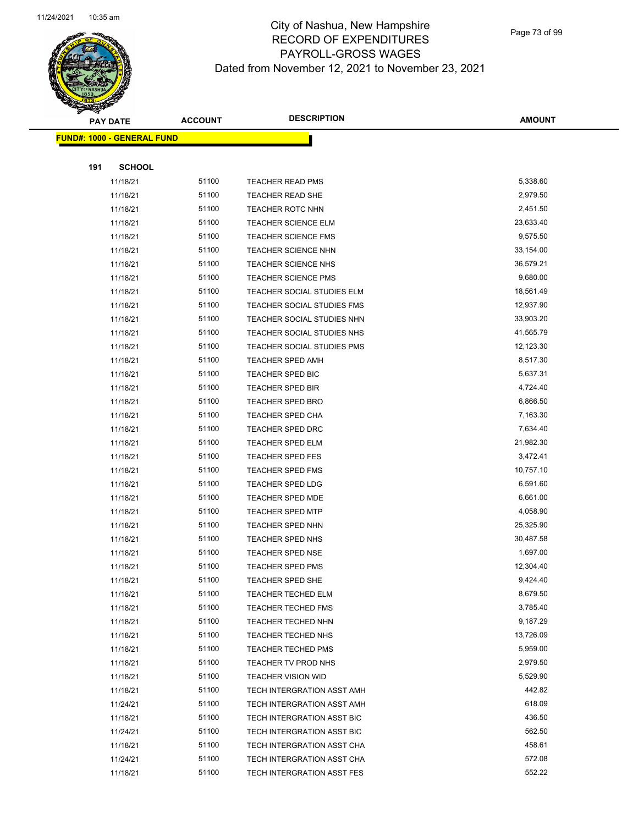

Page 73 of 99

|     | <b>PAY DATE</b>                   | <b>ACCOUNT</b> | <b>DESCRIPTION</b>         | <b>AMOUNT</b> |
|-----|-----------------------------------|----------------|----------------------------|---------------|
|     | <b>FUND#: 1000 - GENERAL FUND</b> |                |                            |               |
|     |                                   |                |                            |               |
| 191 | <b>SCHOOL</b>                     |                |                            |               |
|     | 11/18/21                          | 51100          | <b>TEACHER READ PMS</b>    | 5,338.60      |
|     | 11/18/21                          | 51100          | <b>TEACHER READ SHE</b>    | 2,979.50      |
|     | 11/18/21                          | 51100          | <b>TEACHER ROTC NHN</b>    | 2,451.50      |
|     | 11/18/21                          | 51100          | <b>TEACHER SCIENCE ELM</b> | 23,633.40     |
|     | 11/18/21                          | 51100          | <b>TEACHER SCIENCE FMS</b> | 9,575.50      |
|     | 11/18/21                          | 51100          | TEACHER SCIENCE NHN        | 33,154.00     |
|     | 11/18/21                          | 51100          | <b>TEACHER SCIENCE NHS</b> | 36,579.21     |
|     | 11/18/21                          | 51100          | <b>TEACHER SCIENCE PMS</b> | 9,680.00      |
|     | 11/18/21                          | 51100          | TEACHER SOCIAL STUDIES ELM | 18,561.49     |
|     | 11/18/21                          | 51100          | TEACHER SOCIAL STUDIES FMS | 12,937.90     |
|     | 11/18/21                          | 51100          | TEACHER SOCIAL STUDIES NHN | 33,903.20     |
|     | 11/18/21                          | 51100          | TEACHER SOCIAL STUDIES NHS | 41,565.79     |
|     | 11/18/21                          | 51100          | TEACHER SOCIAL STUDIES PMS | 12,123.30     |
|     | 11/18/21                          | 51100          | <b>TEACHER SPED AMH</b>    | 8,517.30      |
|     | 11/18/21                          | 51100          | <b>TEACHER SPED BIC</b>    | 5,637.31      |
|     | 11/18/21                          | 51100          | TEACHER SPED BIR           | 4,724.40      |
|     | 11/18/21                          | 51100          | <b>TEACHER SPED BRO</b>    | 6,866.50      |
|     | 11/18/21                          | 51100          | <b>TEACHER SPED CHA</b>    | 7,163.30      |
|     | 11/18/21                          | 51100          | <b>TEACHER SPED DRC</b>    | 7,634.40      |
|     | 11/18/21                          | 51100          | <b>TEACHER SPED ELM</b>    | 21,982.30     |
|     | 11/18/21                          | 51100          | TEACHER SPED FES           | 3,472.41      |
|     | 11/18/21                          | 51100          | <b>TEACHER SPED FMS</b>    | 10,757.10     |
|     | 11/18/21                          | 51100          | <b>TEACHER SPED LDG</b>    | 6,591.60      |
|     | 11/18/21                          | 51100          | <b>TEACHER SPED MDE</b>    | 6,661.00      |
|     | 11/18/21                          | 51100          | <b>TEACHER SPED MTP</b>    | 4,058.90      |
|     | 11/18/21                          | 51100          | TEACHER SPED NHN           | 25,325.90     |
|     | 11/18/21                          | 51100          | TEACHER SPED NHS           | 30,487.58     |
|     | 11/18/21                          | 51100          | <b>TEACHER SPED NSE</b>    | 1,697.00      |
|     | 11/18/21                          | 51100          | <b>TEACHER SPED PMS</b>    | 12,304.40     |
|     | 11/18/21                          | 51100          | <b>TEACHER SPED SHE</b>    | 9,424.40      |
|     | 11/18/21                          | 51100          | <b>TEACHER TECHED ELM</b>  | 8,679.50      |
|     | 11/18/21                          | 51100          | <b>TEACHER TECHED FMS</b>  | 3,785.40      |
|     | 11/18/21                          | 51100          | TEACHER TECHED NHN         | 9,187.29      |
|     | 11/18/21                          | 51100          | TEACHER TECHED NHS         | 13,726.09     |
|     | 11/18/21                          | 51100          | <b>TEACHER TECHED PMS</b>  | 5,959.00      |
|     | 11/18/21                          | 51100          | TEACHER TV PROD NHS        | 2,979.50      |
|     | 11/18/21                          | 51100          | <b>TEACHER VISION WID</b>  | 5,529.90      |
|     | 11/18/21                          | 51100          | TECH INTERGRATION ASST AMH | 442.82        |
|     | 11/24/21                          | 51100          | TECH INTERGRATION ASST AMH | 618.09        |
|     | 11/18/21                          | 51100          | TECH INTERGRATION ASST BIC | 436.50        |
|     | 11/24/21                          | 51100          | TECH INTERGRATION ASST BIC | 562.50        |
|     | 11/18/21                          | 51100          | TECH INTERGRATION ASST CHA | 458.61        |
|     | 11/24/21                          | 51100          | TECH INTERGRATION ASST CHA | 572.08        |
|     | 11/18/21                          | 51100          | TECH INTERGRATION ASST FES | 552.22        |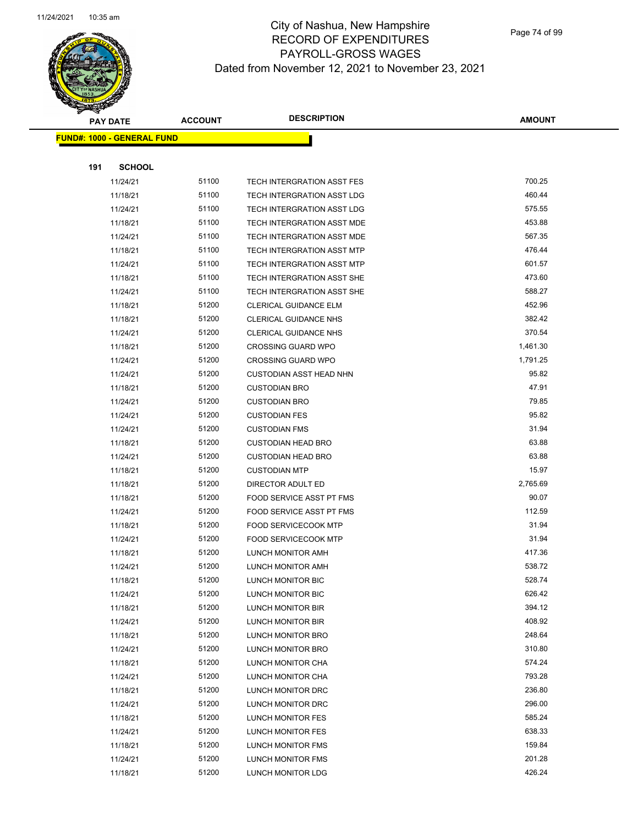

Page 74 of 99

|     | <b>PAY DATE</b>                    | <b>ACCOUNT</b> | <b>DESCRIPTION</b>                | <b>AMOUNT</b> |
|-----|------------------------------------|----------------|-----------------------------------|---------------|
|     | <u> FUND#: 1000 - GENERAL FUND</u> |                |                                   |               |
|     |                                    |                |                                   |               |
| 191 | <b>SCHOOL</b>                      |                |                                   |               |
|     | 11/24/21                           | 51100          | <b>TECH INTERGRATION ASST FES</b> | 700.25        |
|     | 11/18/21                           | 51100          | TECH INTERGRATION ASST LDG        | 460.44        |
|     | 11/24/21                           | 51100          | TECH INTERGRATION ASST LDG        | 575.55        |
|     | 11/18/21                           | 51100          | TECH INTERGRATION ASST MDE        | 453.88        |
|     | 11/24/21                           | 51100          | TECH INTERGRATION ASST MDE        | 567.35        |
|     | 11/18/21                           | 51100          | TECH INTERGRATION ASST MTP        | 476.44        |
|     | 11/24/21                           | 51100          | <b>TECH INTERGRATION ASST MTP</b> | 601.57        |
|     | 11/18/21                           | 51100          | TECH INTERGRATION ASST SHE        | 473.60        |
|     | 11/24/21                           | 51100          | TECH INTERGRATION ASST SHE        | 588.27        |
|     | 11/18/21                           | 51200          | <b>CLERICAL GUIDANCE ELM</b>      | 452.96        |
|     | 11/18/21                           | 51200          | <b>CLERICAL GUIDANCE NHS</b>      | 382.42        |
|     | 11/24/21                           | 51200          | <b>CLERICAL GUIDANCE NHS</b>      | 370.54        |
|     | 11/18/21                           | 51200          | <b>CROSSING GUARD WPO</b>         | 1,461.30      |
|     | 11/24/21                           | 51200          | <b>CROSSING GUARD WPO</b>         | 1,791.25      |
|     | 11/24/21                           | 51200          | <b>CUSTODIAN ASST HEAD NHN</b>    | 95.82         |
|     | 11/18/21                           | 51200          | <b>CUSTODIAN BRO</b>              | 47.91         |
|     | 11/24/21                           | 51200          | <b>CUSTODIAN BRO</b>              | 79.85         |
|     | 11/24/21                           | 51200          | <b>CUSTODIAN FES</b>              | 95.82         |
|     | 11/24/21                           | 51200          | <b>CUSTODIAN FMS</b>              | 31.94         |
|     | 11/18/21                           | 51200          | <b>CUSTODIAN HEAD BRO</b>         | 63.88         |
|     | 11/24/21                           | 51200          | <b>CUSTODIAN HEAD BRO</b>         | 63.88         |
|     | 11/18/21                           | 51200          | <b>CUSTODIAN MTP</b>              | 15.97         |
|     | 11/18/21                           | 51200          | DIRECTOR ADULT ED                 | 2,765.69      |
|     | 11/18/21                           | 51200          | FOOD SERVICE ASST PT FMS          | 90.07         |
|     | 11/24/21                           | 51200          | FOOD SERVICE ASST PT FMS          | 112.59        |
|     | 11/18/21                           | 51200          | <b>FOOD SERVICECOOK MTP</b>       | 31.94         |
|     | 11/24/21                           | 51200          | <b>FOOD SERVICECOOK MTP</b>       | 31.94         |
|     | 11/18/21                           | 51200          | LUNCH MONITOR AMH                 | 417.36        |
|     | 11/24/21                           | 51200          | LUNCH MONITOR AMH                 | 538.72        |
|     | 11/18/21                           | 51200          | LUNCH MONITOR BIC                 | 528.74        |
|     | 11/24/21                           | 51200          | LUNCH MONITOR BIC                 | 626.42        |
|     | 11/18/21                           | 51200          | LUNCH MONITOR BIR                 | 394.12        |
|     | 11/24/21                           | 51200          | LUNCH MONITOR BIR                 | 408.92        |
|     | 11/18/21                           | 51200          | LUNCH MONITOR BRO                 | 248.64        |
|     | 11/24/21                           | 51200          | LUNCH MONITOR BRO                 | 310.80        |
|     | 11/18/21                           | 51200          | LUNCH MONITOR CHA                 | 574.24        |
|     | 11/24/21                           | 51200          | LUNCH MONITOR CHA                 | 793.28        |
|     | 11/18/21                           | 51200          | LUNCH MONITOR DRC                 | 236.80        |
|     | 11/24/21                           | 51200          | LUNCH MONITOR DRC                 | 296.00        |
|     | 11/18/21                           | 51200          | LUNCH MONITOR FES                 | 585.24        |
|     | 11/24/21                           | 51200          | LUNCH MONITOR FES                 | 638.33        |
|     | 11/18/21                           | 51200          | LUNCH MONITOR FMS                 | 159.84        |
|     | 11/24/21                           | 51200          | LUNCH MONITOR FMS                 | 201.28        |
|     | 11/18/21                           | 51200          | LUNCH MONITOR LDG                 | 426.24        |
|     |                                    |                |                                   |               |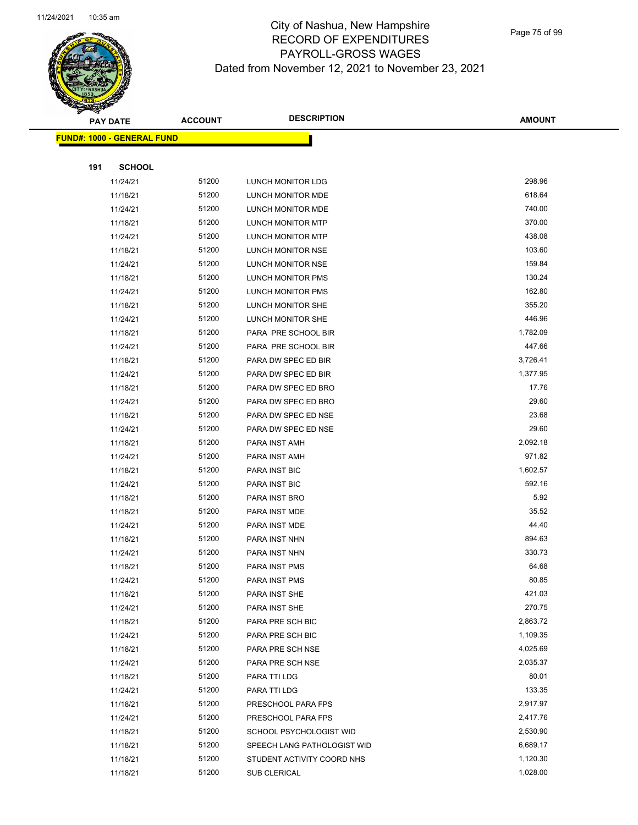

|     | <b>PAY DATE</b>                    | <b>ACCOUNT</b> | <b>DESCRIPTION</b>          | <b>AMOUNT</b> |
|-----|------------------------------------|----------------|-----------------------------|---------------|
|     | <u> FUND#: 1000 - GENERAL FUND</u> |                |                             |               |
|     |                                    |                |                             |               |
| 191 | <b>SCHOOL</b>                      |                |                             |               |
|     | 11/24/21                           | 51200          | LUNCH MONITOR LDG           | 298.96        |
|     | 11/18/21                           | 51200          | LUNCH MONITOR MDE           | 618.64        |
|     | 11/24/21                           | 51200          | LUNCH MONITOR MDE           | 740.00        |
|     | 11/18/21                           | 51200          | LUNCH MONITOR MTP           | 370.00        |
|     | 11/24/21                           | 51200          | LUNCH MONITOR MTP           | 438.08        |
|     | 11/18/21                           | 51200          | LUNCH MONITOR NSE           | 103.60        |
|     | 11/24/21                           | 51200          | LUNCH MONITOR NSE           | 159.84        |
|     | 11/18/21                           | 51200          | LUNCH MONITOR PMS           | 130.24        |
|     | 11/24/21                           | 51200          | LUNCH MONITOR PMS           | 162.80        |
|     | 11/18/21                           | 51200          | LUNCH MONITOR SHE           | 355.20        |
|     | 11/24/21                           | 51200          | LUNCH MONITOR SHE           | 446.96        |
|     | 11/18/21                           | 51200          | PARA PRE SCHOOL BIR         | 1,782.09      |
|     | 11/24/21                           | 51200          | PARA PRE SCHOOL BIR         | 447.66        |
|     | 11/18/21                           | 51200          | PARA DW SPEC ED BIR         | 3,726.41      |
|     | 11/24/21                           | 51200          | PARA DW SPEC ED BIR         | 1,377.95      |
|     | 11/18/21                           | 51200          | PARA DW SPEC ED BRO         | 17.76         |
|     | 11/24/21                           | 51200          | PARA DW SPEC ED BRO         | 29.60         |
|     | 11/18/21                           | 51200          | PARA DW SPEC ED NSE         | 23.68         |
|     | 11/24/21                           | 51200          | PARA DW SPEC ED NSE         | 29.60         |
|     | 11/18/21                           | 51200          | PARA INST AMH               | 2,092.18      |
|     | 11/24/21                           | 51200          | PARA INST AMH               | 971.82        |
|     | 11/18/21                           | 51200          | PARA INST BIC               | 1,602.57      |
|     | 11/24/21                           | 51200          | PARA INST BIC               | 592.16        |
|     | 11/18/21                           | 51200          | PARA INST BRO               | 5.92          |
|     | 11/18/21                           | 51200          | PARA INST MDE               | 35.52         |
|     | 11/24/21                           | 51200          | PARA INST MDE               | 44.40         |
|     | 11/18/21                           | 51200          | PARA INST NHN               | 894.63        |
|     | 11/24/21                           | 51200          | PARA INST NHN               | 330.73        |
|     | 11/18/21                           | 51200          | PARA INST PMS               | 64.68         |
|     | 11/24/21                           | 51200          | PARA INST PMS               | 80.85         |
|     | 11/18/21                           | 51200          | PARA INST SHE               | 421.03        |
|     | 11/24/21                           | 51200          | PARA INST SHE               | 270.75        |
|     | 11/18/21                           | 51200          | PARA PRE SCH BIC            | 2,863.72      |
|     | 11/24/21                           | 51200          | PARA PRE SCH BIC            | 1,109.35      |
|     | 11/18/21                           | 51200          | PARA PRE SCH NSE            | 4,025.69      |
|     | 11/24/21                           | 51200          | PARA PRE SCH NSE            | 2,035.37      |
|     | 11/18/21                           | 51200          | PARA TTI LDG                | 80.01         |
|     | 11/24/21                           | 51200          | PARA TTI LDG                | 133.35        |
|     | 11/18/21                           | 51200          | PRESCHOOL PARA FPS          | 2,917.97      |
|     | 11/24/21                           | 51200          | PRESCHOOL PARA FPS          | 2,417.76      |
|     | 11/18/21                           | 51200          | SCHOOL PSYCHOLOGIST WID     | 2,530.90      |
|     | 11/18/21                           | 51200          | SPEECH LANG PATHOLOGIST WID | 6,689.17      |
|     | 11/18/21                           | 51200          | STUDENT ACTIVITY COORD NHS  | 1,120.30      |
|     | 11/18/21                           | 51200          | SUB CLERICAL                | 1,028.00      |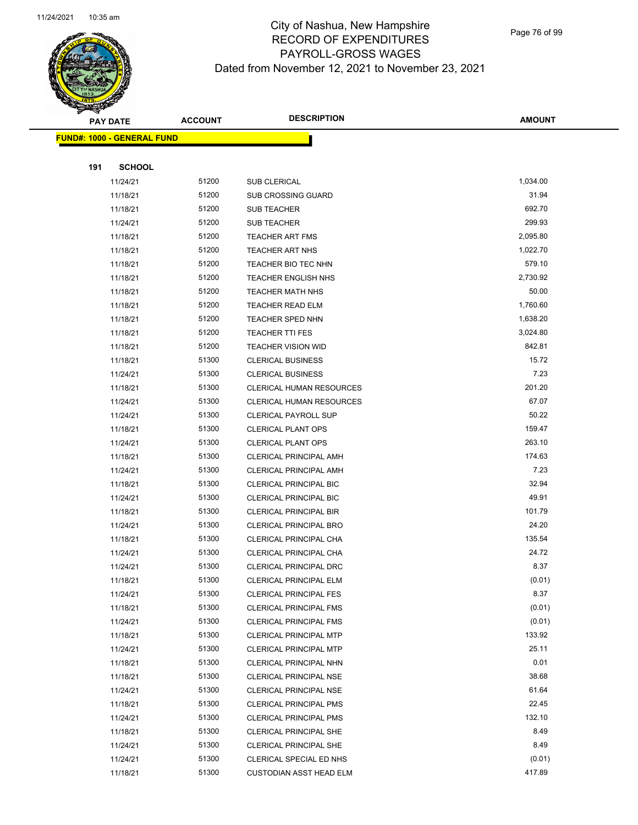

Page 76 of 99

|     | <b>PAY DATE</b>                   | <b>ACCOUNT</b> | <b>DESCRIPTION</b>              | <b>AMOUNT</b> |
|-----|-----------------------------------|----------------|---------------------------------|---------------|
|     | <b>FUND#: 1000 - GENERAL FUND</b> |                |                                 |               |
|     |                                   |                |                                 |               |
| 191 | <b>SCHOOL</b>                     |                |                                 |               |
|     | 11/24/21                          | 51200          | SUB CLERICAL                    | 1,034.00      |
|     | 11/18/21                          | 51200          | <b>SUB CROSSING GUARD</b>       | 31.94         |
|     | 11/18/21                          | 51200          | <b>SUB TEACHER</b>              | 692.70        |
|     | 11/24/21                          | 51200          | <b>SUB TEACHER</b>              | 299.93        |
|     | 11/18/21                          | 51200          | <b>TEACHER ART FMS</b>          | 2,095.80      |
|     | 11/18/21                          | 51200          | <b>TEACHER ART NHS</b>          | 1,022.70      |
|     | 11/18/21                          | 51200          | <b>TEACHER BIO TEC NHN</b>      | 579.10        |
|     | 11/18/21                          | 51200          | <b>TEACHER ENGLISH NHS</b>      | 2,730.92      |
|     | 11/18/21                          | 51200          | <b>TEACHER MATH NHS</b>         | 50.00         |
|     | 11/18/21                          | 51200          | <b>TEACHER READ ELM</b>         | 1,760.60      |
|     | 11/18/21                          | 51200          | <b>TEACHER SPED NHN</b>         | 1,638.20      |
|     | 11/18/21                          | 51200          | <b>TEACHER TTI FES</b>          | 3,024.80      |
|     | 11/18/21                          | 51200          | <b>TEACHER VISION WID</b>       | 842.81        |
|     | 11/18/21                          | 51300          | <b>CLERICAL BUSINESS</b>        | 15.72         |
|     | 11/24/21                          | 51300          | <b>CLERICAL BUSINESS</b>        | 7.23          |
|     | 11/18/21                          | 51300          | CLERICAL HUMAN RESOURCES        | 201.20        |
|     | 11/24/21                          | 51300          | <b>CLERICAL HUMAN RESOURCES</b> | 67.07         |
|     | 11/24/21                          | 51300          | <b>CLERICAL PAYROLL SUP</b>     | 50.22         |
|     | 11/18/21                          | 51300          | <b>CLERICAL PLANT OPS</b>       | 159.47        |
|     | 11/24/21                          | 51300          | <b>CLERICAL PLANT OPS</b>       | 263.10        |
|     | 11/18/21                          | 51300          | CLERICAL PRINCIPAL AMH          | 174.63        |
|     | 11/24/21                          | 51300          | <b>CLERICAL PRINCIPAL AMH</b>   | 7.23          |
|     | 11/18/21                          | 51300          | <b>CLERICAL PRINCIPAL BIC</b>   | 32.94         |
|     | 11/24/21                          | 51300          | <b>CLERICAL PRINCIPAL BIC</b>   | 49.91         |
|     | 11/18/21                          | 51300          | <b>CLERICAL PRINCIPAL BIR</b>   | 101.79        |
|     | 11/24/21                          | 51300          | <b>CLERICAL PRINCIPAL BRO</b>   | 24.20         |
|     | 11/18/21                          | 51300          | CLERICAL PRINCIPAL CHA          | 135.54        |
|     | 11/24/21                          | 51300          | CLERICAL PRINCIPAL CHA          | 24.72         |
|     | 11/24/21                          | 51300          | CLERICAL PRINCIPAL DRC          | 8.37          |
|     | 11/18/21                          | 51300          | <b>CLERICAL PRINCIPAL ELM</b>   | (0.01)        |
|     | 11/24/21                          | 51300          | <b>CLERICAL PRINCIPAL FES</b>   | 8.37          |
|     | 11/18/21                          | 51300          | <b>CLERICAL PRINCIPAL FMS</b>   | (0.01)        |
|     | 11/24/21                          | 51300          | <b>CLERICAL PRINCIPAL FMS</b>   | (0.01)        |
|     | 11/18/21                          | 51300          | <b>CLERICAL PRINCIPAL MTP</b>   | 133.92        |
|     | 11/24/21                          | 51300          | <b>CLERICAL PRINCIPAL MTP</b>   | 25.11         |
|     | 11/18/21                          | 51300          | CLERICAL PRINCIPAL NHN          | 0.01          |
|     | 11/18/21                          | 51300          | <b>CLERICAL PRINCIPAL NSE</b>   | 38.68         |
|     | 11/24/21                          | 51300          | <b>CLERICAL PRINCIPAL NSE</b>   | 61.64         |
|     | 11/18/21                          | 51300          | CLERICAL PRINCIPAL PMS          | 22.45         |
|     | 11/24/21                          | 51300          | <b>CLERICAL PRINCIPAL PMS</b>   | 132.10        |
|     | 11/18/21                          | 51300          | <b>CLERICAL PRINCIPAL SHE</b>   | 8.49          |
|     | 11/24/21                          | 51300          | <b>CLERICAL PRINCIPAL SHE</b>   | 8.49          |
|     | 11/24/21                          | 51300          | CLERICAL SPECIAL ED NHS         | (0.01)        |
|     | 11/18/21                          | 51300          | <b>CUSTODIAN ASST HEAD ELM</b>  | 417.89        |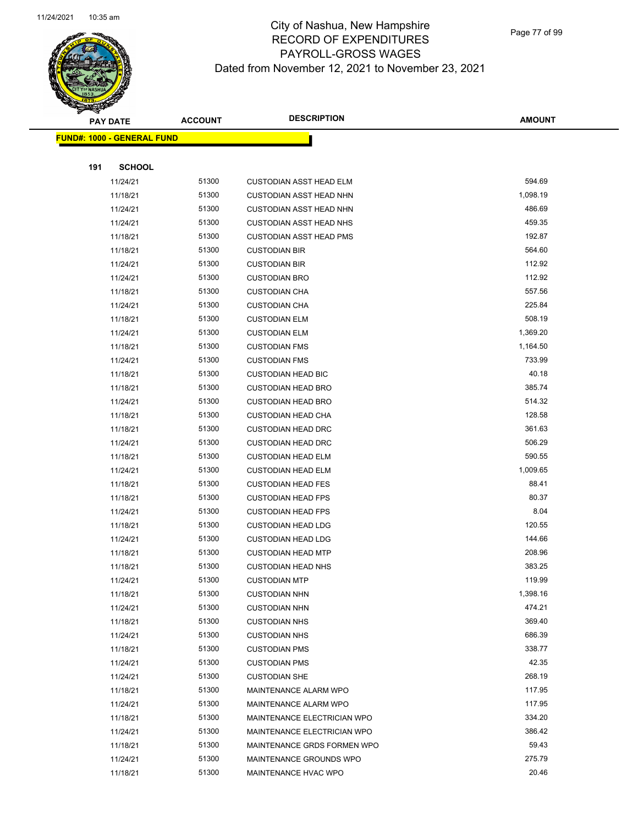

|     | <b>PAY DATE</b>                    | <b>ACCOUNT</b> | <b>DESCRIPTION</b>             | <b>AMOUNT</b> |
|-----|------------------------------------|----------------|--------------------------------|---------------|
|     | <u> FUND#: 1000 - GENERAL FUND</u> |                |                                |               |
|     |                                    |                |                                |               |
| 191 | <b>SCHOOL</b>                      |                |                                |               |
|     | 11/24/21                           | 51300          | <b>CUSTODIAN ASST HEAD ELM</b> | 594.69        |
|     | 11/18/21                           | 51300          | <b>CUSTODIAN ASST HEAD NHN</b> | 1,098.19      |
|     | 11/24/21                           | 51300          | <b>CUSTODIAN ASST HEAD NHN</b> | 486.69        |
|     | 11/24/21                           | 51300          | <b>CUSTODIAN ASST HEAD NHS</b> | 459.35        |
|     | 11/18/21                           | 51300          | <b>CUSTODIAN ASST HEAD PMS</b> | 192.87        |
|     | 11/18/21                           | 51300          | <b>CUSTODIAN BIR</b>           | 564.60        |
|     | 11/24/21                           | 51300          | <b>CUSTODIAN BIR</b>           | 112.92        |
|     | 11/24/21                           | 51300          | <b>CUSTODIAN BRO</b>           | 112.92        |
|     | 11/18/21                           | 51300          | <b>CUSTODIAN CHA</b>           | 557.56        |
|     | 11/24/21                           | 51300          | <b>CUSTODIAN CHA</b>           | 225.84        |
|     | 11/18/21                           | 51300          | <b>CUSTODIAN ELM</b>           | 508.19        |
|     | 11/24/21                           | 51300          | <b>CUSTODIAN ELM</b>           | 1,369.20      |
|     | 11/18/21                           | 51300          | <b>CUSTODIAN FMS</b>           | 1,164.50      |
|     | 11/24/21                           | 51300          | <b>CUSTODIAN FMS</b>           | 733.99        |
|     | 11/18/21                           | 51300          | <b>CUSTODIAN HEAD BIC</b>      | 40.18         |
|     | 11/18/21                           | 51300          | <b>CUSTODIAN HEAD BRO</b>      | 385.74        |
|     | 11/24/21                           | 51300          | <b>CUSTODIAN HEAD BRO</b>      | 514.32        |
|     | 11/18/21                           | 51300          | <b>CUSTODIAN HEAD CHA</b>      | 128.58        |
|     | 11/18/21                           | 51300          | <b>CUSTODIAN HEAD DRC</b>      | 361.63        |
|     | 11/24/21                           | 51300          | <b>CUSTODIAN HEAD DRC</b>      | 506.29        |
|     | 11/18/21                           | 51300          | <b>CUSTODIAN HEAD ELM</b>      | 590.55        |
|     | 11/24/21                           | 51300          | <b>CUSTODIAN HEAD ELM</b>      | 1,009.65      |
|     | 11/18/21                           | 51300          | <b>CUSTODIAN HEAD FES</b>      | 88.41         |
|     | 11/18/21                           | 51300          | <b>CUSTODIAN HEAD FPS</b>      | 80.37         |
|     | 11/24/21                           | 51300          | <b>CUSTODIAN HEAD FPS</b>      | 8.04          |
|     | 11/18/21                           | 51300          | <b>CUSTODIAN HEAD LDG</b>      | 120.55        |
|     | 11/24/21                           | 51300          | <b>CUSTODIAN HEAD LDG</b>      | 144.66        |
|     | 11/18/21                           | 51300          | <b>CUSTODIAN HEAD MTP</b>      | 208.96        |
|     | 11/18/21                           | 51300          | <b>CUSTODIAN HEAD NHS</b>      | 383.25        |
|     | 11/24/21                           | 51300          | <b>CUSTODIAN MTP</b>           | 119.99        |
|     | 11/18/21                           | 51300          | <b>CUSTODIAN NHN</b>           | 1,398.16      |
|     | 11/24/21                           | 51300          | <b>CUSTODIAN NHN</b>           | 474.21        |
|     | 11/18/21                           | 51300          | <b>CUSTODIAN NHS</b>           | 369.40        |
|     | 11/24/21                           | 51300          | <b>CUSTODIAN NHS</b>           | 686.39        |
|     | 11/18/21                           | 51300          | <b>CUSTODIAN PMS</b>           | 338.77        |
|     | 11/24/21                           | 51300          | <b>CUSTODIAN PMS</b>           | 42.35         |
|     | 11/24/21                           | 51300          | <b>CUSTODIAN SHE</b>           | 268.19        |
|     | 11/18/21                           | 51300          | MAINTENANCE ALARM WPO          | 117.95        |
|     | 11/24/21                           | 51300          | MAINTENANCE ALARM WPO          | 117.95        |
|     | 11/18/21                           | 51300          | MAINTENANCE ELECTRICIAN WPO    | 334.20        |
|     | 11/24/21                           | 51300          | MAINTENANCE ELECTRICIAN WPO    | 386.42        |
|     | 11/18/21                           | 51300          | MAINTENANCE GRDS FORMEN WPO    | 59.43         |
|     | 11/24/21                           | 51300          | MAINTENANCE GROUNDS WPO        | 275.79        |
|     | 11/18/21                           | 51300          | MAINTENANCE HVAC WPO           | 20.46         |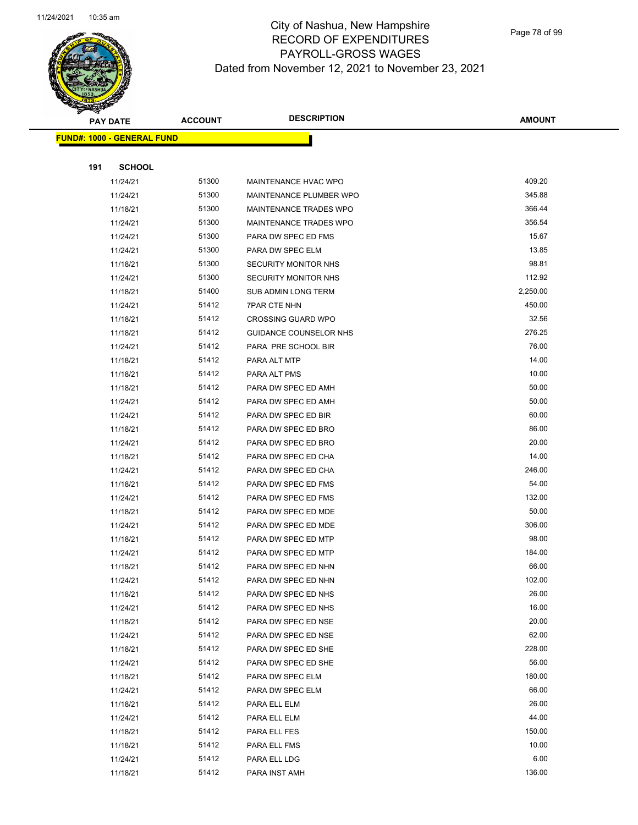

|     | <b>PAY DATE</b>                    | <b>ACCOUNT</b> | <b>DESCRIPTION</b>            | <b>AMOUNT</b> |
|-----|------------------------------------|----------------|-------------------------------|---------------|
|     | <u> FUND#: 1000 - GENERAL FUND</u> |                |                               |               |
|     |                                    |                |                               |               |
| 191 | <b>SCHOOL</b>                      |                |                               |               |
|     | 11/24/21                           | 51300          | MAINTENANCE HVAC WPO          | 409.20        |
|     | 11/24/21                           | 51300          | MAINTENANCE PLUMBER WPO       | 345.88        |
|     | 11/18/21                           | 51300          | <b>MAINTENANCE TRADES WPO</b> | 366.44        |
|     | 11/24/21                           | 51300          | <b>MAINTENANCE TRADES WPO</b> | 356.54        |
|     | 11/24/21                           | 51300          | PARA DW SPEC ED FMS           | 15.67         |
|     | 11/24/21                           | 51300          | PARA DW SPEC ELM              | 13.85         |
|     | 11/18/21                           | 51300          | <b>SECURITY MONITOR NHS</b>   | 98.81         |
|     | 11/24/21                           | 51300          | <b>SECURITY MONITOR NHS</b>   | 112.92        |
|     | 11/18/21                           | 51400          | SUB ADMIN LONG TERM           | 2,250.00      |
|     | 11/24/21                           | 51412          | <b>7PAR CTE NHN</b>           | 450.00        |
|     | 11/18/21                           | 51412          | <b>CROSSING GUARD WPO</b>     | 32.56         |
|     | 11/18/21                           | 51412          | GUIDANCE COUNSELOR NHS        | 276.25        |
|     | 11/24/21                           | 51412          | PARA PRE SCHOOL BIR           | 76.00         |
|     | 11/18/21                           | 51412          | PARA ALT MTP                  | 14.00         |
|     | 11/18/21                           | 51412          | PARA ALT PMS                  | 10.00         |
|     | 11/18/21                           | 51412          | PARA DW SPEC ED AMH           | 50.00         |
|     | 11/24/21                           | 51412          | PARA DW SPEC ED AMH           | 50.00         |
|     | 11/24/21                           | 51412          | PARA DW SPEC ED BIR           | 60.00         |
|     | 11/18/21                           | 51412          | PARA DW SPEC ED BRO           | 86.00         |
|     | 11/24/21                           | 51412          | PARA DW SPEC ED BRO           | 20.00         |
|     | 11/18/21                           | 51412          | PARA DW SPEC ED CHA           | 14.00         |
|     | 11/24/21                           | 51412          | PARA DW SPEC ED CHA           | 246.00        |
|     | 11/18/21                           | 51412          | PARA DW SPEC ED FMS           | 54.00         |
|     | 11/24/21                           | 51412          | PARA DW SPEC ED FMS           | 132.00        |
|     | 11/18/21                           | 51412          | PARA DW SPEC ED MDE           | 50.00         |
|     | 11/24/21                           | 51412          | PARA DW SPEC ED MDE           | 306.00        |
|     | 11/18/21                           | 51412          | PARA DW SPEC ED MTP           | 98.00         |
|     | 11/24/21                           | 51412          | PARA DW SPEC ED MTP           | 184.00        |
|     | 11/18/21                           | 51412          | PARA DW SPEC ED NHN           | 66.00         |
|     | 11/24/21                           | 51412          | PARA DW SPEC ED NHN           | 102.00        |
|     | 11/18/21                           | 51412          | PARA DW SPEC ED NHS           | 26.00         |
|     | 11/24/21                           | 51412          | PARA DW SPEC ED NHS           | 16.00         |
|     | 11/18/21                           | 51412          | PARA DW SPEC ED NSE           | 20.00         |
|     | 11/24/21                           | 51412          | PARA DW SPEC ED NSE           | 62.00         |
|     | 11/18/21                           | 51412          | PARA DW SPEC ED SHE           | 228.00        |
|     | 11/24/21                           | 51412          | PARA DW SPEC ED SHE           | 56.00         |
|     | 11/18/21                           | 51412          | PARA DW SPEC ELM              | 180.00        |
|     | 11/24/21                           | 51412          | PARA DW SPEC ELM              | 66.00         |
|     | 11/18/21                           | 51412          | PARA ELL ELM                  | 26.00         |
|     | 11/24/21                           | 51412          | PARA ELL ELM                  | 44.00         |
|     | 11/18/21                           | 51412          | PARA ELL FES                  | 150.00        |
|     | 11/18/21                           | 51412          | PARA ELL FMS                  | 10.00         |
|     | 11/24/21                           | 51412          | PARA ELL LDG                  | 6.00          |
|     | 11/18/21                           | 51412          | PARA INST AMH                 | 136.00        |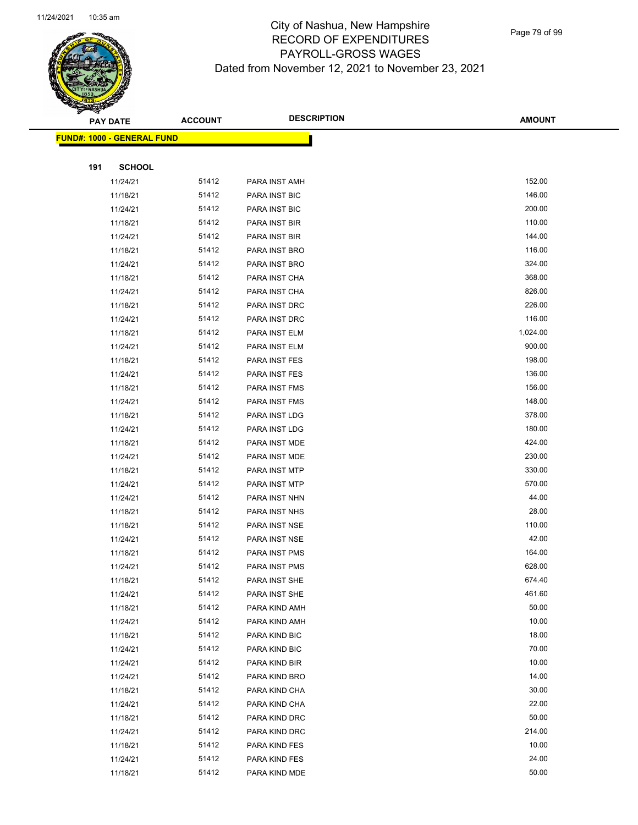

Page 79 of 99

|     | <b>PAY DATE</b>                    | <b>ACCOUNT</b> | <b>DESCRIPTION</b>             | <b>AMOUNT</b>  |
|-----|------------------------------------|----------------|--------------------------------|----------------|
|     | <u> FUND#: 1000 - GENERAL FUND</u> |                |                                |                |
|     |                                    |                |                                |                |
| 191 | <b>SCHOOL</b>                      |                |                                |                |
|     | 11/24/21                           | 51412          | PARA INST AMH                  | 152.00         |
|     | 11/18/21                           | 51412          | PARA INST BIC                  | 146.00         |
|     | 11/24/21                           | 51412          | PARA INST BIC                  | 200.00         |
|     | 11/18/21                           | 51412          | PARA INST BIR                  | 110.00         |
|     | 11/24/21                           | 51412          | PARA INST BIR                  | 144.00         |
|     | 11/18/21                           | 51412          | PARA INST BRO                  | 116.00         |
|     | 11/24/21                           | 51412          | PARA INST BRO                  | 324.00         |
|     | 11/18/21                           | 51412          | PARA INST CHA                  | 368.00         |
|     | 11/24/21                           | 51412          | PARA INST CHA                  | 826.00         |
|     | 11/18/21                           | 51412          | PARA INST DRC                  | 226.00         |
|     | 11/24/21                           | 51412          | PARA INST DRC                  | 116.00         |
|     | 11/18/21                           | 51412          | PARA INST ELM                  | 1,024.00       |
|     | 11/24/21                           | 51412          | PARA INST ELM                  | 900.00         |
|     | 11/18/21                           | 51412          | PARA INST FES                  | 198.00         |
|     | 11/24/21                           | 51412          | PARA INST FES                  | 136.00         |
|     | 11/18/21                           | 51412          | PARA INST FMS                  | 156.00         |
|     | 11/24/21                           | 51412          | PARA INST FMS                  | 148.00         |
|     | 11/18/21                           | 51412          | PARA INST LDG                  | 378.00         |
|     | 11/24/21                           | 51412          | PARA INST LDG                  | 180.00         |
|     | 11/18/21                           | 51412          | PARA INST MDE                  | 424.00         |
|     | 11/24/21                           | 51412          | PARA INST MDE                  | 230.00         |
|     | 11/18/21                           | 51412          | PARA INST MTP                  | 330.00         |
|     | 11/24/21                           | 51412          | PARA INST MTP                  | 570.00         |
|     | 11/24/21                           | 51412          | PARA INST NHN                  | 44.00          |
|     | 11/18/21                           | 51412          | PARA INST NHS                  | 28.00          |
|     | 11/18/21                           | 51412          | PARA INST NSE                  | 110.00         |
|     | 11/24/21                           | 51412          | PARA INST NSE                  | 42.00          |
|     | 11/18/21                           | 51412          | PARA INST PMS                  | 164.00         |
|     | 11/24/21                           | 51412          | PARA INST PMS                  | 628.00         |
|     | 11/18/21                           | 51412          | PARA INST SHE                  | 674.40         |
|     | 11/24/21                           | 51412          | PARA INST SHE                  | 461.60         |
|     | 11/18/21                           | 51412          | PARA KIND AMH                  | 50.00          |
|     | 11/24/21                           | 51412          | PARA KIND AMH                  | 10.00          |
|     | 11/18/21                           | 51412          | PARA KIND BIC                  | 18.00          |
|     | 11/24/21                           | 51412          | PARA KIND BIC                  | 70.00<br>10.00 |
|     | 11/24/21                           | 51412<br>51412 | PARA KIND BIR                  | 14.00          |
|     | 11/24/21                           |                | PARA KIND BRO                  |                |
|     | 11/18/21<br>11/24/21               | 51412<br>51412 | PARA KIND CHA                  | 30.00<br>22.00 |
|     |                                    | 51412          | PARA KIND CHA                  | 50.00          |
|     | 11/18/21                           | 51412          | PARA KIND DRC                  | 214.00         |
|     | 11/24/21                           | 51412          | PARA KIND DRC                  | 10.00          |
|     | 11/18/21                           | 51412          | PARA KIND FES                  | 24.00          |
|     | 11/24/21<br>11/18/21               | 51412          | PARA KIND FES<br>PARA KIND MDE | 50.00          |
|     |                                    |                |                                |                |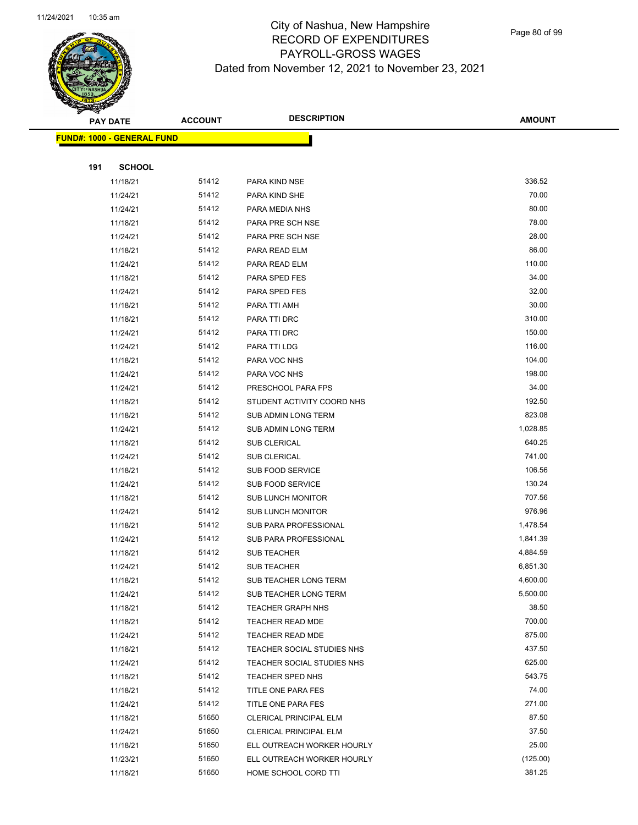

Page 80 of 99

|     | <b>PAY DATE</b>                    | <b>ACCOUNT</b> | <b>DESCRIPTION</b>            | <b>AMOUNT</b> |
|-----|------------------------------------|----------------|-------------------------------|---------------|
|     | <u> FUND#: 1000 - GENERAL FUND</u> |                |                               |               |
|     |                                    |                |                               |               |
| 191 | <b>SCHOOL</b>                      |                |                               |               |
|     | 11/18/21                           | 51412          | PARA KIND NSE                 | 336.52        |
|     | 11/24/21                           | 51412          | PARA KIND SHE                 | 70.00         |
|     | 11/24/21                           | 51412          | PARA MEDIA NHS                | 80.00         |
|     | 11/18/21                           | 51412          | PARA PRE SCH NSE              | 78.00         |
|     | 11/24/21                           | 51412          | PARA PRE SCH NSE              | 28.00         |
|     | 11/18/21                           | 51412          | PARA READ ELM                 | 86.00         |
|     | 11/24/21                           | 51412          | PARA READ ELM                 | 110.00        |
|     | 11/18/21                           | 51412          | PARA SPED FES                 | 34.00         |
|     | 11/24/21                           | 51412          | PARA SPED FES                 | 32.00         |
|     | 11/18/21                           | 51412          | PARA TTI AMH                  | 30.00         |
|     | 11/18/21                           | 51412          | PARA TTI DRC                  | 310.00        |
|     | 11/24/21                           | 51412          | PARA TTI DRC                  | 150.00        |
|     | 11/24/21                           | 51412          | PARA TTI LDG                  | 116.00        |
|     | 11/18/21                           | 51412          | PARA VOC NHS                  | 104.00        |
|     | 11/24/21                           | 51412          | PARA VOC NHS                  | 198.00        |
|     | 11/24/21                           | 51412          | PRESCHOOL PARA FPS            | 34.00         |
|     | 11/18/21                           | 51412          | STUDENT ACTIVITY COORD NHS    | 192.50        |
|     | 11/18/21                           | 51412          | SUB ADMIN LONG TERM           | 823.08        |
|     | 11/24/21                           | 51412          | SUB ADMIN LONG TERM           | 1,028.85      |
|     | 11/18/21                           | 51412          | SUB CLERICAL                  | 640.25        |
|     | 11/24/21                           | 51412          | SUB CLERICAL                  | 741.00        |
|     | 11/18/21                           | 51412          | SUB FOOD SERVICE              | 106.56        |
|     | 11/24/21                           | 51412          | SUB FOOD SERVICE              | 130.24        |
|     | 11/18/21                           | 51412          | <b>SUB LUNCH MONITOR</b>      | 707.56        |
|     | 11/24/21                           | 51412          | <b>SUB LUNCH MONITOR</b>      | 976.96        |
|     | 11/18/21                           | 51412          | SUB PARA PROFESSIONAL         | 1,478.54      |
|     | 11/24/21                           | 51412          | SUB PARA PROFESSIONAL         | 1,841.39      |
|     | 11/18/21                           | 51412          | <b>SUB TEACHER</b>            | 4,884.59      |
|     | 11/24/21                           | 51412          | <b>SUB TEACHER</b>            | 6,851.30      |
|     | 11/18/21                           | 51412          | SUB TEACHER LONG TERM         | 4,600.00      |
|     | 11/24/21                           | 51412          | SUB TEACHER LONG TERM         | 5,500.00      |
|     | 11/18/21                           | 51412          | <b>TEACHER GRAPH NHS</b>      | 38.50         |
|     | 11/18/21                           | 51412          | <b>TEACHER READ MDE</b>       | 700.00        |
|     | 11/24/21                           | 51412          | <b>TEACHER READ MDE</b>       | 875.00        |
|     | 11/18/21                           | 51412          | TEACHER SOCIAL STUDIES NHS    | 437.50        |
|     | 11/24/21                           | 51412          | TEACHER SOCIAL STUDIES NHS    | 625.00        |
|     | 11/18/21                           | 51412          | TEACHER SPED NHS              | 543.75        |
|     | 11/18/21                           | 51412          | TITLE ONE PARA FES            | 74.00         |
|     | 11/24/21                           | 51412          | TITLE ONE PARA FES            | 271.00        |
|     | 11/18/21                           | 51650          | <b>CLERICAL PRINCIPAL ELM</b> | 87.50         |
|     | 11/24/21                           | 51650          | <b>CLERICAL PRINCIPAL ELM</b> | 37.50         |
|     | 11/18/21                           | 51650          | ELL OUTREACH WORKER HOURLY    | 25.00         |
|     | 11/23/21                           | 51650          | ELL OUTREACH WORKER HOURLY    | (125.00)      |
|     | 11/18/21                           | 51650          | HOME SCHOOL CORD TTI          | 381.25        |
|     |                                    |                |                               |               |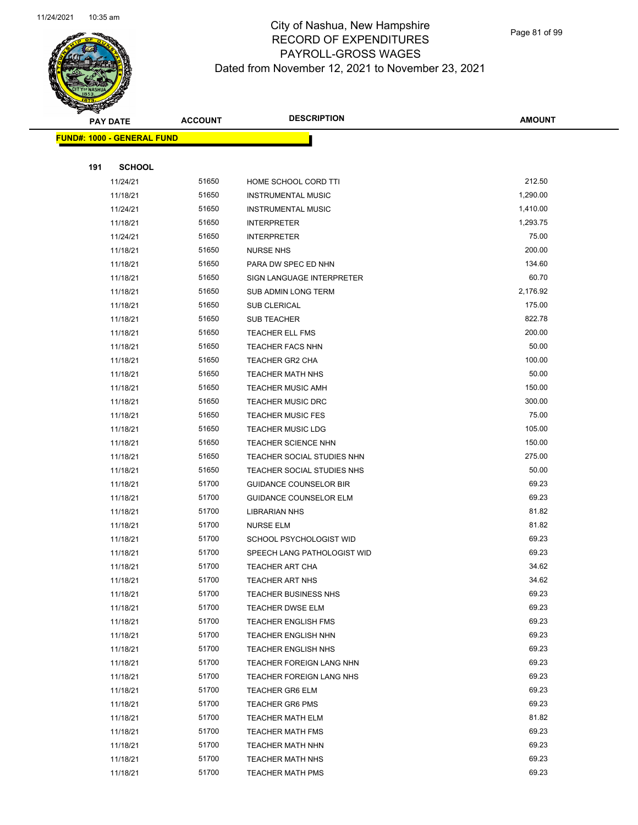

Page 81 of 99

| <b>PAY DATE</b> |                                   | <b>DESCRIPTION</b><br><b>ACCOUNT</b> |                               | <b>AMOUNT</b>  |
|-----------------|-----------------------------------|--------------------------------------|-------------------------------|----------------|
|                 | <b>FUND#: 1000 - GENERAL FUND</b> |                                      |                               |                |
|                 |                                   |                                      |                               |                |
| 191             | <b>SCHOOL</b>                     |                                      |                               |                |
|                 | 11/24/21                          | 51650                                | HOME SCHOOL CORD TTI          | 212.50         |
|                 | 11/18/21                          | 51650                                | <b>INSTRUMENTAL MUSIC</b>     | 1,290.00       |
|                 | 11/24/21                          | 51650                                | <b>INSTRUMENTAL MUSIC</b>     | 1,410.00       |
|                 | 11/18/21                          | 51650                                | <b>INTERPRETER</b>            | 1,293.75       |
|                 | 11/24/21                          | 51650                                | <b>INTERPRETER</b>            | 75.00          |
|                 | 11/18/21                          | 51650                                | <b>NURSE NHS</b>              | 200.00         |
|                 | 11/18/21                          | 51650                                | PARA DW SPEC ED NHN           | 134.60         |
|                 | 11/18/21                          | 51650                                | SIGN LANGUAGE INTERPRETER     | 60.70          |
|                 | 11/18/21                          | 51650                                | SUB ADMIN LONG TERM           | 2,176.92       |
|                 | 11/18/21                          | 51650                                | <b>SUB CLERICAL</b>           | 175.00         |
|                 | 11/18/21                          | 51650                                | <b>SUB TEACHER</b>            | 822.78         |
|                 | 11/18/21                          | 51650                                | TEACHER ELL FMS               | 200.00         |
|                 | 11/18/21                          | 51650                                | <b>TEACHER FACS NHN</b>       | 50.00          |
|                 | 11/18/21                          | 51650                                | <b>TEACHER GR2 CHA</b>        | 100.00         |
|                 | 11/18/21                          | 51650                                | <b>TEACHER MATH NHS</b>       | 50.00          |
|                 | 11/18/21                          | 51650                                | <b>TEACHER MUSIC AMH</b>      | 150.00         |
|                 | 11/18/21                          | 51650                                | <b>TEACHER MUSIC DRC</b>      | 300.00         |
|                 | 11/18/21                          | 51650                                | <b>TEACHER MUSIC FES</b>      | 75.00          |
|                 | 11/18/21                          | 51650                                | <b>TEACHER MUSIC LDG</b>      | 105.00         |
|                 | 11/18/21                          | 51650                                | <b>TEACHER SCIENCE NHN</b>    | 150.00         |
|                 | 11/18/21                          | 51650                                | TEACHER SOCIAL STUDIES NHN    | 275.00         |
|                 | 11/18/21                          | 51650                                | TEACHER SOCIAL STUDIES NHS    | 50.00          |
|                 | 11/18/21                          | 51700                                | <b>GUIDANCE COUNSELOR BIR</b> | 69.23          |
|                 | 11/18/21                          | 51700                                | <b>GUIDANCE COUNSELOR ELM</b> | 69.23          |
|                 | 11/18/21                          | 51700                                | <b>LIBRARIAN NHS</b>          | 81.82          |
|                 | 11/18/21                          | 51700                                | NURSE ELM                     | 81.82          |
|                 | 11/18/21                          | 51700                                | SCHOOL PSYCHOLOGIST WID       | 69.23          |
|                 | 11/18/21                          | 51700                                | SPEECH LANG PATHOLOGIST WID   | 69.23          |
|                 | 11/18/21                          | 51700                                | <b>TEACHER ART CHA</b>        | 34.62          |
|                 | 11/18/21                          | 51700                                | <b>TEACHER ART NHS</b>        | 34.62          |
|                 | 11/18/21                          | 51700                                | <b>TEACHER BUSINESS NHS</b>   | 69.23          |
|                 | 11/18/21                          | 51700                                | <b>TEACHER DWSE ELM</b>       | 69.23          |
|                 | 11/18/21                          | 51700                                | <b>TEACHER ENGLISH FMS</b>    | 69.23          |
|                 | 11/18/21                          | 51700                                | TEACHER ENGLISH NHN           | 69.23          |
|                 | 11/18/21                          | 51700                                | <b>TEACHER ENGLISH NHS</b>    | 69.23          |
|                 | 11/18/21                          | 51700                                | TEACHER FOREIGN LANG NHN      | 69.23          |
|                 | 11/18/21                          | 51700                                | TEACHER FOREIGN LANG NHS      | 69.23          |
|                 | 11/18/21                          | 51700                                | <b>TEACHER GR6 ELM</b>        | 69.23          |
|                 | 11/18/21                          | 51700                                | <b>TEACHER GR6 PMS</b>        | 69.23          |
|                 | 11/18/21                          | 51700                                | <b>TEACHER MATH ELM</b>       | 81.82          |
|                 | 11/18/21                          | 51700                                | <b>TEACHER MATH FMS</b>       | 69.23          |
|                 | 11/18/21                          | 51700                                | <b>TEACHER MATH NHN</b>       | 69.23          |
|                 | 11/18/21                          | 51700                                | <b>TEACHER MATH NHS</b>       | 69.23<br>69.23 |
|                 | 11/18/21                          | 51700                                | <b>TEACHER MATH PMS</b>       |                |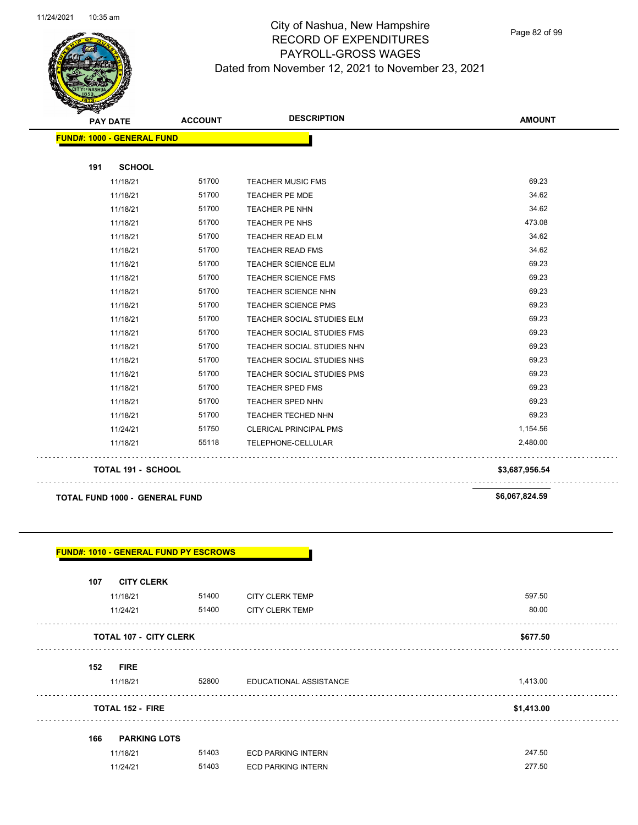

Page 82 of 99

**AMOUNT**

| 191 | <b>SCHOOL</b>                                                     |       |                               |                |
|-----|-------------------------------------------------------------------|-------|-------------------------------|----------------|
|     | 11/18/21                                                          | 51700 | <b>TEACHER MUSIC FMS</b>      | 69.23          |
|     | 11/18/21                                                          | 51700 | <b>TEACHER PE MDE</b>         | 34.62          |
|     | 11/18/21                                                          | 51700 | TEACHER PE NHN                | 34.62          |
|     | 11/18/21                                                          | 51700 | TEACHER PE NHS                | 473.08         |
|     | 11/18/21                                                          | 51700 | <b>TEACHER READ ELM</b>       | 34.62          |
|     | 11/18/21                                                          | 51700 | <b>TEACHER READ FMS</b>       | 34.62          |
|     | 11/18/21                                                          | 51700 | <b>TEACHER SCIENCE ELM</b>    | 69.23          |
|     | 11/18/21                                                          | 51700 | <b>TEACHER SCIENCE FMS</b>    | 69.23          |
|     | 11/18/21                                                          | 51700 | <b>TEACHER SCIENCE NHN</b>    | 69.23          |
|     | 11/18/21                                                          | 51700 | <b>TEACHER SCIENCE PMS</b>    | 69.23          |
|     | 11/18/21                                                          | 51700 | TEACHER SOCIAL STUDIES ELM    | 69.23          |
|     | 11/18/21                                                          | 51700 | TEACHER SOCIAL STUDIES FMS    | 69.23          |
|     | 11/18/21                                                          | 51700 | TEACHER SOCIAL STUDIES NHN    | 69.23          |
|     | 11/18/21                                                          | 51700 | TEACHER SOCIAL STUDIES NHS    | 69.23          |
|     | 11/18/21                                                          | 51700 | TEACHER SOCIAL STUDIES PMS    | 69.23          |
|     | 11/18/21                                                          | 51700 | <b>TEACHER SPED FMS</b>       | 69.23          |
|     | 11/18/21                                                          | 51700 | <b>TEACHER SPED NHN</b>       | 69.23          |
|     | 11/18/21                                                          | 51700 | <b>TEACHER TECHED NHN</b>     | 69.23          |
|     | 11/24/21                                                          | 51750 | <b>CLERICAL PRINCIPAL PMS</b> | 1,154.56       |
|     |                                                                   |       |                               |                |
|     | 11/18/21                                                          | 55118 | TELEPHONE-CELLULAR            | 2,480.00       |
|     | <b>TOTAL 191 - SCHOOL</b>                                         |       |                               | \$3,687,956.54 |
|     | <b>TOTAL FUND 1000 - GENERAL FUND</b>                             |       |                               | \$6,067,824.59 |
|     |                                                                   |       |                               |                |
| 107 | <b>FUND#: 1010 - GENERAL FUND PY ESCROWS</b><br><b>CITY CLERK</b> |       |                               |                |
|     | 11/18/21                                                          |       | 51400 CITY CLERK TEMP         | 597.50         |
|     | 11/24/21                                                          | 51400 | <b>CITY CLERK TEMP</b>        | 80.00          |
|     | <b>TOTAL 107 - CITY CLERK</b>                                     |       |                               | \$677.50       |
|     | 152 FIRE                                                          |       |                               |                |
|     | 11/18/21                                                          |       | 52800 EDUCATIONAL ASSISTANCE  | 1,413.00       |
|     | <b>TOTAL 152 - FIRE</b>                                           |       |                               | \$1,413.00     |
| 166 | <b>PARKING LOTS</b>                                               |       |                               |                |
|     | 11/18/21                                                          | 51403 | <b>ECD PARKING INTERN</b>     | 247.50         |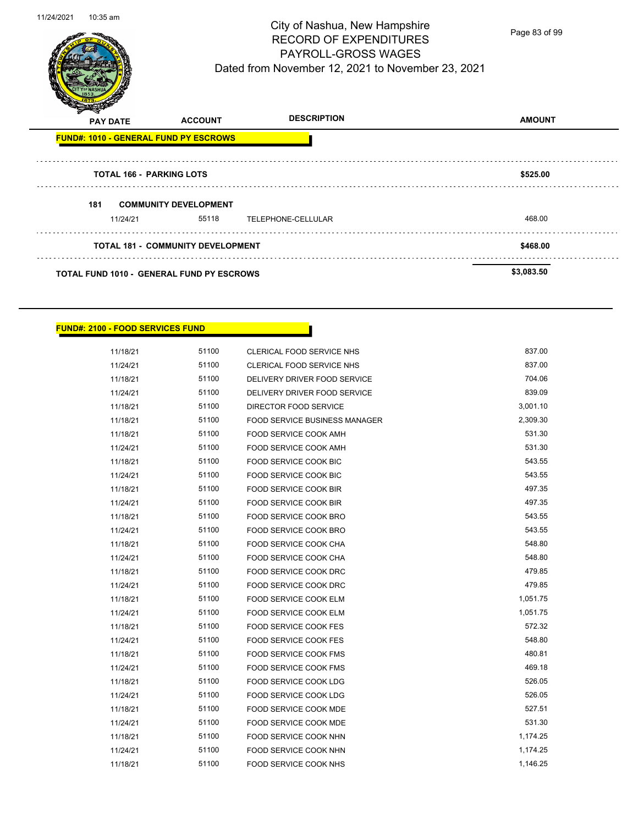

Page 83 of 99

| v   | <b>PAY DATE</b>                                  | <b>ACCOUNT</b> | <b>DESCRIPTION</b> | <b>AMOUNT</b> |
|-----|--------------------------------------------------|----------------|--------------------|---------------|
|     | <b>FUND#: 1010 - GENERAL FUND PY ESCROWS</b>     |                |                    |               |
|     | <b>TOTAL 166 - PARKING LOTS</b>                  |                |                    | \$525.00      |
| 181 | <b>COMMUNITY DEVELOPMENT</b><br>11/24/21         | 55118          | TELEPHONE-CELLULAR | 468.00        |
|     | <b>TOTAL 181 - COMMUNITY DEVELOPMENT</b>         | \$468.00       |                    |               |
|     | <b>TOTAL FUND 1010 - GENERAL FUND PY ESCROWS</b> |                |                    | \$3,083.50    |

### **FUND#: 2100 - FOOD SERVICES FUND**

| 11/18/21 | 51100 | CLERICAL FOOD SERVICE NHS            | 837.00   |
|----------|-------|--------------------------------------|----------|
| 11/24/21 | 51100 | CLERICAL FOOD SERVICE NHS            | 837.00   |
| 11/18/21 | 51100 | DELIVERY DRIVER FOOD SERVICE         | 704.06   |
| 11/24/21 | 51100 | DELIVERY DRIVER FOOD SERVICE         | 839.09   |
| 11/18/21 | 51100 | DIRECTOR FOOD SERVICE                | 3,001.10 |
| 11/18/21 | 51100 | <b>FOOD SERVICE BUSINESS MANAGER</b> | 2,309.30 |
| 11/18/21 | 51100 | FOOD SERVICE COOK AMH                | 531.30   |
| 11/24/21 | 51100 | <b>FOOD SERVICE COOK AMH</b>         | 531.30   |
| 11/18/21 | 51100 | FOOD SERVICE COOK BIC                | 543.55   |
| 11/24/21 | 51100 | <b>FOOD SERVICE COOK BIC</b>         | 543.55   |
| 11/18/21 | 51100 | FOOD SERVICE COOK BIR                | 497.35   |
| 11/24/21 | 51100 | FOOD SERVICE COOK BIR                | 497.35   |
| 11/18/21 | 51100 | FOOD SERVICE COOK BRO                | 543.55   |
| 11/24/21 | 51100 | FOOD SERVICE COOK BRO                | 543.55   |
| 11/18/21 | 51100 | FOOD SERVICE COOK CHA                | 548.80   |
| 11/24/21 | 51100 | FOOD SERVICE COOK CHA                | 548.80   |
| 11/18/21 | 51100 | <b>FOOD SERVICE COOK DRC</b>         | 479.85   |
| 11/24/21 | 51100 | FOOD SERVICE COOK DRC                | 479.85   |
| 11/18/21 | 51100 | FOOD SERVICE COOK ELM                | 1,051.75 |
| 11/24/21 | 51100 | <b>FOOD SERVICE COOK ELM</b>         | 1,051.75 |
| 11/18/21 | 51100 | FOOD SERVICE COOK FES                | 572.32   |
| 11/24/21 | 51100 | <b>FOOD SERVICE COOK FES</b>         | 548.80   |
| 11/18/21 | 51100 | FOOD SERVICE COOK FMS                | 480.81   |
| 11/24/21 | 51100 | FOOD SERVICE COOK FMS                | 469.18   |
| 11/18/21 | 51100 | FOOD SERVICE COOK LDG                | 526.05   |
| 11/24/21 | 51100 | <b>FOOD SERVICE COOK LDG</b>         | 526.05   |
| 11/18/21 | 51100 | FOOD SERVICE COOK MDE                | 527.51   |
| 11/24/21 | 51100 | FOOD SERVICE COOK MDE                | 531.30   |
| 11/18/21 | 51100 | FOOD SERVICE COOK NHN                | 1,174.25 |
| 11/24/21 | 51100 | FOOD SERVICE COOK NHN                | 1,174.25 |
| 11/18/21 | 51100 | FOOD SERVICE COOK NHS                | 1,146.25 |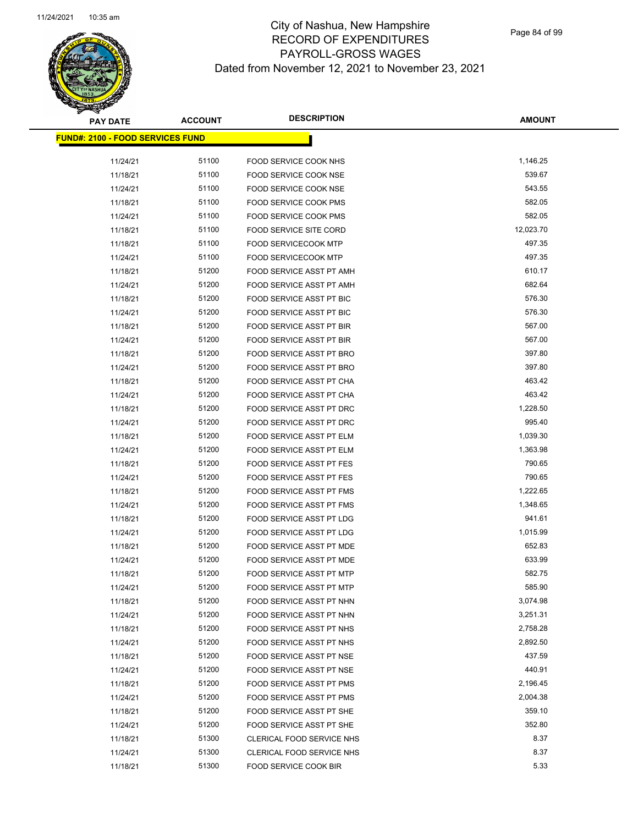

| <b>PAY DATE</b>                          | <b>ACCOUNT</b> | <b>DESCRIPTION</b>                                          | <b>AMOUNT</b>        |
|------------------------------------------|----------------|-------------------------------------------------------------|----------------------|
| <u> FUND#: 2100 - FOOD SERVICES FUND</u> |                |                                                             |                      |
|                                          |                |                                                             |                      |
| 11/24/21                                 | 51100          | FOOD SERVICE COOK NHS                                       | 1,146.25             |
| 11/18/21                                 | 51100          | FOOD SERVICE COOK NSE                                       | 539.67               |
| 11/24/21                                 | 51100          | FOOD SERVICE COOK NSE                                       | 543.55               |
| 11/18/21                                 | 51100          | FOOD SERVICE COOK PMS                                       | 582.05               |
| 11/24/21                                 | 51100          | FOOD SERVICE COOK PMS                                       | 582.05               |
| 11/18/21                                 | 51100          | FOOD SERVICE SITE CORD                                      | 12,023.70            |
| 11/18/21                                 | 51100          | <b>FOOD SERVICECOOK MTP</b>                                 | 497.35               |
| 11/24/21                                 | 51100          | <b>FOOD SERVICECOOK MTP</b>                                 | 497.35               |
| 11/18/21                                 | 51200          | FOOD SERVICE ASST PT AMH                                    | 610.17               |
| 11/24/21                                 | 51200          | FOOD SERVICE ASST PT AMH                                    | 682.64               |
| 11/18/21                                 | 51200          | FOOD SERVICE ASST PT BIC                                    | 576.30               |
| 11/24/21                                 | 51200          | FOOD SERVICE ASST PT BIC                                    | 576.30               |
| 11/18/21                                 | 51200          | FOOD SERVICE ASST PT BIR                                    | 567.00               |
| 11/24/21                                 | 51200          | FOOD SERVICE ASST PT BIR                                    | 567.00               |
| 11/18/21                                 | 51200          | FOOD SERVICE ASST PT BRO                                    | 397.80               |
| 11/24/21                                 | 51200          | FOOD SERVICE ASST PT BRO                                    | 397.80               |
| 11/18/21                                 | 51200          | FOOD SERVICE ASST PT CHA                                    | 463.42               |
| 11/24/21                                 | 51200          | <b>FOOD SERVICE ASST PT CHA</b>                             | 463.42               |
| 11/18/21                                 | 51200          | FOOD SERVICE ASST PT DRC                                    | 1,228.50             |
| 11/24/21                                 | 51200          | FOOD SERVICE ASST PT DRC                                    | 995.40               |
| 11/18/21                                 | 51200          | FOOD SERVICE ASST PT ELM                                    | 1,039.30             |
| 11/24/21                                 | 51200          | FOOD SERVICE ASST PT ELM                                    | 1,363.98             |
| 11/18/21                                 | 51200          | FOOD SERVICE ASST PT FES                                    | 790.65               |
| 11/24/21                                 | 51200          | FOOD SERVICE ASST PT FES                                    | 790.65               |
| 11/18/21                                 | 51200          | FOOD SERVICE ASST PT FMS                                    | 1,222.65             |
| 11/24/21                                 | 51200          | FOOD SERVICE ASST PT FMS                                    | 1,348.65             |
| 11/18/21                                 | 51200          | FOOD SERVICE ASST PT LDG                                    | 941.61               |
| 11/24/21                                 | 51200          | FOOD SERVICE ASST PT LDG                                    | 1,015.99             |
| 11/18/21                                 | 51200          | <b>FOOD SERVICE ASST PT MDE</b>                             | 652.83               |
| 11/24/21                                 | 51200          | FOOD SERVICE ASST PT MDE                                    | 633.99               |
| 11/18/21                                 | 51200          | <b>FOOD SERVICE ASST PT MTP</b>                             | 582.75               |
| 11/24/21                                 | 51200          | FOOD SERVICE ASST PT MTP                                    | 585.90               |
| 11/18/21                                 | 51200          | FOOD SERVICE ASST PT NHN                                    | 3,074.98             |
| 11/24/21                                 | 51200<br>51200 | FOOD SERVICE ASST PT NHN                                    | 3,251.31<br>2,758.28 |
| 11/18/21<br>11/24/21                     | 51200          | FOOD SERVICE ASST PT NHS                                    | 2,892.50             |
|                                          | 51200          | FOOD SERVICE ASST PT NHS                                    | 437.59               |
| 11/18/21                                 |                | FOOD SERVICE ASST PT NSE                                    |                      |
| 11/24/21                                 | 51200          | FOOD SERVICE ASST PT NSE                                    | 440.91<br>2,196.45   |
| 11/18/21                                 | 51200<br>51200 | FOOD SERVICE ASST PT PMS<br><b>FOOD SERVICE ASST PT PMS</b> | 2,004.38             |
| 11/24/21                                 | 51200          |                                                             | 359.10               |
| 11/18/21                                 | 51200          | FOOD SERVICE ASST PT SHE                                    | 352.80               |
| 11/24/21                                 | 51300          | FOOD SERVICE ASST PT SHE                                    | 8.37                 |
| 11/18/21                                 | 51300          | CLERICAL FOOD SERVICE NHS                                   | 8.37                 |
| 11/24/21                                 | 51300          | CLERICAL FOOD SERVICE NHS                                   | 5.33                 |
| 11/18/21                                 |                | FOOD SERVICE COOK BIR                                       |                      |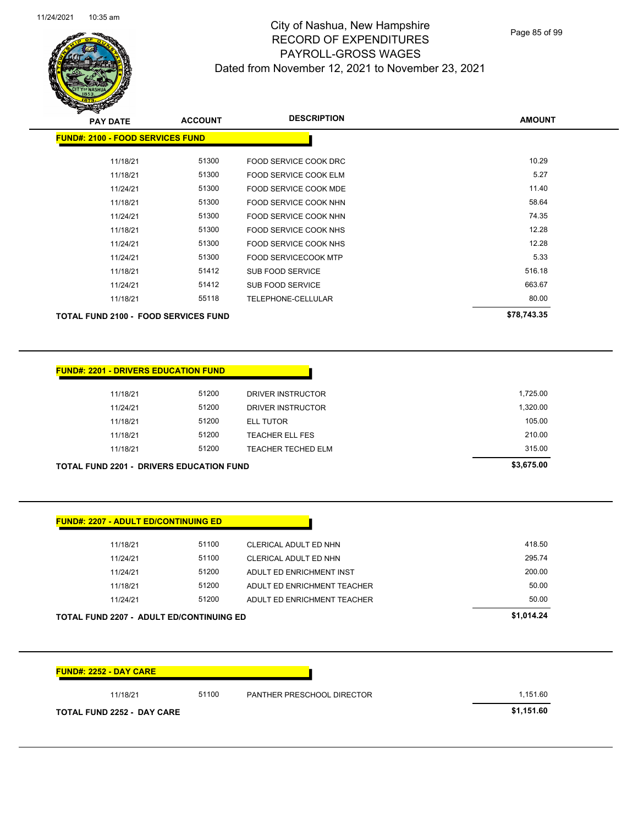Page 85 of 99

| <b>PAY DATE</b>                             | <b>ACCOUNT</b> | <b>DESCRIPTION</b>           | <b>AMOUNT</b> |
|---------------------------------------------|----------------|------------------------------|---------------|
| <b>FUND#: 2100 - FOOD SERVICES FUND</b>     |                |                              |               |
| 11/18/21                                    | 51300          | FOOD SERVICE COOK DRC        | 10.29         |
| 11/18/21                                    | 51300          | <b>FOOD SERVICE COOK ELM</b> | 5.27          |
| 11/24/21                                    | 51300          | FOOD SERVICE COOK MDE        | 11.40         |
| 11/18/21                                    | 51300          | FOOD SERVICE COOK NHN        | 58.64         |
| 11/24/21                                    | 51300          | FOOD SERVICE COOK NHN        | 74.35         |
| 11/18/21                                    | 51300          | FOOD SERVICE COOK NHS        | 12.28         |
| 11/24/21                                    | 51300          | FOOD SERVICE COOK NHS        | 12.28         |
| 11/24/21                                    | 51300          | <b>FOOD SERVICECOOK MTP</b>  | 5.33          |
| 11/18/21                                    | 51412          | SUB FOOD SERVICE             | 516.18        |
| 11/24/21                                    | 51412          | SUB FOOD SERVICE             | 663.67        |
| 11/18/21                                    | 55118          | TELEPHONE-CELLULAR           | 80.00         |
| <b>TOTAL FUND 2100 - FOOD SERVICES FUND</b> |                |                              | \$78,743.35   |

| <b>FUND#: 2201 - DRIVERS EDUCATION FUND</b>     |          |       |                           |            |
|-------------------------------------------------|----------|-------|---------------------------|------------|
|                                                 | 11/18/21 | 51200 | DRIVER INSTRUCTOR         | 1,725.00   |
|                                                 | 11/24/21 | 51200 | DRIVER INSTRUCTOR         | 1,320.00   |
|                                                 | 11/18/21 | 51200 | <b>ELL TUTOR</b>          | 105.00     |
|                                                 | 11/18/21 | 51200 | <b>TEACHER ELL FES</b>    | 210.00     |
|                                                 | 11/18/21 | 51200 | <b>TEACHER TECHED ELM</b> | 315.00     |
| <b>TOTAL FUND 2201 - DRIVERS EDUCATION FUND</b> |          |       |                           | \$3,675.00 |

| <b>FUND#: 2207 - ADULT ED/CONTINUING ED</b>     |       |                             |            |
|-------------------------------------------------|-------|-----------------------------|------------|
| 11/18/21                                        | 51100 | CLERICAL ADULT ED NHN       | 418.50     |
| 11/24/21                                        | 51100 | CLERICAL ADULT ED NHN       | 295.74     |
| 11/24/21                                        | 51200 | ADULT ED ENRICHMENT INST    | 200.00     |
| 11/18/21                                        | 51200 | ADULT ED ENRICHMENT TEACHER | 50.00      |
| 11/24/21                                        | 51200 | ADULT ED ENRICHMENT TEACHER | 50.00      |
| <b>TOTAL FUND 2207 - ADULT ED/CONTINUING ED</b> |       |                             | \$1,014.24 |

| 11/18/21 | 51100 | PANTHER PRESCHOOL DIRECTOR | 1,151.60 |
|----------|-------|----------------------------|----------|
|----------|-------|----------------------------|----------|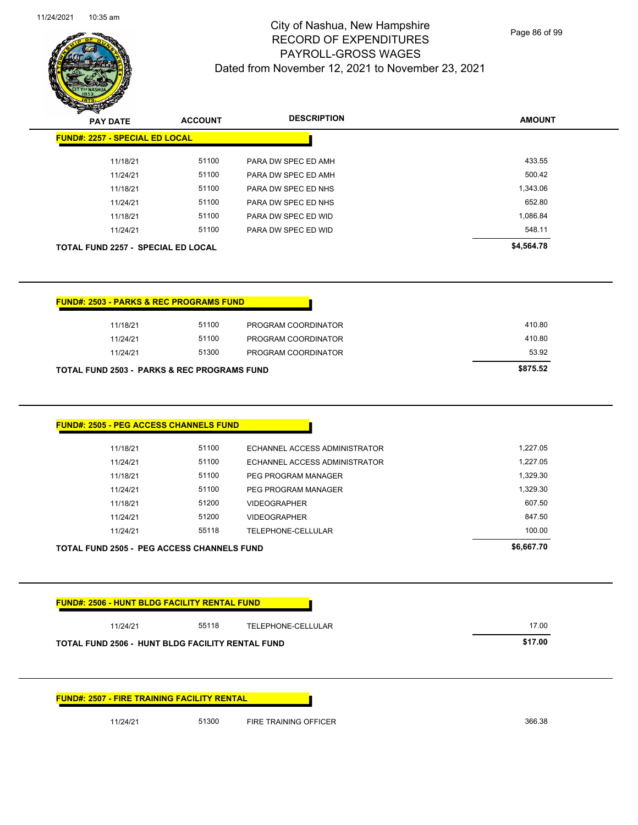$\overline{\phantom{0}}$ 



# City of Nashua, New Hampshire RECORD OF EXPENDITURES PAYROLL-GROSS WAGES Dated from November 12, 2021 to November 23, 2021

Page 86 of 99

| ॼ<br><b>PAY DATE</b>                                                                                   | <b>ACCOUNT</b>                   | <b>DESCRIPTION</b>                                                                                           | <b>AMOUNT</b>                                |
|--------------------------------------------------------------------------------------------------------|----------------------------------|--------------------------------------------------------------------------------------------------------------|----------------------------------------------|
| <b>FUND#: 2257 - SPECIAL ED LOCAL</b>                                                                  |                                  |                                                                                                              |                                              |
| 11/18/21                                                                                               | 51100                            | PARA DW SPEC ED AMH                                                                                          | 433.55                                       |
| 11/24/21                                                                                               | 51100                            | PARA DW SPEC ED AMH                                                                                          | 500.42                                       |
| 11/18/21                                                                                               | 51100                            | PARA DW SPEC ED NHS                                                                                          | 1,343.06                                     |
| 11/24/21                                                                                               | 51100                            | PARA DW SPEC ED NHS                                                                                          | 652.80                                       |
| 11/18/21                                                                                               | 51100                            | PARA DW SPEC ED WID                                                                                          | 1,086.84                                     |
| 11/24/21                                                                                               | 51100                            | PARA DW SPEC ED WID                                                                                          | 548.11                                       |
| <b>TOTAL FUND 2257 - SPECIAL ED LOCAL</b>                                                              |                                  |                                                                                                              | \$4,564.78                                   |
| <b>FUND#: 2503 - PARKS &amp; REC PROGRAMS FUND</b>                                                     |                                  |                                                                                                              |                                              |
| 11/18/21                                                                                               | 51100                            | PROGRAM COORDINATOR                                                                                          | 410.80                                       |
| 11/24/21                                                                                               | 51100                            | PROGRAM COORDINATOR                                                                                          | 410.80                                       |
| 11/24/21                                                                                               | 51300                            | PROGRAM COORDINATOR                                                                                          | 53.92                                        |
| <b>TOTAL FUND 2503 - PARKS &amp; REC PROGRAMS FUND</b>                                                 |                                  |                                                                                                              | \$875.52                                     |
| 11/18/21<br>11/24/21<br>11/18/21<br>11/24/21                                                           | 51100<br>51100<br>51100<br>51100 | ECHANNEL ACCESS ADMINISTRATOR<br>ECHANNEL ACCESS ADMINISTRATOR<br>PEG PROGRAM MANAGER<br>PEG PROGRAM MANAGER | 1,227.05<br>1,227.05<br>1,329.30<br>1,329.30 |
| 11/18/21                                                                                               | 51200                            | <b>VIDEOGRAPHER</b>                                                                                          | 607.50                                       |
| 11/24/21                                                                                               | 51200                            | <b>VIDEOGRAPHER</b>                                                                                          | 847.50                                       |
| 11/24/21                                                                                               | 55118                            | TELEPHONE-CELLULAR                                                                                           | 100.00                                       |
| <b>TOTAL FUND 2505 - PEG ACCESS CHANNELS FUND</b>                                                      |                                  |                                                                                                              | \$6,667.70                                   |
| <b>FUND#: 2506 - HUNT BLDG FACILITY RENTAL FUND</b>                                                    |                                  |                                                                                                              |                                              |
|                                                                                                        |                                  |                                                                                                              |                                              |
| 11/24/21                                                                                               | 55118                            | TELEPHONE-CELLULAR                                                                                           | 17.00                                        |
|                                                                                                        |                                  |                                                                                                              | \$17.00                                      |
| TOTAL FUND 2506 - HUNT BLDG FACILITY RENTAL FUND<br><b>FUND#: 2507 - FIRE TRAINING FACILITY RENTAL</b> |                                  |                                                                                                              |                                              |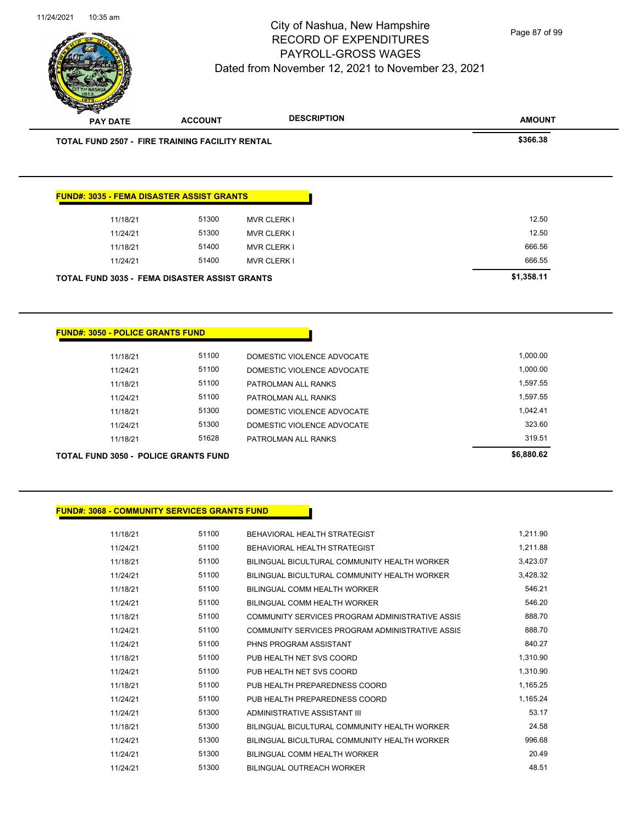

| <b>PAY DATE</b>                                        | <b>ACCOUNT</b> |                                                          |                      |
|--------------------------------------------------------|----------------|----------------------------------------------------------|----------------------|
| <b>TOTAL FUND 2507 - FIRE TRAINING FACILITY RENTAL</b> |                |                                                          | \$366.38             |
|                                                        |                |                                                          |                      |
|                                                        |                |                                                          |                      |
| <b>FUND#: 3035 - FEMA DISASTER ASSIST GRANTS</b>       |                |                                                          |                      |
| 11/18/21                                               | 51300          | <b>MVR CLERK I</b>                                       | 12.50                |
| 11/24/21                                               | 51300          | <b>MVR CLERK I</b>                                       | 12.50                |
| 11/18/21                                               | 51400          | <b>MVR CLERK I</b>                                       | 666.56               |
|                                                        |                |                                                          |                      |
| 11/24/21                                               | 51400          | <b>MVR CLERK I</b>                                       | 666.55               |
| <b>TOTAL FUND 3035 - FEMA DISASTER ASSIST GRANTS</b>   |                |                                                          | \$1,358.11           |
| 11/18/21<br>11/24/21                                   | 51100<br>51100 | DOMESTIC VIOLENCE ADVOCATE<br>DOMESTIC VIOLENCE ADVOCATE | 1,000.00<br>1,000.00 |
| 11/18/21                                               | 51100          | PATROLMAN ALL RANKS                                      | 1,597.55             |
| <b>FUND#: 3050 - POLICE GRANTS FUND</b><br>11/24/21    | 51100          | PATROLMAN ALL RANKS                                      | 1,597.55             |
| 11/18/21                                               | 51300          | DOMESTIC VIOLENCE ADVOCATE                               | 1,042.41             |
| 11/24/21                                               | 51300          | DOMESTIC VIOLENCE ADVOCATE                               | 323.60               |

**TOTAL FUND 3050 - POLICE GRANTS FUND \$6,880.62** 

## **FUND#: 3068 - COMMUNITY SERVICES GRANTS FUND**

| 11/18/21 | 51100 | BEHAVIORAL HEALTH STRATEGIST                    | 1,211.90 |
|----------|-------|-------------------------------------------------|----------|
| 11/24/21 | 51100 | BEHAVIORAL HEALTH STRATEGIST                    | 1,211.88 |
| 11/18/21 | 51100 | BILINGUAL BICULTURAL COMMUNITY HEALTH WORKER    | 3,423.07 |
| 11/24/21 | 51100 | BILINGUAL BICULTURAL COMMUNITY HEALTH WORKER    | 3,428.32 |
| 11/18/21 | 51100 | BILINGUAL COMM HEALTH WORKER                    | 546.21   |
| 11/24/21 | 51100 | BILINGUAL COMM HEALTH WORKER                    | 546.20   |
| 11/18/21 | 51100 | COMMUNITY SERVICES PROGRAM ADMINISTRATIVE ASSIS | 888.70   |
| 11/24/21 | 51100 | COMMUNITY SERVICES PROGRAM ADMINISTRATIVE ASSIS | 888.70   |
| 11/24/21 | 51100 | PHNS PROGRAM ASSISTANT                          | 840.27   |
| 11/18/21 | 51100 | PUB HEALTH NET SVS COORD                        | 1,310.90 |
| 11/24/21 | 51100 | PUB HEALTH NET SVS COORD                        | 1,310.90 |
| 11/18/21 | 51100 | PUB HEALTH PREPAREDNESS COORD                   | 1,165.25 |
| 11/24/21 | 51100 | PUB HEALTH PREPAREDNESS COORD                   | 1,165.24 |
| 11/24/21 | 51300 | ADMINISTRATIVE ASSISTANT III                    | 53.17    |
| 11/18/21 | 51300 | BILINGUAL BICULTURAL COMMUNITY HEALTH WORKER    | 24.58    |
| 11/24/21 | 51300 | BILINGUAL BICULTURAL COMMUNITY HEALTH WORKER    | 996.68   |
| 11/24/21 | 51300 | BILINGUAL COMM HEALTH WORKER                    | 20.49    |
| 11/24/21 | 51300 | BILINGUAL OUTREACH WORKER                       | 48.51    |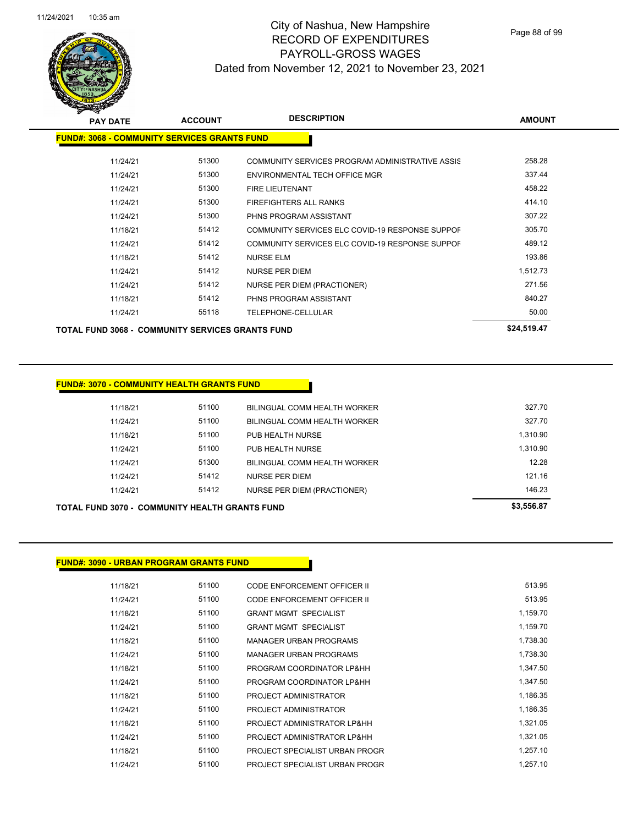

| <b>PAY DATE</b>                                      | <b>ACCOUNT</b> | <b>DESCRIPTION</b>                              | <b>AMOUNT</b> |
|------------------------------------------------------|----------------|-------------------------------------------------|---------------|
| <u> FUND#: 3068 - COMMUNITY SERVICES GRANTS FUND</u> |                |                                                 |               |
| 11/24/21                                             | 51300          | COMMUNITY SERVICES PROGRAM ADMINISTRATIVE ASSIS | 258.28        |
| 11/24/21                                             | 51300          | ENVIRONMENTAL TECH OFFICE MGR                   | 337.44        |
| 11/24/21                                             | 51300          | <b>FIRE LIEUTENANT</b>                          | 458.22        |
| 11/24/21                                             | 51300          | <b>FIREFIGHTERS ALL RANKS</b>                   | 414.10        |
| 11/24/21                                             | 51300          | PHNS PROGRAM ASSISTANT                          | 307.22        |
| 11/18/21                                             | 51412          | COMMUNITY SERVICES ELC COVID-19 RESPONSE SUPPOF | 305.70        |
| 11/24/21                                             | 51412          | COMMUNITY SERVICES ELC COVID-19 RESPONSE SUPPOF | 489.12        |
| 11/18/21                                             | 51412          | <b>NURSE ELM</b>                                | 193.86        |
| 11/24/21                                             | 51412          | <b>NURSE PER DIEM</b>                           | 1,512.73      |
| 11/24/21                                             | 51412          | <b>NURSE PER DIEM (PRACTIONER)</b>              | 271.56        |
| 11/18/21                                             | 51412          | PHNS PROGRAM ASSISTANT                          | 840.27        |
| 11/24/21                                             | 55118          | TELEPHONE-CELLULAR                              | 50.00         |
| TOTAL FUND 3068 -  COMMUNITY SERVICES GRANTS FUND    |                |                                                 | \$24,519.47   |

### **FUND#: 3070 - COMMUNITY HEALTH GRANTS FUND**

| TOTAL FUND 3070 -  COMMUNITY HEALTH GRANTS FUND |       |                              | \$3,556.87 |
|-------------------------------------------------|-------|------------------------------|------------|
| 11/24/21                                        | 51412 | NURSE PER DIEM (PRACTIONER)  | 146.23     |
| 11/24/21                                        | 51412 | <b>NURSE PER DIEM</b>        | 121.16     |
| 11/24/21                                        | 51300 | BILINGUAL COMM HEALTH WORKER | 12.28      |
| 11/24/21                                        | 51100 | PUB HEALTH NURSE             | 1,310.90   |
| 11/18/21                                        | 51100 | PUB HEALTH NURSE             | 1.310.90   |
| 11/24/21                                        | 51100 | BILINGUAL COMM HEALTH WORKER | 327.70     |
| 11/18/21                                        | 51100 | BILINGUAL COMM HEALTH WORKER | 327.70     |
|                                                 |       |                              |            |

## **FUND#: 3090 - URBAN PROGRAM GRANTS FUND**

| 11/18/21 | 51100 | CODE ENFORCEMENT OFFICER II    | 513.95   |
|----------|-------|--------------------------------|----------|
| 11/24/21 | 51100 | CODE ENFORCEMENT OFFICER II    | 513.95   |
| 11/18/21 | 51100 | <b>GRANT MGMT SPECIALIST</b>   | 1,159.70 |
| 11/24/21 | 51100 | <b>GRANT MGMT SPECIALIST</b>   | 1,159.70 |
| 11/18/21 | 51100 | <b>MANAGER URBAN PROGRAMS</b>  | 1,738.30 |
| 11/24/21 | 51100 | MANAGER URBAN PROGRAMS         | 1,738.30 |
| 11/18/21 | 51100 | PROGRAM COORDINATOR LP&HH      | 1,347.50 |
| 11/24/21 | 51100 | PROGRAM COORDINATOR LP&HH      | 1,347.50 |
| 11/18/21 | 51100 | PROJECT ADMINISTRATOR          | 1,186.35 |
| 11/24/21 | 51100 | PROJECT ADMINISTRATOR          | 1,186.35 |
| 11/18/21 | 51100 | PROJECT ADMINISTRATOR LP&HH    | 1,321.05 |
| 11/24/21 | 51100 | PROJECT ADMINISTRATOR LP&HH    | 1,321.05 |
| 11/18/21 | 51100 | PROJECT SPECIALIST URBAN PROGR | 1,257.10 |
| 11/24/21 | 51100 | PROJECT SPECIALIST URBAN PROGR | 1.257.10 |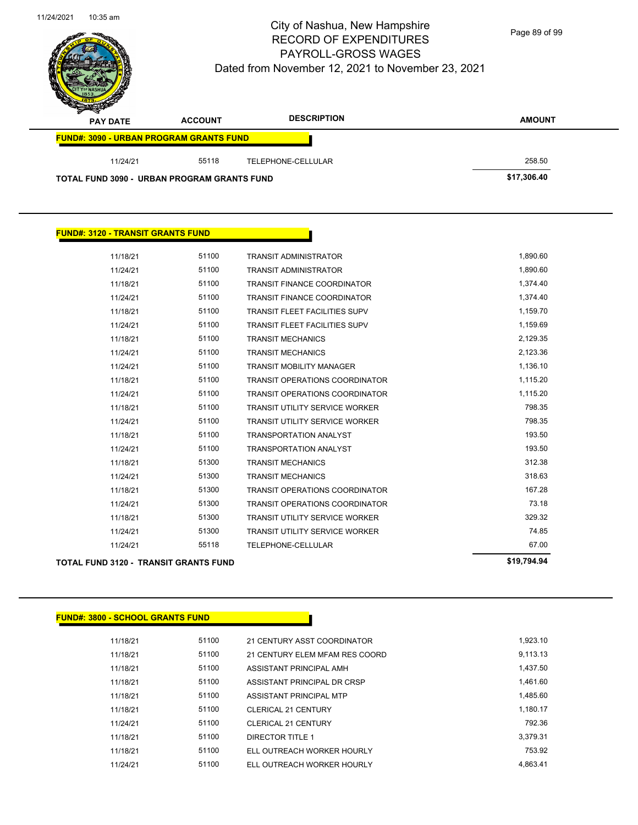

Page 89 of 99

| $\sim$<br><b>PAY DATE</b>                          | <b>ACCOUNT</b> | <b>DESCRIPTION</b> | <b>AMOUNT</b> |
|----------------------------------------------------|----------------|--------------------|---------------|
| <b>FUND#: 3090 - URBAN PROGRAM GRANTS FUND</b>     |                |                    |               |
| 11/24/21                                           | 55118          | TELEPHONE-CELLULAR | 258.50        |
| <b>TOTAL FUND 3090 - URBAN PROGRAM GRANTS FUND</b> |                |                    | \$17,306.40   |

## **FUND#: 3120 - TRANSIT GRANTS FUND**

|          | \$19,794.94 |                                       |                                       |
|----------|-------------|---------------------------------------|---------------------------------------|
| 11/24/21 | 55118       | <b>TELEPHONE-CELLULAR</b>             | 67.00                                 |
| 11/24/21 | 51300       | <b>TRANSIT UTILITY SERVICE WORKER</b> | 74.85                                 |
| 11/18/21 | 51300       | <b>TRANSIT UTILITY SERVICE WORKER</b> | 329.32                                |
| 11/24/21 | 51300       | <b>TRANSIT OPERATIONS COORDINATOR</b> | 73.18                                 |
| 11/18/21 | 51300       | <b>TRANSIT OPERATIONS COORDINATOR</b> | 167.28                                |
| 11/24/21 | 51300       | <b>TRANSIT MECHANICS</b>              | 318.63                                |
| 11/18/21 | 51300       | <b>TRANSIT MECHANICS</b>              | 312.38                                |
| 11/24/21 | 51100       | <b>TRANSPORTATION ANALYST</b>         | 193.50                                |
| 11/18/21 | 51100       | <b>TRANSPORTATION ANALYST</b>         | 193.50                                |
| 11/24/21 | 51100       | <b>TRANSIT UTILITY SERVICE WORKER</b> | 798.35                                |
| 11/18/21 | 51100       | <b>TRANSIT UTILITY SERVICE WORKER</b> | 798.35                                |
| 11/24/21 | 51100       | <b>TRANSIT OPERATIONS COORDINATOR</b> | 1,115.20                              |
| 11/18/21 | 51100       | <b>TRANSIT OPERATIONS COORDINATOR</b> | 1,115.20                              |
| 11/24/21 | 51100       | <b>TRANSIT MOBILITY MANAGER</b>       | 1,136.10                              |
| 11/24/21 | 51100       | <b>TRANSIT MECHANICS</b>              | 2,123.36                              |
| 11/18/21 | 51100       | <b>TRANSIT MECHANICS</b>              | 2,129.35                              |
| 11/24/21 | 51100       | <b>TRANSIT FLEET FACILITIES SUPV</b>  | 1,159.69                              |
| 11/18/21 | 51100       | <b>TRANSIT FLEET FACILITIES SUPV</b>  | 1,159.70                              |
| 11/24/21 | 51100       | <b>TRANSIT FINANCE COORDINATOR</b>    | 1,374.40                              |
| 11/18/21 | 51100       | <b>TRANSIT FINANCE COORDINATOR</b>    | 1,374.40                              |
| 11/24/21 | 51100       | <b>TRANSIT ADMINISTRATOR</b>          | 1,890.60                              |
| 11/18/21 | 51100       | <b>TRANSIT ADMINISTRATOR</b>          | 1,890.60                              |
|          |             |                                       | TOTAL FUND 3120 - TRANSIT GRANTS FUND |

### **FUND#: 3800 - SCHOOL GRANTS FUND**

| 11/18/21 | 51100 | 21 CENTURY ASST COORDINATOR    | 1,923.10 |
|----------|-------|--------------------------------|----------|
| 11/18/21 | 51100 | 21 CENTURY ELEM MFAM RES COORD | 9.113.13 |
| 11/18/21 | 51100 | ASSISTANT PRINCIPAL AMH        | 1.437.50 |
| 11/18/21 | 51100 | ASSISTANT PRINCIPAL DR CRSP    | 1.461.60 |
| 11/18/21 | 51100 | ASSISTANT PRINCIPAL MTP        | 1.485.60 |
| 11/18/21 | 51100 | <b>CLERICAL 21 CENTURY</b>     | 1,180.17 |
| 11/24/21 | 51100 | CLERICAL 21 CENTURY            | 792.36   |
| 11/18/21 | 51100 | DIRECTOR TITLE 1               | 3.379.31 |
| 11/18/21 | 51100 | ELL OUTREACH WORKER HOURLY     | 753.92   |
| 11/24/21 | 51100 | ELL OUTREACH WORKER HOURLY     | 4.863.41 |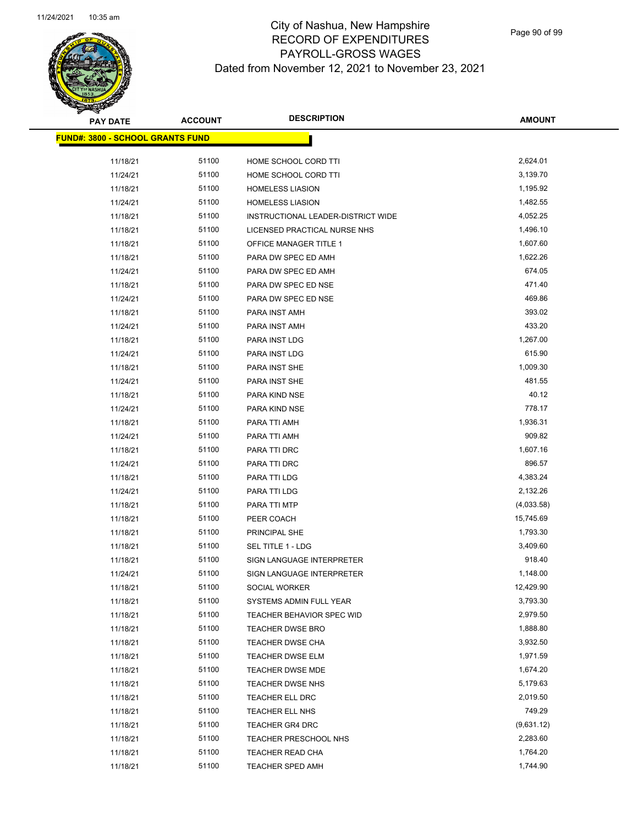

Page 90 of 99

| <b>PAY DATE</b>                         | <b>ACCOUNT</b> | <b>DESCRIPTION</b>                 | <b>AMOUNT</b> |
|-----------------------------------------|----------------|------------------------------------|---------------|
| <b>FUND#: 3800 - SCHOOL GRANTS FUND</b> |                |                                    |               |
| 11/18/21                                | 51100          | HOME SCHOOL CORD TTI               | 2,624.01      |
| 11/24/21                                | 51100          | HOME SCHOOL CORD TTI               | 3,139.70      |
| 11/18/21                                | 51100          | <b>HOMELESS LIASION</b>            | 1,195.92      |
| 11/24/21                                | 51100          | <b>HOMELESS LIASION</b>            | 1,482.55      |
| 11/18/21                                | 51100          | INSTRUCTIONAL LEADER-DISTRICT WIDE | 4,052.25      |
| 11/18/21                                | 51100          | LICENSED PRACTICAL NURSE NHS       | 1,496.10      |
| 11/18/21                                | 51100          | OFFICE MANAGER TITLE 1             | 1,607.60      |
| 11/18/21                                | 51100          | PARA DW SPEC ED AMH                | 1,622.26      |
| 11/24/21                                | 51100          | PARA DW SPEC ED AMH                | 674.05        |
| 11/18/21                                | 51100          | PARA DW SPEC ED NSE                | 471.40        |
| 11/24/21                                | 51100          | PARA DW SPEC ED NSE                | 469.86        |
| 11/18/21                                | 51100          | PARA INST AMH                      | 393.02        |
| 11/24/21                                | 51100          | PARA INST AMH                      | 433.20        |
| 11/18/21                                | 51100          | PARA INST LDG                      | 1,267.00      |
| 11/24/21                                | 51100          | PARA INST LDG                      | 615.90        |
| 11/18/21                                | 51100          | PARA INST SHE                      | 1,009.30      |
| 11/24/21                                | 51100          | PARA INST SHE                      | 481.55        |
| 11/18/21                                | 51100          | PARA KIND NSE                      | 40.12         |
| 11/24/21                                | 51100          | PARA KIND NSE                      | 778.17        |
| 11/18/21                                | 51100          | PARA TTI AMH                       | 1,936.31      |
| 11/24/21                                | 51100          | PARA TTI AMH                       | 909.82        |
| 11/18/21                                | 51100          | PARA TTI DRC                       | 1,607.16      |
| 11/24/21                                | 51100          | PARA TTI DRC                       | 896.57        |
| 11/18/21                                | 51100          | PARA TTI LDG                       | 4,383.24      |
| 11/24/21                                | 51100          | PARA TTI LDG                       | 2,132.26      |
| 11/18/21                                | 51100          | PARA TTI MTP                       | (4,033.58)    |
| 11/18/21                                | 51100          | PEER COACH                         | 15,745.69     |
| 11/18/21                                | 51100          | PRINCIPAL SHE                      | 1,793.30      |
| 11/18/21                                | 51100          | SEL TITLE 1 - LDG                  | 3,409.60      |
| 11/18/21                                | 51100          | <b>SIGN LANGUAGE INTERPRETER</b>   | 918.40        |
| 11/24/21                                | 51100          | SIGN LANGUAGE INTERPRETER          | 1,148.00      |
| 11/18/21                                | 51100          | SOCIAL WORKER                      | 12,429.90     |
| 11/18/21                                | 51100          | SYSTEMS ADMIN FULL YEAR            | 3,793.30      |
| 11/18/21                                | 51100          | TEACHER BEHAVIOR SPEC WID          | 2,979.50      |
| 11/18/21                                | 51100          | <b>TEACHER DWSE BRO</b>            | 1,888.80      |
| 11/18/21                                | 51100          | <b>TEACHER DWSE CHA</b>            | 3,932.50      |
| 11/18/21                                | 51100          | <b>TEACHER DWSE ELM</b>            | 1,971.59      |
| 11/18/21                                | 51100          | TEACHER DWSE MDE                   | 1,674.20      |
| 11/18/21                                | 51100          | <b>TEACHER DWSE NHS</b>            | 5,179.63      |
| 11/18/21                                | 51100          | <b>TEACHER ELL DRC</b>             | 2,019.50      |
| 11/18/21                                | 51100          | <b>TEACHER ELL NHS</b>             | 749.29        |
| 11/18/21                                | 51100          | <b>TEACHER GR4 DRC</b>             | (9,631.12)    |
| 11/18/21                                | 51100          | <b>TEACHER PRESCHOOL NHS</b>       | 2,283.60      |
| 11/18/21                                | 51100          | TEACHER READ CHA                   | 1,764.20      |
| 11/18/21                                | 51100          | TEACHER SPED AMH                   | 1,744.90      |
|                                         |                |                                    |               |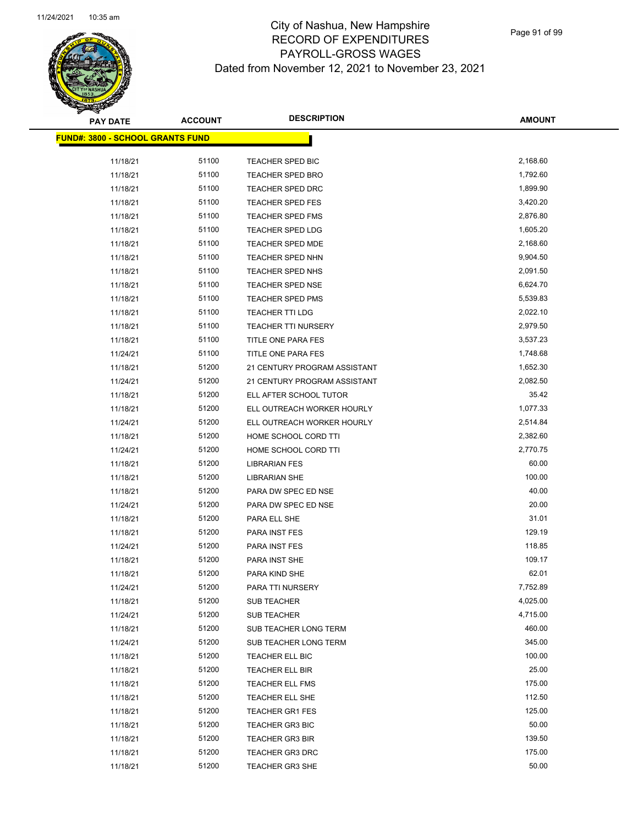

 $\overline{\phantom{a}}$ 

| <b>PAY DATE</b>                          | <b>ACCOUNT</b> | <b>DESCRIPTION</b>           | <b>AMOUNT</b> |
|------------------------------------------|----------------|------------------------------|---------------|
| <u> FUND#: 3800 - SCHOOL GRANTS FUND</u> |                |                              |               |
|                                          | 51100          |                              | 2,168.60      |
| 11/18/21                                 | 51100          | TEACHER SPED BIC             | 1,792.60      |
| 11/18/21                                 |                | <b>TEACHER SPED BRO</b>      | 1,899.90      |
| 11/18/21                                 | 51100          | <b>TEACHER SPED DRC</b>      |               |
| 11/18/21                                 | 51100          | TEACHER SPED FES             | 3,420.20      |
| 11/18/21                                 | 51100          | TEACHER SPED FMS             | 2,876.80      |
| 11/18/21                                 | 51100          | <b>TEACHER SPED LDG</b>      | 1,605.20      |
| 11/18/21                                 | 51100          | <b>TEACHER SPED MDE</b>      | 2,168.60      |
| 11/18/21                                 | 51100          | TEACHER SPED NHN             | 9,904.50      |
| 11/18/21                                 | 51100          | TEACHER SPED NHS             | 2,091.50      |
| 11/18/21                                 | 51100          | <b>TEACHER SPED NSE</b>      | 6,624.70      |
| 11/18/21                                 | 51100          | <b>TEACHER SPED PMS</b>      | 5,539.83      |
| 11/18/21                                 | 51100          | TEACHER TTI LDG              | 2,022.10      |
| 11/18/21                                 | 51100          | <b>TEACHER TTI NURSERY</b>   | 2,979.50      |
| 11/18/21                                 | 51100          | TITLE ONE PARA FES           | 3,537.23      |
| 11/24/21                                 | 51100          | TITLE ONE PARA FES           | 1,748.68      |
| 11/18/21                                 | 51200          | 21 CENTURY PROGRAM ASSISTANT | 1,652.30      |
| 11/24/21                                 | 51200          | 21 CENTURY PROGRAM ASSISTANT | 2,082.50      |
| 11/18/21                                 | 51200          | ELL AFTER SCHOOL TUTOR       | 35.42         |
| 11/18/21                                 | 51200          | ELL OUTREACH WORKER HOURLY   | 1,077.33      |
| 11/24/21                                 | 51200          | ELL OUTREACH WORKER HOURLY   | 2,514.84      |
| 11/18/21                                 | 51200          | HOME SCHOOL CORD TTI         | 2,382.60      |
| 11/24/21                                 | 51200          | HOME SCHOOL CORD TTI         | 2,770.75      |
| 11/18/21                                 | 51200          | <b>LIBRARIAN FES</b>         | 60.00         |
| 11/18/21                                 | 51200          | <b>LIBRARIAN SHE</b>         | 100.00        |
| 11/18/21                                 | 51200          | PARA DW SPEC ED NSE          | 40.00         |
| 11/24/21                                 | 51200          | PARA DW SPEC ED NSE          | 20.00         |
| 11/18/21                                 | 51200          | PARA ELL SHE                 | 31.01         |
| 11/18/21                                 | 51200          | PARA INST FES                | 129.19        |
| 11/24/21                                 | 51200          | PARA INST FES                | 118.85        |
| 11/18/21                                 | 51200          | PARA INST SHE                | 109.17        |
| 11/18/21                                 | 51200          | PARA KIND SHE                | 62.01         |
| 11/24/21                                 | 51200          | PARA TTI NURSERY             | 7,752.89      |
| 11/18/21                                 | 51200          | SUB TEACHER                  | 4,025.00      |
| 11/24/21                                 | 51200          | SUB TEACHER                  | 4,715.00      |
| 11/18/21                                 | 51200          | SUB TEACHER LONG TERM        | 460.00        |
| 11/24/21                                 | 51200          | SUB TEACHER LONG TERM        | 345.00        |
| 11/18/21                                 | 51200          | TEACHER ELL BIC              | 100.00        |
| 11/18/21                                 | 51200          | TEACHER ELL BIR              | 25.00         |
| 11/18/21                                 | 51200          | TEACHER ELL FMS              | 175.00        |
| 11/18/21                                 | 51200          | TEACHER ELL SHE              | 112.50        |
| 11/18/21                                 | 51200          | <b>TEACHER GR1 FES</b>       | 125.00        |
| 11/18/21                                 | 51200          | <b>TEACHER GR3 BIC</b>       | 50.00         |
| 11/18/21                                 | 51200          | <b>TEACHER GR3 BIR</b>       | 139.50        |
| 11/18/21                                 | 51200          | <b>TEACHER GR3 DRC</b>       | 175.00        |
| 11/18/21                                 | 51200          | <b>TEACHER GR3 SHE</b>       | 50.00         |
|                                          |                |                              |               |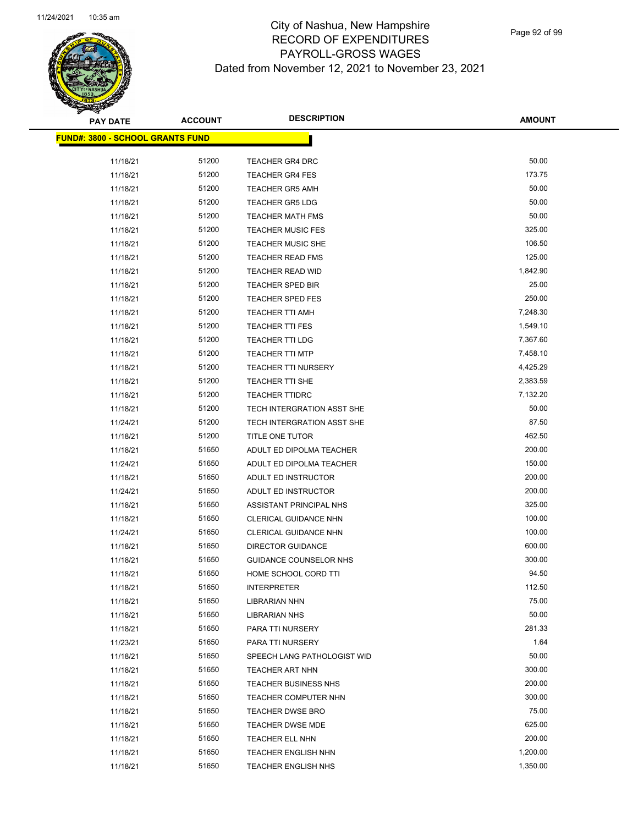

| <b>PAY DATE</b>                          | <b>ACCOUNT</b> | <b>DESCRIPTION</b>           | <b>AMOUNT</b> |
|------------------------------------------|----------------|------------------------------|---------------|
| <u> FUND#: 3800 - SCHOOL GRANTS FUND</u> |                |                              |               |
|                                          |                |                              |               |
| 11/18/21                                 | 51200          | <b>TEACHER GR4 DRC</b>       | 50.00         |
| 11/18/21                                 | 51200          | <b>TEACHER GR4 FES</b>       | 173.75        |
| 11/18/21                                 | 51200          | <b>TEACHER GR5 AMH</b>       | 50.00         |
| 11/18/21                                 | 51200          | <b>TEACHER GR5 LDG</b>       | 50.00         |
| 11/18/21                                 | 51200          | <b>TEACHER MATH FMS</b>      | 50.00         |
| 11/18/21                                 | 51200          | <b>TEACHER MUSIC FES</b>     | 325.00        |
| 11/18/21                                 | 51200          | <b>TEACHER MUSIC SHE</b>     | 106.50        |
| 11/18/21                                 | 51200          | <b>TEACHER READ FMS</b>      | 125.00        |
| 11/18/21                                 | 51200          | TEACHER READ WID             | 1,842.90      |
| 11/18/21                                 | 51200          | <b>TEACHER SPED BIR</b>      | 25.00         |
| 11/18/21                                 | 51200          | <b>TEACHER SPED FES</b>      | 250.00        |
| 11/18/21                                 | 51200          | TEACHER TTI AMH              | 7,248.30      |
| 11/18/21                                 | 51200          | <b>TEACHER TTI FES</b>       | 1,549.10      |
| 11/18/21                                 | 51200          | <b>TEACHER TTI LDG</b>       | 7,367.60      |
| 11/18/21                                 | 51200          | <b>TEACHER TTI MTP</b>       | 7,458.10      |
| 11/18/21                                 | 51200          | <b>TEACHER TTI NURSERY</b>   | 4,425.29      |
| 11/18/21                                 | 51200          | <b>TEACHER TTI SHE</b>       | 2,383.59      |
| 11/18/21                                 | 51200          | <b>TEACHER TTIDRC</b>        | 7,132.20      |
| 11/18/21                                 | 51200          | TECH INTERGRATION ASST SHE   | 50.00         |
| 11/24/21                                 | 51200          | TECH INTERGRATION ASST SHE   | 87.50         |
| 11/18/21                                 | 51200          | TITLE ONE TUTOR              | 462.50        |
| 11/18/21                                 | 51650          | ADULT ED DIPOLMA TEACHER     | 200.00        |
| 11/24/21                                 | 51650          | ADULT ED DIPOLMA TEACHER     | 150.00        |
| 11/18/21                                 | 51650          | ADULT ED INSTRUCTOR          | 200.00        |
| 11/24/21                                 | 51650          | ADULT ED INSTRUCTOR          | 200.00        |
| 11/18/21                                 | 51650          | ASSISTANT PRINCIPAL NHS      | 325.00        |
| 11/18/21                                 | 51650          | <b>CLERICAL GUIDANCE NHN</b> | 100.00        |
| 11/24/21                                 | 51650          | <b>CLERICAL GUIDANCE NHN</b> | 100.00        |
| 11/18/21                                 | 51650          | <b>DIRECTOR GUIDANCE</b>     | 600.00        |
| 11/18/21                                 | 51650          | GUIDANCE COUNSELOR NHS       | 300.00        |
| 11/18/21                                 | 51650          | HOME SCHOOL CORD TTI         | 94.50         |
| 11/18/21                                 | 51650          | <b>INTERPRETER</b>           | 112.50        |
| 11/18/21                                 | 51650          | <b>LIBRARIAN NHN</b>         | 75.00         |
| 11/18/21                                 | 51650          | <b>LIBRARIAN NHS</b>         | 50.00         |
| 11/18/21                                 | 51650          | PARA TTI NURSERY             | 281.33        |
| 11/23/21                                 | 51650          | PARA TTI NURSERY             | 1.64          |
| 11/18/21                                 | 51650          | SPEECH LANG PATHOLOGIST WID  | 50.00         |
| 11/18/21                                 | 51650          | TEACHER ART NHN              | 300.00        |
| 11/18/21                                 | 51650          | <b>TEACHER BUSINESS NHS</b>  | 200.00        |
| 11/18/21                                 | 51650          | TEACHER COMPUTER NHN         | 300.00        |
| 11/18/21                                 | 51650          | <b>TEACHER DWSE BRO</b>      | 75.00         |
| 11/18/21                                 | 51650          | <b>TEACHER DWSE MDE</b>      | 625.00        |
| 11/18/21                                 | 51650          | TEACHER ELL NHN              | 200.00        |
| 11/18/21                                 | 51650          | TEACHER ENGLISH NHN          | 1,200.00      |
| 11/18/21                                 | 51650          | <b>TEACHER ENGLISH NHS</b>   | 1,350.00      |
|                                          |                |                              |               |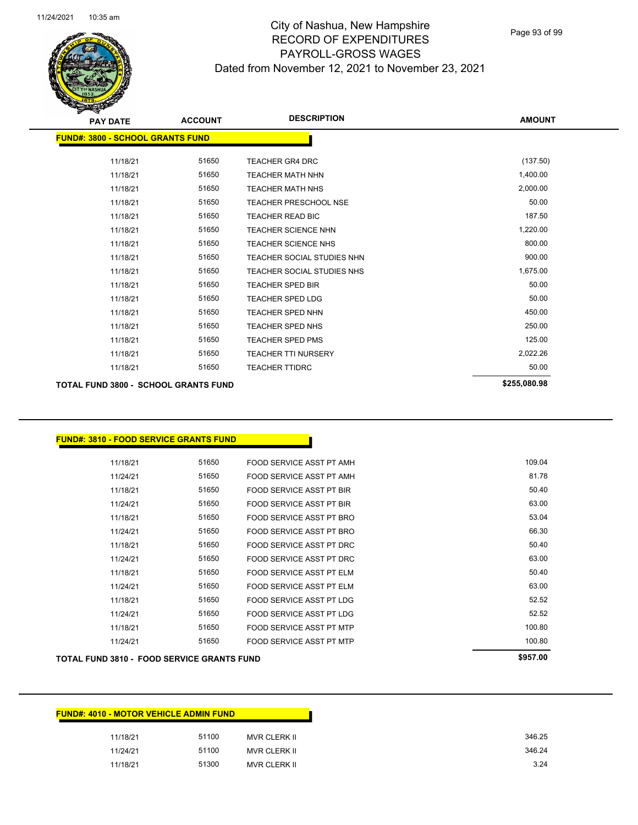

Page 93 of 99

| <b>PAY DATE</b>                         | <b>ACCOUNT</b> | <b>DESCRIPTION</b>           | <b>AMOUNT</b> |
|-----------------------------------------|----------------|------------------------------|---------------|
| <b>FUND#: 3800 - SCHOOL GRANTS FUND</b> |                |                              |               |
|                                         |                |                              |               |
| 11/18/21                                | 51650          | <b>TEACHER GR4 DRC</b>       | (137.50)      |
| 11/18/21                                | 51650          | <b>TEACHER MATH NHN</b>      | 1,400.00      |
| 11/18/21                                | 51650          | <b>TEACHER MATH NHS</b>      | 2,000.00      |
| 11/18/21                                | 51650          | <b>TEACHER PRESCHOOL NSE</b> | 50.00         |
| 11/18/21                                | 51650          | <b>TEACHER READ BIC</b>      | 187.50        |
| 11/18/21                                | 51650          | <b>TEACHER SCIENCE NHN</b>   | 1,220.00      |
| 11/18/21                                | 51650          | TEACHER SCIENCE NHS          | 800.00        |
| 11/18/21                                | 51650          | TEACHER SOCIAL STUDIES NHN   | 900.00        |
| 11/18/21                                | 51650          | TEACHER SOCIAL STUDIES NHS   | 1,675.00      |
| 11/18/21                                | 51650          | <b>TEACHER SPED BIR</b>      | 50.00         |
| 11/18/21                                | 51650          | <b>TEACHER SPED LDG</b>      | 50.00         |
| 11/18/21                                | 51650          | <b>TEACHER SPED NHN</b>      | 450.00        |
| 11/18/21                                | 51650          | <b>TEACHER SPED NHS</b>      | 250.00        |
| 11/18/21                                | 51650          | <b>TEACHER SPED PMS</b>      | 125.00        |
| 11/18/21                                | 51650          | <b>TEACHER TTI NURSERY</b>   | 2,022.26      |
| 11/18/21                                | 51650          | <b>TEACHER TTIDRC</b>        | 50.00         |
| TOTAL FUND 3800 - SCHOOL GRANTS FUND    |                |                              | \$255,080.98  |

#### **FUND#: 3810 - FOOD SERVICE GRANTS FUND**

| <b>TOTAL FUND 3810 - FOOD SERVICE GRANTS FUND</b> | \$957.00 |                                 |        |
|---------------------------------------------------|----------|---------------------------------|--------|
| 11/24/21                                          | 51650    | FOOD SERVICE ASST PT MTP        | 100.80 |
| 11/18/21                                          | 51650    | FOOD SERVICE ASST PT MTP        | 100.80 |
| 11/24/21                                          | 51650    | <b>FOOD SERVICE ASST PT LDG</b> | 52.52  |
| 11/18/21                                          | 51650    | FOOD SERVICE ASST PT LDG        | 52.52  |
| 11/24/21                                          | 51650    | FOOD SERVICE ASST PT ELM        | 63.00  |
| 11/18/21                                          | 51650    | FOOD SERVICE ASST PT ELM        | 50.40  |
| 11/24/21                                          | 51650    | FOOD SERVICE ASST PT DRC        | 63.00  |
| 11/18/21                                          | 51650    | FOOD SERVICE ASST PT DRC        | 50.40  |
| 11/24/21                                          | 51650    | FOOD SERVICE ASST PT BRO        | 66.30  |
| 11/18/21                                          | 51650    | FOOD SERVICE ASST PT BRO        | 53.04  |
| 11/24/21                                          | 51650    | FOOD SERVICE ASST PT BIR        | 63.00  |
| 11/18/21                                          | 51650    | FOOD SERVICE ASST PT BIR        | 50.40  |
| 11/24/21                                          | 51650    | FOOD SERVICE ASST PT AMH        | 81.78  |
| 11/18/21                                          | 51650    | FOOD SERVICE ASST PT AMH        | 109.04 |

| <b>FUND#: 4010 - MOTOR VEHICLE ADMIN FUND</b> |       |                     |
|-----------------------------------------------|-------|---------------------|
| 11/18/21                                      | 51100 | MVR CLERK II        |
| 11/24/21                                      | 51100 | <b>MVR CLERK II</b> |
| 11/18/21                                      | 51300 | MVR CLERK II        |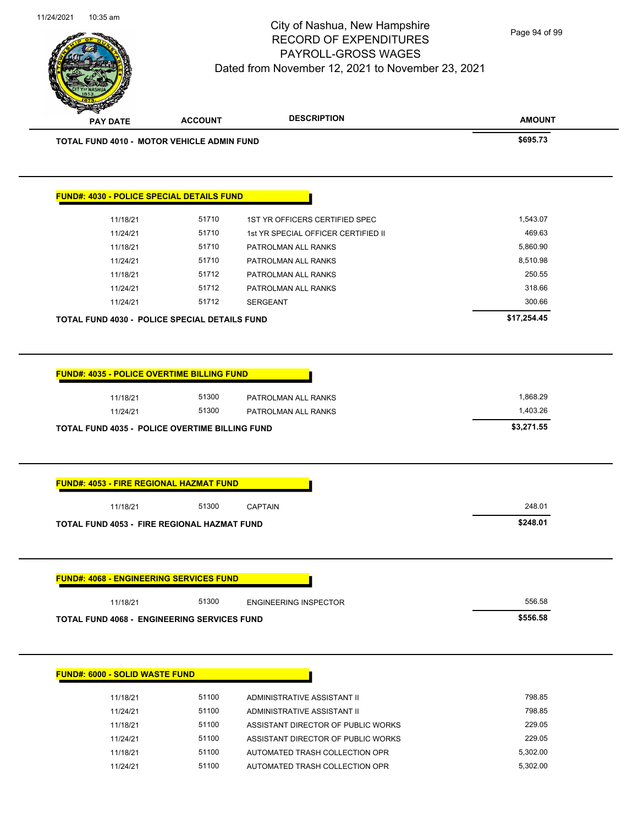

|          | <b>TOTAL FUND 4010 - MOTOR VEHICLE ADMIN FUND</b> |                                     | \$695.73                                                                                                                                                                                                                                                                                                                                                             |
|----------|---------------------------------------------------|-------------------------------------|----------------------------------------------------------------------------------------------------------------------------------------------------------------------------------------------------------------------------------------------------------------------------------------------------------------------------------------------------------------------|
|          |                                                   |                                     |                                                                                                                                                                                                                                                                                                                                                                      |
|          | <b>FUND#: 4030 - POLICE SPECIAL DETAILS FUND</b>  |                                     |                                                                                                                                                                                                                                                                                                                                                                      |
|          |                                                   |                                     |                                                                                                                                                                                                                                                                                                                                                                      |
| 11/18/21 | 51710                                             | 1ST YR OFFICERS CERTIFIED SPEC      | 1,543.07                                                                                                                                                                                                                                                                                                                                                             |
| 11/24/21 | 51710                                             | 1st YR SPECIAL OFFICER CERTIFIED II | 469.63                                                                                                                                                                                                                                                                                                                                                               |
| 11/18/21 | 51710                                             | PATROLMAN ALL RANKS                 | 5,860.90                                                                                                                                                                                                                                                                                                                                                             |
| 11/24/21 | 51710                                             | PATROLMAN ALL RANKS                 | 8,510.98                                                                                                                                                                                                                                                                                                                                                             |
| 11/18/21 | 51712                                             | PATROLMAN ALL RANKS                 | 250.55                                                                                                                                                                                                                                                                                                                                                               |
| 11/24/21 | 51712                                             | PATROLMAN ALL RANKS                 | 318.66                                                                                                                                                                                                                                                                                                                                                               |
| 11/24/21 | 51712                                             | <b>SERGEANT</b>                     | 300.66                                                                                                                                                                                                                                                                                                                                                               |
|          |                                                   |                                     | \$17,254.45                                                                                                                                                                                                                                                                                                                                                          |
|          |                                                   |                                     |                                                                                                                                                                                                                                                                                                                                                                      |
|          |                                                   |                                     |                                                                                                                                                                                                                                                                                                                                                                      |
| 11/18/21 | 51300                                             | PATROLMAN ALL RANKS                 | 1,868.29                                                                                                                                                                                                                                                                                                                                                             |
| 11/24/21 | 51300                                             | PATROLMAN ALL RANKS                 | 1,403.26                                                                                                                                                                                                                                                                                                                                                             |
|          |                                                   |                                     | \$3,271.55                                                                                                                                                                                                                                                                                                                                                           |
|          |                                                   |                                     |                                                                                                                                                                                                                                                                                                                                                                      |
| 11/18/21 | 51300                                             | <b>CAPTAIN</b>                      | 248.01                                                                                                                                                                                                                                                                                                                                                               |
|          |                                                   |                                     | \$248.01                                                                                                                                                                                                                                                                                                                                                             |
|          |                                                   |                                     |                                                                                                                                                                                                                                                                                                                                                                      |
|          |                                                   |                                     |                                                                                                                                                                                                                                                                                                                                                                      |
| 11/18/21 | 51300                                             | <b>ENGINEERING INSPECTOR</b>        | 556.58                                                                                                                                                                                                                                                                                                                                                               |
|          |                                                   |                                     | \$556.58                                                                                                                                                                                                                                                                                                                                                             |
|          |                                                   |                                     |                                                                                                                                                                                                                                                                                                                                                                      |
|          |                                                   |                                     | TOTAL FUND 4030 - POLICE SPECIAL DETAILS FUND<br><b>FUND#: 4035 - POLICE OVERTIME BILLING FUND</b><br><b>TOTAL FUND 4035 - POLICE OVERTIME BILLING FUND</b><br>FUND#: 4053 - FIRE REGIONAL HAZMAT FUND<br><b>TOTAL FUND 4053 - FIRE REGIONAL HAZMAT FUND</b><br><b>FUND#: 4068 - ENGINEERING SERVICES FUND</b><br><b>TOTAL FUND 4068 - ENGINEERING SERVICES FUND</b> |

| 11/18/21 | 51100 | ADMINISTRATIVE ASSISTANT II        | 798.85   |
|----------|-------|------------------------------------|----------|
| 11/24/21 | 51100 | ADMINISTRATIVE ASSISTANT II        | 798.85   |
| 11/18/21 | 51100 | ASSISTANT DIRECTOR OF PUBLIC WORKS | 229.05   |
| 11/24/21 | 51100 | ASSISTANT DIRECTOR OF PUBLIC WORKS | 229.05   |
| 11/18/21 | 51100 | AUTOMATED TRASH COLLECTION OPR     | 5.302.00 |
| 11/24/21 | 51100 | AUTOMATED TRASH COLLECTION OPR     | 5.302.00 |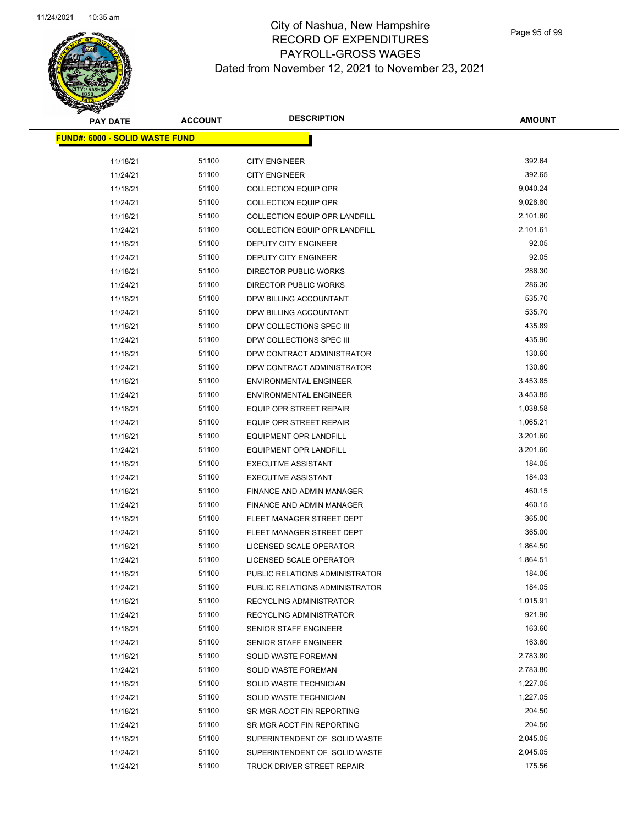

 $\overline{\phantom{0}}$ 

| <b>PAY DATE</b>                        | <b>ACCOUNT</b> | <b>DESCRIPTION</b>                                           | <b>AMOUNT</b>    |
|----------------------------------------|----------------|--------------------------------------------------------------|------------------|
| <u> FUND#: 6000 - SOLID WASTE FUND</u> |                |                                                              |                  |
|                                        | 51100          |                                                              | 392.64           |
| 11/18/21                               | 51100          | <b>CITY ENGINEER</b><br><b>CITY ENGINEER</b>                 | 392.65           |
| 11/24/21                               | 51100          |                                                              | 9,040.24         |
| 11/18/21<br>11/24/21                   | 51100          | <b>COLLECTION EQUIP OPR</b><br><b>COLLECTION EQUIP OPR</b>   | 9,028.80         |
|                                        | 51100          | COLLECTION EQUIP OPR LANDFILL                                | 2,101.60         |
| 11/18/21                               | 51100          | COLLECTION EQUIP OPR LANDFILL                                | 2,101.61         |
| 11/24/21                               | 51100          |                                                              | 92.05            |
| 11/18/21                               | 51100          | DEPUTY CITY ENGINEER                                         | 92.05            |
| 11/24/21                               | 51100          | <b>DEPUTY CITY ENGINEER</b>                                  | 286.30           |
| 11/18/21                               | 51100          | <b>DIRECTOR PUBLIC WORKS</b><br><b>DIRECTOR PUBLIC WORKS</b> | 286.30           |
| 11/24/21                               |                |                                                              |                  |
| 11/18/21                               | 51100          | DPW BILLING ACCOUNTANT                                       | 535.70<br>535.70 |
| 11/24/21                               | 51100          | DPW BILLING ACCOUNTANT                                       | 435.89           |
| 11/18/21                               | 51100          | DPW COLLECTIONS SPEC III                                     |                  |
| 11/24/21                               | 51100          | DPW COLLECTIONS SPEC III                                     | 435.90           |
| 11/18/21                               | 51100          | DPW CONTRACT ADMINISTRATOR                                   | 130.60           |
| 11/24/21                               | 51100          | DPW CONTRACT ADMINISTRATOR                                   | 130.60           |
| 11/18/21                               | 51100          | <b>ENVIRONMENTAL ENGINEER</b>                                | 3,453.85         |
| 11/24/21                               | 51100          | <b>ENVIRONMENTAL ENGINEER</b>                                | 3,453.85         |
| 11/18/21                               | 51100          | <b>EQUIP OPR STREET REPAIR</b>                               | 1,038.58         |
| 11/24/21                               | 51100          | <b>EQUIP OPR STREET REPAIR</b>                               | 1,065.21         |
| 11/18/21                               | 51100          | EQUIPMENT OPR LANDFILL                                       | 3,201.60         |
| 11/24/21                               | 51100          | EQUIPMENT OPR LANDFILL                                       | 3,201.60         |
| 11/18/21                               | 51100          | <b>EXECUTIVE ASSISTANT</b>                                   | 184.05           |
| 11/24/21                               | 51100          | <b>EXECUTIVE ASSISTANT</b>                                   | 184.03           |
| 11/18/21                               | 51100          | FINANCE AND ADMIN MANAGER                                    | 460.15           |
| 11/24/21                               | 51100          | FINANCE AND ADMIN MANAGER                                    | 460.15           |
| 11/18/21                               | 51100          | FLEET MANAGER STREET DEPT                                    | 365.00           |
| 11/24/21                               | 51100          | FLEET MANAGER STREET DEPT                                    | 365.00           |
| 11/18/21                               | 51100          | LICENSED SCALE OPERATOR                                      | 1,864.50         |
| 11/24/21                               | 51100          | LICENSED SCALE OPERATOR                                      | 1,864.51         |
| 11/18/21                               | 51100          | PUBLIC RELATIONS ADMINISTRATOR                               | 184.06           |
| 11/24/21                               | 51100          | PUBLIC RELATIONS ADMINISTRATOR                               | 184.05           |
| 11/18/21                               | 51100          | RECYCLING ADMINISTRATOR                                      | 1,015.91         |
| 11/24/21                               | 51100          | RECYCLING ADMINISTRATOR                                      | 921.90           |
| 11/18/21                               | 51100          | <b>SENIOR STAFF ENGINEER</b>                                 | 163.60           |
| 11/24/21                               | 51100          | SENIOR STAFF ENGINEER                                        | 163.60           |
| 11/18/21                               | 51100          | SOLID WASTE FOREMAN                                          | 2,783.80         |
| 11/24/21                               | 51100          | SOLID WASTE FOREMAN                                          | 2,783.80         |
| 11/18/21                               | 51100          | SOLID WASTE TECHNICIAN                                       | 1,227.05         |
| 11/24/21                               | 51100          | SOLID WASTE TECHNICIAN                                       | 1,227.05         |
| 11/18/21                               | 51100          | SR MGR ACCT FIN REPORTING                                    | 204.50           |
| 11/24/21                               | 51100          | SR MGR ACCT FIN REPORTING                                    | 204.50           |
| 11/18/21                               | 51100          | SUPERINTENDENT OF SOLID WASTE                                | 2,045.05         |
| 11/24/21                               | 51100          | SUPERINTENDENT OF SOLID WASTE                                | 2,045.05         |
| 11/24/21                               | 51100          | TRUCK DRIVER STREET REPAIR                                   | 175.56           |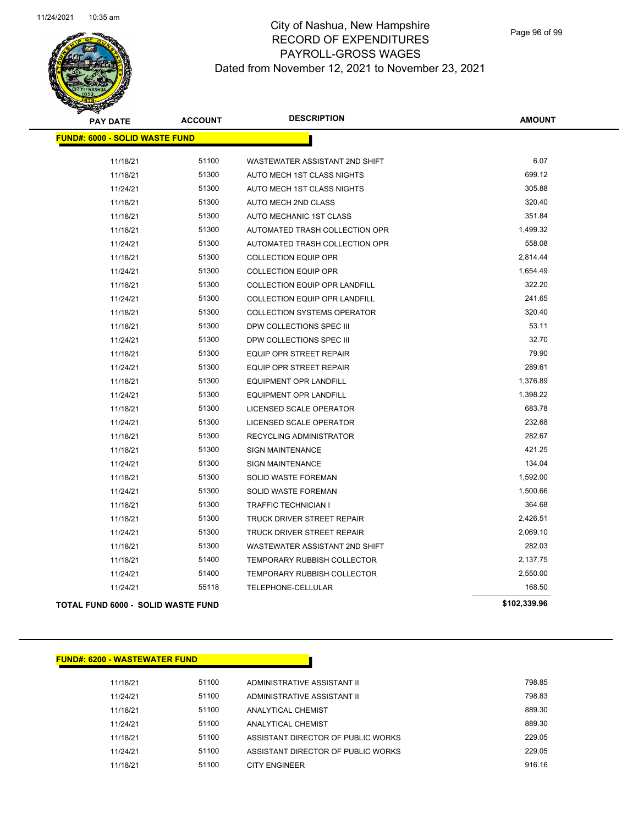

| <b>PAY DATE</b>                           | <b>ACCOUNT</b> | <b>DESCRIPTION</b>                 | <b>AMOUNT</b> |
|-------------------------------------------|----------------|------------------------------------|---------------|
| <b>FUND#: 6000 - SOLID WASTE FUND</b>     |                |                                    |               |
| 11/18/21                                  | 51100          | WASTEWATER ASSISTANT 2ND SHIFT     | 6.07          |
| 11/18/21                                  | 51300          | AUTO MECH 1ST CLASS NIGHTS         | 699.12        |
| 11/24/21                                  | 51300          | AUTO MECH 1ST CLASS NIGHTS         | 305.88        |
| 11/18/21                                  | 51300          | <b>AUTO MECH 2ND CLASS</b>         | 320.40        |
| 11/18/21                                  | 51300          | AUTO MECHANIC 1ST CLASS            | 351.84        |
| 11/18/21                                  | 51300          | AUTOMATED TRASH COLLECTION OPR     | 1,499.32      |
| 11/24/21                                  | 51300          | AUTOMATED TRASH COLLECTION OPR     | 558.08        |
| 11/18/21                                  | 51300          | <b>COLLECTION EQUIP OPR</b>        | 2,814.44      |
| 11/24/21                                  | 51300          | <b>COLLECTION EQUIP OPR</b>        | 1,654.49      |
| 11/18/21                                  | 51300          | COLLECTION EQUIP OPR LANDFILL      | 322.20        |
| 11/24/21                                  | 51300          | COLLECTION EQUIP OPR LANDFILL      | 241.65        |
| 11/18/21                                  | 51300          | <b>COLLECTION SYSTEMS OPERATOR</b> | 320.40        |
| 11/18/21                                  | 51300          | DPW COLLECTIONS SPEC III           | 53.11         |
| 11/24/21                                  | 51300          | DPW COLLECTIONS SPEC III           | 32.70         |
| 11/18/21                                  | 51300          | <b>EQUIP OPR STREET REPAIR</b>     | 79.90         |
| 11/24/21                                  | 51300          | <b>EQUIP OPR STREET REPAIR</b>     | 289.61        |
| 11/18/21                                  | 51300          | <b>EQUIPMENT OPR LANDFILL</b>      | 1,376.89      |
| 11/24/21                                  | 51300          | <b>EQUIPMENT OPR LANDFILL</b>      | 1,398.22      |
| 11/18/21                                  | 51300          | LICENSED SCALE OPERATOR            | 683.78        |
| 11/24/21                                  | 51300          | LICENSED SCALE OPERATOR            | 232.68        |
| 11/18/21                                  | 51300          | <b>RECYCLING ADMINISTRATOR</b>     | 282.67        |
| 11/18/21                                  | 51300          | <b>SIGN MAINTENANCE</b>            | 421.25        |
| 11/24/21                                  | 51300          | <b>SIGN MAINTENANCE</b>            | 134.04        |
| 11/18/21                                  | 51300          | <b>SOLID WASTE FOREMAN</b>         | 1,592.00      |
| 11/24/21                                  | 51300          | <b>SOLID WASTE FOREMAN</b>         | 1,500.66      |
| 11/18/21                                  | 51300          | <b>TRAFFIC TECHNICIAN I</b>        | 364.68        |
| 11/18/21                                  | 51300          | TRUCK DRIVER STREET REPAIR         | 2,426.51      |
| 11/24/21                                  | 51300          | TRUCK DRIVER STREET REPAIR         | 2,069.10      |
| 11/18/21                                  | 51300          | WASTEWATER ASSISTANT 2ND SHIFT     | 282.03        |
| 11/18/21                                  | 51400          | <b>TEMPORARY RUBBISH COLLECTOR</b> | 2,137.75      |
| 11/24/21                                  | 51400          | <b>TEMPORARY RUBBISH COLLECTOR</b> | 2,550.00      |
| 11/24/21                                  | 55118          | TELEPHONE-CELLULAR                 | 168.50        |
| <b>TOTAL FUND 6000 - SOLID WASTE FUND</b> |                |                                    | \$102,339.96  |

#### **FUND#: 6200 - WASTEWATER FUND**

11/18/21 51100 ADMINISTRATIVE ASSISTANT II 798.85 11/24/21 51100 ADMINISTRATIVE ASSISTANT II 798.83 11/18/21 51100 ANALYTICAL CHEMIST 889.30 11/24/21 51100 ANALYTICAL CHEMIST 889.30 11/18/21 51100 ASSISTANT DIRECTOR OF PUBLIC WORKS 229.05 11/24/21 51100 ASSISTANT DIRECTOR OF PUBLIC WORKS 229.05 11/18/21 51100 CITY ENGINEER 916.16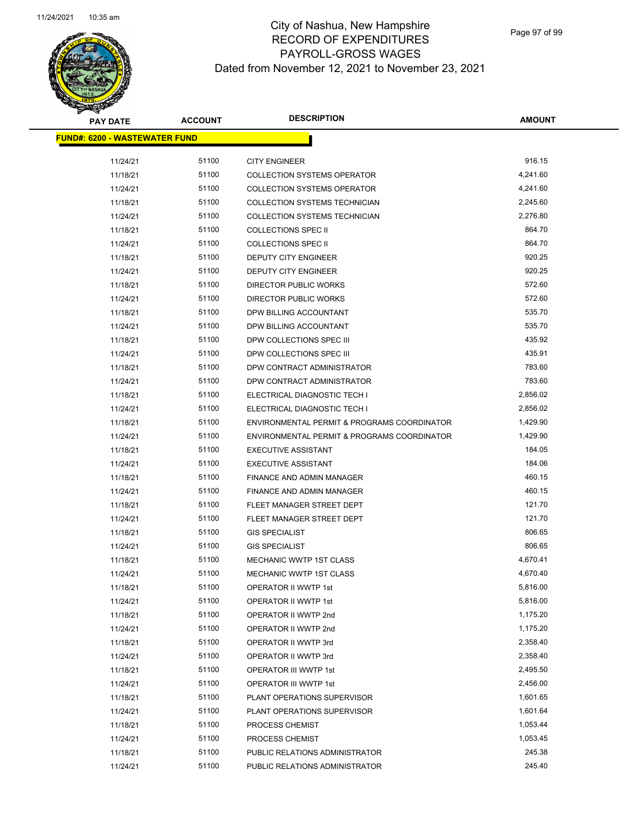

| <b>PAY DATE</b>                       | <b>ACCOUNT</b> | <b>DESCRIPTION</b>                                         | <b>AMOUNT</b>      |
|---------------------------------------|----------------|------------------------------------------------------------|--------------------|
| <u> FUND#: 6200 - WASTEWATER FUND</u> |                |                                                            |                    |
|                                       |                |                                                            |                    |
| 11/24/21                              | 51100          | <b>CITY ENGINEER</b><br><b>COLLECTION SYSTEMS OPERATOR</b> | 916.15<br>4,241.60 |
| 11/18/21                              | 51100          |                                                            |                    |
| 11/24/21                              | 51100          | <b>COLLECTION SYSTEMS OPERATOR</b>                         | 4,241.60           |
| 11/18/21                              | 51100          | COLLECTION SYSTEMS TECHNICIAN                              | 2,245.60           |
| 11/24/21                              | 51100          | COLLECTION SYSTEMS TECHNICIAN                              | 2,276.80           |
| 11/18/21                              | 51100          | <b>COLLECTIONS SPEC II</b>                                 | 864.70             |
| 11/24/21                              | 51100          | <b>COLLECTIONS SPEC II</b>                                 | 864.70             |
| 11/18/21                              | 51100          | DEPUTY CITY ENGINEER                                       | 920.25             |
| 11/24/21                              | 51100          | <b>DEPUTY CITY ENGINEER</b>                                | 920.25             |
| 11/18/21                              | 51100          | <b>DIRECTOR PUBLIC WORKS</b>                               | 572.60             |
| 11/24/21                              | 51100          | <b>DIRECTOR PUBLIC WORKS</b>                               | 572.60             |
| 11/18/21                              | 51100          | DPW BILLING ACCOUNTANT                                     | 535.70             |
| 11/24/21                              | 51100          | DPW BILLING ACCOUNTANT                                     | 535.70             |
| 11/18/21                              | 51100          | DPW COLLECTIONS SPEC III                                   | 435.92             |
| 11/24/21                              | 51100          | DPW COLLECTIONS SPEC III                                   | 435.91             |
| 11/18/21                              | 51100          | DPW CONTRACT ADMINISTRATOR                                 | 783.60             |
| 11/24/21                              | 51100          | DPW CONTRACT ADMINISTRATOR                                 | 783.60             |
| 11/18/21                              | 51100          | ELECTRICAL DIAGNOSTIC TECH I                               | 2,856.02           |
| 11/24/21                              | 51100          | ELECTRICAL DIAGNOSTIC TECH I                               | 2,856.02           |
| 11/18/21                              | 51100          | ENVIRONMENTAL PERMIT & PROGRAMS COORDINATOR                | 1,429.90           |
| 11/24/21                              | 51100          | ENVIRONMENTAL PERMIT & PROGRAMS COORDINATOR                | 1,429.90           |
| 11/18/21                              | 51100          | <b>EXECUTIVE ASSISTANT</b>                                 | 184.05             |
| 11/24/21                              | 51100          | <b>EXECUTIVE ASSISTANT</b>                                 | 184.06             |
| 11/18/21                              | 51100          | FINANCE AND ADMIN MANAGER                                  | 460.15             |
| 11/24/21                              | 51100          | FINANCE AND ADMIN MANAGER                                  | 460.15             |
| 11/18/21                              | 51100          | FLEET MANAGER STREET DEPT                                  | 121.70             |
| 11/24/21                              | 51100          | FLEET MANAGER STREET DEPT                                  | 121.70             |
| 11/18/21                              | 51100          | <b>GIS SPECIALIST</b>                                      | 806.65             |
| 11/24/21                              | 51100          | <b>GIS SPECIALIST</b>                                      | 806.65             |
| 11/18/21                              | 51100          | <b>MECHANIC WWTP 1ST CLASS</b>                             | 4,670.41           |
| 11/24/21                              | 51100          | <b>MECHANIC WWTP 1ST CLASS</b>                             | 4,670.40           |
| 11/18/21                              | 51100          | OPERATOR II WWTP 1st                                       | 5,816.00           |
| 11/24/21                              | 51100          | OPERATOR II WWTP 1st                                       | 5,816.00           |
| 11/18/21                              | 51100          | OPERATOR II WWTP 2nd                                       | 1,175.20           |
| 11/24/21                              | 51100          | OPERATOR II WWTP 2nd                                       | 1,175.20           |
| 11/18/21                              | 51100          | OPERATOR II WWTP 3rd                                       | 2,358.40           |
| 11/24/21                              | 51100          | OPERATOR II WWTP 3rd                                       | 2,358.40           |
| 11/18/21                              | 51100          | OPERATOR III WWTP 1st                                      | 2,495.50           |
| 11/24/21                              | 51100          | <b>OPERATOR III WWTP 1st</b>                               | 2,456.00           |
| 11/18/21                              | 51100          | PLANT OPERATIONS SUPERVISOR                                | 1,601.65           |
| 11/24/21                              | 51100          | PLANT OPERATIONS SUPERVISOR                                | 1,601.64           |
| 11/18/21                              | 51100          | PROCESS CHEMIST                                            | 1,053.44           |
| 11/24/21                              | 51100          | PROCESS CHEMIST                                            | 1,053.45           |
| 11/18/21                              | 51100          | PUBLIC RELATIONS ADMINISTRATOR                             | 245.38             |
| 11/24/21                              | 51100          | PUBLIC RELATIONS ADMINISTRATOR                             | 245.40             |
|                                       |                |                                                            |                    |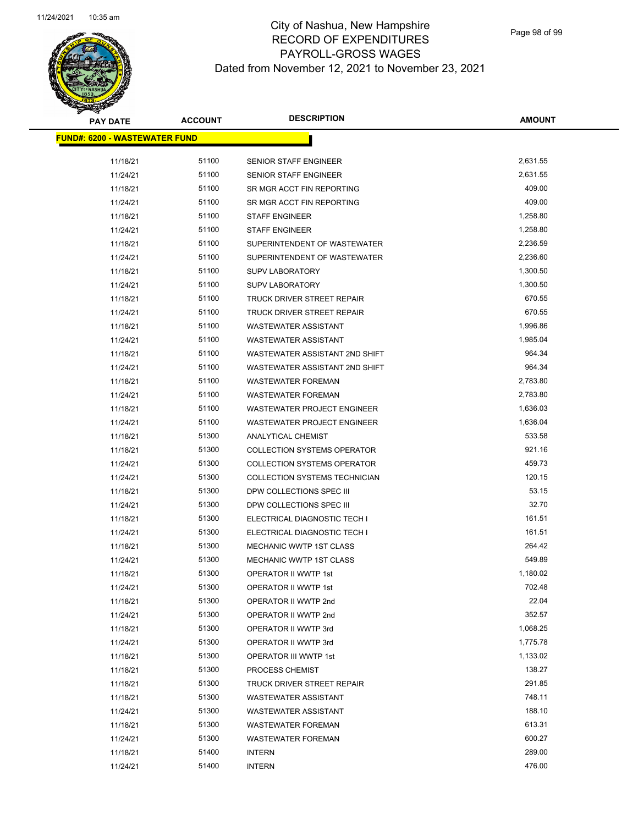

| <b>PAY DATE</b>                       | <b>ACCOUNT</b> | <b>DESCRIPTION</b>                 | <b>AMOUNT</b> |
|---------------------------------------|----------------|------------------------------------|---------------|
| <u> FUND#: 6200 - WASTEWATER FUND</u> |                |                                    |               |
|                                       |                |                                    |               |
| 11/18/21                              | 51100          | <b>SENIOR STAFF ENGINEER</b>       | 2,631.55      |
| 11/24/21                              | 51100          | <b>SENIOR STAFF ENGINEER</b>       | 2,631.55      |
| 11/18/21                              | 51100          | SR MGR ACCT FIN REPORTING          | 409.00        |
| 11/24/21                              | 51100          | SR MGR ACCT FIN REPORTING          | 409.00        |
| 11/18/21                              | 51100          | <b>STAFF ENGINEER</b>              | 1,258.80      |
| 11/24/21                              | 51100          | <b>STAFF ENGINEER</b>              | 1,258.80      |
| 11/18/21                              | 51100          | SUPERINTENDENT OF WASTEWATER       | 2,236.59      |
| 11/24/21                              | 51100          | SUPERINTENDENT OF WASTEWATER       | 2,236.60      |
| 11/18/21                              | 51100          | <b>SUPV LABORATORY</b>             | 1,300.50      |
| 11/24/21                              | 51100          | <b>SUPV LABORATORY</b>             | 1,300.50      |
| 11/18/21                              | 51100          | TRUCK DRIVER STREET REPAIR         | 670.55        |
| 11/24/21                              | 51100          | TRUCK DRIVER STREET REPAIR         | 670.55        |
| 11/18/21                              | 51100          | <b>WASTEWATER ASSISTANT</b>        | 1,996.86      |
| 11/24/21                              | 51100          | <b>WASTEWATER ASSISTANT</b>        | 1,985.04      |
| 11/18/21                              | 51100          | WASTEWATER ASSISTANT 2ND SHIFT     | 964.34        |
| 11/24/21                              | 51100          | WASTEWATER ASSISTANT 2ND SHIFT     | 964.34        |
| 11/18/21                              | 51100          | <b>WASTEWATER FOREMAN</b>          | 2,783.80      |
| 11/24/21                              | 51100          | <b>WASTEWATER FOREMAN</b>          | 2,783.80      |
| 11/18/21                              | 51100          | <b>WASTEWATER PROJECT ENGINEER</b> | 1,636.03      |
| 11/24/21                              | 51100          | <b>WASTEWATER PROJECT ENGINEER</b> | 1,636.04      |
| 11/18/21                              | 51300          | ANALYTICAL CHEMIST                 | 533.58        |
| 11/18/21                              | 51300          | <b>COLLECTION SYSTEMS OPERATOR</b> | 921.16        |
| 11/24/21                              | 51300          | <b>COLLECTION SYSTEMS OPERATOR</b> | 459.73        |
| 11/24/21                              | 51300          | COLLECTION SYSTEMS TECHNICIAN      | 120.15        |
| 11/18/21                              | 51300          | DPW COLLECTIONS SPEC III           | 53.15         |
| 11/24/21                              | 51300          | DPW COLLECTIONS SPEC III           | 32.70         |
| 11/18/21                              | 51300          | ELECTRICAL DIAGNOSTIC TECH I       | 161.51        |
| 11/24/21                              | 51300          | ELECTRICAL DIAGNOSTIC TECH I       | 161.51        |
| 11/18/21                              | 51300          | MECHANIC WWTP 1ST CLASS            | 264.42        |
| 11/24/21                              | 51300          | <b>MECHANIC WWTP 1ST CLASS</b>     | 549.89        |
| 11/18/21                              | 51300          | <b>OPERATOR II WWTP 1st</b>        | 1,180.02      |
| 11/24/21                              | 51300          | OPERATOR II WWTP 1st               | 702.48        |
| 11/18/21                              | 51300          | OPERATOR II WWTP 2nd               | 22.04         |
| 11/24/21                              | 51300          | OPERATOR II WWTP 2nd               | 352.57        |
| 11/18/21                              | 51300          | OPERATOR II WWTP 3rd               | 1,068.25      |
| 11/24/21                              | 51300          | OPERATOR II WWTP 3rd               | 1,775.78      |
| 11/18/21                              | 51300          | OPERATOR III WWTP 1st              | 1,133.02      |
| 11/18/21                              | 51300          | PROCESS CHEMIST                    | 138.27        |
| 11/18/21                              | 51300          | TRUCK DRIVER STREET REPAIR         | 291.85        |
| 11/18/21                              | 51300          | <b>WASTEWATER ASSISTANT</b>        | 748.11        |
| 11/24/21                              | 51300          | <b>WASTEWATER ASSISTANT</b>        | 188.10        |
| 11/18/21                              | 51300          | <b>WASTEWATER FOREMAN</b>          | 613.31        |
| 11/24/21                              | 51300          | <b>WASTEWATER FOREMAN</b>          | 600.27        |
| 11/18/21                              | 51400          | <b>INTERN</b>                      | 289.00        |
| 11/24/21                              | 51400          | <b>INTERN</b>                      | 476.00        |
|                                       |                |                                    |               |